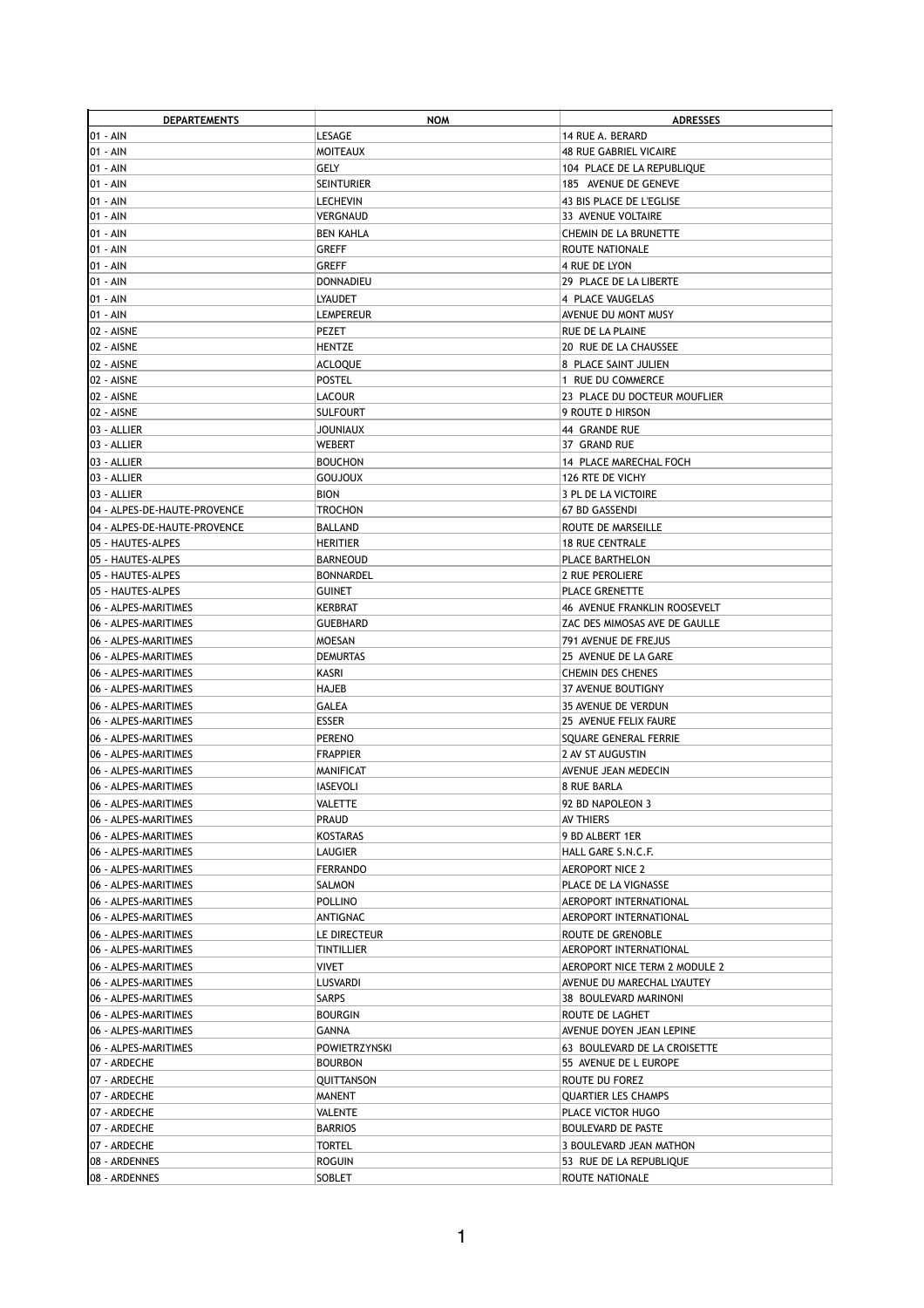| <b>DEPARTEMENTS</b>          | <b>NOW</b>        | <b>ADRESSES</b>               |
|------------------------------|-------------------|-------------------------------|
| 01 - AIN                     | LESAGE            | 14 RUE A. BERARD              |
| 01 - AIN                     | MOITEAUX          | <b>48 RUE GABRIEL VICAIRE</b> |
| 01 - AIN                     | GELY              | 104 PLACE DE LA REPUBLIQUE    |
| 01 - AIN                     | <b>SEINTURIER</b> | 185 AVENUE DE GENEVE          |
|                              |                   | 43 BIS PLACE DE L'EGLISE      |
| 01 - AIN                     | LECHEVIN          |                               |
| 01 - AIN                     | VERGNAUD          | 33 AVENUE VOLTAIRE            |
| 01 - AIN                     | <b>BEN KAHLA</b>  | CHEMIN DE LA BRUNETTE         |
| 01 - AIN                     | GREFF             | ROUTE NATIONALE               |
| 01 - AIN                     | GREFF             | 4 RUE DE LYON                 |
| 01 - AIN                     | <b>DONNADIEU</b>  | 29 PLACE DE LA LIBERTE        |
| 01 - AIN                     | <b>LYAUDET</b>    | 4 PLACE VAUGELAS              |
| 01 - AIN                     | <b>LEMPEREUR</b>  | AVENUE DU MONT MUSY           |
| 02 - AISNE                   | PEZET             | RUE DE LA PLAINE              |
| 02 - AISNE                   | HENTZE            | 20 RUE DE LA CHAUSSEE         |
| 02 - AISNE                   | <b>ACLOQUE</b>    | 8 PLACE SAINT JULIEN          |
|                              |                   |                               |
| 02 - AISNE                   | <b>POSTEL</b>     | 1 RUE DU COMMERCE             |
| 02 - AISNE                   | LACOUR            | 23 PLACE DU DOCTEUR MOUFLIER  |
| 02 - AISNE                   | SULFOURT          | 9 ROUTE D HIRSON              |
| 03 - ALLIER                  | JOUNIAUX          | 44 GRANDE RUE                 |
| 03 - ALLIER                  | <b>WEBERT</b>     | 37 GRAND RUE                  |
| 03 - ALLIER                  | <b>BOUCHON</b>    | 14 PLACE MARECHAL FOCH        |
| 03 - ALLIER                  | <b>GOUJOUX</b>    | 126 RTE DE VICHY              |
| 03 - ALLIER                  | <b>BION</b>       | 3 PL DE LA VICTOIRE           |
| 04 - ALPES-DE-HAUTE-PROVENCE | <b>TROCHON</b>    | 67 BD GASSENDI                |
|                              |                   |                               |
| 04 - ALPES-DE-HAUTE-PROVENCE | <b>BALLAND</b>    | ROUTE DE MARSEILLE            |
| 05 - HAUTES-ALPES            | <b>HERITIER</b>   | <b>18 RUE CENTRALE</b>        |
| 05 - HAUTES-ALPES            | <b>BARNEOUD</b>   | PLACE BARTHELON               |
| 05 - HAUTES-ALPES            | <b>BONNARDEL</b>  | 2 RUE PEROLIERE               |
| 05 - HAUTES-ALPES            | <b>GUINET</b>     | PLACE GRENETTE                |
| 06 - ALPES-MARITIMES         | KERBRAT           | 46 AVENUE FRANKLIN ROOSEVELT  |
| 06 - ALPES-MARITIMES         | GUEBHARD          | ZAC DES MIMOSAS AVE DE GAULLE |
| 06 - ALPES-MARITIMES         | <b>MOESAN</b>     | 791 AVENUE DE FREJUS          |
| 06 - ALPES-MARITIMES         | <b>DEMURTAS</b>   | 25 AVENUE DE LA GARE          |
| 06 - ALPES-MARITIMES         | KASRI             | CHEMIN DES CHENES             |
| 06 - ALPES-MARITIMES         | <b>HAJEB</b>      | 37 AVENUE BOUTIGNY            |
|                              |                   |                               |
| 06 - ALPES-MARITIMES         | <b>GALEA</b>      | 35 AVENUE DE VERDUN           |
| 06 - ALPES-MARITIMES         | <b>ESSER</b>      | 25 AVENUE FELIX FAURE         |
| 06 - ALPES-MARITIMES         | <b>PERENO</b>     | SQUARE GENERAL FERRIE         |
| 06 - ALPES-MARITIMES         | <b>FRAPPIER</b>   | 2 AV ST AUGUSTIN              |
| 06 - ALPES-MARITIMES         | MANIFICAT         | AVENUE JEAN MEDECIN           |
| 06 - ALPES-MARITIMES         | <b>IASEVOLI</b>   | 8 RUE BARLA                   |
| 06 - ALPES-MARITIMES         | VALETTE           | 92 BD NAPOLEON 3              |
| 06 - ALPES-MARITIMES         | <b>PRAUD</b>      | AV THIERS                     |
| 06 - ALPES-MARITIMES         | KOSTARAS          | 9 BD ALBERT 1ER               |
| 06 - ALPES-MARITIMES         |                   |                               |
|                              | LAUGIER           | HALL GARE S.N.C.F.            |
| 06 - ALPES-MARITIMES         | FERRANDO          | <b>AEROPORT NICE 2</b>        |
| 06 - ALPES-MARITIMES         | SALMON            | PLACE DE LA VIGNASSE          |
| 06 - ALPES-MARITIMES         | <b>POLLINO</b>    | AEROPORT INTERNATIONAL        |
| 06 - ALPES-MARITIMES         | ANTIGNAC          | AEROPORT INTERNATIONAL        |
| 06 - ALPES-MARITIMES         | LE DIRECTEUR      | ROUTE DE GRENOBLE             |
| 06 - ALPES-MARITIMES         | TINTILLIER        | AEROPORT INTERNATIONAL        |
| 06 - ALPES-MARITIMES         | VIVET             | AEROPORT NICE TERM 2 MODULE 2 |
| 06 - ALPES-MARITIMES         | <b>LUSVARDI</b>   | AVENUE DU MARECHAL LYAUTEY    |
| 06 - ALPES-MARITIMES         | <b>SARPS</b>      | 38 BOULEVARD MARINONI         |
| 06 - ALPES-MARITIMES         | <b>BOURGIN</b>    | ROUTE DE LAGHET               |
|                              |                   |                               |
| 06 - ALPES-MARITIMES         | GANNA             | AVENUE DOYEN JEAN LEPINE      |
| 06 - ALPES-MARITIMES         | POWIETRZYNSKI     | 63 BOULEVARD DE LA CROISETTE  |
| 07 - ARDECHE                 | <b>BOURBON</b>    | 55 AVENUE DE L EUROPE         |
| 07 - ARDECHE                 | QUITTANSON        | ROUTE DU FOREZ                |
| 07 - ARDECHE                 | MANENT            | <b>QUARTIER LES CHAMPS</b>    |
| 07 - ARDECHE                 | VALENTE           | PLACE VICTOR HUGO             |
| 07 - ARDECHE                 | <b>BARRIOS</b>    | <b>BOULEVARD DE PASTE</b>     |
| 07 - ARDECHE                 | <b>TORTEL</b>     | 3 BOULEVARD JEAN MATHON       |
| 08 - ARDENNES                | ROGUIN            | 53 RUE DE LA REPUBLIQUE       |
|                              |                   |                               |
| 08 - ARDENNES                | SOBLET            | ROUTE NATIONALE               |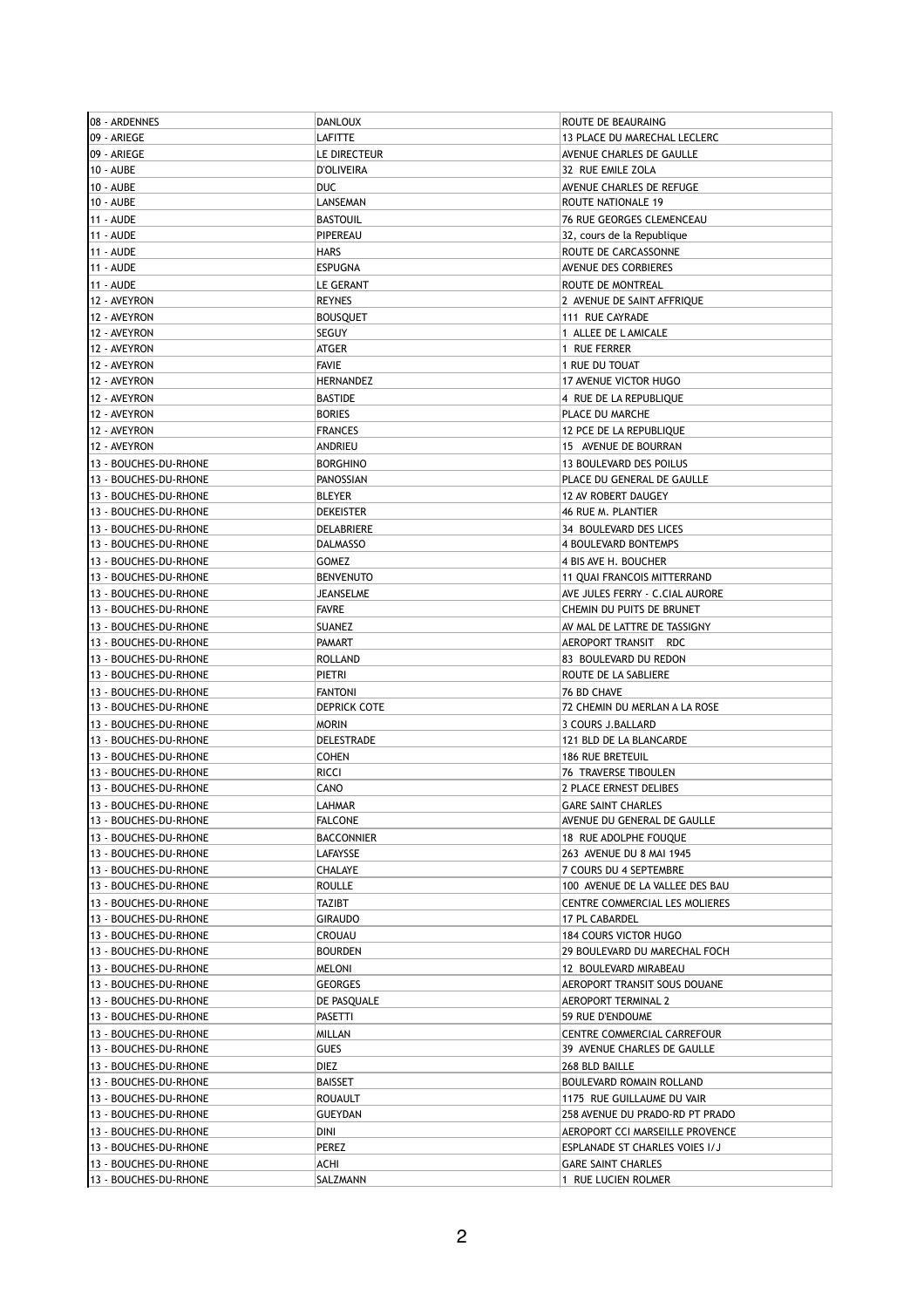| 08 - ARDENNES                                  | <b>DANLOUX</b>                 | ROUTE DE BEAURAING                             |
|------------------------------------------------|--------------------------------|------------------------------------------------|
| 09 - ARIEGE                                    | LAFITTE                        | 13 PLACE DU MARECHAL LECLERC                   |
| 09 - ARIEGE                                    | LE DIRECTEUR                   | AVENUE CHARLES DE GAULLE                       |
| 10 - AUBE                                      | <b>D'OLIVEIRA</b>              | 32 RUE EMILE ZOLA                              |
| 10 - AUBE                                      | <b>DUC</b>                     | AVENUE CHARLES DE REFUGE                       |
| 10 - AUBE                                      | LANSEMAN                       | ROUTE NATIONALE 19                             |
| <b>11 - AUDE</b>                               | <b>BASTOUIL</b>                | 76 RUE GEORGES CLEMENCEAU                      |
| 11 - AUDE                                      | PIPEREAU                       | 32, cours de la Republique                     |
| 11 - AUDE                                      | <b>HARS</b>                    | ROUTE DE CARCASSONNE                           |
| 11 - AUDE                                      | <b>ESPUGNA</b>                 | <b>AVENUE DES CORBIERES</b>                    |
| <b>11 - AUDE</b>                               | LE GERANT                      | ROUTE DE MONTREAL                              |
| 12 - AVEYRON                                   | <b>REYNES</b>                  | 2 AVENUE DE SAINT AFFRIQUE                     |
| 12 - AVEYRON                                   | <b>BOUSQUET</b>                | 111 RUE CAYRADE                                |
| 12 - AVEYRON                                   | SEGUY                          | 1 ALLEE DE L AMICALE                           |
| 12 - AVEYRON                                   | ATGER                          | 1 RUE FERRER                                   |
| 12 - AVEYRON                                   | <b>FAVIE</b>                   | 1 RUE DU TOUAT                                 |
| 12 - AVEYRON                                   | HERNANDEZ                      | 17 AVENUE VICTOR HUGO                          |
| 12 - AVEYRON                                   | <b>BASTIDE</b>                 | 4 RUE DE LA REPUBLIQUE                         |
| 12 - AVEYRON                                   | <b>BORIES</b>                  | PLACE DU MARCHE                                |
| 12 - AVEYRON                                   | <b>FRANCES</b>                 | 12 PCE DE LA REPUBLIQUE                        |
| 12 - AVEYRON                                   | ANDRIEU                        | 15 AVENUE DE BOURRAN                           |
| 13 - BOUCHES-DU-RHONE                          | <b>BORGHINO</b>                | 13 BOULEVARD DES POILUS                        |
| 13 - BOUCHES-DU-RHONE                          | PANOSSIAN                      | PLACE DU GENERAL DE GAULLE                     |
| 13 - BOUCHES-DU-RHONE                          | <b>BLEYER</b>                  | 12 AV ROBERT DAUGEY                            |
| 13 - BOUCHES-DU-RHONE                          | <b>DEKEISTER</b>               | 46 RUE M. PLANTIER                             |
| 13 - BOUCHES-DU-RHONE                          | DELABRIERE                     | 34 BOULEVARD DES LICES                         |
| 13 - BOUCHES-DU-RHONE                          | <b>DALMASSO</b>                | 4 BOULEVARD BONTEMPS                           |
| 13 - BOUCHES-DU-RHONE                          | <b>GOMEZ</b>                   | 4 BIS AVE H. BOUCHER                           |
| 13 - BOUCHES-DU-RHONE                          | <b>BENVENUTO</b>               | 11 QUAI FRANCOIS MITTERRAND                    |
| 13 - BOUCHES-DU-RHONE                          | JEANSELME                      | AVE JULES FERRY - C.CIAL AURORE                |
| 13 - BOUCHES-DU-RHONE                          | <b>FAVRE</b>                   | CHEMIN DU PUITS DE BRUNET                      |
| 13 - BOUCHES-DU-RHONE                          | <b>SUANEZ</b>                  | AV MAL DE LATTRE DE TASSIGNY                   |
| 13 - BOUCHES-DU-RHONE                          | <b>PAMART</b>                  | AEROPORT TRANSIT RDC                           |
| 13 - BOUCHES-DU-RHONE                          | <b>ROLLAND</b>                 | 83 BOULEVARD DU REDON                          |
|                                                | PIETRI                         |                                                |
| 13 - BOUCHES-DU-RHONE                          |                                | ROUTE DE LA SABLIERE                           |
| 13 - BOUCHES-DU-RHONE                          | <b>FANTONI</b><br>DEPRICK COTE | 76 BD CHAVE                                    |
| 13 - BOUCHES-DU-RHONE                          |                                | 72 CHEMIN DU MERLAN A LA ROSE                  |
| 13 - BOUCHES-DU-RHONE                          | <b>MORIN</b>                   | 3 COURS J.BALLARD                              |
| 13 - BOUCHES-DU-RHONE                          | DELESTRADE                     | 121 BLD DE LA BLANCARDE                        |
| 13 - BOUCHES-DU-RHONE                          | <b>COHEN</b>                   | <b>186 RUE BRETEUIL</b>                        |
| 13 - BOUCHES-DU-RHONE<br>13 - BOUCHES-DU-RHONE | <b>RICCI</b><br>CANO           | 76 TRAVERSE TIBOULEN<br>2 PLACE ERNEST DELIBES |
|                                                |                                |                                                |
| 13 - BOUCHES-DU-RHONE                          | LAHMAR                         | <b>GARE SAINT CHARLES</b>                      |
| 13 - BOUCHES-DU-RHONE                          | <b>FALCONE</b>                 | AVENUE DU GENERAL DE GAULLE                    |
| 13 - BOUCHES-DU-RHONE                          | <b>BACCONNIER</b>              | 18 RUE ADOLPHE FOUQUE                          |
| 13 - BOUCHES-DU-RHONE                          | <b>LAFAYSSE</b>                | 263 AVENUE DU 8 MAI 1945                       |
| 13 - BOUCHES-DU-RHONE                          | CHALAYE                        | 7 COURS DU 4 SEPTEMBRE                         |
| 13 - BOUCHES-DU-RHONE                          | <b>ROULLE</b>                  | 100 AVENUE DE LA VALLEE DES BAU                |
| 13 - BOUCHES-DU-RHONE                          | TAZIBT                         | CENTRE COMMERCIAL LES MOLIERES                 |
| 13 - BOUCHES-DU-RHONE                          | GIRAUDO                        | 17 PL CABARDEL                                 |
| 13 - BOUCHES-DU-RHONE                          | CROUAU                         | <b>184 COURS VICTOR HUGO</b>                   |
| 13 - BOUCHES-DU-RHONE                          | <b>BOURDEN</b>                 | 29 BOULEVARD DU MARECHAL FOCH                  |
| 13 - BOUCHES-DU-RHONE                          | MELONI                         | 12 BOULEVARD MIRABEAU                          |
| 13 - BOUCHES-DU-RHONE                          | GEORGES                        | AEROPORT TRANSIT SOUS DOUANE                   |
| 13 - BOUCHES-DU-RHONE                          | DE PASQUALE                    | <b>AEROPORT TERMINAL 2</b>                     |
| 13 - BOUCHES-DU-RHONE                          | PASETTI                        | 59 RUE D'ENDOUME                               |
| 13 - BOUCHES-DU-RHONE                          | MILLAN                         | CENTRE COMMERCIAL CARREFOUR                    |
| 13 - BOUCHES-DU-RHONE                          | GUES                           | 39 AVENUE CHARLES DE GAULLE                    |
| 13 - BOUCHES-DU-RHONE                          | DIEZ                           | 268 BLD BAILLE                                 |
| 13 - BOUCHES-DU-RHONE                          | BAISSET                        | BOULEVARD ROMAIN ROLLAND                       |
| 13 - BOUCHES-DU-RHONE                          | <b>ROUAULT</b>                 | 1175 RUE GUILLAUME DU VAIR                     |
| 13 - BOUCHES-DU-RHONE                          | <b>GUEYDAN</b>                 | 258 AVENUE DU PRADO-RD PT PRADO                |
| 13 - BOUCHES-DU-RHONE                          | DINI                           | AEROPORT CCI MARSEILLE PROVENCE                |
| 13 - BOUCHES-DU-RHONE                          | PEREZ                          | ESPLANADE ST CHARLES VOIES I/J                 |
| 13 - BOUCHES-DU-RHONE                          | ACHI                           | <b>GARE SAINT CHARLES</b>                      |
| 13 - BOUCHES-DU-RHONE                          | SALZMANN                       | 1 RUE LUCIEN ROLMER                            |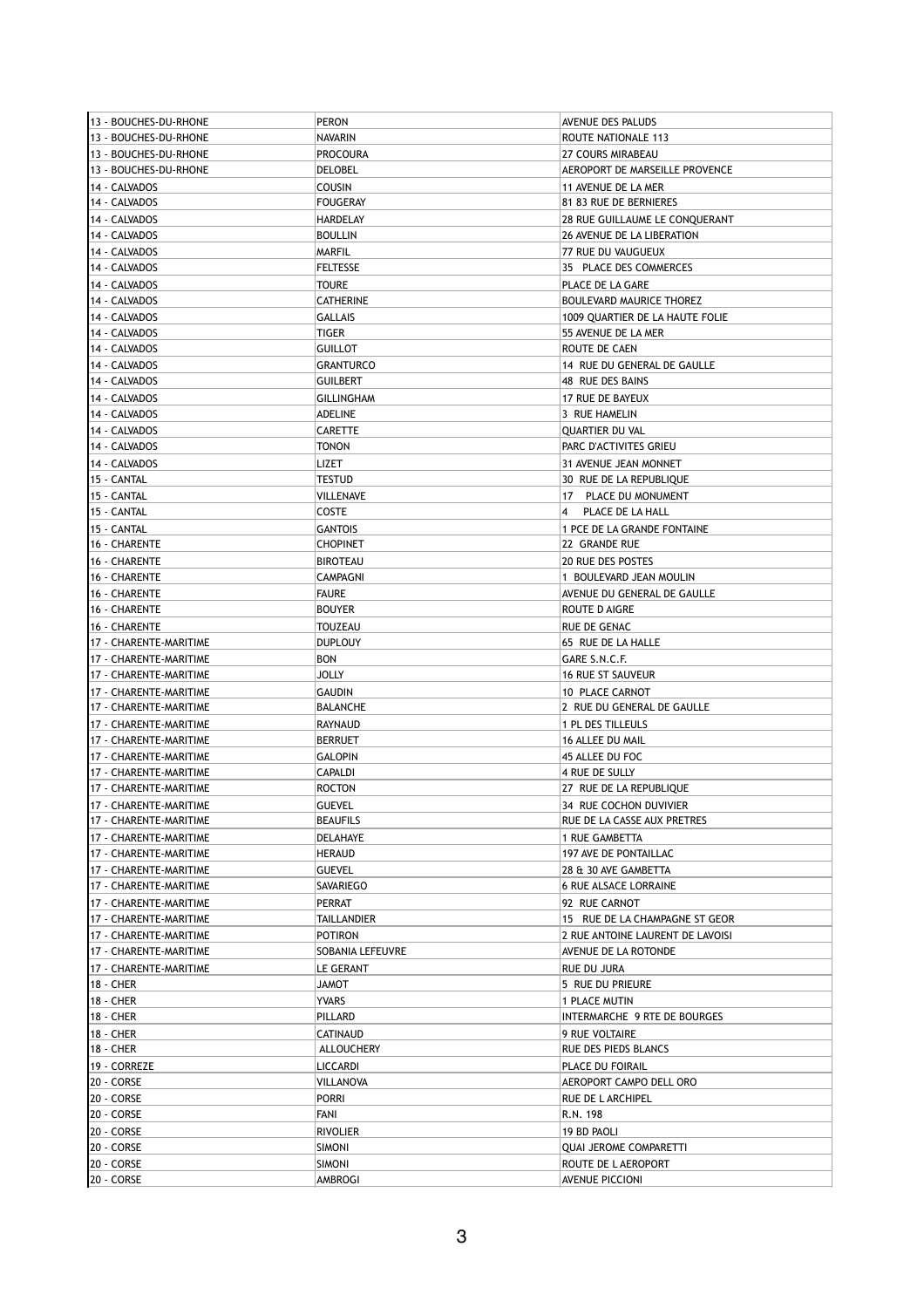| 13 - BOUCHES-DU-RHONE  | PERON              | AVENUE DES PALUDS                |
|------------------------|--------------------|----------------------------------|
| 13 - BOUCHES-DU-RHONE  | <b>NAVARIN</b>     | ROUTE NATIONALE 113              |
| 13 - BOUCHES-DU-RHONE  | <b>PROCOURA</b>    | 27 COURS MIRABEAU                |
| 13 - BOUCHES-DU-RHONE  | DELOBEL            | AEROPORT DE MARSEILLE PROVENCE   |
| 14 - CALVADOS          | <b>COUSIN</b>      | 11 AVENUE DE LA MER              |
| 14 - CALVADOS          | <b>FOUGERAY</b>    | 81 83 RUE DE BERNIERES           |
| 14 - CALVADOS          | <b>HARDELAY</b>    | 28 RUE GUILLAUME LE CONQUERANT   |
| 14 - CALVADOS          | <b>BOULLIN</b>     | 26 AVENUE DE LA LIBERATION       |
| 14 - CALVADOS          | <b>MARFIL</b>      | 77 RUE DU VAUGUEUX               |
| 14 - CALVADOS          | <b>FELTESSE</b>    | 35 PLACE DES COMMERCES           |
| 14 - CALVADOS          | <b>TOURE</b>       | PLACE DE LA GARE                 |
| 14 - CALVADOS          | <b>CATHERINE</b>   | BOULEVARD MAURICE THOREZ         |
| 14 - CALVADOS          | <b>GALLAIS</b>     | 1009 QUARTIER DE LA HAUTE FOLIE  |
| 14 - CALVADOS          | TIGER              | 55 AVENUE DE LA MER              |
| 14 - CALVADOS          | <b>GUILLOT</b>     | ROUTE DE CAEN                    |
|                        |                    |                                  |
| 14 - CALVADOS          | <b>GRANTURCO</b>   | 14 RUE DU GENERAL DE GAULLE      |
| 14 - CALVADOS          | <b>GUILBERT</b>    | 48 RUE DES BAINS                 |
| 14 - CALVADOS          | <b>GILLINGHAM</b>  | 17 RUE DE BAYEUX                 |
| 14 - CALVADOS          | <b>ADELINE</b>     | 3 RUE HAMELIN                    |
| 14 - CALVADOS          | <b>CARETTE</b>     | QUARTIER DU VAL                  |
| 14 - CALVADOS          | <b>TONON</b>       | PARC D'ACTIVITES GRIEU           |
| 14 - CALVADOS          | lizet              | 31 AVENUE JEAN MONNET            |
| 15 - CANTAL            | <b>TESTUD</b>      | 30 RUE DE LA REPUBLIQUE          |
| 15 - CANTAL            | VILLENAVE          | 17 PLACE DU MONUMENT             |
| 15 - CANTAL            | <b>COSTE</b>       | PLACE DE LA HALL<br>4            |
| 15 - CANTAL            | <b>GANTOIS</b>     | 1 PCE DE LA GRANDE FONTAINE      |
| 16 - CHARENTE          | <b>CHOPINET</b>    | 22 GRANDE RUE                    |
| 16 - CHARENTE          | <b>BIROTEAU</b>    | 20 RUE DES POSTES                |
| 16 - CHARENTE          | <b>CAMPAGNI</b>    | 1 BOULEVARD JEAN MOULIN          |
| 16 - CHARENTE          | <b>FAURE</b>       | AVENUE DU GENERAL DE GAULLE      |
|                        |                    |                                  |
| 16 - CHARENTE          | <b>BOUYER</b>      | ROUTE D AIGRE                    |
| 16 - CHARENTE          | TOUZEAU            | RUE DE GENAC                     |
| 17 - CHARENTE-MARITIME | <b>DUPLOUY</b>     | 65 RUE DE LA HALLE               |
| 17 - CHARENTE-MARITIME | <b>BON</b>         | GARE S.N.C.F.                    |
| 17 - CHARENTE-MARITIME | <b>JOLLY</b>       | <b>16 RUE ST SAUVEUR</b>         |
| 17 - CHARENTE-MARITIME | <b>GAUDIN</b>      | 10 PLACE CARNOT                  |
| 17 - CHARENTE-MARITIME | <b>BALANCHE</b>    | 2 RUE DU GENERAL DE GAULLE       |
| 17 - CHARENTE-MARITIME | <b>RAYNAUD</b>     | 1 PL DES TILLEULS                |
| 17 - CHARENTE-MARITIME | <b>BERRUET</b>     | 16 ALLEE DU MAIL                 |
| 17 - CHARENTE-MARITIME | <b>GALOPIN</b>     | 45 ALLEE DU FOC                  |
| 17 - CHARENTE-MARITIME | <b>CAPALDI</b>     | 4 RUE DE SULLY                   |
| 17 - CHARENTE-MARITIME | <b>ROCTON</b>      | 27 RUE DE LA REPUBLIQUE          |
| 17 - CHARENTE-MARITIME | <b>GUEVEL</b>      | 34 RUE COCHON DUVIVIER           |
| 17 - CHARENTE-MARITIME | <b>BEAUFILS</b>    | RUE DE LA CASSE AUX PRETRES      |
| 17 - CHARENTE-MARITIME | <b>DELAHAYE</b>    | 1 RUE GAMBETTA                   |
| 17 - CHARENTE-MARITIME | HERAUD             | 197 AVE DE PONTAILLAC            |
| 17 - CHARENTE-MARITIME | <b>GUEVEL</b>      | 28 & 30 AVE GAMBETTA             |
| 17 - CHARENTE-MARITIME | SAVARIEGO          | <b>6 RUE ALSACE LORRAINE</b>     |
| 17 - CHARENTE-MARITIME | PERRAT             | 92 RUE CARNOT                    |
| 17 - CHARENTE-MARITIME | <b>TAILLANDIER</b> | 15 RUE DE LA CHAMPAGNE ST GEOR   |
|                        |                    |                                  |
| 17 - CHARENTE-MARITIME | <b>POTIRON</b>     | 2 RUE ANTOINE LAURENT DE LAVOISI |
| 17 - CHARENTE-MARITIME | SOBANIA LEFEUVRE   | AVENUE DE LA ROTONDE             |
| 17 - CHARENTE-MARITIME | LE GERANT          | RUE DU JURA                      |
| 18 - CHER              | <b>TOMAL</b>       | 5 RUE DU PRIEURE                 |
| 18 - CHER              | <b>YVARS</b>       | 1 PLACE MUTIN                    |
| 18 - CHER              | PILLARD            | INTERMARCHE 9 RTE DE BOURGES     |
| 18 - CHER              | CATINAUD           | 9 RUE VOLTAIRE                   |
| 18 - CHER              | ALLOUCHERY         | RUE DES PIEDS BLANCS             |
| 19 - CORREZE           | LICCARDI           | PLACE DU FOIRAIL                 |
| 20 - CORSE             | VILLANOVA          | AEROPORT CAMPO DELL ORO          |
| 20 - CORSE             | <b>PORRI</b>       | RUE DE L ARCHIPEL                |
| 20 - CORSE             | FANI               | R.N. 198                         |
| 20 - CORSE             | <b>RIVOLIER</b>    | 19 BD PAOLI                      |
| 20 - CORSE             | <b>SIMONI</b>      | <b>QUAI JEROME COMPARETTI</b>    |
| 20 - CORSE             | <b>SIMONI</b>      | ROUTE DE L AEROPORT              |
|                        |                    |                                  |
| 20 - CORSE             | AMBROGI            | AVENUE PICCIONI                  |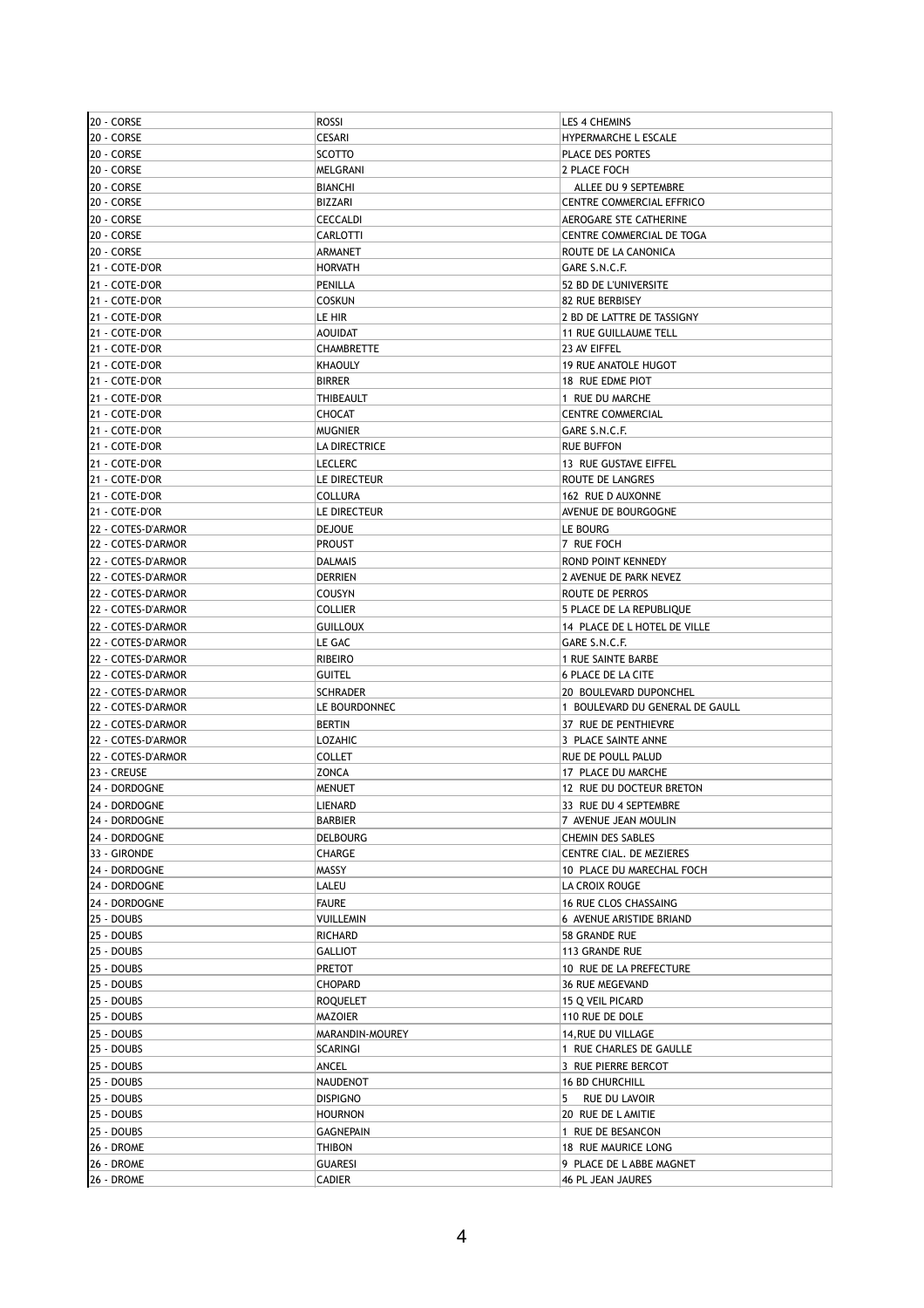| 20 - CORSE         | <b>ROSSI</b>      | <b>LES 4 CHEMINS</b>            |
|--------------------|-------------------|---------------------------------|
| 20 - CORSE         | <b>CESARI</b>     | <b>HYPERMARCHE L ESCALE</b>     |
| 20 - CORSE         | <b>SCOTTO</b>     | PLACE DES PORTES                |
| 20 - CORSE         | MELGRANI          | 2 PLACE FOCH                    |
| 20 - CORSE         | <b>BIANCHI</b>    | ALLEE DU 9 SEPTEMBRE            |
| 20 - CORSE         | BIZZARI           | CENTRE COMMERCIAL EFFRICO       |
| 20 - CORSE         | <b>CECCALDI</b>   | AEROGARE STE CATHERINE          |
| 20 - CORSE         | CARLOTTI          | CENTRE COMMERCIAL DE TOGA       |
| 20 - CORSE         | ARMANET           | ROUTE DE LA CANONICA            |
| 21 - COTE-D'OR     | <b>HORVATH</b>    | GARE S.N.C.F.                   |
|                    |                   |                                 |
| 21 - COTE-D'OR     | PENILLA           | 52 BD DE L'UNIVERSITE           |
| 21 - COTE-D'OR     | <b>COSKUN</b>     | 82 RUE BERBISEY                 |
| 21 - COTE-D'OR     | LE HIR            | 2 BD DE LATTRE DE TASSIGNY      |
| 21 - COTE-D'OR     | <b>AOUIDAT</b>    | <b>11 RUE GUILLAUME TELL</b>    |
| 21 - COTE-D'OR     | <b>CHAMBRETTE</b> | 23 AV EIFFEL                    |
| 21 - COTE-D'OR     | <b>KHAOULY</b>    | <b>19 RUE ANATOLE HUGOT</b>     |
| 21 - COTE-D'OR     | <b>BIRRER</b>     | 18 RUE EDME PIOT                |
| 21 - COTE-D'OR     | THIBEAULT         | 1 RUE DU MARCHE                 |
| 21 - COTE-D'OR     | <b>CHOCAT</b>     | <b>CENTRE COMMERCIAL</b>        |
| 21 - COTE-D'OR     | <b>MUGNIER</b>    | GARE S.N.C.F.                   |
| 21 - COTE-D'OR     | LA DIRECTRICE     | <b>RUE BUFFON</b>               |
| 21 - COTE-D'OR     | <b>LECLERC</b>    | 13 RUE GUSTAVE EIFFEL           |
| 21 - COTE-D'OR     | LE DIRECTEUR      | ROUTE DE LANGRES                |
| 21 - COTE-D'OR     | <b>COLLURA</b>    | 162 RUE D AUXONNE               |
| 21 - COTE-D'OR     | LE DIRECTEUR      | AVENUE DE BOURGOGNE             |
| 22 - COTES-D'ARMOR | <b>DEJOUE</b>     | LE BOURG                        |
| 22 - COTES-D'ARMOR | <b>PROUST</b>     | 7 RUE FOCH                      |
| 22 - COTES-D'ARMOR |                   |                                 |
|                    | <b>DALMAIS</b>    | ROND POINT KENNEDY              |
| 22 - COTES-D'ARMOR | <b>DERRIEN</b>    | 2 AVENUE DE PARK NEVEZ          |
| 22 - COTES-D'ARMOR | COUSYN            | ROUTE DE PERROS                 |
| 22 - COTES-D'ARMOR | <b>COLLIER</b>    | 5 PLACE DE LA REPUBLIQUE        |
| 22 - COTES-D'ARMOR | <b>GUILLOUX</b>   | 14 PLACE DE L HOTEL DE VILLE    |
| 22 - COTES-D'ARMOR | LE GAC            | GARE S.N.C.F.                   |
| 22 - COTES-D'ARMOR | <b>RIBEIRO</b>    | 1 RUE SAINTE BARBE              |
| 22 - COTES-D'ARMOR | <b>GUITEL</b>     | <b>6 PLACE DE LA CITE</b>       |
| 22 - COTES-D'ARMOR | <b>SCHRADER</b>   | 20 BOULEVARD DUPONCHEL          |
| 22 - COTES-D'ARMOR | LE BOURDONNEC     | 1 BOULEVARD DU GENERAL DE GAULL |
| 22 - COTES-D'ARMOR | <b>BERTIN</b>     | 37 RUE DE PENTHIEVRE            |
| 22 - COTES-D'ARMOR | <b>LOZAHIC</b>    | 3 PLACE SAINTE ANNE             |
| 22 - COTES-D'ARMOR | <b>COLLET</b>     | RUE DE POULL PALUD              |
| 23 - CREUSE        | <b>ZONCA</b>      | 17 PLACE DU MARCHE              |
| 24 - DORDOGNE      | <b>MENUET</b>     | 12 RUE DU DOCTEUR BRETON        |
| 24 - DORDOGNE      | LIENARD           | 33 RUE DU 4 SEPTEMBRE           |
| 24 - Dordogne      | BARBIER           | 7 AVENUE JEAN MOULIN            |
| 24 - DORDOGNE      | <b>DELBOURG</b>   | <b>CHEMIN DES SABLES</b>        |
| 33 - GIRONDE       | CHARGE            | CENTRE CIAL. DE MEZIERES        |
| 24 - DORDOGNE      | MASSY             | 10 PLACE DU MARECHAL FOCH       |
|                    |                   |                                 |
| 24 - DORDOGNE      | LALEU             | LA CROIX ROUGE                  |
| 24 - DORDOGNE      | <b>FAURE</b>      | <b>16 RUE CLOS CHASSAING</b>    |
| 25 - DOUBS         | VUILLEMIN         | 6 AVENUE ARISTIDE BRIAND        |
| 25 - DOUBS         | <b>RICHARD</b>    | 58 GRANDE RUE                   |
| 25 - DOUBS         | <b>GALLIOT</b>    | 113 GRANDE RUE                  |
| 25 - DOUBS         | <b>PRETOT</b>     | 10 RUE DE LA PREFECTURE         |
| 25 - DOUBS         | CHOPARD           | 36 RUE MEGEVAND                 |
| 25 - DOUBS         | <b>ROQUELET</b>   | 15 Q VEIL PICARD                |
| 25 - DOUBS         | MAZOIER           | 110 RUE DE DOLE                 |
| 25 - DOUBS         | MARANDIN-MOUREY   | 14, RUE DU VILLAGE              |
| 25 - DOUBS         | SCARINGI          | 1 RUE CHARLES DE GAULLE         |
| 25 - DOUBS         | ANCEL             | 3 RUE PIERRE BERCOT             |
| 25 - DOUBS         | NAUDENOT          | <b>16 BD CHURCHILL</b>          |
| 25 - DOUBS         | <b>DISPIGNO</b>   | 5 RUE DU LAVOIR                 |
| 25 - DOUBS         | <b>HOURNON</b>    | 20 RUE DE LAMITIE               |
| 25 - DOUBS         | <b>GAGNEPAIN</b>  | 1 RUE DE BESANCON               |
| 26 - DROME         | <b>THIBON</b>     | 18 RUE MAURICE LONG             |
| 26 - DROME         |                   | 9 PLACE DE LABBE MAGNET         |
|                    | <b>GUARESI</b>    |                                 |
| 26 - DROME         | CADIER            | 46 PL JEAN JAURES               |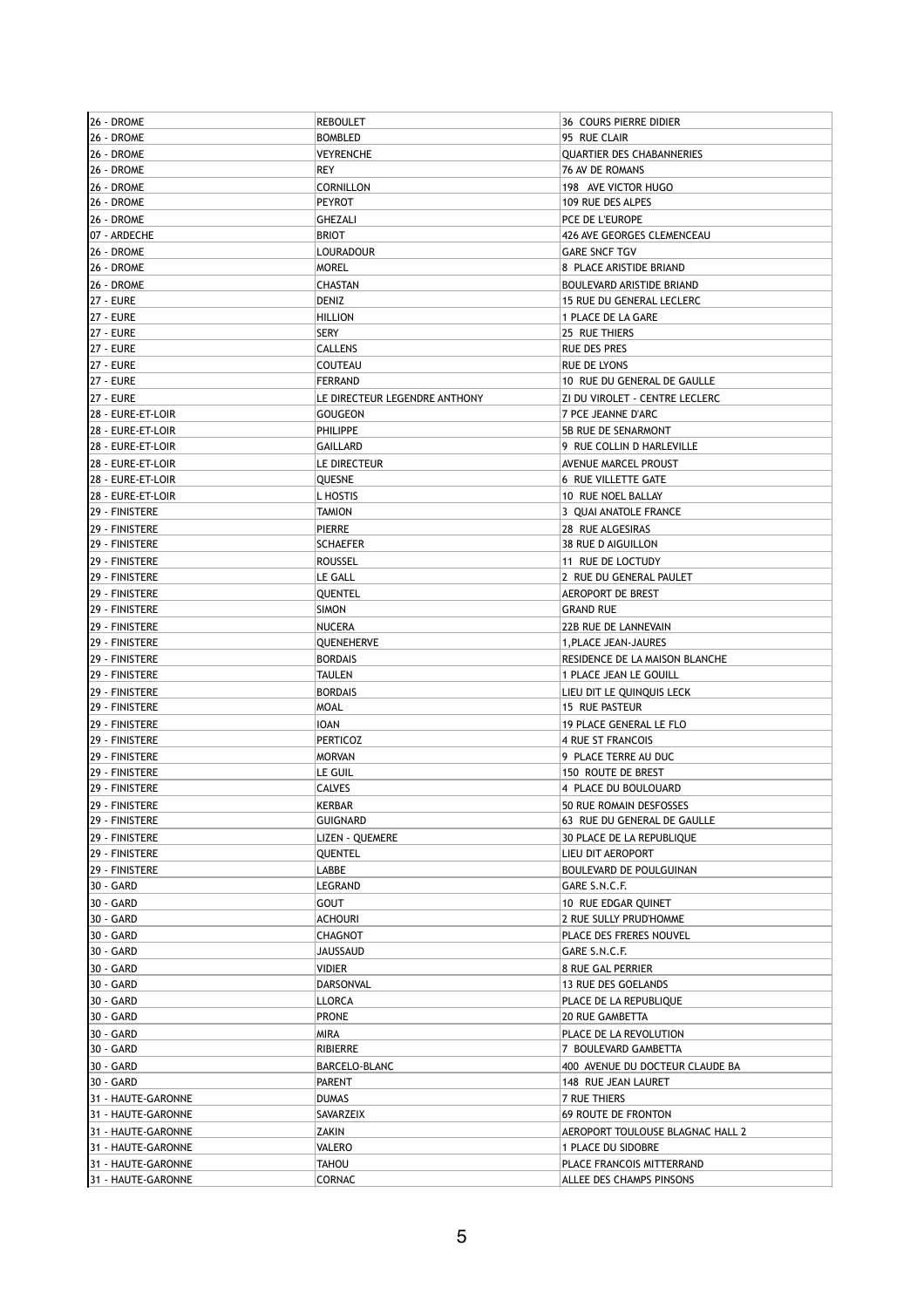| 26 - DROME                           | <b>REBOULET</b>               | <b>36 COURS PIERRE DIDIER</b>    |
|--------------------------------------|-------------------------------|----------------------------------|
| 26 - DROME                           | <b>BOMBLED</b>                | 95 RUE CLAIR                     |
| 26 - DROME                           | <b>VEYRENCHE</b>              | <b>QUARTIER DES CHABANNERIES</b> |
| 26 - DROME                           | <b>REY</b>                    | <b>76 AV DE ROMANS</b>           |
| 26 - DROME                           | CORNILLON                     | 198 AVE VICTOR HUGO              |
| 26 - DROME                           | <b>PEYROT</b>                 | 109 RUE DES ALPES                |
| 26 - DROME                           | GHEZALI                       | PCE DE L'EUROPE                  |
| 07 - ARDECHE                         | <b>BRIOT</b>                  | 426 AVE GEORGES CLEMENCEAU       |
| 26 - DROME                           | <b>LOURADOUR</b>              | <b>GARE SNCF TGV</b>             |
| 26 - DROME                           | <b>MOREL</b>                  | 8 PLACE ARISTIDE BRIAND          |
| 26 - DROME                           | <b>CHASTAN</b>                | <b>BOULEVARD ARISTIDE BRIAND</b> |
| <b>27 - EURE</b>                     | DENIZ                         | 15 RUE DU GENERAL LECLERC        |
|                                      |                               |                                  |
| <b>27 - EURE</b><br><b>27 - EURE</b> | <b>HILLION</b>                | 1 PLACE DE LA GARE               |
|                                      | <b>SERY</b>                   | 25 RUE THIERS                    |
| <b>27 - EURE</b>                     | <b>CALLENS</b>                | RUE DES PRES                     |
| <b>27 - EURE</b>                     | COUTEAU                       | RUE DE LYONS                     |
| <b>27 - EURE</b>                     | <b>FERRAND</b>                | 10 RUE DU GENERAL DE GAULLE      |
| 27 - EURE                            | LE DIRECTEUR LEGENDRE ANTHONY | ZI DU VIROLET - CENTRE LECLERC   |
| 28 - EURE-ET-LOIR                    | GOUGEON                       | 7 PCE JEANNE D'ARC               |
| 28 - EURE-ET-LOIR                    | PHILIPPE                      | 5B RUE DE SENARMONT              |
| 28 - EURE-ET-LOIR                    | <b>GAILLARD</b>               | 9 RUE COLLIN D HARLEVILLE        |
| 28 - EURE-ET-LOIR                    | LE DIRECTEUR                  | <b>AVENUE MARCEL PROUST</b>      |
| 28 - EURE-ET-LOIR                    | QUESNE                        | 6 RUE VILLETTE GATE              |
| 28 - EURE-ET-LOIR                    | L HOSTIS                      | 10 RUE NOEL BALLAY               |
| 29 - FINISTERE                       | <b>TAMION</b>                 | 3 QUAI ANATOLE FRANCE            |
| 29 - FINISTERE                       | <b>PIERRE</b>                 | 28 RUE ALGESIRAS                 |
| 29 - FINISTERE                       | <b>SCHAEFER</b>               | 38 RUE D AIGUILLON               |
| 29 - FINISTERE                       | <b>ROUSSEL</b>                | 11 RUE DE LOCTUDY                |
| 29 - FINISTERE                       | LE GALL                       | 2 RUE DU GENERAL PAULET          |
| 29 - FINISTERE                       | QUENTEL                       | <b>AEROPORT DE BREST</b>         |
| 29 - FINISTERE                       | <b>SIMON</b>                  | <b>GRAND RUE</b>                 |
|                                      |                               |                                  |
| 29 - FINISTERE                       | <b>NUCERA</b>                 | 22B RUE DE LANNEVAIN             |
| 29 - FINISTERE                       | QUENEHERVE                    | 1, PLACE JEAN-JAURES             |
| 29 - FINISTERE                       | <b>BORDAIS</b>                | RESIDENCE DE LA MAISON BLANCHE   |
| 29 - FINISTERE                       | <b>TAULEN</b>                 | 1 PLACE JEAN LE GOUILL           |
| 29 - FINISTERE                       | <b>BORDAIS</b>                | LIEU DIT LE QUINQUIS LECK        |
| 29 - FINISTERE                       | <b>MOAL</b>                   | 15 RUE PASTEUR                   |
| 29 - FINISTERE                       | <b>IOAN</b>                   | 19 PLACE GENERAL LE FLO          |
| 29 - FINISTERE                       | <b>PERTICOZ</b>               | 4 RUE ST FRANCOIS                |
| 29 - FINISTERE                       | <b>MORVAN</b>                 | 9 PLACE TERRE AU DUC             |
| 29 - FINISTERE                       | LE GUIL                       | 150 ROUTE DE BREST               |
| 29 - FINISTERE                       | <b>CALVES</b>                 | 4 PLACE DU BOULOUARD             |
| 29 - FINISTERE                       | <b>KERBAR</b>                 | 50 RUE ROMAIN DESFOSSES          |
| 29 - FINISTERE                       | <b>GUIGNARD</b>               | 63 RUE DU GENERAL DE GAULLE      |
| 29 - FINISTERE                       | LIZEN - QUEMERE               | 30 PLACE DE LA REPUBLIQUE        |
| 29 - FINISTERE                       | <b>QUENTEL</b>                | LIEU DIT AEROPORT                |
| 29 - FINISTERE                       | LABBE                         | BOULEVARD DE POULGUINAN          |
| 30 - GARD                            | LEGRAND                       | GARE S.N.C.F.                    |
| 30 - GARD                            | <b>GOUT</b>                   | 10 RUE EDGAR QUINET              |
| 30 - GARD                            | <b>ACHOURI</b>                | 2 RUE SULLY PRUD'HOMME           |
| 30 - GARD                            | CHAGNOT                       | PLACE DES FRERES NOUVEL          |
| 30 - GARD                            | JAUSSAUD                      | GARE S.N.C.F.                    |
|                                      |                               |                                  |
| 30 - GARD                            | VIDIER                        | 8 RUE GAL PERRIER                |
| 30 - GARD                            | DARSONVAL                     | 13 RUE DES GOELANDS              |
| 30 - GARD                            | LLORCA                        | PLACE DE LA REPUBLIQUE           |
| 30 - GARD                            | <b>PRONE</b>                  | 20 RUE GAMBETTA                  |
| 30 - GARD                            | MIRA                          | PLACE DE LA REVOLUTION           |
| 30 - GARD                            | RIBIERRE                      | 7 BOULEVARD GAMBETTA             |
| 30 - GARD                            | BARCELO-BLANC                 | 400 AVENUE DU DOCTEUR CLAUDE BA  |
| 30 - GARD                            | <b>PARENT</b>                 | 148 RUE JEAN LAURET              |
| 31 - HAUTE-GARONNE                   | <b>DUMAS</b>                  | 7 RUE THIERS                     |
| 31 - HAUTE-GARONNE                   | SAVARZEIX                     | <b>69 ROUTE DE FRONTON</b>       |
| 31 - HAUTE-GARONNE                   | ZAKIN                         | AEROPORT TOULOUSE BLAGNAC HALL 2 |
| 31 - HAUTE-GARONNE                   | VALERO                        | 1 PLACE DU SIDOBRE               |
| 31 - HAUTE-GARONNE                   | <b>TAHOU</b>                  | PLACE FRANCOIS MITTERRAND        |
| 31 - HAUTE-GARONNE                   | CORNAC                        | ALLEE DES CHAMPS PINSONS         |
|                                      |                               |                                  |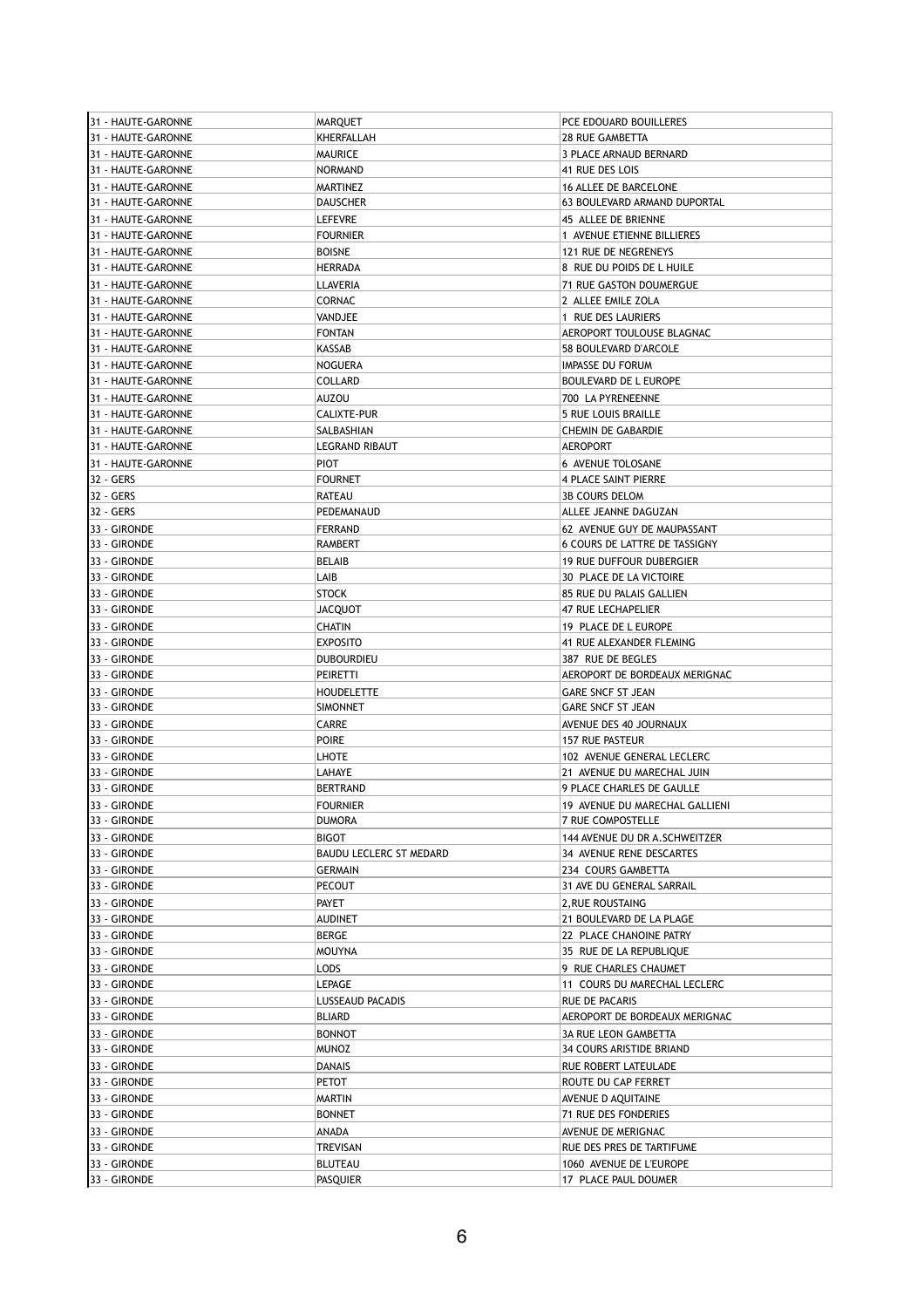| 31 - HAUTE-GARONNE           | <b>MARQUET</b>                 | PCE EDOUARD BOUILLERES                          |
|------------------------------|--------------------------------|-------------------------------------------------|
| 31 - HAUTE-GARONNE           | KHERFALLAH                     | <b>28 RUE GAMBETTA</b>                          |
| 31 - HAUTE-GARONNE           | MAURICE                        | 3 PLACE ARNAUD BERNARD                          |
| 31 - HAUTE-GARONNE           | <b>NORMAND</b>                 | 41 RUE DES LOIS                                 |
| 31 - HAUTE-GARONNE           | MARTINEZ                       | 16 ALLEE DE BARCELONE                           |
| 31 - HAUTE-GARONNE           | <b>DAUSCHER</b>                | 63 BOULEVARD ARMAND DUPORTAL                    |
| 31 - HAUTE-GARONNE           | <b>LEFEVRE</b>                 | 45 ALLEE DE BRIENNE                             |
| 31 - HAUTE-GARONNE           | <b>FOURNIER</b>                | 1 AVENUE ETIENNE BILLIERES                      |
| 31 - HAUTE-GARONNE           | <b>BOISNE</b>                  | 121 RUE DE NEGRENEYS                            |
| 31 - HAUTE-GARONNE           | <b>HERRADA</b>                 | 8 RUE DU POIDS DE L HUILE                       |
| 31 - HAUTE-GARONNE           | LLAVERIA                       | 71 RUE GASTON DOUMERGUE                         |
| 31 - HAUTE-GARONNE           | <b>CORNAC</b>                  | 2 ALLEE EMILE ZOLA                              |
| 31 - HAUTE-GARONNE           | VANDJEE                        | 1 RUE DES LAURIERS                              |
| 31 - HAUTE-GARONNE           | <b>FONTAN</b>                  | AEROPORT TOULOUSE BLAGNAC                       |
| 31 - HAUTE-GARONNE           | KASSAB                         | 58 BOULEVARD D'ARCOLE                           |
|                              | <b>NOGUERA</b>                 | IMPASSE DU FORUM                                |
| 31 - HAUTE-GARONNE           | COLLARD                        |                                                 |
| 31 - HAUTE-GARONNE           |                                | BOULEVARD DE L EUROPE                           |
| 31 - HAUTE-GARONNE           | AUZOU                          | 700 LA PYRENEENNE                               |
| 31 - HAUTE-GARONNE           | CALIXTE-PUR                    | 5 RUE LOUIS BRAILLE                             |
| 31 - HAUTE-GARONNE           | SALBASHIAN                     | CHEMIN DE GABARDIE                              |
| 31 - HAUTE-GARONNE           | <b>LEGRAND RIBAUT</b>          | <b>AEROPORT</b>                                 |
| 31 - HAUTE-GARONNE           | <b>PIOT</b>                    | 6 AVENUE TOLOSANE                               |
| 32 - GERS                    | <b>FOURNET</b>                 | 4 PLACE SAINT PIERRE                            |
| 32 - GERS                    | RATEAU                         | <b>3B COURS DELOM</b>                           |
| 32 - GERS                    | PEDEMANAUD                     | ALLEE JEANNE DAGUZAN                            |
| 33 - GIRONDE                 | <b>FERRAND</b>                 | 62 AVENUE GUY DE MAUPASSANT                     |
| 33 - GIRONDE                 | RAMBERT                        | 6 COURS DE LATTRE DE TASSIGNY                   |
| 33 - GIRONDE                 | <b>BELAIB</b>                  | <b>19 RUE DUFFOUR DUBERGIER</b>                 |
| 33 - GIRONDE                 | LAIB                           | 30 PLACE DE LA VICTOIRE                         |
| 33 - GIRONDE                 | STOCK                          | 85 RUE DU PALAIS GALLIEN                        |
| 33 - GIRONDE                 | JACQUOT                        | 47 RUE LECHAPELIER                              |
| 33 - GIRONDE                 | CHATIN                         | 19 PLACE DE L EUROPE                            |
| 33 - GIRONDE                 | <b>EXPOSITO</b>                |                                                 |
|                              |                                | 41 RUE ALEXANDER FLEMING                        |
| 33 - GIRONDE                 | <b>DUBOURDIEU</b>              | 387 RUE DE BEGLES                               |
| 33 - GIRONDE                 | PEIRETTI                       | AEROPORT DE BORDEAUX MERIGNAC                   |
| 33 - GIRONDE                 | <b>HOUDELETTE</b>              | <b>GARE SNCF ST JEAN</b>                        |
| 33 - GIRONDE                 | SIMONNET                       | GARE SNCF ST JEAN                               |
| 33 - GIRONDE                 | CARRE                          | AVENUE DES 40 JOURNAUX                          |
| 33 - GIRONDE                 | <b>POIRE</b>                   | 157 RUE PASTEUR                                 |
| 33 - GIRONDE                 | LHOTE                          | 102 AVENUE GENERAL LECLERC                      |
| 33 - GIRONDE                 | LAHAYE                         | 21 AVENUE DU MARECHAL JUIN                      |
| 33 - GIRONDE                 | <b>BERTRAND</b>                | 9 PLACE CHARLES DE GAULLE                       |
| 33 - GIRONDE                 | <b>FOURNIER</b>                | 19 AVENUE DU MARECHAL GALLIENI                  |
| 33 - GIRONDE                 | DUMORA                         | 7 RUE COMPOSTELLE                               |
| 33 - GIRONDE                 | BIGOT                          | 144 AVENUE DU DR A.SCHWEITZER                   |
| 33 - GIRONDE                 | <b>BAUDU LECLERC ST MEDARD</b> | 34 AVENUE RENE DESCARTES                        |
| 33 - GIRONDE                 | GERMAIN                        | 234 COURS GAMBETTA                              |
| 33 - GIRONDE                 | <b>PECOUT</b>                  | 31 AVE DU GENERAL SARRAIL                       |
| 33 - GIRONDE                 | PAYET                          | 2, RUE ROUSTAING                                |
| 33 - GIRONDE                 | <b>AUDINET</b>                 | 21 BOULEVARD DE LA PLAGE                        |
| 33 - GIRONDE                 | BERGE                          | 22 PLACE CHANOINE PATRY                         |
| 33 - GIRONDE                 | <b>MOUYNA</b>                  | 35 RUE DE LA REPUBLIQUE                         |
|                              |                                |                                                 |
| 33 - GIRONDE                 | LODS                           | 9 RUE CHARLES CHAUMET                           |
| 33 - GIRONDE                 | <b>LEPAGE</b>                  | 11 COURS DU MARECHAL LECLERC                    |
| 33 - GIRONDE                 | LUSSEAUD PACADIS               | RUE DE PACARIS                                  |
| 33 - GIRONDE                 | <b>BLIARD</b>                  | AEROPORT DE BORDEAUX MERIGNAC                   |
| 33 - GIRONDE                 | <b>BONNOT</b>                  | 3A RUE LEON GAMBETTA                            |
| 33 - GIRONDE                 | <b>MUNOZ</b>                   | 34 COURS ARISTIDE BRIAND                        |
| 33 - GIRONDE                 | DANAIS                         | RUE ROBERT LATEULADE                            |
| 33 - GIRONDE                 | PETOT                          | ROUTE DU CAP FERRET                             |
| 33 - GIRONDE                 | MARTIN                         | AVENUE D AQUITAINE                              |
| 33 - GIRONDE                 |                                |                                                 |
|                              | <b>BONNET</b>                  | 71 RUE DES FONDERIES                            |
| 33 - GIRONDE                 | ANADA                          |                                                 |
|                              |                                | AVENUE DE MERIGNAC                              |
| 33 - GIRONDE                 | TREVISAN                       | RUE DES PRES DE TARTIFUME                       |
| 33 - GIRONDE<br>33 - GIRONDE | BLUTEAU<br><b>PASQUIER</b>     | 1060 AVENUE DE L'EUROPE<br>17 PLACE PAUL DOUMER |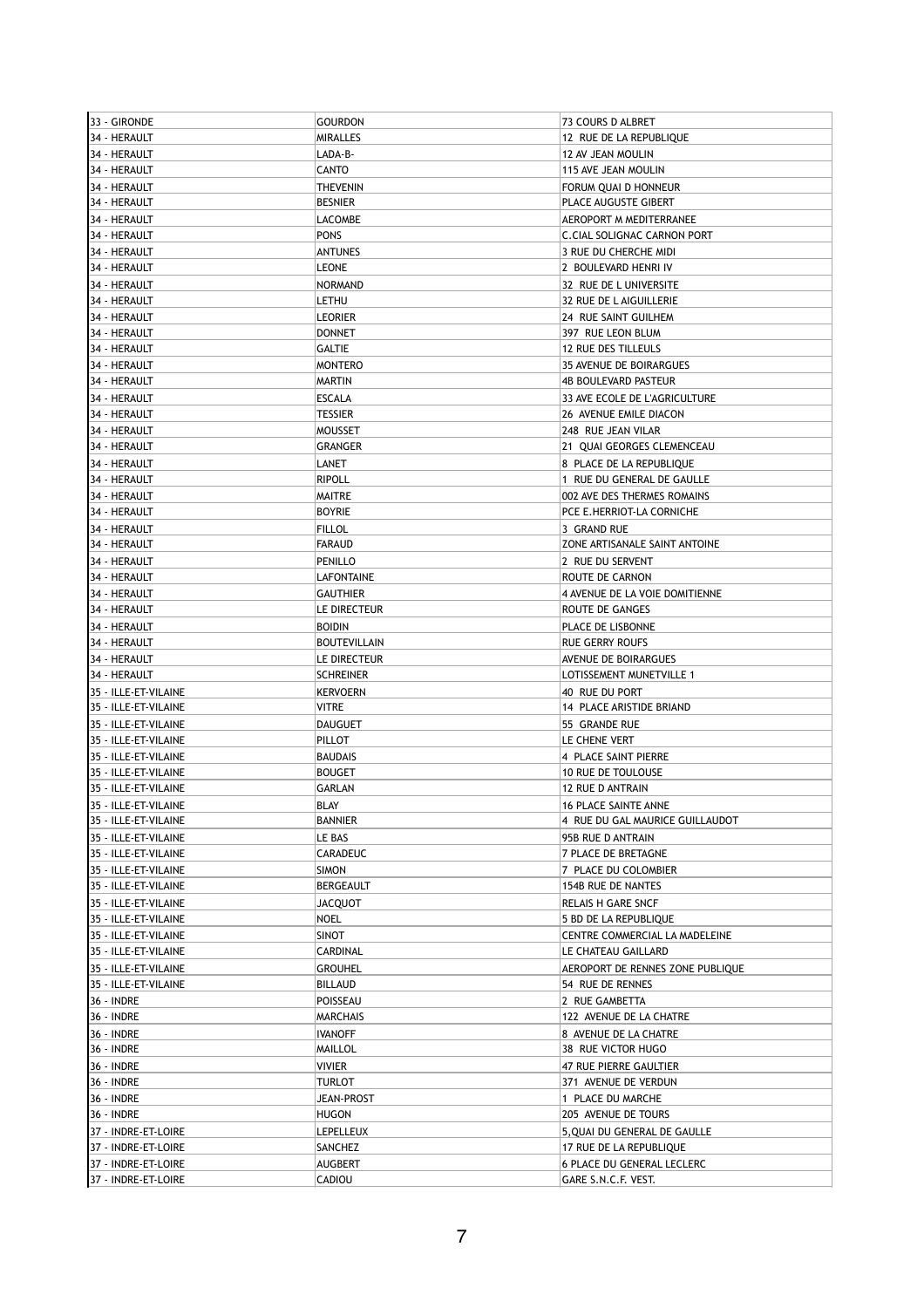| 33 - GIRONDE         | <b>GOURDON</b>      | 73 COURS D ALBRET                  |
|----------------------|---------------------|------------------------------------|
| 34 - HERAULT         | <b>MIRALLES</b>     | 12 RUE DE LA REPUBLIQUE            |
| 34 - HERAULT         | LADA-B-             | 12 AV JEAN MOULIN                  |
| 34 - HERAULT         | <b>CANTO</b>        | 115 AVE JEAN MOULIN                |
| 34 - HERAULT         | <b>THEVENIN</b>     | FORUM QUAI D HONNEUR               |
| 34 - HERAULT         | <b>BESNIER</b>      | PLACE AUGUSTE GIBERT               |
| 34 - HERAULT         | <b>LACOMBE</b>      | AEROPORT M MEDITERRANEE            |
| 34 - HERAULT         | <b>PONS</b>         | <b>C.CIAL SOLIGNAC CARNON PORT</b> |
| 34 - HERAULT         | <b>ANTUNES</b>      | 3 RUE DU CHERCHE MIDI              |
| 34 - HERAULT         | <b>LEONE</b>        | 2 BOULEVARD HENRI IV               |
|                      |                     |                                    |
| 34 - HERAULT         | <b>NORMAND</b>      | 32 RUE DE L UNIVERSITE             |
| 34 - HERAULT         | LETHU               | 32 RUE DE L AIGUILLERIE            |
| 34 - HERAULT         | <b>LEORIER</b>      | 24 RUE SAINT GUILHEM               |
| 34 - HERAULT         | <b>DONNET</b>       | 397 RUE LEON BLUM                  |
| 34 - HERAULT         | <b>GALTIE</b>       | 12 RUE DES TILLEULS                |
| 34 - HERAULT         | <b>MONTERO</b>      | 35 AVENUE DE BOIRARGUES            |
| 34 - HERAULT         | <b>MARTIN</b>       | <b>4B BOULEVARD PASTEUR</b>        |
| 34 - HERAULT         | <b>ESCALA</b>       | 33 AVE ECOLE DE L'AGRICULTURE      |
| 34 - HERAULT         | <b>TESSIER</b>      | 26 AVENUE EMILE DIACON             |
| 34 - HERAULT         | <b>MOUSSET</b>      | 248 RUE JEAN VILAR                 |
| 34 - HERAULT         | GRANGER             | 21 QUAI GEORGES CLEMENCEAU         |
| 34 - HERAULT         | LANET               | 8 PLACE DE LA REPUBLIQUE           |
| 34 - HERAULT         | <b>RIPOLL</b>       | 1 RUE DU GENERAL DE GAULLE         |
| 34 - HERAULT         | <b>MAITRE</b>       | 002 AVE DES THERMES ROMAINS        |
| 34 - HERAULT         | <b>BOYRIE</b>       | PCE E.HERRIOT-LA CORNICHE          |
| 34 - HERAULT         | <b>FILLOL</b>       | 3 GRAND RUE                        |
| 34 - HERAULT         | <b>FARAUD</b>       | ZONE ARTISANALE SAINT ANTOINE      |
|                      |                     |                                    |
| 34 - HERAULT         | PENILLO             | 2 RUE DU SERVENT                   |
| 34 - HERAULT         | LAFONTAINE          | ROUTE DE CARNON                    |
| 34 - HERAULT         | <b>GAUTHIER</b>     | 4 AVENUE DE LA VOIE DOMITIENNE     |
| 34 - HERAULT         | LE DIRECTEUR        | ROUTE DE GANGES                    |
| 34 - HERAULT         | <b>BOIDIN</b>       | PLACE DE LISBONNE                  |
| 34 - HERAULT         | <b>BOUTEVILLAIN</b> | <b>RUE GERRY ROUFS</b>             |
| 34 - HERAULT         | LE DIRECTEUR        | AVENUE DE BOIRARGUES               |
| 34 - HERAULT         | <b>SCHREINER</b>    | LOTISSEMENT MUNETVILLE 1           |
| 35 - ILLE-ET-VILAINE | <b>KERVOERN</b>     | 40 RUE DU PORT                     |
| 35 - ILLE-ET-VILAINE | <b>VITRE</b>        | 14 PLACE ARISTIDE BRIAND           |
| 35 - ILLE-ET-VILAINE | <b>DAUGUET</b>      | 55 GRANDE RUE                      |
| 35 - ILLE-ET-VILAINE | PILLOT              | LE CHENE VERT                      |
| 35 - ILLE-ET-VILAINE | <b>BAUDAIS</b>      | 4 PLACE SAINT PIERRE               |
| 35 - ILLE-ET-VILAINE | <b>BOUGET</b>       | <b>10 RUE DE TOULOUSE</b>          |
| 35 - ILLE-ET-VILAINE | <b>GARLAN</b>       | 12 RUE D ANTRAIN                   |
| 35 - ILLE-ET-VILAINE | <b>BLAY</b>         | <b>16 PLACE SAINTE ANNE</b>        |
| 35 - ILLE-ET-VILAINE | <b>BANNIER</b>      | 4 RUE DU GAL MAURICE GUILLAUDOT    |
|                      |                     |                                    |
| 35 - ILLE-ET-VILAINE | LE BAS              | 95B RUE D ANTRAIN                  |
| 35 - ILLE-ET-VILAINE | CARADEUC            | 7 PLACE DE BRETAGNE                |
| 35 - ILLE-ET-VILAINE | <b>SIMON</b>        | 7 PLACE DU COLOMBIER               |
| 35 - ILLE-ET-VILAINE | BERGEAULT           | 154B RUE DE NANTES                 |
| 35 - ILLE-ET-VILAINE | <b>JACQUOT</b>      | RELAIS H GARE SNCF                 |
| 35 - ILLE-ET-VILAINE | <b>NOEL</b>         | 5 BD DE LA REPUBLIQUE              |
| 35 - ILLE-ET-VILAINE | SINOT               | CENTRE COMMERCIAL LA MADELEINE     |
| 35 - ILLE-ET-VILAINE | CARDINAL            | LE CHATEAU GAILLARD                |
| 35 - ILLE-ET-VILAINE | <b>GROUHEL</b>      | AEROPORT DE RENNES ZONE PUBLIQUE   |
| 35 - ILLE-ET-VILAINE | <b>BILLAUD</b>      | 54 RUE DE RENNES                   |
| 36 - INDRE           | POISSEAU            | 2 RUE GAMBETTA                     |
| 36 - INDRE           | MARCHAIS            | 122 AVENUE DE LA CHATRE            |
| 36 - INDRE           | <b>IVANOFF</b>      | 8 AVENUE DE LA CHATRE              |
| 36 - INDRE           | MAILLOL             | 38 RUE VICTOR HUGO                 |
| 36 - INDRE           | <b>VIVIER</b>       | 47 RUE PIERRE GAULTIER             |
| 36 - INDRE           | TURLOT              | 371 AVENUE DE VERDUN               |
|                      |                     |                                    |
| 36 - INDRE           | JEAN-PROST          | 1 PLACE DU MARCHE                  |
| 36 - INDRE           | <b>HUGON</b>        | 205 AVENUE DE TOURS                |
| 37 - INDRE-ET-LOIRE  | <b>LEPELLEUX</b>    | 5, QUAI DU GENERAL DE GAULLE       |
| 37 - INDRE-ET-LOIRE  | SANCHEZ             | 17 RUE DE LA REPUBLIQUE            |
| 37 - INDRE-ET-LOIRE  | <b>AUGBERT</b>      | 6 PLACE DU GENERAL LECLERC         |
| 37 - INDRE-ET-LOIRE  | CADIOU              | GARE S.N.C.F. VEST.                |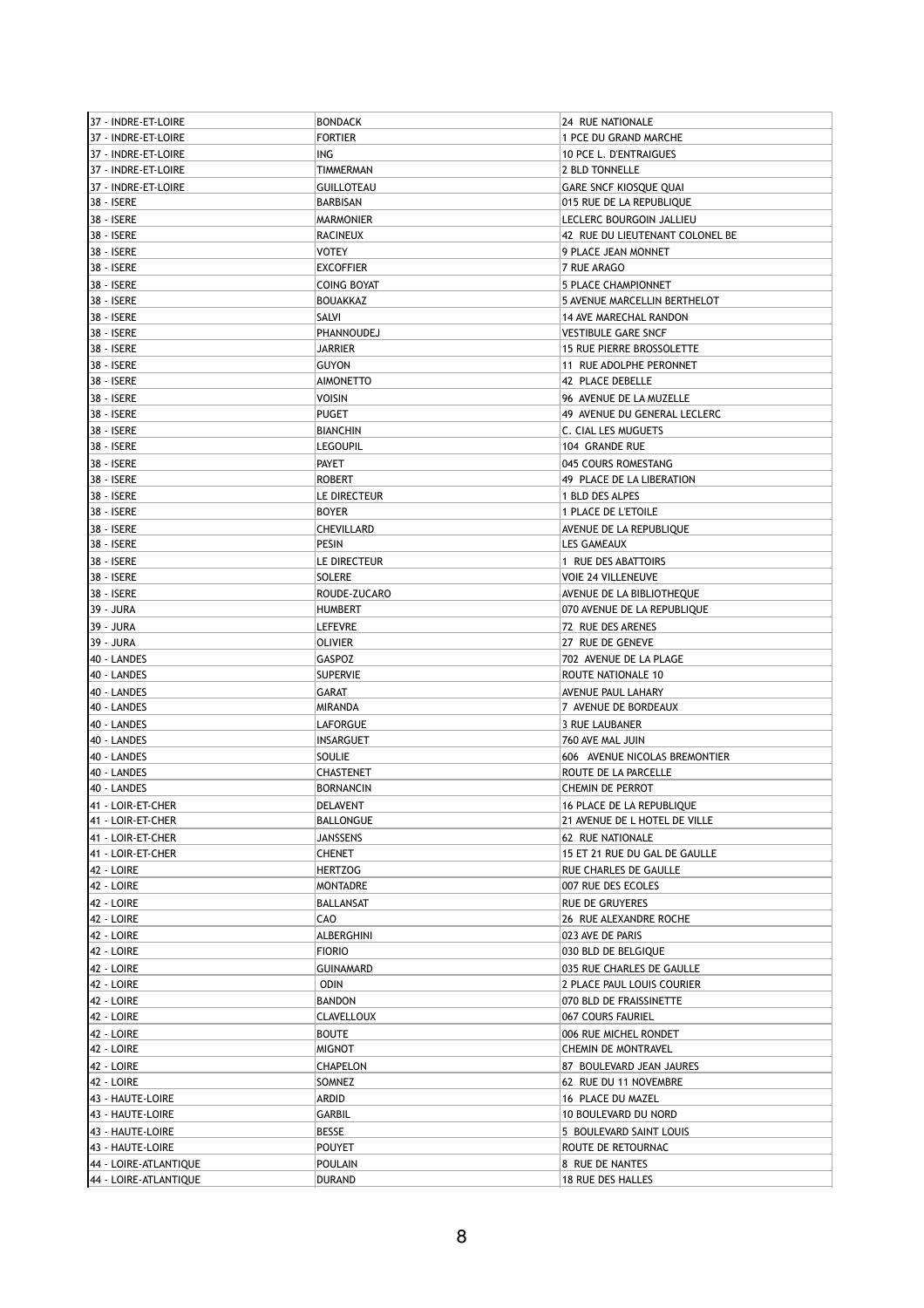| 37 - INDRE-ET-LOIRE   | <b>BONDACK</b>    | 24 RUE NATIONALE                                    |
|-----------------------|-------------------|-----------------------------------------------------|
| 37 - INDRE-ET-LOIRE   | <b>FORTIER</b>    | 1 PCE DU GRAND MARCHE                               |
| 37 - INDRE-ET-LOIRE   | ING               | 10 PCE L. D'ENTRAIGUES                              |
| 37 - INDRE-ET-LOIRE   | TIMMERMAN         | 2 BLD TONNELLE                                      |
| 37 - INDRE-ET-LOIRE   | <b>GUILLOTEAU</b> | <b>GARE SNCF KIOSQUE QUAI</b>                       |
| 38 - ISERE            | BARBISAN          | 015 RUE DE LA REPUBLIQUE                            |
| 38 - ISERE            | <b>MARMONIER</b>  | LECLERC BOURGOIN JALLIEU                            |
| 38 - ISERE            | RACINEUX          | 42 RUE DU LIEUTENANT COLONEL BE                     |
| 38 - ISERE            | VOTEY             | 9 PLACE JEAN MONNET                                 |
| 38 - ISERE            | <b>EXCOFFIER</b>  | 7 RUE ARAGO                                         |
|                       |                   |                                                     |
| 38 - ISERE            | COING BOYAT       | 5 PLACE CHAMPIONNET<br>5 AVENUE MARCELLIN BERTHELOT |
| 38 - ISERE            | BOUAKKAZ          |                                                     |
| 38 - ISERE            | SALVI             | 14 AVE MARECHAL RANDON                              |
| 38 - ISERE            | PHANNOUDEJ        | <b>VESTIBULE GARE SNCF</b>                          |
| 38 - ISERE            | <b>JARRIER</b>    | <b>15 RUE PIERRE BROSSOLETTE</b>                    |
| 38 - ISERE            | GUYON             | 11 RUE ADOLPHE PERONNET                             |
| 38 - ISERE            | <b>AIMONETTO</b>  | 42 PLACE DEBELLE                                    |
| 38 - ISERE            | VOISIN            | 96 AVENUE DE LA MUZELLE                             |
| 38 - ISERE            | <b>PUGET</b>      | 49 AVENUE DU GENERAL LECLERC                        |
| 38 - ISERE            | <b>BIANCHIN</b>   | C. CIAL LES MUGUETS                                 |
| 38 - ISERE            | <b>LEGOUPIL</b>   | 104 GRANDE RUE                                      |
| 38 - ISERE            | <b>PAYET</b>      | 045 COURS ROMESTANG                                 |
| 38 - ISERE            | <b>ROBERT</b>     | 49 PLACE DE LA LIBERATION                           |
| 38 - ISERE            | LE DIRECTEUR      | 1 BLD DES ALPES                                     |
| 38 - ISERE            | <b>BOYER</b>      | 1 PLACE DE L'ETOILE                                 |
| 38 - ISERE            | CHEVILLARD        | AVENUE DE LA REPUBLIOUE                             |
| 38 - ISERE            | PESIN             | LES GAMEAUX                                         |
| 38 - ISERE            | LE DIRECTEUR      | 1 RUE DES ABATTOIRS                                 |
| 38 - ISERE            | <b>SOLERE</b>     | <b>VOIE 24 VILLENEUVE</b>                           |
| 38 - ISERE            | ROUDE-ZUCARO      | AVENUE DE LA BIBLIOTHEQUE                           |
| 39 - JURA             | <b>HUMBERT</b>    | 070 AVENUE DE LA REPUBLIQUE                         |
| 39 - JURA             | <b>LEFEVRE</b>    | 72 RUE DES ARENES                                   |
| 39 - JURA             | OLIVIER           | 27 RUE DE GENEVE                                    |
| 40 - LANDES           | GASPOZ            | 702 AVENUE DE LA PLAGE                              |
| 40 - LANDES           | <b>SUPERVIE</b>   | ROUTE NATIONALE 10                                  |
| 40 - LANDES           | GARAT             | AVENUE PAUL LAHARY                                  |
| 40 - LANDES           | MIRANDA           | 7 AVENUE DE BORDEAUX                                |
| 40 - LANDES           | LAFORGUE          | <b>3 RUE LAUBANER</b>                               |
| 40 - LANDES           | INSARGUET         | 760 AVE MAL JUIN                                    |
| 40 - LANDES           | <b>SOULIE</b>     | 606 AVENUE NICOLAS BREMONTIER                       |
| 40 - LANDES           | CHASTENET         | ROUTE DE LA PARCELLE                                |
| 40 - LANDES           | <b>BORNANCIN</b>  | CHEMIN DE PERROT                                    |
|                       |                   |                                                     |
| 41 - LOIR-ET-CHER     | DELAVENT          | 16 PLACE DE LA REPUBLIQUE                           |
| 41 - LOIR-ET-CHER     | BALLONGUE         | 21 AVENUE DE L HOTEL DE VILLE                       |
| 41 - LOIR-ET-CHER     | <b>JANSSENS</b>   | 62 RUE NATIONALE                                    |
| 41 - LOIR-ET-CHER     | CHENET            | 15 ET 21 RUE DU GAL DE GAULLE                       |
| 42 - LOIRE            | <b>HERTZOG</b>    | RUE CHARLES DE GAULLE                               |
| 42 - LOIRE            | MONTADRE          | 007 RUE DES ECOLES                                  |
| 42 - LOIRE            | BALLANSAT         | <b>RUE DE GRUYERES</b>                              |
| 42 - LOIRE            | CAO               | 26 RUE ALEXANDRE ROCHE                              |
| 42 - LOIRE            | ALBERGHINI        | 023 AVE DE PARIS                                    |
| 42 - LOIRE            | <b>FIORIO</b>     | 030 BLD DE BELGIQUE                                 |
| 42 - LOIRE            | GUINAMARD         | 035 RUE CHARLES DE GAULLE                           |
| 42 - LOIRE            | <b>ODIN</b>       | 2 PLACE PAUL LOUIS COURIER                          |
| 42 - LOIRE            | <b>BANDON</b>     | 070 BLD DE FRAISSINETTE                             |
| 42 - LOIRE            | CLAVELLOUX        | 067 COURS FAURIEL                                   |
| 42 - LOIRE            | <b>BOUTE</b>      | 006 RUE MICHEL RONDET                               |
| 42 - LOIRE            | MIGNOT            | CHEMIN DE MONTRAVEL                                 |
| 42 - LOIRE            | CHAPELON          | 87 BOULEVARD JEAN JAURES                            |
| 42 - LOIRE            | SOMNEZ            | 62 RUE DU 11 NOVEMBRE                               |
| 43 - HAUTE-LOIRE      | ARDID             | 16 PLACE DU MAZEL                                   |
| 43 - HAUTE-LOIRE      | GARBIL            | 10 BOULEVARD DU NORD                                |
| 43 - HAUTE-LOIRE      | BESSE             | 5 BOULEVARD SAINT LOUIS                             |
| 43 - HAUTE-LOIRE      | POUYET            | ROUTE DE RETOURNAC                                  |
| 44 - LOIRE-ATLANTIQUE | <b>POULAIN</b>    | 8 RUE DE NANTES                                     |
| 44 - LOIRE-ATLANTIQUE | <b>DURAND</b>     | 18 RUE DES HALLES                                   |
|                       |                   |                                                     |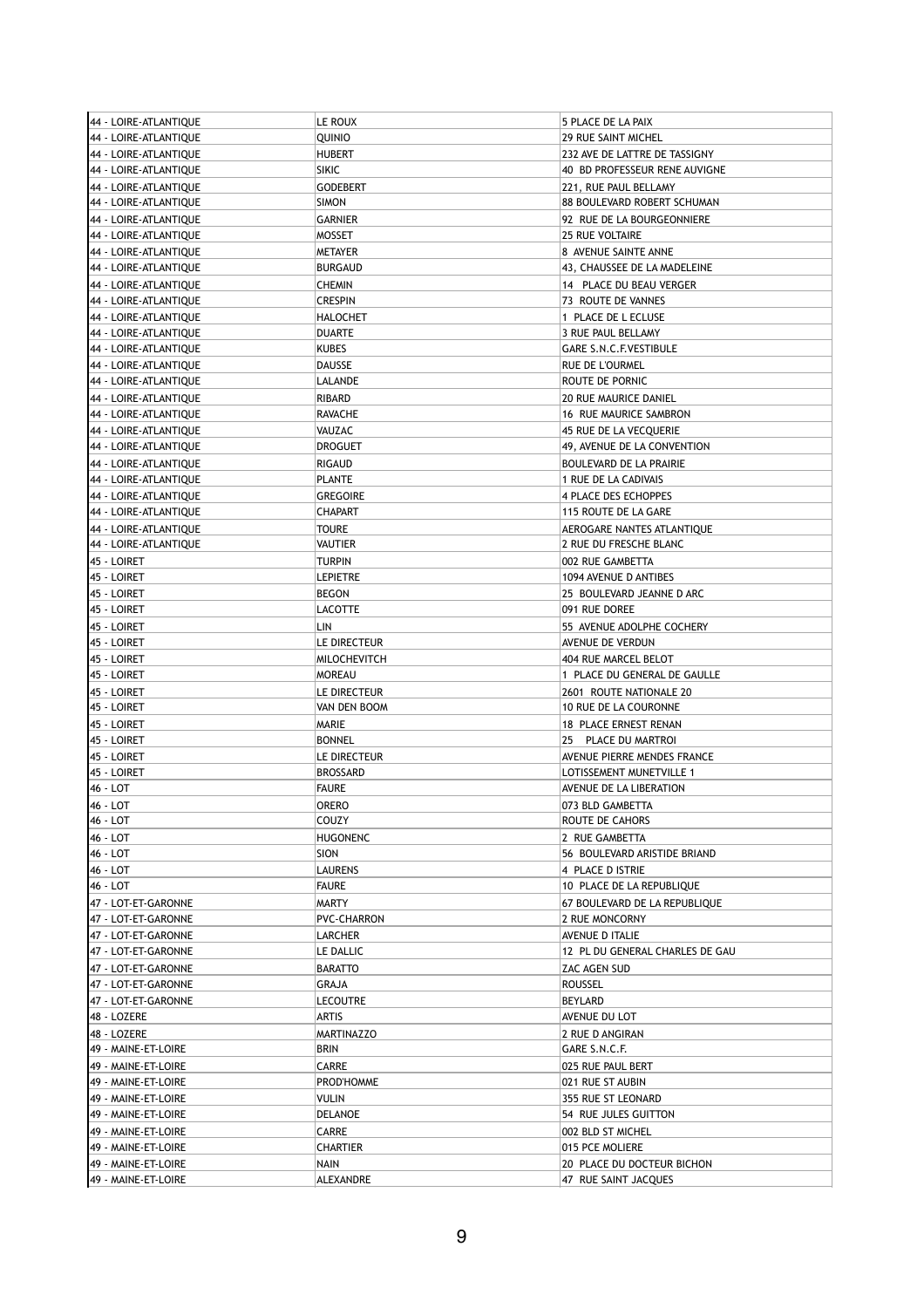| 44 - LOIRE-ATLANTIQUE | LE ROUX           | 5 PLACE DE LA PAIX              |
|-----------------------|-------------------|---------------------------------|
| 44 - LOIRE-ATLANTIQUE | QUINIO            | 29 RUE SAINT MICHEL             |
| 44 - LOIRE-ATLANTIQUE | <b>HUBERT</b>     | 232 AVE DE LATTRE DE TASSIGNY   |
| 44 - LOIRE-ATLANTIQUE | <b>SIKIC</b>      | 40 BD PROFESSEUR RENE AUVIGNE   |
| 44 - LOIRE-ATLANTIQUE | <b>GODEBERT</b>   | 221, RUE PAUL BELLAMY           |
| 44 - LOIRE-ATLANTIQUE | <b>SIMON</b>      | 88 BOULEVARD ROBERT SCHUMAN     |
|                       |                   |                                 |
| 44 - LOIRE-ATLANTIQUE | <b>GARNIER</b>    | 92 RUE DE LA BOURGEONNIERE      |
| 44 - LOIRE-ATLANTIQUE | <b>MOSSET</b>     | <b>25 RUE VOLTAIRE</b>          |
| 44 - LOIRE-ATLANTIQUE | <b>METAYER</b>    | 8 AVENUE SAINTE ANNE            |
| 44 - LOIRE-ATLANTIQUE | <b>BURGAUD</b>    | 43, CHAUSSEE DE LA MADELEINE    |
| 44 - LOIRE-ATLANTIQUE | CHEMIN            | 14 PLACE DU BEAU VERGER         |
| 44 - LOIRE-ATLANTIQUE | <b>CRESPIN</b>    | 73 ROUTE DE VANNES              |
| 44 - LOIRE-ATLANTIQUE | <b>HALOCHET</b>   | 1 PLACE DE L ECLUSE             |
| 44 - LOIRE-ATLANTIQUE | <b>DUARTE</b>     | 3 RUE PAUL BELLAMY              |
| 44 - LOIRE-ATLANTIQUE | KUBES             | GARE S.N.C.F.VESTIBULE          |
| 44 - LOIRE-ATLANTIQUE | DAUSSE            | RUE DE L'OURMEL                 |
| 44 - LOIRE-ATLANTIQUE | LALANDE           | ROUTE DE PORNIC                 |
| 44 - LOIRE-ATLANTIQUE | RIBARD            | <b>20 RUE MAURICE DANIEL</b>    |
| 44 - LOIRE-ATLANTIQUE | RAVACHE           | 16 RUE MAURICE SAMBRON          |
| 44 - LOIRE-ATLANTIOUE |                   |                                 |
|                       | VAUZAC            | 45 RUE DE LA VECQUERIE          |
| 44 - LOIRE-ATLANTIQUE | <b>DROGUET</b>    | 49, AVENUE DE LA CONVENTION     |
| 44 - LOIRE-ATLANTIQUE | RIGAUD            | <b>BOULEVARD DE LA PRAIRIE</b>  |
| 44 - LOIRE-ATLANTIQUE | <b>PLANTE</b>     | 1 RUE DE LA CADIVAIS            |
| 44 - LOIRE-ATLANTIQUE | <b>GREGOIRE</b>   | <b>4 PLACE DES ECHOPPES</b>     |
| 44 - LOIRE-ATLANTIQUE | <b>CHAPART</b>    | 115 ROUTE DE LA GARE            |
| 44 - LOIRE-ATLANTIQUE | TOURE             | AEROGARE NANTES ATLANTIOUE      |
| 44 - LOIRE-ATLANTIQUE | VAUTIER           | 2 RUE DU FRESCHE BLANC          |
| 45 - LOIRET           | TURPIN            | 002 RUE GAMBETTA                |
| 45 - LOIRET           | <b>LEPIETRE</b>   | 1094 AVENUE D ANTIBES           |
| 45 - LOIRET           | <b>BEGON</b>      | 25 BOULEVARD JEANNE D ARC       |
| 45 - LOIRET           | LACOTTE           | 091 RUE DOREE                   |
| 45 - LOIRET           | LIN               | 55 AVENUE ADOLPHE COCHERY       |
| 45 - LOIRET           |                   |                                 |
|                       | LE DIRECTEUR      | AVENUE DE VERDUN                |
| 45 - LOIRET           | MILOCHEVITCH      | 404 RUE MARCEL BELOT            |
| 45 - LOIRET           | <b>MOREAU</b>     | 1 PLACE DU GENERAL DE GAULLE    |
| 45 - LOIRET           | LE DIRECTEUR      | 2601 ROUTE NATIONALE 20         |
| 45 - LOIRET           | VAN DEN BOOM      | 10 RUE DE LA COURONNE           |
| 45 - LOIRET           | MARIE             | 18 PLACE ERNEST RENAN           |
| 45 - LOIRET           | <b>BONNEL</b>     | 25 PLACE DU MARTROI             |
| 45 - LOIRET           | LE DIRECTEUR      | AVENUE PIERRE MENDES FRANCE     |
| 45 - LOIRET           | <b>BROSSARD</b>   | LOTISSEMENT MUNETVILLE 1        |
| 46 - LOT              | <b>FAURE</b>      | AVENUE DE LA LIBERATION         |
| 46 - LOT              | ORERO             | 073 BLD GAMBETTA                |
| 46 - LOT              | COUZY             | ROUTE DE CAHORS                 |
| 46 - LOT              | <b>HUGONENC</b>   | 2 RUE GAMBETTA                  |
| 46 - LOT              | <b>SION</b>       | 56 BOULEVARD ARISTIDE BRIAND    |
|                       |                   |                                 |
| 46 - LOT              | LAURENS           | 4 PLACE D ISTRIE                |
| 46 - LOT              | <b>FAURE</b>      | 10 PLACE DE LA REPUBLIQUE       |
| 47 - LOT-ET-GARONNE   | MARTY             | 67 BOULEVARD DE LA REPUBLIQUE   |
| 47 - LOT-ET-GARONNE   | PVC-CHARRON       | 2 RUE MONCORNY                  |
| 47 - LOT-ET-GARONNE   | LARCHER           | AVENUE D ITALIE                 |
| 47 - LOT-ET-GARONNE   | LE DALLIC         | 12 PL DU GENERAL CHARLES DE GAU |
| 47 - LOT-ET-GARONNE   | <b>BARATTO</b>    | ZAC AGEN SUD                    |
| 47 - LOT-ET-GARONNE   | GRAJA             | ROUSSEL                         |
| 47 - LOT-ET-GARONNE   | LECOUTRE          | BEYLARD                         |
| 48 - LOZERE           | ARTIS             | AVENUE DU LOT                   |
| 48 - LOZERE           | <b>MARTINAZZO</b> | 2 RUE D ANGIRAN                 |
| 49 - MAINE-ET-LOIRE   | BRIN              | GARE S.N.C.F.                   |
| 49 - MAINE-ET-LOIRE   | CARRE             |                                 |
|                       |                   | 025 RUE PAUL BERT               |
| 49 - MAINE-ET-LOIRE   | PROD'HOMME        | 021 RUE ST AUBIN                |
| 49 - MAINE-ET-LOIRE   | Vulin             | 355 RUE ST LEONARD              |
| 49 - MAINE-ET-LOIRE   | DELANOE           | 54 RUE JULES GUITTON            |
| 49 - MAINE-ET-LOIRE   | CARRE             | 002 BLD ST MICHEL               |
| 49 - MAINE-ET-LOIRE   | CHARTIER          | 015 PCE MOLIERE                 |
| 49 - MAINE-ET-LOIRE   | NAIN              | 20 PLACE DU DOCTEUR BICHON      |
| 49 - MAINE-ET-LOIRE   | ALEXANDRE         | 47 RUE SAINT JACQUES            |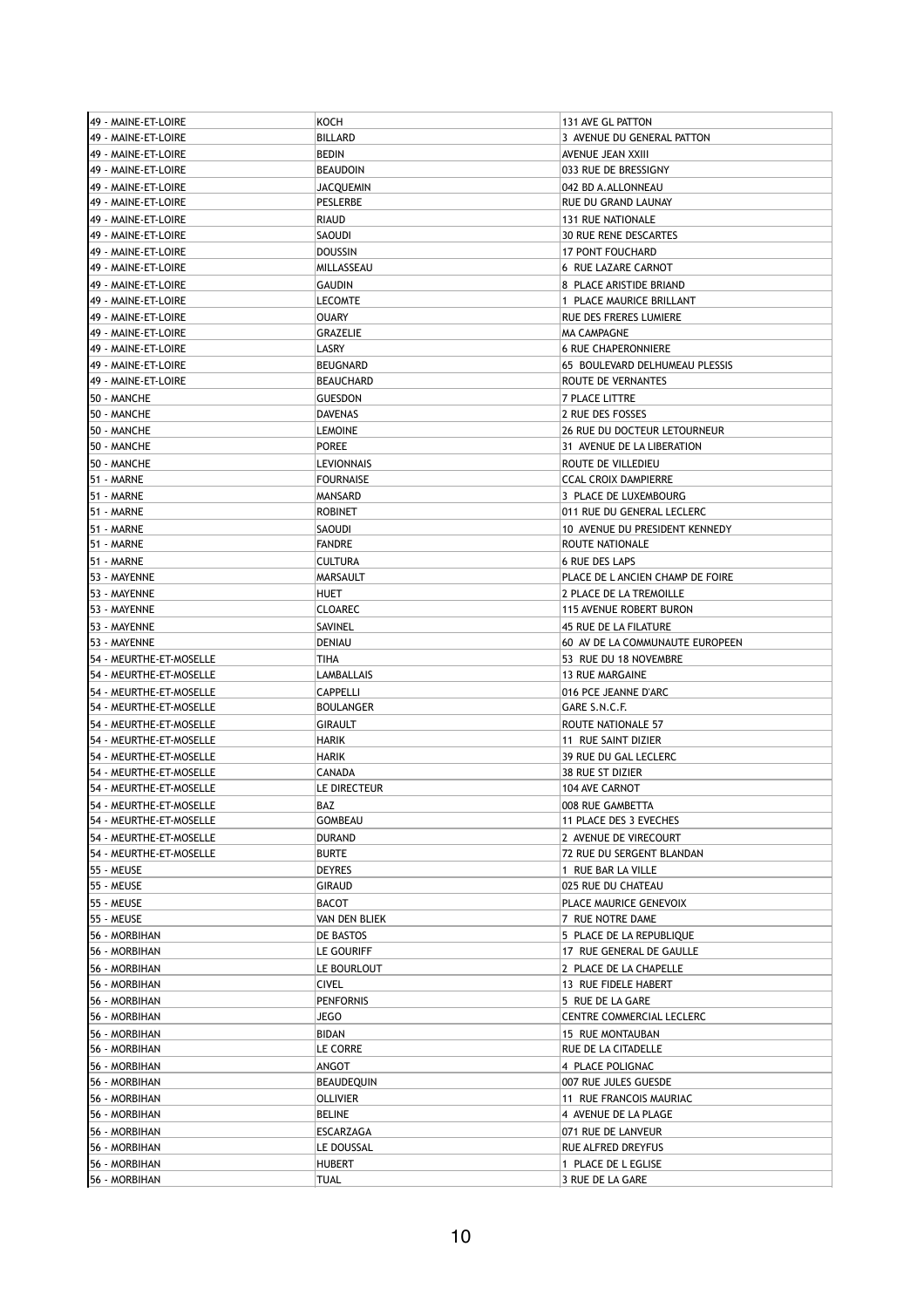| 49 - MAINE-ET-LOIRE     | KOCH              | 131 AVE GL PATTON                |
|-------------------------|-------------------|----------------------------------|
| 49 - MAINE-ET-LOIRE     | <b>BILLARD</b>    | 3 AVENUE DU GENERAL PATTON       |
| 49 - MAINE-ET-LOIRE     | <b>BEDIN</b>      | AVENUE JEAN XXIII                |
| 49 - MAINE-ET-LOIRE     | <b>BEAUDOIN</b>   | 033 RUE DE BRESSIGNY             |
| 49 - MAINE-ET-LOIRE     | JACQUEMIN         | 042 BD A.ALLONNEAU               |
| 49 - MAINE-ET-LOIRE     | PESLERBE          | RUE DU GRAND LAUNAY              |
| 49 - MAINE-ET-LOIRE     | <b>RIAUD</b>      | 131 RUE NATIONALE                |
| 49 - MAINE-ET-LOIRE     | SAOUDI            | <b>30 RUE RENE DESCARTES</b>     |
| 49 - MAINE-ET-LOIRE     | <b>DOUSSIN</b>    | <b>17 PONT FOUCHARD</b>          |
| 49 - MAINE-ET-LOIRE     | MILLASSEAU        | 6 RUE LAZARE CARNOT              |
| 49 - MAINE-ET-LOIRE     | <b>GAUDIN</b>     | 8 PLACE ARISTIDE BRIAND          |
| 49 - MAINE-ET-LOIRE     | <b>LECOMTE</b>    | 1 PLACE MAURICE BRILLANT         |
| 49 - MAINE-ET-LOIRE     | <b>OUARY</b>      | RUE DES FRERES LUMIERE           |
| 49 - MAINE-ET-LOIRE     | GRAZELIE          | <b>MA CAMPAGNE</b>               |
| 49 - MAINE-ET-LOIRE     | LASRY             | <b>6 RUE CHAPERONNIERE</b>       |
|                         | <b>BEUGNARD</b>   | 65 BOULEVARD DELHUMEAU PLESSIS   |
| 49 - MAINE-ET-LOIRE     |                   |                                  |
| 49 - MAINE-ET-LOIRE     | <b>BEAUCHARD</b>  | ROUTE DE VERNANTES               |
| 50 - MANCHE             | <b>GUESDON</b>    | 7 PLACE LITTRE                   |
| 50 - MANCHE             | <b>DAVENAS</b>    | 2 RUE DES FOSSES                 |
| 50 - MANCHE             | <b>LEMOINE</b>    | 26 RUE DU DOCTEUR LETOURNEUR     |
| 50 - MANCHE             | <b>POREE</b>      | 31 AVENUE DE LA LIBERATION       |
| 50 - MANCHE             | <b>LEVIONNAIS</b> | ROUTE DE VILLEDIEU               |
| 51 - MARNE              | <b>FOURNAISE</b>  | <b>CCAL CROIX DAMPIERRE</b>      |
| 51 - MARNE              | MANSARD           | 3 PLACE DE LUXEMBOURG            |
| 51 - MARNE              | <b>ROBINET</b>    | 011 RUE DU GENERAL LECLERC       |
| 51 - MARNE              | SAOUDI            | 10 AVENUE DU PRESIDENT KENNEDY   |
| 51 - MARNE              | <b>FANDRE</b>     | ROUTE NATIONALE                  |
| 51 - MARNE              | <b>CULTURA</b>    | <b>6 RUE DES LAPS</b>            |
| 53 - MAYENNE            | MARSAULT          | PLACE DE L ANCIEN CHAMP DE FOIRE |
| 53 - MAYENNE            | <b>HUET</b>       | 2 PLACE DE LA TREMOILLE          |
| 53 - MAYENNE            | <b>CLOAREC</b>    | 115 AVENUE ROBERT BURON          |
|                         |                   |                                  |
| 53 - MAYENNE            | SAVINEL           | 45 RUE DE LA FILATURE            |
| 53 - MAYENNE            | <b>DENIAU</b>     | 60 AV DE LA COMMUNAUTE EUROPEEN  |
| 54 - MEURTHE-ET-MOSELLE | TIHA              | 53 RUE DU 18 NOVEMBRE            |
| 54 - MEURTHE-ET-MOSELLE | LAMBALLAIS        | <b>13 RUE MARGAINE</b>           |
| 54 - MEURTHE-ET-MOSELLE | <b>CAPPELLI</b>   | 016 PCE JEANNE D'ARC             |
| 54 - MEURTHE-ET-MOSELLE | <b>BOULANGER</b>  | GARE S.N.C.F.                    |
| 54 - MEURTHE-ET-MOSELLE | <b>GIRAULT</b>    | ROUTE NATIONALE 57               |
| 54 - MEURTHE-ET-MOSELLE | HARIK             | 11 RUE SAINT DIZIER              |
| 54 - MEURTHE-ET-MOSELLE | <b>HARIK</b>      | 39 RUE DU GAL LECLERC            |
| 54 - MEURTHE-ET-MOSELLE | <b>CANADA</b>     | 38 RUE ST DIZIER                 |
| 54 - MEURTHE-ET-MOSELLE | LE DIRECTEUR      | <b>104 AVE CARNOT</b>            |
| 54 - MEURTHE-ET-MOSELLE | <b>BAZ</b>        | 008 RUE GAMBETTA                 |
| 54 - MEURTHE-ET-MOSELLE | <b>GOMBEAU</b>    | 11 PLACE DES 3 EVECHES           |
| 54 - MEURTHE-ET-MOSELLE | <b>DURAND</b>     | 2 AVENUE DE VIRECOURT            |
| 54 - MEURTHE-ET-MOSELLE | <b>BURTE</b>      | 72 RUE DU SERGENT BLANDAN        |
| 155 - MEUSE             | DEYRES            | 1 RUE BAR LA VILLE               |
| 55 - MEUSE              | <b>GIRAUD</b>     | 025 RUE DU CHATEAU               |
| 55 - MEUSE              | BACOT             | PLACE MAURICE GENEVOIX           |
| 55 - MEUSE              | VAN DEN BLIEK     | 7 RUE NOTRE DAME                 |
| 56 - MORBIHAN           | DE BASTOS         | 5 PLACE DE LA REPUBLIQUE         |
| 56 - MORBIHAN           | LE GOURIFF        | 17 RUE GENERAL DE GAULLE         |
|                         |                   | 2 PLACE DE LA CHAPELLE           |
| 56 - MORBIHAN           | LE BOURLOUT       |                                  |
| 56 - MORBIHAN           | <b>CIVEL</b>      | 13 RUE FIDELE HABERT             |
| 56 - MORBIHAN           | <b>PENFORNIS</b>  | 5 RUE DE LA GARE                 |
| 56 - MORBIHAN           | JEGO              | CENTRE COMMERCIAL LECLERC        |
| 56 - MORBIHAN           | <b>BIDAN</b>      | 15 RUE MONTAUBAN                 |
| 56 - MORBIHAN           | LE CORRE          | RUE DE LA CITADELLE              |
| 56 - MORBIHAN           | ANGOT             | 4 PLACE POLIGNAC                 |
| 56 - MORBIHAN           | BEAUDEQUIN        | 007 RUE JULES GUESDE             |
| 56 - MORBIHAN           |                   | 11 RUE FRANCOIS MAURIAC          |
| 56 - MORBIHAN           | <b>OLLIVIER</b>   |                                  |
|                         | BELINE            | 4 AVENUE DE LA PLAGE             |
| 56 - MORBIHAN           | ESCARZAGA         | 071 RUE DE LANVEUR               |
| 56 - MORBIHAN           | LE DOUSSAL        | RUE ALFRED DREYFUS               |
| 56 - MORBIHAN           | <b>HUBERT</b>     | 1 PLACE DE L EGLISE              |
| 56 - MORBIHAN           | TUAL              | 3 RUE DE LA GARE                 |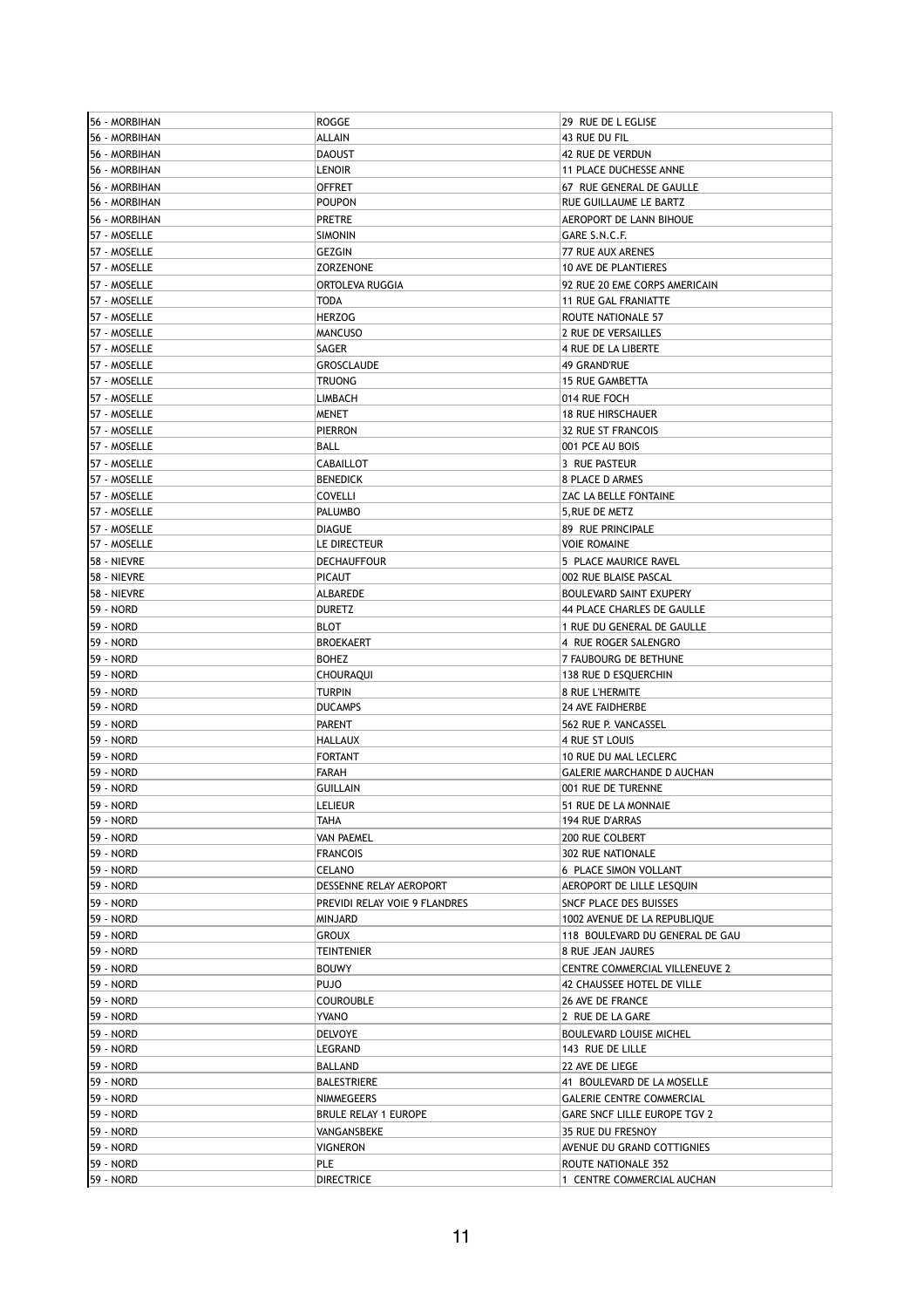| 56 - MORBIHAN | ROGGE                         | 29 RUE DE L EGLISE               |
|---------------|-------------------------------|----------------------------------|
| 56 - MORBIHAN | <b>ALLAIN</b>                 | 43 RUE DU FIL                    |
| 56 - MORBIHAN | <b>DAOUST</b>                 | 42 RUE DE VERDUN                 |
| 56 - MORBIHAN | <b>LENOIR</b>                 | 11 PLACE DUCHESSE ANNE           |
| 56 - MORBIHAN | <b>OFFRET</b>                 | 67 RUE GENERAL DE GAULLE         |
| 56 - MORBIHAN | <b>POUPON</b>                 | RUE GUILLAUME LE BARTZ           |
| 56 - MORBIHAN | <b>PRETRE</b>                 | AEROPORT DE LANN BIHOUE          |
| 57 - MOSELLE  | <b>SIMONIN</b>                | GARE S.N.C.F.                    |
| 57 - MOSELLE  | <b>GEZGIN</b>                 | 77 RUE AUX ARENES                |
| 57 - MOSELLE  | <b>ZORZENONE</b>              | 10 AVE DE PLANTIERES             |
|               | ORTOLEVA RUGGIA               | 92 RUE 20 EME CORPS AMERICAIN    |
| 57 - MOSELLE  |                               |                                  |
| 57 - MOSELLE  | <b>TODA</b>                   | 11 RUE GAL FRANIATTE             |
| 57 - MOSELLE  | <b>HERZOG</b>                 | ROUTE NATIONALE 57               |
| 57 - MOSELLE  | <b>MANCUSO</b>                | 2 RUE DE VERSAILLES              |
| 57 - MOSELLE  | SAGER                         | 4 RUE DE LA LIBERTE              |
| 57 - MOSELLE  | <b>GROSCLAUDE</b>             | 49 GRAND'RUE                     |
| 57 - MOSELLE  | <b>TRUONG</b>                 | <b>15 RUE GAMBETTA</b>           |
| 57 - MOSELLE  | LIMBACH                       | 014 RUE FOCH                     |
| 57 - MOSELLE  | MENET                         | <b>18 RUE HIRSCHAUER</b>         |
| 57 - MOSELLE  | <b>PIERRON</b>                | 32 RUE ST FRANCOIS               |
| 57 - MOSELLE  | BALL                          | 001 PCE AU BOIS                  |
| 57 - MOSELLE  | CABAILLOT                     | 3 RUE PASTEUR                    |
| 57 - MOSELLE  | <b>BENEDICK</b>               | 8 PLACE D ARMES                  |
| 57 - MOSELLE  | <b>COVELLI</b>                | ZAC LA BELLE FONTAINE            |
| 57 - MOSELLE  | <b>PALUMBO</b>                | 5, RUE DE METZ                   |
| 57 - MOSELLE  | <b>DIAGUE</b>                 | 89 RUE PRINCIPALE                |
| 57 - MOSELLE  | LE DIRECTEUR                  | <b>VOIE ROMAINE</b>              |
| 58 - NIEVRE   | <b>DECHAUFFOUR</b>            | 5 PLACE MAURICE RAVEL            |
|               | <b>PICAUT</b>                 |                                  |
| 58 - NIEVRE   |                               | 002 RUE BLAISE PASCAL            |
| 58 - NIEVRE   | ALBAREDE                      | BOULEVARD SAINT EXUPERY          |
| 59 - NORD     | <b>DURETZ</b>                 | 44 PLACE CHARLES DE GAULLE       |
| 59 - NORD     | <b>BLOT</b>                   | 1 RUE DU GENERAL DE GAULLE       |
| 59 - NORD     | <b>BROEKAERT</b>              | 4 RUE ROGER SALENGRO             |
| 59 - NORD     | <b>BOHEZ</b>                  | 7 FAUBOURG DE BETHUNE            |
| 59 - NORD     | CHOURAQUI                     | 138 RUE D ESQUERCHIN             |
| 59 - NORD     | <b>TURPIN</b>                 | 8 RUE L'HERMITE                  |
| 59 - NORD     | <b>DUCAMPS</b>                | <b>24 AVE FAIDHERBE</b>          |
| 59 - NORD     | <b>PARENT</b>                 | 562 RUE P. VANCASSEL             |
| 59 - NORD     | HALLAUX                       | 4 RUE ST LOUIS                   |
| 59 - NORD     | <b>FORTANT</b>                | 10 RUE DU MAL LECLERC            |
| 59 - NORD     | FARAH                         | GALERIE MARCHANDE D AUCHAN       |
| 59 - NORD     | <b>GUILLAIN</b>               | 001 RUE DE TURENNE               |
| 59 - NORD     | <b>LELIEUR</b>                | 51 RUE DE LA MONNAIE             |
| 59 - NORD     | TAHA                          | 194 RUE D'ARRAS                  |
| 59 - NORD     | <b>VAN PAEMEL</b>             | <b>200 RUE COLBERT</b>           |
| 59 - NORD     | <b>FRANCOIS</b>               | 302 RUE NATIONALE                |
| 59 - NORD     | <b>CELANO</b>                 | 6 PLACE SIMON VOLLANT            |
| 59 - NORD     | DESSENNE RELAY AEROPORT       | AEROPORT DE LILLE LESQUIN        |
|               |                               |                                  |
| 59 - NORD     | PREVIDI RELAY VOIE 9 FLANDRES | SNCF PLACE DES BUISSES           |
| 59 - NORD     | <b>MINJARD</b>                | 1002 AVENUE DE LA REPUBLIQUE     |
| 59 - NORD     | <b>GROUX</b>                  | 118 BOULEVARD DU GENERAL DE GAU  |
| 59 - NORD     | TEINTENIER                    | 8 RUE JEAN JAURES                |
| 59 - NORD     | <b>BOUWY</b>                  | CENTRE COMMERCIAL VILLENEUVE 2   |
| 59 - NORD     | <b>PUJO</b>                   | 42 CHAUSSEE HOTEL DE VILLE       |
| 59 - NORD     | <b>COUROUBLE</b>              | 26 AVE DE FRANCE                 |
| 59 - NORD     | YVANO                         | 2 RUE DE LA GARE                 |
| 59 - NORD     | <b>DELVOYE</b>                | <b>BOULEVARD LOUISE MICHEL</b>   |
| 59 - NORD     | LEGRAND                       | 143 RUE DE LILLE                 |
| 59 - NORD     | BALLAND                       | 22 AVE DE LIEGE                  |
| 59 - NORD     | <b>BALESTRIERE</b>            | 41 BOULEVARD DE LA MOSELLE       |
| 59 - NORD     | NIMMEGEERS                    | <b>GALERIE CENTRE COMMERCIAL</b> |
| 59 - NORD     | <b>BRULE RELAY 1 EUROPE</b>   | GARE SNCF LILLE EUROPE TGV 2     |
| 59 - NORD     | VANGANSBEKE                   | 35 RUE DU FRESNOY                |
| 59 - NORD     | <b>VIGNERON</b>               | AVENUE DU GRAND COTTIGNIES       |
| 59 - NORD     | PLE                           | ROUTE NATIONALE 352              |
| 59 - NORD     | <b>DIRECTRICE</b>             | 1 CENTRE COMMERCIAL AUCHAN       |
|               |                               |                                  |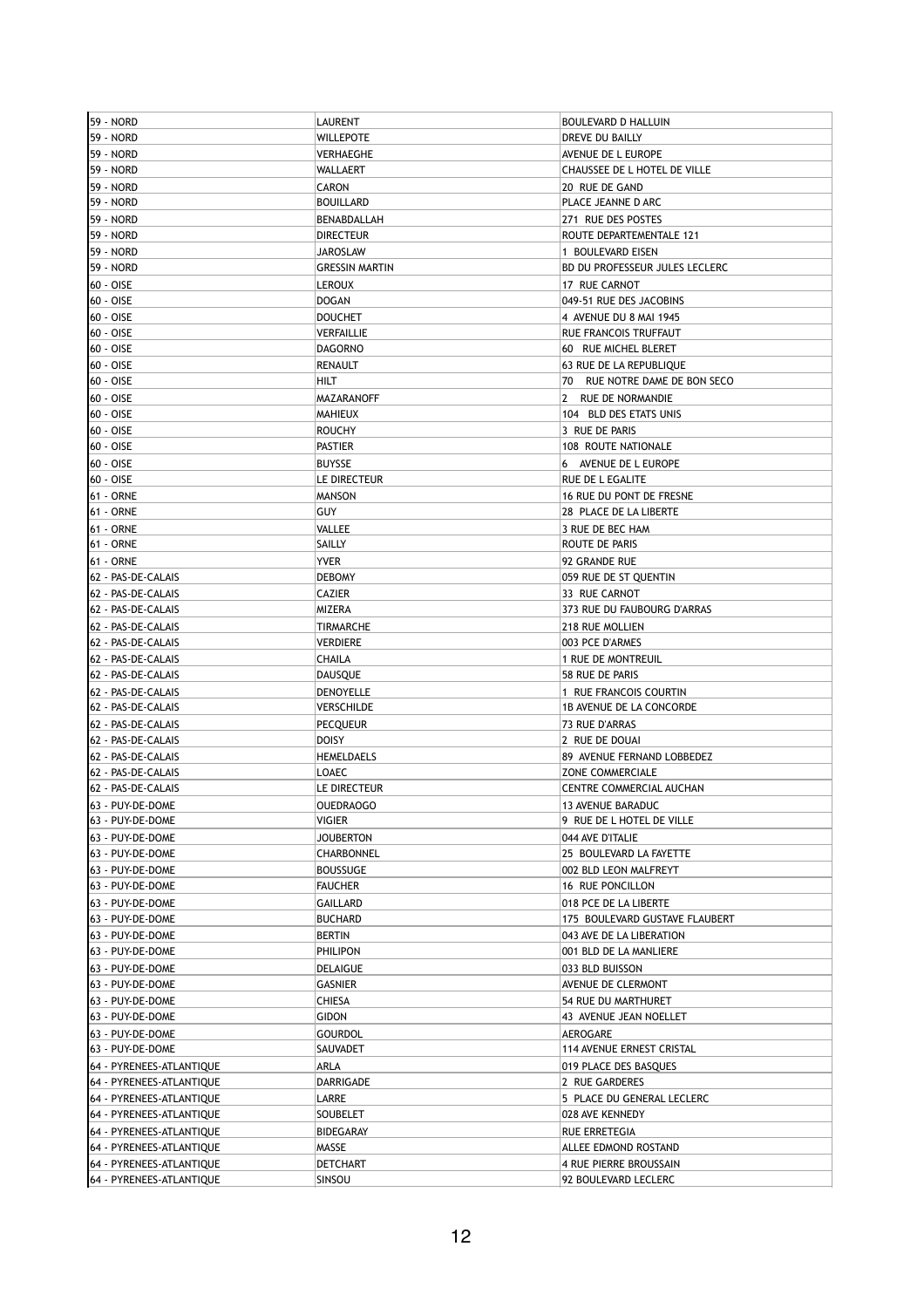| 59 - NORD                | LAURENT               | <b>BOULEVARD D HALLUIN</b>     |
|--------------------------|-----------------------|--------------------------------|
| 59 - NORD                | WILLEPOTE             | DREVE DU BAILLY                |
| 59 - NORD                | VERHAEGHE             | AVENUE DE L EUROPE             |
| 59 - NORD                | WALLAERT              | CHAUSSEE DE L HOTEL DE VILLE   |
| 59 - NORD                | CARON                 | 20 RUE DE GAND                 |
| 59 - NORD                | <b>BOUILLARD</b>      | PLACE JEANNE D ARC             |
| 59 - NORD                | BENABDALLAH           | 271 RUE DES POSTES             |
| 59 - NORD                | <b>DIRECTEUR</b>      | ROUTE DEPARTEMENTALE 121       |
| 59 - NORD                | <b>JAROSLAW</b>       | 1 BOULEVARD EISEN              |
| 59 - NORD                | <b>GRESSIN MARTIN</b> | BD DU PROFESSEUR JULES LECLERC |
| 60 - OISE                | <b>LEROUX</b>         | 17 RUE CARNOT                  |
| 60 - OISE                | <b>DOGAN</b>          | 049-51 RUE DES JACOBINS        |
|                          |                       |                                |
| 60 - OISE                | <b>DOUCHET</b>        | 4 AVENUE DU 8 MAI 1945         |
| 60 - OISE                | VERFAILLIE            | RUE FRANCOIS TRUFFAUT          |
| 60 - OISE                | <b>DAGORNO</b>        | 60 RUE MICHEL BLERET           |
| 60 - OISE                | RENAULT               | 63 RUE DE LA REPUBLIQUE        |
| 60 - OISE                | <b>HILT</b>           | 70 RUE NOTRE DAME DE BON SECO  |
| 60 - OISE                | MAZARANOFF            | 2 RUE DE NORMANDIE             |
| 60 - OISE                | MAHIEUX               | 104 BLD DES ETATS UNIS         |
| 60 - OISE                | <b>ROUCHY</b>         | 3 RUE DE PARIS                 |
| 60 - OISE                | <b>PASTIER</b>        | 108 ROUTE NATIONALE            |
| 60 - OISE                | <b>BUYSSE</b>         | 6 AVENUE DE L EUROPE           |
| 60 - OISE                | LE DIRECTEUR          | RUE DE L EGALITE               |
| <b>61 - ORNE</b>         | MANSON                | 16 RUE DU PONT DE FRESNE       |
| <b>61 - ORNE</b>         | <b>GUY</b>            | 28 PLACE DE LA LIBERTE         |
| 61 - ORNE                | VALLEE                | 3 RUE DE BEC HAM               |
| <b>61 - ORNE</b>         | SAILLY                | ROUTE DE PARIS                 |
| <b>61 - ORNE</b>         | <b>YVER</b>           | 92 GRANDE RUE                  |
| 62 - PAS-DE-CALAIS       | <b>DEBOMY</b>         | 059 RUE DE ST QUENTIN          |
| 62 - PAS-DE-CALAIS       | CAZIER                | 33 RUE CARNOT                  |
| 62 - PAS-DE-CALAIS       | MIZERA                | 373 RUE DU FAUBOURG D'ARRAS    |
| 62 - PAS-DE-CALAIS       | TIRMARCHE             | 218 RUE MOLLIEN                |
| 62 - PAS-DE-CALAIS       | <b>VERDIERE</b>       | 003 PCE D'ARMES                |
|                          |                       |                                |
| 62 - PAS-DE-CALAIS       | CHAILA                | 1 RUE DE MONTREUIL             |
| 62 - PAS-DE-CALAIS       | DAUSQUE               | 58 RUE DE PARIS                |
| 62 - PAS-DE-CALAIS       | DENOYELLE             | 1 RUE FRANCOIS COURTIN         |
| 62 - PAS-DE-CALAIS       | VERSCHILDE            | 1B AVENUE DE LA CONCORDE       |
| 62 - PAS-DE-CALAIS       | <b>PECQUEUR</b>       | 73 RUE D'ARRAS                 |
| 62 - PAS-DE-CALAIS       | <b>DOISY</b>          | 2 RUE DE DOUAI                 |
| 62 - PAS-DE-CALAIS       | <b>HEMELDAELS</b>     | 89 AVENUE FERNAND LOBBEDEZ     |
| 62 - PAS-DE-CALAIS       | LOAEC                 | ZONE COMMERCIALE               |
| 62 - PAS-DE-CALAIS       | LE DIRECTEUR          | CENTRE COMMERCIAL AUCHAN       |
| 63 - PUY-DE-DOME         | OUEDRAOGO             | 13 AVENUE BARADUC              |
| 63 - PUY-DE-DOME         | <b>VIGIER</b>         | 9 RUE DE L HOTEL DE VILLE      |
| 63 - PUY-DE-DOME         | <b>JOUBERTON</b>      | 044 AVE D'ITALIE               |
| 63 - PUY-DE-DOME         | CHARBONNEL            | 25 BOULEVARD LA FAYETTE        |
| 63 - PUY-DE-DOME         | <b>BOUSSUGE</b>       | 002 BLD LEON MALFREYT          |
| 63 - PUY-DE-DOME         | <b>FAUCHER</b>        | 16 RUE PONCILLON               |
| 63 - PUY-DE-DOME         | <b>GAILLARD</b>       | 018 PCE DE LA LIBERTE          |
| 63 - PUY-DE-DOME         | <b>BUCHARD</b>        | 175 BOULEVARD GUSTAVE FLAUBERT |
| 63 - PUY-DE-DOME         | <b>BERTIN</b>         | 043 AVE DE LA LIBERATION       |
| 63 - PUY-DE-DOME         | PHILIPON              | 001 BLD DE LA MANLIERE         |
| 63 - PUY-DE-DOME         | <b>DELAIGUE</b>       | 033 BLD BUISSON                |
| 63 - PUY-DE-DOME         | <b>GASNIER</b>        | AVENUE DE CLERMONT             |
| 63 - PUY-DE-DOME         | CHIESA                | 54 RUE DU MARTHURET            |
| 63 - PUY-DE-DOME         | GIDON                 | 43 AVENUE JEAN NOELLET         |
| 63 - PUY-DE-DOME         | GOURDOL               | AEROGARE                       |
| 63 - PUY-DE-DOME         | SAUVADET              | 114 AVENUE ERNEST CRISTAL      |
|                          |                       |                                |
| 64 - PYRENEES-ATLANTIQUE | ARLA                  | 019 PLACE DES BASQUES          |
| 64 - PYRENEES-ATLANTIQUE | DARRIGADE             | 2 RUE GARDERES                 |
| 64 - PYRENEES-ATLANTIQUE | LARRE                 | 5 PLACE DU GENERAL LECLERC     |
| 64 - PYRENEES-ATLANTIQUE | SOUBELET              | 028 AVE KENNEDY                |
| 64 - PYRENEES-ATLANTIQUE | <b>BIDEGARAY</b>      | RUE ERRETEGIA                  |
| 64 - PYRENEES-ATLANTIQUE | MASSE                 | ALLEE EDMOND ROSTAND           |
| 64 - PYRENEES-ATLANTIQUE | DETCHART              | 4 RUE PIERRE BROUSSAIN         |
| 64 - PYRENEES-ATLANTIQUE | SINSOU                | 92 BOULEVARD LECLERC           |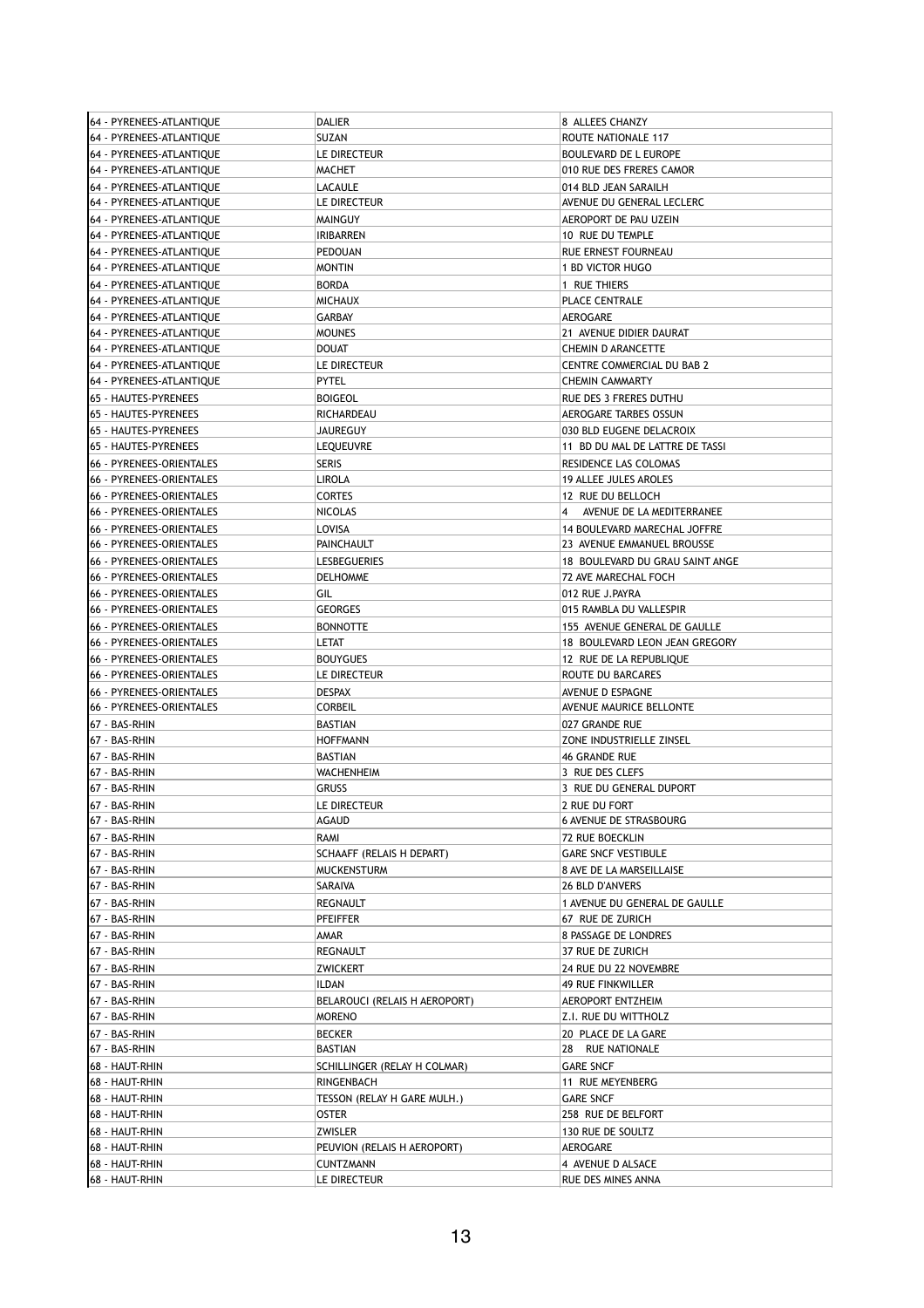| 64 - PYRENEES-ATLANTIQUE | DALIER                        | 8 ALLEES CHANZY                 |
|--------------------------|-------------------------------|---------------------------------|
| 64 - PYRENEES-ATLANTIQUE | SUZAN                         | ROUTE NATIONALE 117             |
| 64 - PYRENEES-ATLANTIOUE | LE DIRECTEUR                  | <b>BOULEVARD DE L EUROPE</b>    |
| 64 - PYRENEES-ATLANTIQUE | MACHET                        | 010 RUE DES FRERES CAMOR        |
| 64 - PYRENEES-ATLANTIQUE | LACAULE                       | 014 BLD JEAN SARAILH            |
|                          | LE DIRECTEUR                  | AVENUE DU GENERAL LECLERC       |
| 64 - PYRENEES-ATLANTIQUE |                               |                                 |
| 64 - PYRENEES-ATLANTIQUE | MAINGUY                       | AEROPORT DE PAU UZEIN           |
| 64 - PYRENEES-ATLANTIQUE | <b>IRIBARREN</b>              | 10 RUE DU TEMPLE                |
| 64 - PYRENEES-ATLANTIQUE | PEDOUAN                       | RUE ERNEST FOURNEAU             |
| 64 - PYRENEES-ATLANTIQUE | <b>MONTIN</b>                 | 1 BD VICTOR HUGO                |
| 64 - PYRENEES-ATLANTIQUE | <b>BORDA</b>                  | 1 RUE THIERS                    |
| 64 - PYRENEES-ATLANTIQUE | <b>MICHAUX</b>                | PLACE CENTRALE                  |
| 64 - PYRENEES-ATLANTIQUE | <b>GARBAY</b>                 | AEROGARE                        |
| 64 - PYRENEES-ATLANTIQUE | <b>MOUNES</b>                 | 21 AVENUE DIDIER DAURAT         |
| 64 - PYRENEES-ATLANTIQUE | <b>DOUAT</b>                  | CHEMIN D ARANCETTE              |
| 64 - PYRENEES-ATLANTIQUE | LE DIRECTEUR                  | CENTRE COMMERCIAL DU BAB 2      |
|                          |                               |                                 |
| 64 - PYRENEES-ATLANTIQUE | <b>PYTEL</b>                  | <b>CHEMIN CAMMARTY</b>          |
| 65 - HAUTES-PYRENEES     | <b>BOIGEOL</b>                | RUE DES 3 FRERES DUTHU          |
| 65 - HAUTES-PYRENEES     | RICHARDEAU                    | AEROGARE TARBES OSSUN           |
| 65 - HAUTES-PYRENEES     | <b>JAUREGUY</b>               | 030 BLD EUGENE DELACROIX        |
| 65 - HAUTES-PYRENEES     | LEQUEUVRE                     | 11 BD DU MAL DE LATTRE DE TASSI |
| 66 - PYRENEES-ORIENTALES | <b>SERIS</b>                  | RESIDENCE LAS COLOMAS           |
| 66 - PYRENEES-ORIENTALES | LIROLA                        | 19 ALLEE JULES AROLES           |
| 66 - PYRENEES-ORIENTALES | <b>CORTES</b>                 | 12 RUE DU BELLOCH               |
| 66 - PYRENEES-ORIENTALES | <b>NICOLAS</b>                | 4 AVENUE DE LA MEDITERRANEE     |
|                          |                               | 14 BOULEVARD MARECHAL JOFFRE    |
| 66 - PYRENEES-ORIENTALES | LOVISA                        |                                 |
| 66 - PYRENEES-ORIENTALES | PAINCHAULT                    | 23 AVENUE EMMANUEL BROUSSE      |
| 66 - PYRENEES-ORIENTALES | LESBEGUERIES                  | 18 BOULEVARD DU GRAU SAINT ANGE |
| 66 - PYRENEES-ORIENTALES | <b>DELHOMME</b>               | 72 AVE MARECHAL FOCH            |
| 66 - PYRENEES-ORIENTALES | GIL                           | 012 RUE J.PAYRA                 |
| 66 - PYRENEES-ORIENTALES | <b>GEORGES</b>                | 015 RAMBLA DU VALLESPIR         |
| 66 - PYRENEES-ORIENTALES | <b>BONNOTTE</b>               | 155 AVENUE GENERAL DE GAULLE    |
| 66 - PYRENEES-ORIENTALES | LETAT                         | 18 BOULEVARD LEON JEAN GREGORY  |
| 66 - PYRENEES-ORIENTALES | <b>BOUYGUES</b>               | 12 RUE DE LA REPUBLIQUE         |
|                          |                               |                                 |
| 66 - PYRENEES-ORIENTALES | LE DIRECTEUR                  | ROUTE DU BARCARES               |
| 66 - PYRENEES-ORIENTALES | <b>DESPAX</b>                 | AVENUE D ESPAGNE                |
| 66 - PYRENEES-ORIENTALES | <b>CORBEIL</b>                | AVENUE MAURICE BELLONTE         |
| 67 - BAS-RHIN            | <b>BASTIAN</b>                | 027 GRANDE RUE                  |
| 67 - BAS-RHIN            | <b>HOFFMANN</b>               | ZONE INDUSTRIELLE ZINSEL        |
| 67 - BAS-RHIN            | <b>BASTIAN</b>                | <b>46 GRANDE RUE</b>            |
| 67 - BAS-RHIN            | <b>WACHENHEIM</b>             | 3 RUE DES CLEFS                 |
| 67 - BAS-RHIN            | <b>GRUSS</b>                  | 3 RUE DU GENERAL DUPORT         |
| 67 - BAS-RHIN            | LE DIRECTEUR                  | 2 RUE DU FORT                   |
| 67 - BAS-RHIN            | <b>AGAUD</b>                  | <b>6 AVENUE DE STRASBOURG</b>   |
|                          |                               |                                 |
| 67 - BAS-RHIN            | RAMI                          | 72 RUE BOECKLIN                 |
| 67 - BAS-RHIN            | SCHAAFF (RELAIS H DEPART)     | <b>GARE SNCF VESTIBULE</b>      |
| 67 - BAS-RHIN            | <b>MUCKENSTURM</b>            | 8 AVE DE LA MARSEILLAISE        |
| 67 - BAS-RHIN            | SARAIVA                       | <b>26 BLD D'ANVERS</b>          |
| 67 - BAS-RHIN            | REGNAULT                      | 1 AVENUE DU GENERAL DE GAULLE   |
| 67 - BAS-RHIN            | <b>PFEIFFER</b>               | 67 RUE DE ZURICH                |
| 67 - BAS-RHIN            | AMAR                          | 8 PASSAGE DE LONDRES            |
| 67 - BAS-RHIN            | REGNAULT                      | 37 RUE DE ZURICH                |
| 67 - BAS-RHIN            | <b>ZWICKERT</b>               | 24 RUE DU 22 NOVEMBRE           |
|                          |                               |                                 |
| 67 - BAS-RHIN            | <b>ILDAN</b>                  | 49 RUE FINKWILLER               |
| 67 - BAS-RHIN            | BELAROUCI (RELAIS H AEROPORT) | <b>AEROPORT ENTZHEIM</b>        |
| 67 - BAS-RHIN            | <b>MORENO</b>                 | Z.I. RUE DU WITTHOLZ            |
| 67 - BAS-RHIN            | <b>BECKER</b>                 | 20 PLACE DE LA GARE             |
| 67 - BAS-RHIN            | BASTIAN                       | 28 RUE NATIONALE                |
| 68 - HAUT-RHIN           | SCHILLINGER (RELAY H COLMAR)  | <b>GARE SNCF</b>                |
| 68 - HAUT-RHIN           | RINGENBACH                    | 11 RUE MEYENBERG                |
| 68 - HAUT-RHIN           | TESSON (RELAY H GARE MULH.)   | <b>GARE SNCF</b>                |
| 68 - HAUT-RHIN           | OSTER                         | 258 RUE DE BELFORT              |
|                          |                               |                                 |
| 68 - HAUT-RHIN           | ZWISLER                       | 130 RUE DE SOULTZ               |
| 68 - HAUT-RHIN           | PEUVION (RELAIS H AEROPORT)   | AEROGARE                        |
| 68 - HAUT-RHIN           | CUNTZMANN                     | 4 AVENUE D ALSACE               |
| 68 - HAUT-RHIN           | LE DIRECTEUR                  | RUE DES MINES ANNA              |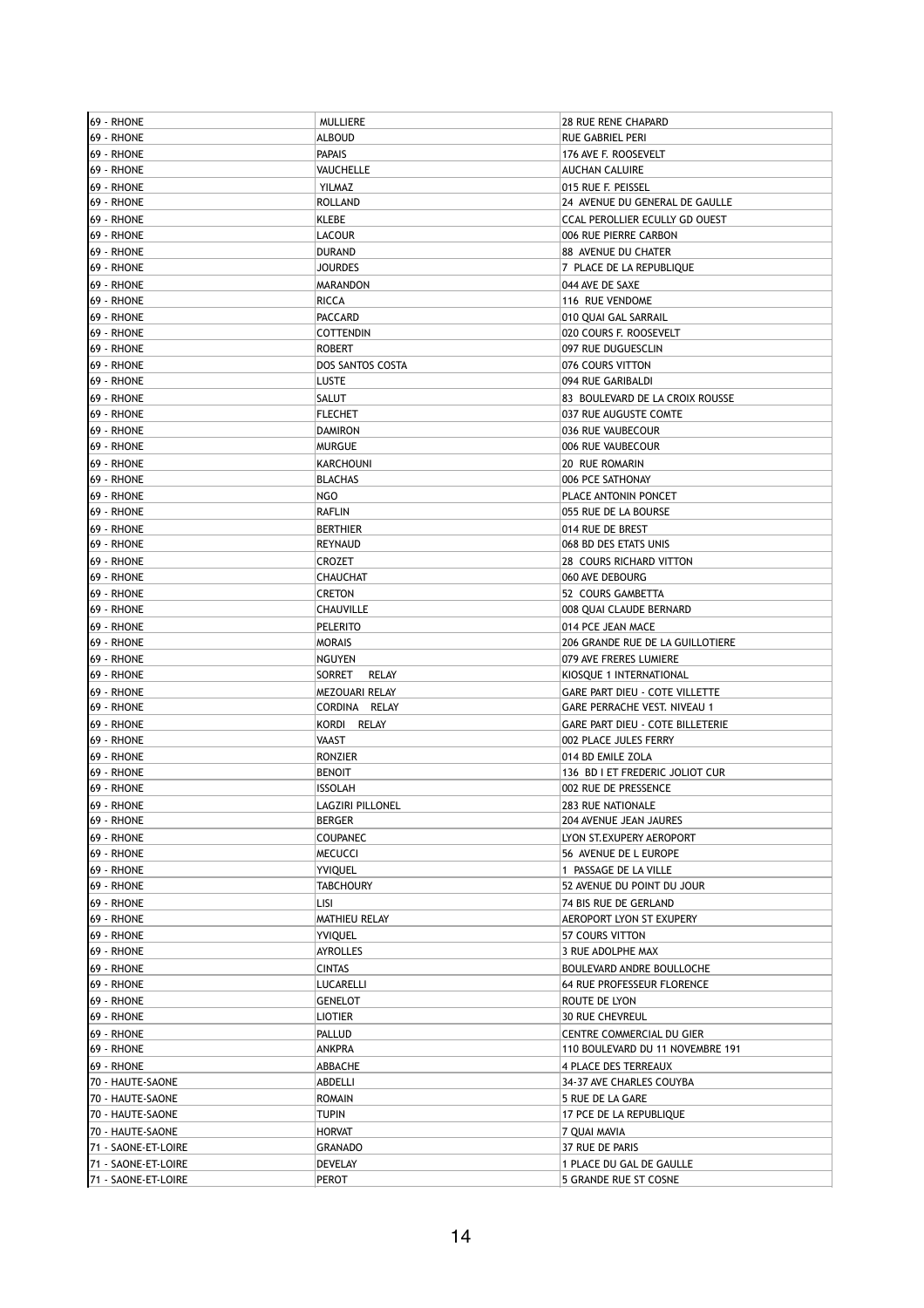| 69 - RHONE          | <b>MULLIERE</b>  | 28 RUE RENE CHAPARD                     |
|---------------------|------------------|-----------------------------------------|
| 69 - RHONE          | <b>ALBOUD</b>    | RUE GABRIEL PERI                        |
| 69 - RHONE          | <b>PAPAIS</b>    | 176 AVE F. ROOSEVELT                    |
| 69 - RHONE          | VAUCHELLE        | <b>AUCHAN CALUIRE</b>                   |
| 69 - RHONE          | YILMAZ           | 015 RUE F. PEISSEL                      |
| 69 - RHONE          | <b>ROLLAND</b>   | 24 AVENUE DU GENERAL DE GAULLE          |
| 69 - RHONE          | KLEBE            | CCAL PEROLLIER ECULLY GD OUEST          |
|                     |                  |                                         |
| 69 - RHONE          | LACOUR           | 006 RUE PIERRE CARBON                   |
| 69 - RHONE          | <b>DURAND</b>    | 88 AVENUE DU CHATER                     |
| 69 - RHONE          | <b>JOURDES</b>   | 7 PLACE DE LA REPUBLIQUE                |
| 69 - RHONE          | <b>MARANDON</b>  | 044 AVE DE SAXE                         |
| 69 - RHONE          | RICCA            | 116 RUE VENDOME                         |
| 69 - RHONE          | <b>PACCARD</b>   | 010 QUAI GAL SARRAIL                    |
| 69 - RHONE          | <b>COTTENDIN</b> | 020 COURS F. ROOSEVELT                  |
| 69 - RHONE          | <b>ROBERT</b>    | 097 RUE DUGUESCLIN                      |
| 69 - RHONE          | DOS SANTOS COSTA | 076 COURS VITTON                        |
| 69 - RHONE          | <b>LUSTE</b>     | 094 RUE GARIBALDI                       |
| 69 - RHONE          | SALUT            | 83 BOULEVARD DE LA CROIX ROUSSE         |
| 69 - RHONE          | <b>FLECHET</b>   | 037 RUE AUGUSTE COMTE                   |
| 69 - RHONE          | <b>DAMIRON</b>   | 036 RUE VAUBECOUR                       |
| 69 - RHONE          | <b>MURGUE</b>    | 006 RUE VAUBECOUR                       |
|                     |                  |                                         |
| 69 - RHONE          | <b>KARCHOUNI</b> | 20 RUE ROMARIN                          |
| 69 - RHONE          | <b>BLACHAS</b>   | 006 PCE SATHONAY                        |
| 69 - RHONE          | NGO              | PLACE ANTONIN PONCET                    |
| 69 - RHONE          | <b>RAFLIN</b>    | 055 RUE DE LA BOURSE                    |
| 69 - RHONE          | <b>BERTHIER</b>  | 014 RUE DE BREST                        |
| 69 - RHONE          | REYNAUD          | 068 BD DES ETATS UNIS                   |
| 69 - RHONE          | <b>CROZET</b>    | 28 COURS RICHARD VITTON                 |
| 69 - RHONE          | CHAUCHAT         | 060 AVE DEBOURG                         |
| 69 - RHONE          | <b>CRETON</b>    | 52 COURS GAMBETTA                       |
| 69 - RHONE          | CHAUVILLE        | 008 QUAI CLAUDE BERNARD                 |
| 69 - RHONE          | <b>PELERITO</b>  | 014 PCE JEAN MACE                       |
| 69 - RHONE          | <b>MORAIS</b>    | 206 GRANDE RUE DE LA GUILLOTIERE        |
| 69 - RHONE          | <b>NGUYEN</b>    | 079 AVE FRERES LUMIERE                  |
|                     |                  |                                         |
| 69 - RHONE          | SORRET<br>RELAY  | KIOSQUE 1 INTERNATIONAL                 |
| 69 - RHONE          | MEZOUARI RELAY   | GARE PART DIEU - COTE VILLETTE          |
| 69 - RHONE          | CORDINA RELAY    | GARE PERRACHE VEST. NIVEAU 1            |
| 69 - RHONE          | KORDI RELAY      | <b>GARE PART DIEU - COTE BILLETERIE</b> |
| 69 - RHONE          | <b>VAAST</b>     | 002 PLACE JULES FERRY                   |
| 69 - RHONE          | <b>RONZIER</b>   | 014 BD EMILE ZOLA                       |
| 69 - RHONE          | <b>BENOIT</b>    | 136 BD I ET FREDERIC JOLIOT CUR         |
| 69 - RHONE          | <b>ISSOLAH</b>   | 002 RUE DE PRESSENCE                    |
| <b>69 - RHONE</b>   | LAGZIRI PILLONEL | 283 RUE NATIONALE                       |
| 69 - RHONE          | <b>BERGER</b>    | 204 AVENUE JEAN JAURES                  |
| 69 - RHONE          | <b>COUPANEC</b>  | LYON ST. EXUPERY AEROPORT               |
| 69 - RHONE          | <b>MECUCCI</b>   | 56 AVENUE DE L EUROPE                   |
| 69 - RHONE          | <b>YVIQUEL</b>   | 1 PASSAGE DE LA VILLE                   |
| 69 - RHONE          | <b>TABCHOURY</b> | 52 AVENUE DU POINT DU JOUR              |
| 69 - RHONE          |                  |                                         |
|                     | Lisi             | 74 BIS RUE DE GERLAND                   |
| 69 - RHONE          | MATHIEU RELAY    | AEROPORT LYON ST EXUPERY                |
| 69 - RHONE          | <b>YVIQUEL</b>   | 57 COURS VITTON                         |
| 69 - RHONE          | <b>AYROLLES</b>  | 3 RUE ADOLPHE MAX                       |
| 69 - RHONE          | <b>CINTAS</b>    | BOULEVARD ANDRE BOULLOCHE               |
| 69 - RHONE          | LUCARELLI        | 64 RUE PROFESSEUR FLORENCE              |
| 69 - RHONE          | <b>GENELOT</b>   | ROUTE DE LYON                           |
| 69 - RHONE          | <b>LIOTIER</b>   | <b>30 RUE CHEVREUL</b>                  |
| 69 - RHONE          | <b>PALLUD</b>    | CENTRE COMMERCIAL DU GIER               |
| 69 - RHONE          | ANKPRA           | 110 BOULEVARD DU 11 NOVEMBRE 191        |
| 69 - RHONE          | ABBACHE          | 4 PLACE DES TERREAUX                    |
| 70 - HAUTE-SAONE    | ABDELLI          | 34-37 AVE CHARLES COUYBA                |
| 70 - HAUTE-SAONE    | <b>ROMAIN</b>    | 5 RUE DE LA GARE                        |
| 70 - HAUTE-SAONE    | <b>TUPIN</b>     | 17 PCE DE LA REPUBLIQUE                 |
|                     |                  |                                         |
| 70 - HAUTE-SAONE    | <b>HORVAT</b>    | 7 QUAI MAVIA                            |
| 71 - SAONE-ET-LOIRE | <b>GRANADO</b>   | 37 RUE DE PARIS                         |
| 71 - SAONE-ET-LOIRE | DEVELAY          | 1 PLACE DU GAL DE GAULLE                |
| 71 - SAONE-ET-LOIRE | PEROT            | 5 GRANDE RUE ST COSNE                   |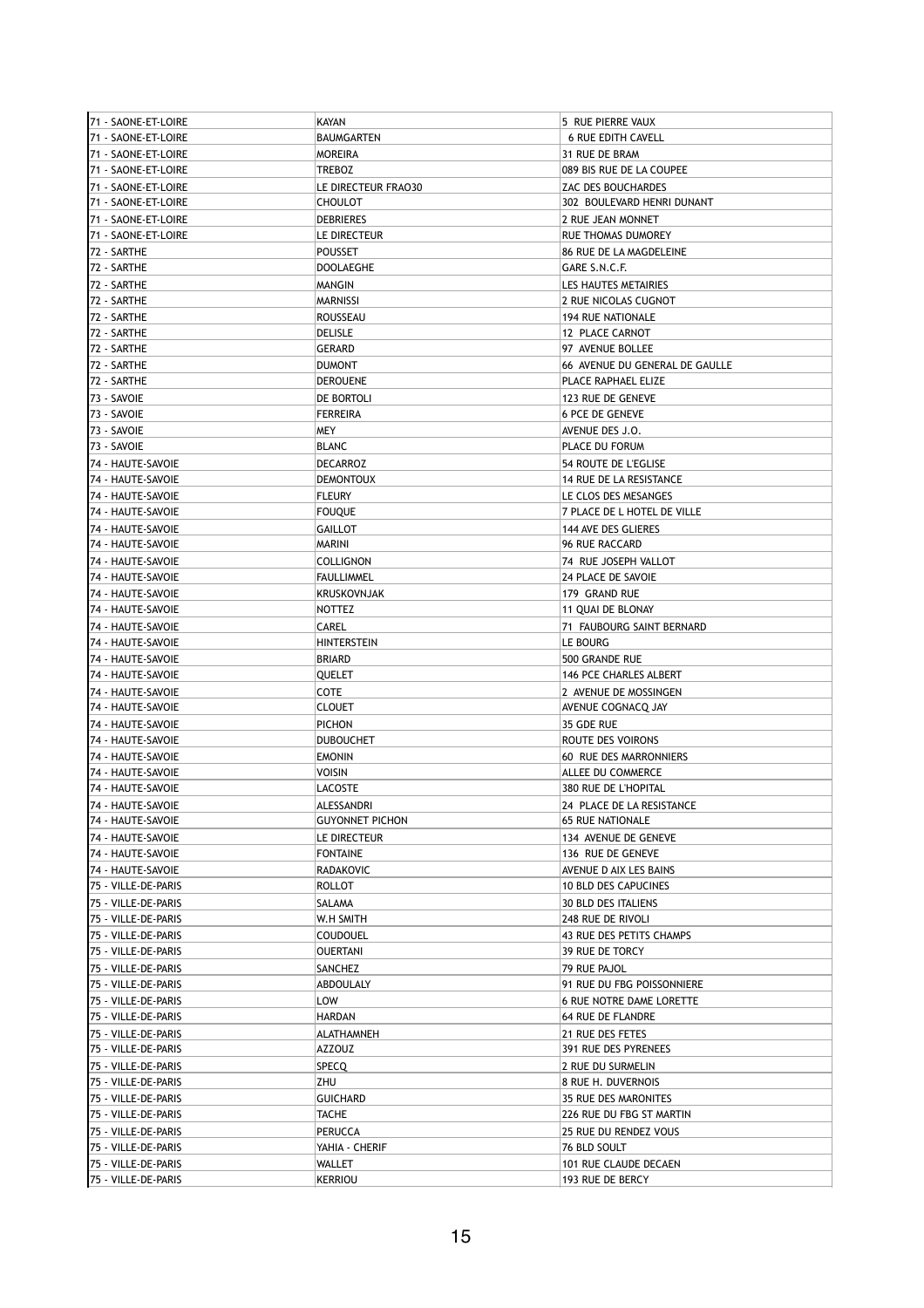| 71 - SAONE-ET-LOIRE | <b>KAYAN</b>           | 5 RUE PIERRE VAUX               |
|---------------------|------------------------|---------------------------------|
| 71 - SAONE-ET-LOIRE | <b>BAUMGARTEN</b>      | <b>6 RUE EDITH CAVELL</b>       |
| 71 - SAONE-ET-LOIRE | <b>MOREIRA</b>         | 31 RUE DE BRAM                  |
| 71 - SAONE-ET-LOIRE | <b>TREBOZ</b>          | 089 BIS RUE DE LA COUPEE        |
| 71 - SAONE-ET-LOIRE | LE DIRECTEUR FRAO30    | ZAC DES BOUCHARDES              |
| 71 - SAONE-ET-LOIRE | <b>CHOULOT</b>         | 302 BOULEVARD HENRI DUNANT      |
|                     |                        |                                 |
| 71 - SAONE-ET-LOIRE | <b>DEBRIERES</b>       | 2 RUE JEAN MONNET               |
| 71 - SAONE-ET-LOIRE | LE DIRECTEUR           | RUE THOMAS DUMOREY              |
| 72 - SARTHE         | <b>POUSSET</b>         | 86 RUE DE LA MAGDELEINE         |
| 72 - SARTHE         | <b>DOOLAEGHE</b>       | GARE S.N.C.F.                   |
| 72 - SARTHE         | MANGIN                 | LES HAUTES METAIRIES            |
| 72 - SARTHE         | <b>MARNISSI</b>        | 2 RUE NICOLAS CUGNOT            |
| 72 - SARTHE         | <b>ROUSSEAU</b>        | <b>194 RUE NATIONALE</b>        |
| 72 - SARTHE         | <b>DELISLE</b>         | 12 PLACE CARNOT                 |
| 72 - SARTHE         | <b>GERARD</b>          | 97 AVENUE BOLLEE                |
| 72 - SARTHE         | <b>DUMONT</b>          | 66 AVENUE DU GENERAL DE GAULLE  |
|                     |                        |                                 |
| 72 - SARTHE         | <b>DEROUENE</b>        | PLACE RAPHAEL ELIZE             |
| 73 - SAVOIE         | DE BORTOLI             | 123 RUE DE GENEVE               |
| 73 - SAVOIE         | <b>FERREIRA</b>        | <b>6 PCE DE GENEVE</b>          |
| 73 - SAVOIE         | <b>MEY</b>             | AVENUE DES J.O.                 |
| 73 - SAVOIE         | <b>BLANC</b>           | PLACE DU FORUM                  |
| 74 - HAUTE-SAVOIE   | <b>DECARROZ</b>        | 54 ROUTE DE L'EGLISE            |
| 74 - HAUTE-SAVOIE   | <b>DEMONTOUX</b>       | 14 RUE DE LA RESISTANCE         |
| 74 - HAUTE-SAVOIE   | <b>FLEURY</b>          | LE CLOS DES MESANGES            |
| 74 - HAUTE-SAVOIE   | <b>FOUQUE</b>          | 7 PLACE DE L HOTEL DE VILLE     |
|                     |                        |                                 |
| 74 - HAUTE-SAVOIE   | <b>GAILLOT</b>         | 144 AVE DES GLIERES             |
| 74 - HAUTE-SAVOIE   | <b>MARINI</b>          | 96 RUE RACCARD                  |
| 74 - HAUTE-SAVOIE   | <b>COLLIGNON</b>       | 74 RUE JOSEPH VALLOT            |
| 74 - HAUTE-SAVOIE   | <b>FAULLIMMEL</b>      | 24 PLACE DE SAVOIE              |
| 74 - HAUTE-SAVOIE   | <b>KRUSKOVNJAK</b>     | 179 GRAND RUE                   |
| 74 - HAUTE-SAVOIE   | <b>NOTTEZ</b>          | 11 QUAI DE BLONAY               |
| 74 - HAUTE-SAVOIE   | CAREL                  | 71 FAUBOURG SAINT BERNARD       |
| 74 - HAUTE-SAVOIE   | <b>HINTERSTEIN</b>     | LE BOURG                        |
| 74 - HAUTE-SAVOIE   | <b>BRIARD</b>          | 500 GRANDE RUE                  |
|                     |                        |                                 |
| 74 - HAUTE-SAVOIE   | QUELET                 | 146 PCE CHARLES ALBERT          |
| 74 - HAUTE-SAVOIE   | <b>COTE</b>            | 2 AVENUE DE MOSSINGEN           |
| 74 - HAUTE-SAVOIE   | <b>CLOUET</b>          | AVENUE COGNACQ JAY              |
| 74 - HAUTE-SAVOIE   | <b>PICHON</b>          | 35 GDE RUE                      |
| 74 - HAUTE-SAVOIE   | <b>DUBOUCHET</b>       | ROUTE DES VOIRONS               |
| 74 - HAUTE-SAVOIE   | <b>EMONIN</b>          | 60 RUE DES MARRONNIERS          |
| 74 - HAUTE-SAVOIE   | <b>VOISIN</b>          | ALLEE DU COMMERCE               |
| 74 - HAUTE-SAVOIE   | <b>LACOSTE</b>         | 380 RUE DE L'HOPITAL            |
| 74 - HAUTE-SAVOIE   | ALESSANDRI             | 24 PLACE DE LA RESISTANCE       |
| 74 - HAUTE-SAVOIE   | <b>GUYONNET PICHON</b> | <b>65 RUE NATIONALE</b>         |
|                     |                        |                                 |
| 74 - HAUTE-SAVOIE   | LE DIRECTEUR           | 134 AVENUE DE GENEVE            |
| 74 - HAUTE-SAVOIE   | <b>FONTAINE</b>        | 136 RUE DE GENEVE               |
| 74 - HAUTE-SAVOIE   | <b>RADAKOVIC</b>       | AVENUE D AIX LES BAINS          |
| 75 - VILLE-DE-PARIS | <b>ROLLOT</b>          | <b>10 BLD DES CAPUCINES</b>     |
| 75 - VILLE-DE-PARIS | SALAMA                 | <b>30 BLD DES ITALIENS</b>      |
| 75 - VILLE-DE-PARIS | W.H SMITH              | 248 RUE DE RIVOLI               |
| 75 - VILLE-DE-PARIS | <b>COUDOUEL</b>        | 43 RUE DES PETITS CHAMPS        |
| 75 - VILLE-DE-PARIS | <b>OUERTANI</b>        | 39 RUE DE TORCY                 |
| 75 - VILLE-DE-PARIS | <b>SANCHEZ</b>         | 79 RUE PAJOL                    |
|                     |                        | 91 RUE DU FBG POISSONNIERE      |
| 75 - VILLE-DE-PARIS | ABDOULALY              |                                 |
| 75 - VILLE-DE-PARIS | LOW                    | <b>6 RUE NOTRE DAME LORETTE</b> |
| 75 - VILLE-DE-PARIS | <b>HARDAN</b>          | 64 RUE DE FLANDRE               |
| 75 - VILLE-DE-PARIS | ALATHAMNEH             | 21 RUE DES FETES                |
| 75 - VILLE-DE-PARIS | AZZOUZ                 | 391 RUE DES PYRENEES            |
| 75 - VILLE-DE-PARIS | SPECQ                  | 2 RUE DU SURMELIN               |
| 75 - VILLE-DE-PARIS | ZHU                    | 8 RUE H. DUVERNOIS              |
| 75 - VILLE-DE-PARIS | <b>GUICHARD</b>        | 35 RUE DES MARONITES            |
| 75 - VILLE-DE-PARIS | <b>TACHE</b>           | 226 RUE DU FBG ST MARTIN        |
|                     |                        |                                 |
| 75 - VILLE-DE-PARIS | PERUCCA                | 25 RUE DU RENDEZ VOUS           |
| 75 - VILLE-DE-PARIS | YAHIA - CHERIF         | 76 BLD SOULT                    |
| 75 - VILLE-DE-PARIS | WALLET                 | 101 RUE CLAUDE DECAEN           |
| 75 - VILLE-DE-PARIS | <b>KERRIOU</b>         | 193 RUE DE BERCY                |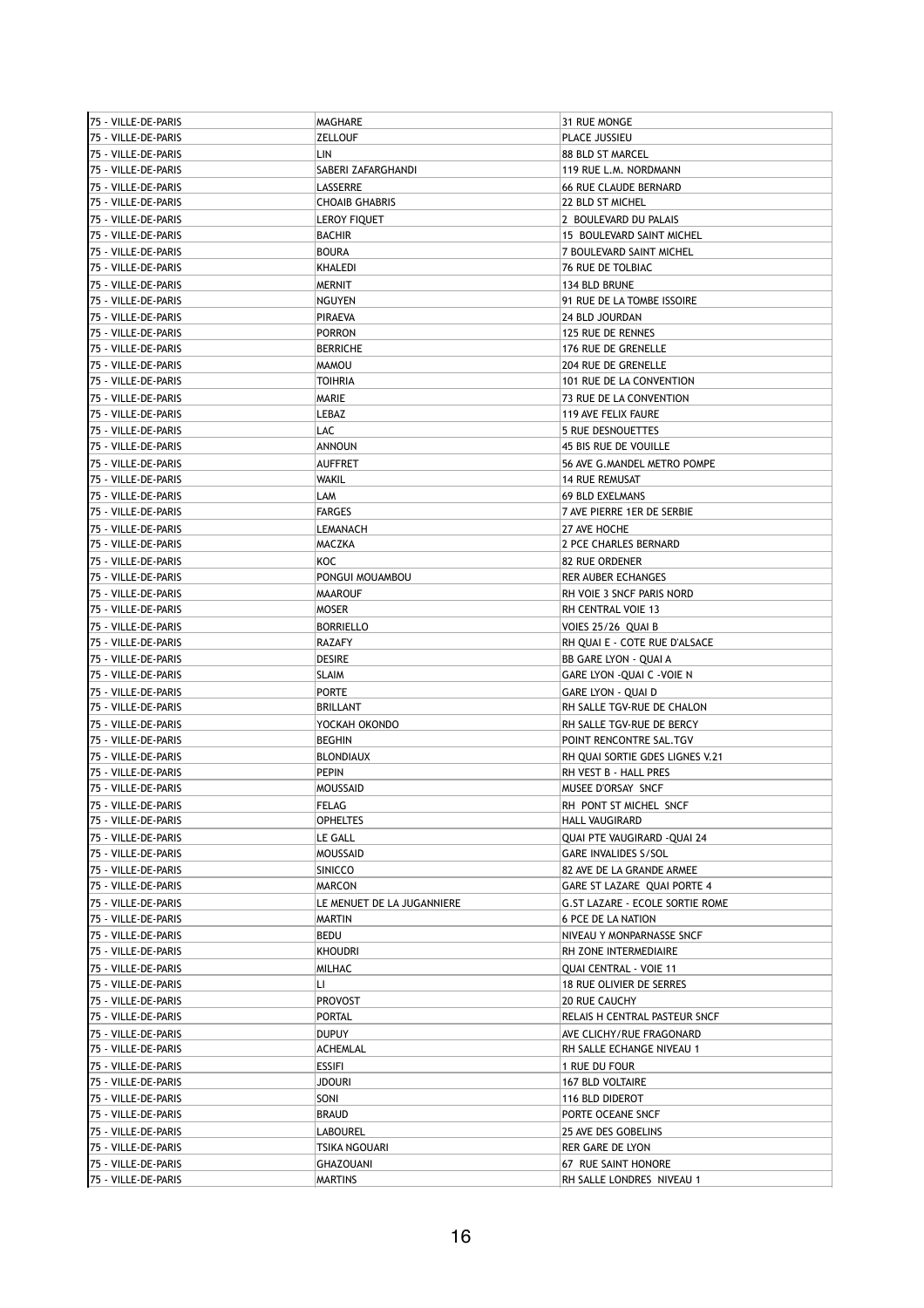| 75 - VILLE-DE-PARIS | MAGHARE                    | 31 RUE MONGE                                       |
|---------------------|----------------------------|----------------------------------------------------|
| 75 - VILLE-DE-PARIS | <b>ZELLOUF</b>             | PLACE JUSSIEU                                      |
| 75 - VILLE-DE-PARIS | LIN                        | 88 BLD ST MARCEL                                   |
| 75 - VILLE-DE-PARIS | SABERI ZAFARGHANDI         | 119 RUE L.M. NORDMANN                              |
| 75 - VILLE-DE-PARIS | LASSERRE                   | <b>66 RUE CLAUDE BERNARD</b>                       |
| 75 - VILLE-DE-PARIS | <b>CHOAIB GHABRIS</b>      | 22 BLD ST MICHEL                                   |
|                     |                            |                                                    |
| 75 - VILLE-DE-PARIS | <b>LEROY FIQUET</b>        | 2 BOULEVARD DU PALAIS                              |
| 75 - VILLE-DE-PARIS | <b>BACHIR</b>              | 15 BOULEVARD SAINT MICHEL                          |
| 75 - VILLE-DE-PARIS | <b>BOURA</b>               | 7 BOULEVARD SAINT MICHEL                           |
| 75 - VILLE-DE-PARIS | KHALEDI                    | 76 RUE DE TOLBIAC                                  |
| 75 - VILLE-DE-PARIS | <b>MERNIT</b>              | 134 BLD BRUNE                                      |
| 75 - VILLE-DE-PARIS | <b>NGUYEN</b>              | 91 RUE DE LA TOMBE ISSOIRE                         |
| 75 - VILLE-DE-PARIS | <b>PIRAEVA</b>             | 24 BLD JOURDAN                                     |
| 75 - VILLE-DE-PARIS | <b>PORRON</b>              | 125 RUE DE RENNES                                  |
| 75 - VILLE-DE-PARIS | <b>BERRICHE</b>            | 176 RUE DE GRENELLE                                |
|                     |                            |                                                    |
| 75 - VILLE-DE-PARIS | <b>MAMOU</b>               | 204 RUE DE GRENELLE                                |
| 75 - VILLE-DE-PARIS | TOIHRIA                    | 101 RUE DE LA CONVENTION                           |
| 75 - VILLE-DE-PARIS | MARIE                      | 73 RUE DE LA CONVENTION                            |
| 75 - VILLE-DE-PARIS | LEBAZ                      | 119 AVE FELIX FAURE                                |
| 75 - VILLE-DE-PARIS | LAC                        | <b>5 RUE DESNOUETTES</b>                           |
| 75 - VILLE-DE-PARIS | <b>ANNOUN</b>              | 45 BIS RUE DE VOUILLE                              |
| 75 - VILLE-DE-PARIS | <b>AUFFRET</b>             | 56 AVE G. MANDEL METRO POMPE                       |
| 75 - VILLE-DE-PARIS | WAKIL                      | <b>14 RUE REMUSAT</b>                              |
| 75 - VILLE-DE-PARIS | LAM                        | <b>69 BLD EXELMANS</b>                             |
|                     |                            |                                                    |
| 75 - VILLE-DE-PARIS | <b>FARGES</b>              | 7 AVE PIERRE 1ER DE SERBIE                         |
| 75 - VILLE-DE-PARIS | LEMANACH                   | 27 AVE HOCHE                                       |
| 75 - VILLE-DE-PARIS | MACZKA                     | 2 PCE CHARLES BERNARD                              |
| 75 - VILLE-DE-PARIS | KOC                        | <b>82 RUE ORDENER</b>                              |
| 75 - VILLE-DE-PARIS | PONGUI MOUAMBOU            | <b>RER AUBER ECHANGES</b>                          |
| 75 - VILLE-DE-PARIS | <b>MAAROUF</b>             | RH VOIE 3 SNCF PARIS NORD                          |
| 75 - VILLE-DE-PARIS | MOSER                      | RH CENTRAL VOIE 13                                 |
| 75 - VILLE-DE-PARIS | <b>BORRIELLO</b>           | VOIES 25/26 QUAI B                                 |
| 75 - VILLE-DE-PARIS | RAZAFY                     | RH QUAI E - COTE RUE D'ALSACE                      |
|                     |                            |                                                    |
| 75 - VILLE-DE-PARIS | DESIRE                     | BB GARE LYON - QUAI A                              |
| 75 - VILLE-DE-PARIS | SLAIM                      | GARE LYON - QUAI C - VOIE N                        |
| 75 - VILLE-DE-PARIS | PORTE                      | <b>GARE LYON - QUAI D</b>                          |
| 75 - VILLE-DE-PARIS | <b>BRILLANT</b>            | RH SALLE TGV-RUE DE CHALON                         |
| 75 - VILLE-DE-PARIS | YOCKAH OKONDO              | RH SALLE TGV-RUE DE BERCY                          |
| 75 - VILLE-DE-PARIS | <b>BEGHIN</b>              | POINT RENCONTRE SAL.TGV                            |
| 75 - VILLE-DE-PARIS | <b>BLONDIAUX</b>           | RH OUAI SORTIE GDES LIGNES V.21                    |
| 75 - VILLE-DE-PARIS | <b>PEPIN</b>               | RH VEST B - HALL PRES                              |
| 75 - VILLE-DE-PARIS | MOUSSAID                   | MUSEE D'ORSAY SNCF                                 |
|                     |                            | RH PONT ST MICHEL SNCF                             |
| 75 - VILLE-DE-PARIS | <b>FELAG</b>               |                                                    |
| 75 - VILLE-DE-PARIS | <b>OPHELTES</b>            | HALL VAUGIRARD                                     |
| 75 - VILLE-DE-PARIS | LE GALL                    | <b>OUAI PTE VAUGIRARD -OUAI 24</b>                 |
| 75 - VILLE-DE-PARIS | <b>MOUSSAID</b>            | GARE INVALIDES S/SOL                               |
| 75 - VILLE-DE-PARIS | SINICCO                    | 82 AVE DE LA GRANDE ARMEE                          |
| 75 - VILLE-DE-PARIS | <b>MARCON</b>              | GARE ST LAZARE QUAI PORTE 4                        |
| 75 - VILLE-DE-PARIS | LE MENUET DE LA JUGANNIERE | G.ST LAZARE - ECOLE SORTIE ROME                    |
| 75 - VILLE-DE-PARIS | <b>MARTIN</b>              | <b>6 PCE DE LA NATION</b>                          |
| 75 - VILLE-DE-PARIS |                            |                                                    |
|                     | BEDU<br><b>KHOUDRI</b>     | NIVEAU Y MONPARNASSE SNCF<br>RH ZONE INTERMEDIAIRE |
| 75 - VILLE-DE-PARIS |                            |                                                    |
| 75 - VILLE-DE-PARIS | MILHAC                     | QUAI CENTRAL - VOIE 11                             |
| 75 - VILLE-DE-PARIS | П                          | <b>18 RUE OLIVIER DE SERRES</b>                    |
| 75 - VILLE-DE-PARIS | PROVOST                    | 20 RUE CAUCHY                                      |
| 75 - VILLE-DE-PARIS | PORTAL                     | RELAIS H CENTRAL PASTEUR SNCF                      |
| 75 - VILLE-DE-PARIS | <b>DUPUY</b>               | AVE CLICHY/RUE FRAGONARD                           |
| 75 - VILLE-DE-PARIS | ACHEMLAL                   | RH SALLE ECHANGE NIVEAU 1                          |
| 75 - VILLE-DE-PARIS | ESSIFI                     | 1 RUE DU FOUR                                      |
| 75 - VILLE-DE-PARIS | JDOURI                     | 167 BLD VOLTAIRE                                   |
|                     |                            |                                                    |
| 75 - VILLE-DE-PARIS | SONI                       | 116 BLD DIDEROT                                    |
| 75 - VILLE-DE-PARIS | <b>BRAUD</b>               | PORTE OCEANE SNCF                                  |
| 75 - VILLE-DE-PARIS | LABOUREL                   | 25 AVE DES GOBELINS                                |
| 75 - VILLE-DE-PARIS | TSIKA NGOUARI              | RER GARE DE LYON                                   |
| 75 - VILLE-DE-PARIS | GHAZOUANI                  | 67 RUE SAINT HONORE                                |
| 75 - VILLE-DE-PARIS | <b>MARTINS</b>             | RH SALLE LONDRES NIVEAU 1                          |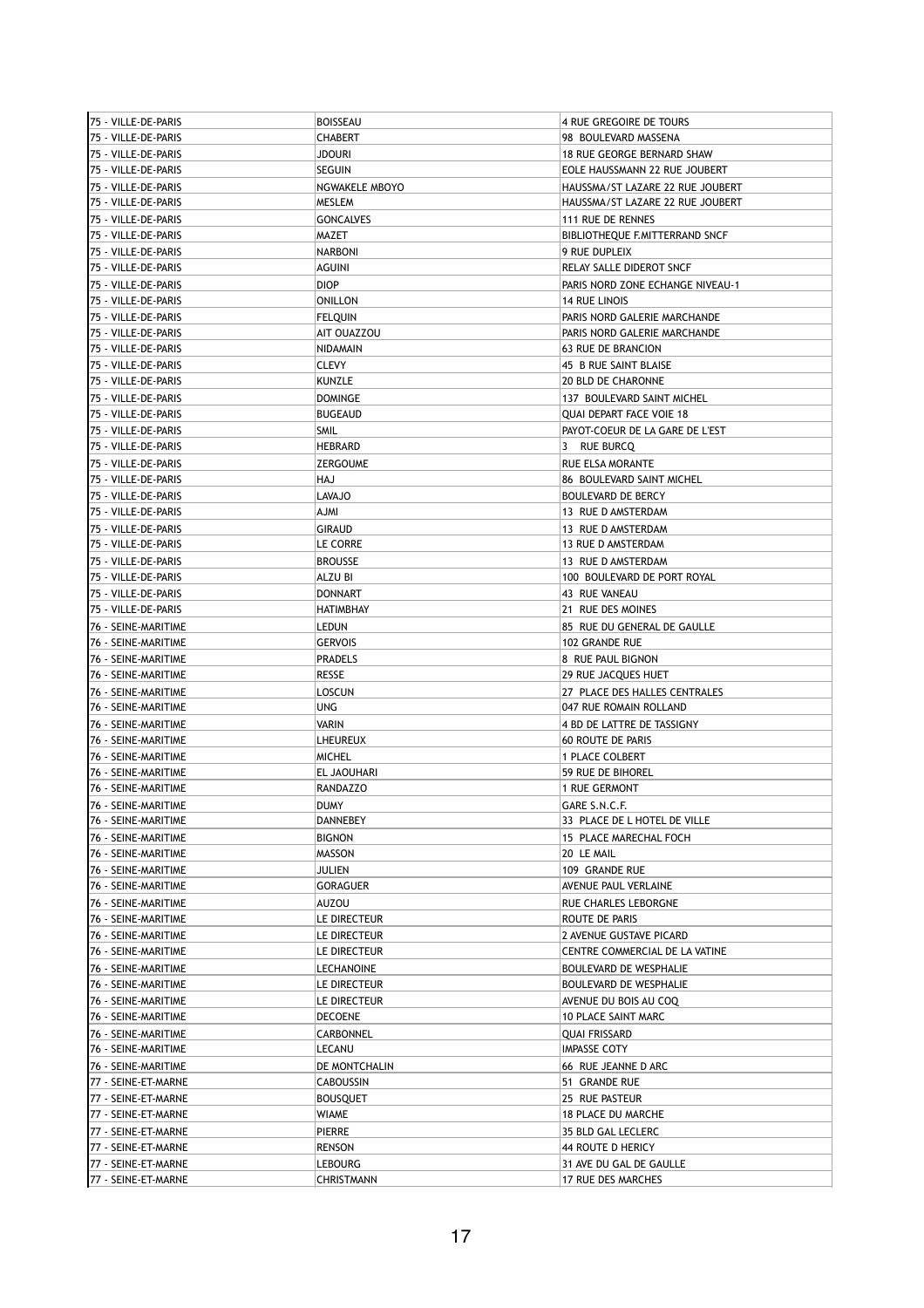| 75 - VILLE-DE-PARIS | <b>BOISSEAU</b>               | 4 RUE GREGOIRE DE TOURS          |
|---------------------|-------------------------------|----------------------------------|
| 75 - VILLE-DE-PARIS | <b>CHABERT</b>                | 98 BOULEVARD MASSENA             |
| 75 - VILLE-DE-PARIS | <b>JDOURI</b>                 | 18 RUE GEORGE BERNARD SHAW       |
| 75 - VILLE-DE-PARIS | <b>SEGUIN</b>                 | EOLE HAUSSMANN 22 RUE JOUBERT    |
| 75 - VILLE-DE-PARIS | NGWAKELE MBOYO                | HAUSSMA/ST LAZARE 22 RUE JOUBERT |
| 75 - VILLE-DE-PARIS | <b>MESLEM</b>                 | HAUSSMA/ST LAZARE 22 RUE JOUBERT |
| 75 - VILLE-DE-PARIS | <b>GONCALVES</b>              | 111 RUE DE RENNES                |
| 75 - VILLE-DE-PARIS | MAZET                         | BIBLIOTHEQUE F.MITTERRAND SNCF   |
| 75 - VILLE-DE-PARIS | <b>NARBONI</b>                | 9 RUE DUPLEIX                    |
| 75 - VILLE-DE-PARIS | <b>AGUINI</b>                 | RELAY SALLE DIDEROT SNCF         |
| 75 - VILLE-DE-PARIS | <b>DIOP</b>                   | PARIS NORD ZONE ECHANGE NIVEAU-1 |
| 75 - VILLE-DE-PARIS | <b>ONILLON</b>                | <b>14 RUE LINOIS</b>             |
| 75 - VILLE-DE-PARIS |                               | PARIS NORD GALERIE MARCHANDE     |
| 75 - VILLE-DE-PARIS | <b>FELQUIN</b><br>AIT OUAZZOU | PARIS NORD GALERIE MARCHANDE     |
| 75 - VILLE-DE-PARIS | NIDAMAIN                      | 63 RUE DE BRANCION               |
|                     | <b>CLEVY</b>                  |                                  |
| 75 - VILLE-DE-PARIS | <b>KUNZLE</b>                 | 45 B RUE SAINT BLAISE            |
| 75 - VILLE-DE-PARIS |                               | <b>20 BLD DE CHARONNE</b>        |
| 75 - VILLE-DE-PARIS | <b>DOMINGE</b>                | 137 BOULEVARD SAINT MICHEL       |
| 75 - VILLE-DE-PARIS | <b>BUGEAUD</b>                | <b>QUAI DEPART FACE VOIE 18</b>  |
| 75 - VILLE-DE-PARIS | <b>SMIL</b>                   | PAYOT-COEUR DE LA GARE DE L'EST  |
| 75 - VILLE-DE-PARIS | <b>HEBRARD</b>                | 3 RUE BURCQ                      |
| 75 - VILLE-DE-PARIS | <b>ZERGOUME</b>               | <b>RUE ELSA MORANTE</b>          |
| 75 - VILLE-DE-PARIS | HAJ                           | 86 BOULEVARD SAINT MICHEL        |
| 75 - VILLE-DE-PARIS | LAVAJO                        | <b>BOULEVARD DE BERCY</b>        |
| 75 - VILLE-DE-PARIS | <b>IMLA</b>                   | 13 RUE D AMSTERDAM               |
| 75 - VILLE-DE-PARIS | <b>GIRAUD</b>                 | 13 RUE D AMSTERDAM               |
| 75 - VILLE-DE-PARIS | LE CORRE                      | 13 RUE D AMSTERDAM               |
| 75 - VILLE-DE-PARIS | <b>BROUSSE</b>                | 13 RUE D AMSTERDAM               |
| 75 - VILLE-DE-PARIS | ALZU BI                       | 100 BOULEVARD DE PORT ROYAL      |
| 75 - VILLE-DE-PARIS | <b>DONNART</b>                | 43 RUE VANEAU                    |
| 75 - VILLE-DE-PARIS | <b>HATIMBHAY</b>              | 21 RUE DES MOINES                |
| 76 - SEINE-MARITIME | LEDUN                         | 85 RUE DU GENERAL DE GAULLE      |
| 76 - SEINE-MARITIME | <b>GERVOIS</b>                | 102 GRANDE RUE                   |
| 76 - SEINE-MARITIME | <b>PRADELS</b>                | 8 RUE PAUL BIGNON                |
| 76 - SEINE-MARITIME | RESSE                         | 29 RUE JACQUES HUET              |
| 76 - SEINE-MARITIME | LOSCUN                        | 27 PLACE DES HALLES CENTRALES    |
| 76 - SEINE-MARITIME | UNG                           | 047 RUE ROMAIN ROLLAND           |
| 76 - SEINE-MARITIME | VARIN                         | 4 BD DE LATTRE DE TASSIGNY       |
| 76 - SEINE-MARITIME | LHEUREUX                      | <b>60 ROUTE DE PARIS</b>         |
| 76 - SEINE-MARITIME | <b>MICHEL</b>                 | 1 PLACE COLBERT                  |
| 76 - SEINE-MARITIME | <b>EL JAOUHARI</b>            | 59 RUE DE BIHOREL                |
| 76 - SEINE-MARITIME | <b>RANDAZZO</b>               | <b>1 RUE GERMONT</b>             |
| 76 - SEINE-MARITIME | <b>DUMY</b>                   | GARE S.N.C.F.                    |
| 76 - SEINE-MARITIME | DANNEBEY                      | 33 PLACE DE L HOTEL DE VILLE     |
| 76 - SEINE-MARITIME | <b>BIGNON</b>                 | 15 PLACE MARECHAL FOCH           |
| 76 - SEINE-MARITIME | MASSON                        | 20 LE MAIL                       |
| 76 - SEINE-MARITIME | JULIEN                        | 109 GRANDE RUE                   |
| 76 - SEINE-MARITIME | GORAGUER                      | AVENUE PAUL VERLAINE             |
| 76 - SEINE-MARITIME | AUZOU                         | RUE CHARLES LEBORGNE             |
| 76 - SEINE-MARITIME | LE DIRECTEUR                  | ROUTE DE PARIS                   |
| 76 - SEINE-MARITIME | LE DIRECTEUR                  | 2 AVENUE GUSTAVE PICARD          |
| 76 - SEINE-MARITIME | LE DIRECTEUR                  | CENTRE COMMERCIAL DE LA VATINE   |
| 76 - SEINE-MARITIME | LECHANOINE                    | <b>BOULEVARD DE WESPHALIE</b>    |
| 76 - SEINE-MARITIME | LE DIRECTEUR                  | BOULEVARD DE WESPHALIE           |
| 76 - SEINE-MARITIME | LE DIRECTEUR                  | AVENUE DU BOIS AU COQ            |
| 76 - SEINE-MARITIME | <b>DECOENE</b>                | <b>10 PLACE SAINT MARC</b>       |
| 76 - SEINE-MARITIME | CARBONNEL                     | QUAI FRISSARD                    |
| 76 - SEINE-MARITIME | LECANU                        | IMPASSE COTY                     |
| 76 - SEINE-MARITIME | DE MONTCHALIN                 | 66 RUE JEANNE D ARC              |
| 77 - SEINE-ET-MARNE | CABOUSSIN                     | 51 GRANDE RUE                    |
| 77 - SEINE-ET-MARNE | <b>BOUSQUET</b>               | 25 RUE PASTEUR                   |
| 77 - SEINE-ET-MARNE | WIAME                         | <b>18 PLACE DU MARCHE</b>        |
| 77 - SEINE-ET-MARNE | PIERRE                        | 35 BLD GAL LECLERC               |
| 77 - SEINE-ET-MARNE | RENSON                        | 44 ROUTE D HERICY                |
| 77 - SEINE-ET-MARNE | LEBOURG                       | 31 AVE DU GAL DE GAULLE          |
| 77 - SEINE-ET-MARNE | CHRISTMANN                    | 17 RUE DES MARCHES               |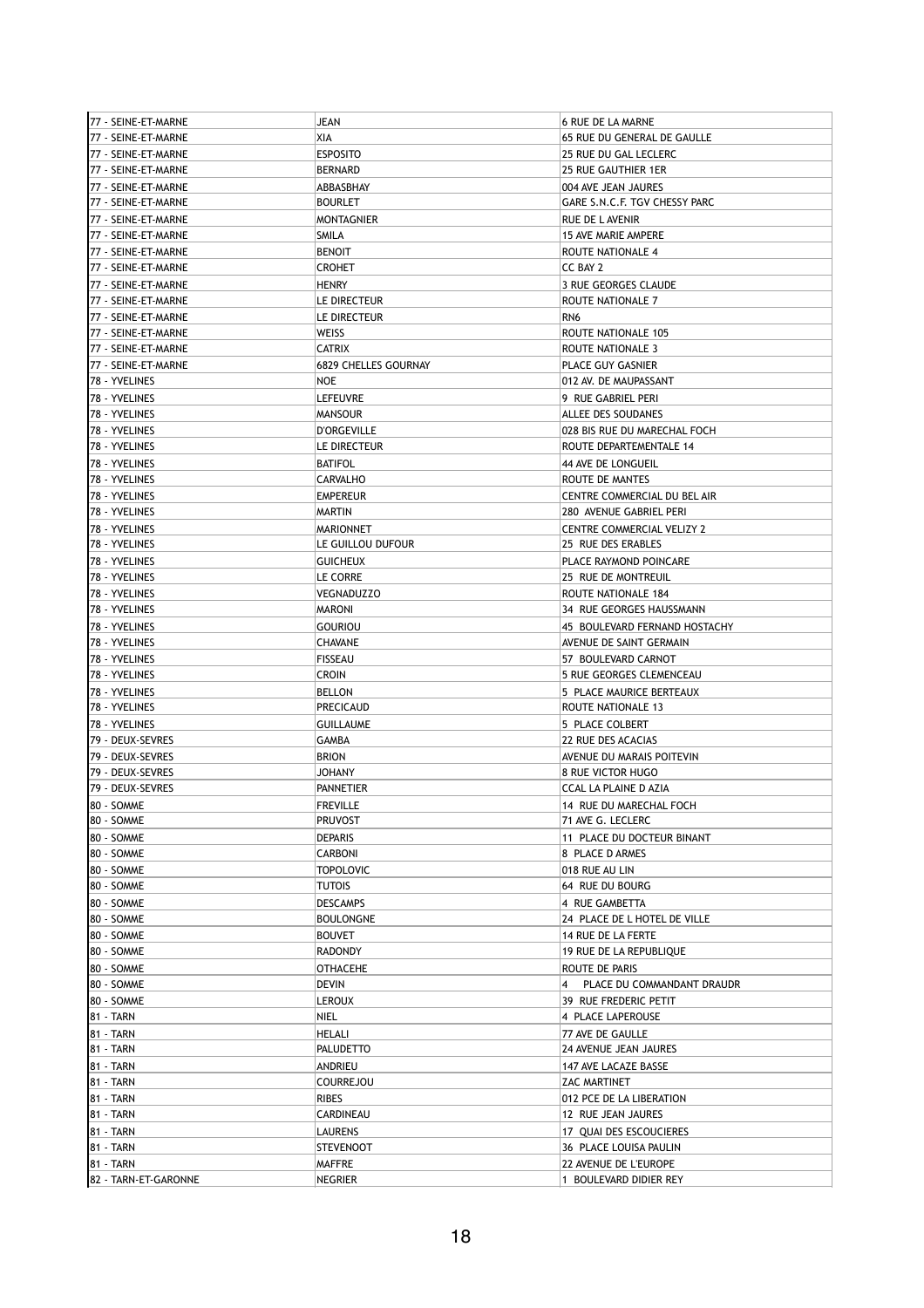| 77 - SEINE-ET-MARNE  | JEAN                 | <b>6 RUE DE LA MARNE</b>                     |
|----------------------|----------------------|----------------------------------------------|
| 77 - SEINE-ET-MARNE  | XIA                  | 65 RUE DU GENERAL DE GAULLE                  |
| 77 - SEINE-ET-MARNE  | <b>ESPOSITO</b>      | 25 RUE DU GAL LECLERC                        |
| 77 - SEINE-ET-MARNE  | <b>BERNARD</b>       | 25 RUE GAUTHIER 1ER                          |
| 77 - SEINE-ET-MARNE  | ABBASBHAY            | 004 AVE JEAN JAURES                          |
| 77 - SEINE-ET-MARNE  | <b>BOURLET</b>       | GARE S.N.C.F. TGV CHESSY PARC                |
|                      |                      |                                              |
| 77 - SEINE-ET-MARNE  | <b>MONTAGNIER</b>    | <b>RUE DE LAVENIR</b>                        |
| 77 - SEINE-ET-MARNE  | SMILA                | <b>15 AVE MARIE AMPERE</b>                   |
| 77 - SEINE-ET-MARNE  | <b>BENOIT</b>        | ROUTE NATIONALE 4                            |
| 77 - SEINE-ET-MARNE  | <b>CROHET</b>        | CC BAY 2                                     |
| 77 - SEINE-ET-MARNE  | HENRY                | 3 RUE GEORGES CLAUDE                         |
| 77 - SEINE-ET-MARNE  | LE DIRECTEUR         | ROUTE NATIONALE 7                            |
| 77 - SEINE-ET-MARNE  | LE DIRECTEUR         | RN <sub>6</sub>                              |
| 77 - SEINE-ET-MARNE  | WEISS                | ROUTE NATIONALE 105                          |
| 77 - SEINE-ET-MARNE  | <b>CATRIX</b>        | ROUTE NATIONALE 3                            |
| 77 - SEINE-ET-MARNE  | 6829 CHELLES GOURNAY | PLACE GUY GASNIER                            |
| 78 - YVELINES        | <b>NOE</b>           | 012 AV. DE MAUPASSANT                        |
| 78 - YVELINES        | <b>LEFEUVRE</b>      | 9 RUE GABRIEL PERI                           |
| 78 - YVELINES        | <b>MANSOUR</b>       | ALLEE DES SOUDANES                           |
|                      |                      |                                              |
| 78 - YVELINES        | <b>D'ORGEVILLE</b>   | 028 BIS RUE DU MARECHAL FOCH                 |
| 78 - YVELINES        | LE DIRECTEUR         | ROUTE DEPARTEMENTALE 14                      |
| 78 - YVELINES        | <b>BATIFOL</b>       | 44 AVE DE LONGUEIL                           |
| 78 - YVELINES        | <b>CARVALHO</b>      | ROUTE DE MANTES                              |
| 78 - YVELINES        | <b>EMPEREUR</b>      | CENTRE COMMERCIAL DU BEL AIR                 |
| 78 - YVELINES        | <b>MARTIN</b>        | 280 AVENUE GABRIEL PERI                      |
| 78 - YVELINES        | <b>MARIONNET</b>     | CENTRE COMMERCIAL VELIZY 2                   |
| 78 - YVELINES        | LE GUILLOU DUFOUR    | 25 RUE DES ERABLES                           |
| 78 - YVELINES        | <b>GUICHEUX</b>      | PLACE RAYMOND POINCARE                       |
| 78 - YVELINES        | LE CORRE             | 25 RUE DE MONTREUIL                          |
| 78 - YVELINES        | <b>VEGNADUZZO</b>    | ROUTE NATIONALE 184                          |
| 78 - YVELINES        | <b>MARONI</b>        | 34 RUE GEORGES HAUSSMANN                     |
| 78 - YVELINES        | <b>GOURIOU</b>       | 45 BOULEVARD FERNAND HOSTACHY                |
| 78 - YVELINES        |                      |                                              |
|                      | CHAVANE              | AVENUE DE SAINT GERMAIN                      |
| 78 - YVELINES        | <b>FISSEAU</b>       | 57 BOULEVARD CARNOT                          |
| 78 - YVELINES        | <b>CROIN</b>         | 5 RUE GEORGES CLEMENCEAU                     |
| 78 - YVELINES        | <b>BELLON</b>        | 5 PLACE MAURICE BERTEAUX                     |
| 78 - YVELINES        | PRECICAUD            | ROUTE NATIONALE 13                           |
| 78 - YVELINES        | <b>GUILLAUME</b>     | 5 PLACE COLBERT                              |
| 79 - DEUX-SEVRES     | GAMBA                | 22 RUE DES ACACIAS                           |
| 79 - DEUX-SEVRES     | <b>BRION</b>         | AVENUE DU MARAIS POITEVIN                    |
| 79 - DEUX-SEVRES     | <b>JOHANY</b>        | <b>8 RUE VICTOR HUGO</b>                     |
| 79 - Deux-Sevres     | <b>PANNETIER</b>     | CCAL LA PLAINE D AZIA                        |
| 80 - SOMME           | <b>FREVILLE</b>      | 14 RUE DU MARECHAL FOCH                      |
| 80 - SOMME           | <b>PRUVOST</b>       | 71 AVE G. LECLERC                            |
| 80 - SOMME           | <b>DEPARIS</b>       | 11 PLACE DU DOCTEUR BINANT                   |
| 80 - SOMME           | <b>CARBONI</b>       | 8 PLACE D ARMES                              |
| 80 - SOMME           | <b>TOPOLOVIC</b>     | 018 RUE AU LIN                               |
|                      |                      |                                              |
| 80 - SOMME           | <b>TUTOIS</b>        | 64 RUE DU BOURG                              |
| 80 - SOMME           | <b>DESCAMPS</b>      | 4 RUE GAMBETTA                               |
| 80 - SOMME           | <b>BOULONGNE</b>     | 24 PLACE DE L HOTEL DE VILLE                 |
| 80 - SOMME           | <b>BOUVET</b>        | 14 RUE DE LA FERTE                           |
| 80 - SOMME           | <b>RADONDY</b>       | 19 RUE DE LA REPUBLIQUE                      |
| 80 - SOMME           | <b>OTHACEHE</b>      | ROUTE DE PARIS                               |
| 80 - SOMME           | DEVIN                | PLACE DU COMMANDANT DRAUDR<br>$\overline{4}$ |
| 80 - SOMME           | <b>LEROUX</b>        | 39 RUE FREDERIC PETIT                        |
| 81 - TARN            | NIEL                 | 4 PLACE LAPEROUSE                            |
| 81 - TARN            | HELALI               | 77 AVE DE GAULLE                             |
| 81 - TARN            | <b>PALUDETTO</b>     | 24 AVENUE JEAN JAURES                        |
| 81 - TARN            | ANDRIEU              | 147 AVE LACAZE BASSE                         |
| 81 - TARN            | <b>COURREJOU</b>     | ZAC MARTINET                                 |
|                      |                      |                                              |
| 81 - TARN            | RIBES                | 012 PCE DE LA LIBERATION                     |
| 81 - TARN            | CARDINEAU            | 12 RUE JEAN JAURES                           |
| 81 - TARN            | <b>LAURENS</b>       | 17 QUAI DES ESCOUCIERES                      |
| 81 - TARN            | <b>STEVENOOT</b>     | 36 PLACE LOUISA PAULIN                       |
| 81 - TARN            | <b>MAFFRE</b>        | 22 AVENUE DE L'EUROPE                        |
| 82 - TARN-ET-GARONNE | NEGRIER              | 1 BOULEVARD DIDIER REY                       |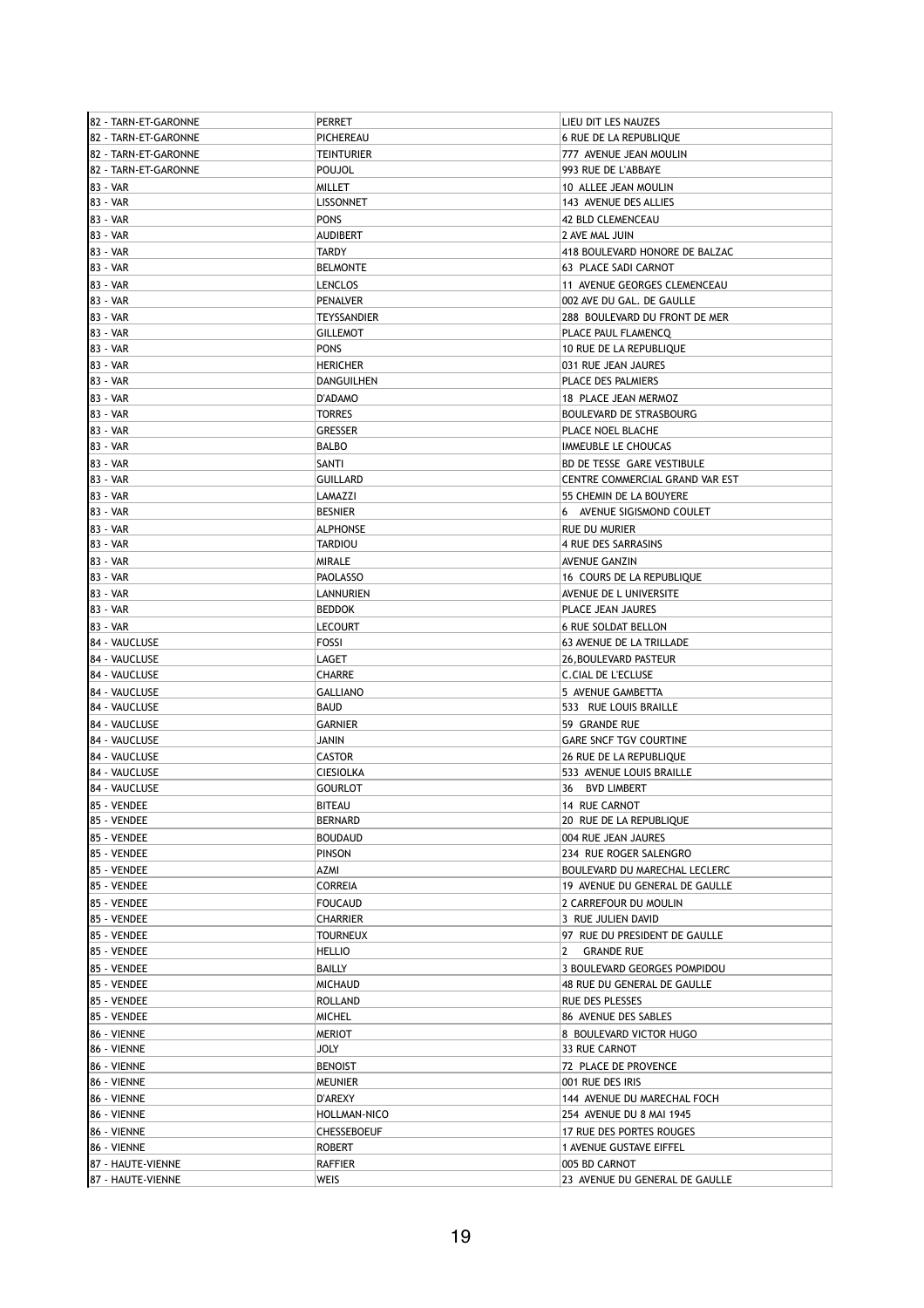| 82 - TARN-ET-GARONNE | <b>PERRET</b>                  | LIEU DIT LES NAUZES             |
|----------------------|--------------------------------|---------------------------------|
| 82 - TARN-ET-GARONNE | PICHEREAU                      | <b>6 RUE DE LA REPUBLIOUE</b>   |
| 82 - TARN-ET-GARONNE | TEINTURIER                     | 777 AVENUE JEAN MOULIN          |
| 82 - TARN-ET-GARONNE | POUJOL                         | 993 RUE DE L'ABBAYE             |
| 83 - VAR             | MILLET                         | 10 ALLEE JEAN MOULIN            |
| 83 - VAR             | <b>LISSONNET</b>               | 143 AVENUE DES ALLIES           |
| 83 - VAR             | <b>PONS</b>                    | <b>42 BLD CLEMENCEAU</b>        |
| 83 - VAR             | <b>AUDIBERT</b>                | 2 AVE MAL JUIN                  |
| 83 - VAR             | <b>TARDY</b>                   | 418 BOULEVARD HONORE DE BALZAC  |
| 83 - VAR             | <b>BELMONTE</b>                | 63 PLACE SADI CARNOT            |
| 83 - VAR             | <b>LENCLOS</b>                 | 11 AVENUE GEORGES CLEMENCEAU    |
| 83 - VAR             | <b>PENALVER</b>                | 002 AVE DU GAL. DE GAULLE       |
|                      |                                |                                 |
| 83 - VAR             | <b>TEYSSANDIER</b>             | 288 BOULEVARD DU FRONT DE MER   |
| 83 - VAR<br>83 - VAR | <b>GILLEMOT</b><br><b>PONS</b> | PLACE PAUL FLAMENCQ             |
|                      |                                | 10 RUE DE LA REPUBLIQUE         |
| 83 - VAR             | <b>HERICHER</b>                | 031 RUE JEAN JAURES             |
| 83 - VAR             | DANGUILHEN                     | PLACE DES PALMIERS              |
| 83 - VAR             | D'ADAMO                        | 18 PLACE JEAN MERMOZ            |
| 83 - VAR             | <b>TORRES</b>                  | <b>BOULEVARD DE STRASBOURG</b>  |
| 83 - VAR             | GRESSER                        | PLACE NOEL BLACHE               |
| 83 - VAR             | <b>BALBO</b>                   | IMMEUBLE LE CHOUCAS             |
| 83 - VAR             | SANTI                          | BD DE TESSE GARE VESTIBULE      |
| 83 - VAR             | <b>GUILLARD</b>                | CENTRE COMMERCIAL GRAND VAR EST |
| 83 - VAR             | LAMAZZI                        | 55 CHEMIN DE LA BOUYERE         |
| 83 - VAR             | <b>BESNIER</b>                 | 6 AVENUE SIGISMOND COULET       |
| 83 - VAR             | <b>ALPHONSE</b>                | <b>RUE DU MURIER</b>            |
| 83 - VAR             | TARDIOU                        | 4 RUE DES SARRASINS             |
| 83 - VAR             | <b>MIRALE</b>                  | AVENUE GANZIN                   |
| 83 - VAR             | <b>PAOLASSO</b>                | 16 COURS DE LA REPUBLIQUE       |
| 83 - VAR             | LANNURIEN                      | AVENUE DE L UNIVERSITE          |
| 83 - VAR             | <b>BEDDOK</b>                  | PLACE JEAN JAURES               |
| 83 - VAR             | <b>LECOURT</b>                 | <b>6 RUE SOLDAT BELLON</b>      |
| 84 - VAUCLUSE        | FOSSI                          | 63 AVENUE DE LA TRILLADE        |
| 84 - VAUCLUSE        | LAGET                          | 26, BOULEVARD PASTEUR           |
| 84 - VAUCLUSE        | <b>CHARRE</b>                  | C.CIAL DE L'ECLUSE              |
| 84 - VAUCLUSE        | <b>GALLIANO</b>                | 5 AVENUE GAMBETTA               |
| 84 - VAUCLUSE        | BAUD                           | 533 RUE LOUIS BRAILLE           |
| 84 - VAUCLUSE        | <b>GARNIER</b>                 | 59 GRANDE RUE                   |
| 84 - VAUCLUSE        | JANIN                          | <b>GARE SNCF TGV COURTINE</b>   |
| 84 - VAUCLUSE        | CASTOR                         | 26 RUE DE LA REPUBLIQUE         |
| 84 - VAUCLUSE        | <b>CIESIOLKA</b>               | 533 AVENUE LOUIS BRAILLE        |
| 84 - VAUCLUSE        | <b>GOURLOT</b>                 | 36 BVD LIMBERT                  |
| 85 - VENDEE          | <b>BITEAU</b>                  | 14 RUE CARNOT                   |
| 85 - VENDEE          | <b>BERNARD</b>                 | 20 RUE DE LA REPUBLIQUE         |
| 85 - VENDEE          | <b>BOUDAUD</b>                 | 004 RUE JEAN JAURES             |
| 85 - VENDEE          | PINSON                         | 234 RUE ROGER SALENGRO          |
| 85 - VENDEE          | AZMI                           | BOULEVARD DU MARECHAL LECLERC   |
| 85 - VENDEE          | CORREIA                        | 19 AVENUE DU GENERAL DE GAULLE  |
| 85 - VENDEE          | <b>FOUCAUD</b>                 | 2 CARREFOUR DU MOULIN           |
| 85 - VENDEE          | <b>CHARRIER</b>                | 3 RUE JULIEN DAVID              |
| 85 - VENDEE          | <b>TOURNEUX</b>                | 97 RUE DU PRESIDENT DE GAULLE   |
| 85 - VENDEE          | <b>HELLIO</b>                  | 2 GRANDE RUE                    |
| 85 - VENDEE          | BAILLY                         | 3 BOULEVARD GEORGES POMPIDOU    |
| 85 - VENDEE          | <b>MICHAUD</b>                 | 48 RUE DU GENERAL DE GAULLE     |
| 85 - VENDEE          | ROLLAND                        | RUE DES PLESSES                 |
| 85 - VENDEE          | <b>MICHEL</b>                  | 86 AVENUE DES SABLES            |
| 86 - VIENNE          | MERIOT                         | 8 BOULEVARD VICTOR HUGO         |
| 86 - VIENNE          | <b>JOLY</b>                    | 33 RUE CARNOT                   |
| 86 - VIENNE          | <b>BENOIST</b>                 | 72 PLACE DE PROVENCE            |
| 86 - VIENNE          | <b>MEUNIER</b>                 | 001 RUE DES IRIS                |
| 86 - VIENNE          | D'AREXY                        | 144 AVENUE DU MARECHAL FOCH     |
| 86 - VIENNE          | HOLLMAN-NICO                   | 254 AVENUE DU 8 MAI 1945        |
| 86 - VIENNE          | CHESSEBOEUF                    | 17 RUE DES PORTES ROUGES        |
| 86 - VIENNE          | ROBERT                         | 1 AVENUE GUSTAVE EIFFEL         |
| 87 - HAUTE-VIENNE    | <b>RAFFIER</b>                 | 005 BD CARNOT                   |
| 87 - HAUTE-VIENNE    | WEIS                           | 23 AVENUE DU GENERAL DE GAULLE  |
|                      |                                |                                 |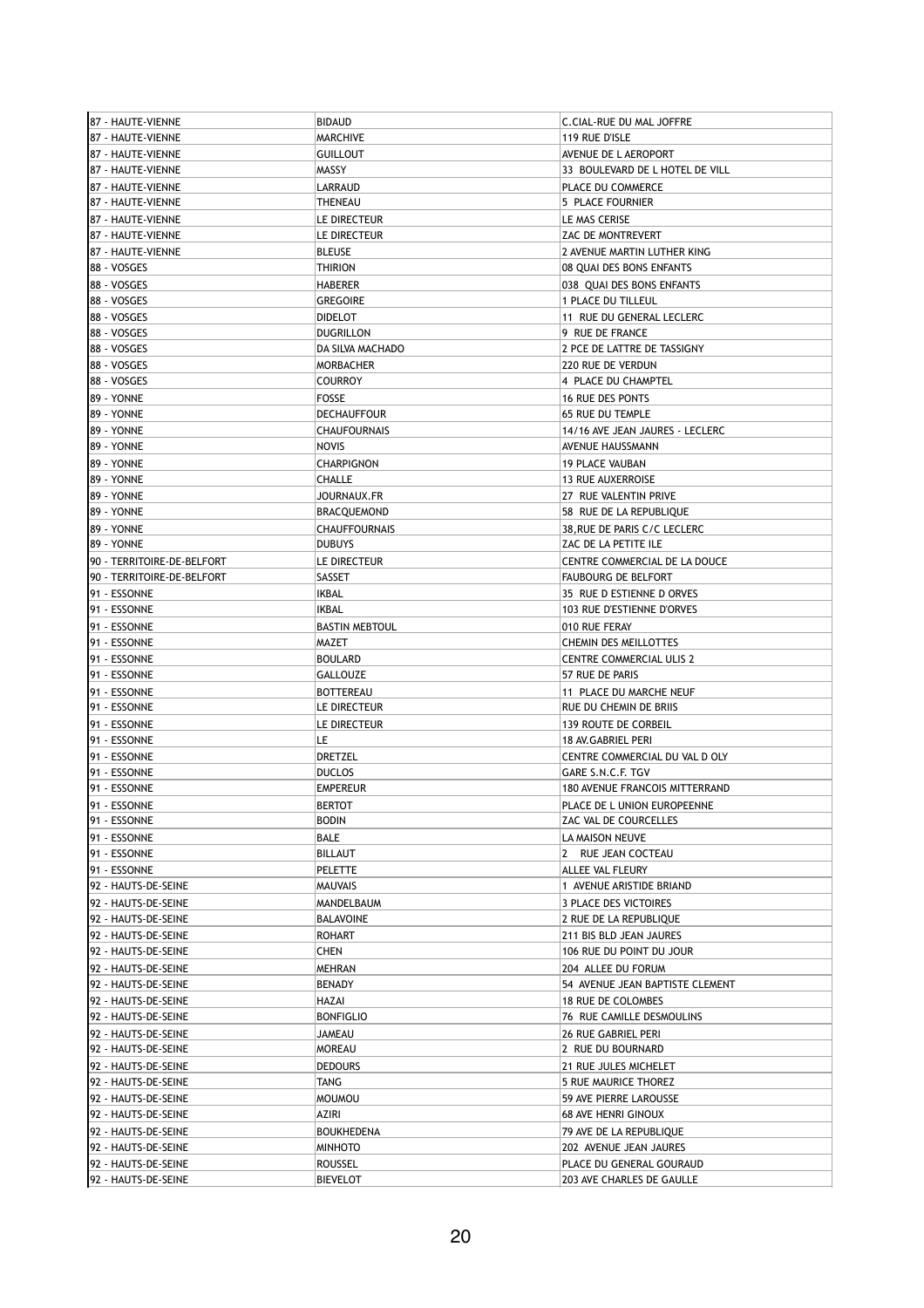| 87 - HAUTE-VIENNE          | <b>BIDAUD</b>         | C.CIAL-RUE DU MAL JOFFRE              |
|----------------------------|-----------------------|---------------------------------------|
| 87 - HAUTE-VIENNE          | <b>MARCHIVE</b>       | 119 RUE D'ISLE                        |
| 87 - HAUTE-VIENNE          | <b>GUILLOUT</b>       | AVENUE DE L AEROPORT                  |
| 187 - HAUTE-VIENNE         | MASSY                 | 33 BOULEVARD DE L HOTEL DE VILL       |
| 87 - HAUTE-VIENNE          | LARRAUD               | PLACE DU COMMERCE                     |
| 87 - HAUTE-VIENNE          | <b>THENEAU</b>        | 5 PLACE FOURNIER                      |
|                            |                       |                                       |
| 87 - HAUTE-VIENNE          | LE DIRECTEUR          | LE MAS CERISE                         |
| 87 - HAUTE-VIENNE          | LE DIRECTEUR          | ZAC DE MONTREVERT                     |
| 87 - HAUTE-VIENNE          | <b>BLEUSE</b>         | 2 AVENUE MARTIN LUTHER KING           |
| 88 - VOSGES                | <b>THIRION</b>        | 08 QUAI DES BONS ENFANTS              |
| 88 - VOSGES                | <b>HABERER</b>        | 038 OUAI DES BONS ENFANTS             |
| 88 - VOSGES                | <b>GREGOIRE</b>       | 1 PLACE DU TILLEUL                    |
| 88 - VOSGES                | <b>DIDELOT</b>        | 11 RUE DU GENERAL LECLERC             |
| 88 - VOSGES                | <b>DUGRILLON</b>      | 9 RUE DE FRANCE                       |
| 88 - VOSGES                | DA SILVA MACHADO      | 2 PCE DE LATTRE DE TASSIGNY           |
| 88 - VOSGES                | <b>MORBACHER</b>      | 220 RUE DE VERDUN                     |
| 88 - VOSGES                | <b>COURROY</b>        | 4 PLACE DU CHAMPTEL                   |
| 89 - YONNE                 | <b>FOSSE</b>          | <b>16 RUE DES PONTS</b>               |
| 89 - YONNE                 | <b>DECHAUFFOUR</b>    | <b>65 RUE DU TEMPLE</b>               |
|                            |                       |                                       |
| 89 - YONNE                 | <b>CHAUFOURNAIS</b>   | 14/16 AVE JEAN JAURES - LECLERC       |
| 89 - YONNE                 | <b>NOVIS</b>          | AVENUE HAUSSMANN                      |
| 89 - YONNE                 | <b>CHARPIGNON</b>     | <b>19 PLACE VAUBAN</b>                |
| 89 - YONNE                 | CHALLE                | <b>13 RUE AUXERROISE</b>              |
| 89 - YONNE                 | JOURNAUX.FR           | 27 RUE VALENTIN PRIVE                 |
| 89 - YONNE                 | <b>BRACQUEMOND</b>    | 58 RUE DE LA REPUBLIQUE               |
| 89 - YONNE                 | <b>CHAUFFOURNAIS</b>  | 38, RUE DE PARIS C/C LECLERC          |
| 89 - YONNE                 | <b>DUBUYS</b>         | ZAC DE LA PETITE ILE                  |
| 90 - TERRITOIRE-DE-BELFORT | LE DIRECTEUR          | CENTRE COMMERCIAL DE LA DOUCE         |
| 90 - TERRITOIRE-DE-BELFORT | SASSET                | <b>FAUBOURG DE BELFORT</b>            |
| 91 - ESSONNE               | IKBAL                 | 35 RUE D ESTIENNE D ORVES             |
| 91 - ESSONNE               | IKBAL                 | 103 RUE D'ESTIENNE D'ORVES            |
| 91 - ESSONNE               | <b>BASTIN MEBTOUL</b> | 010 RUE FERAY                         |
| 91 - ESSONNE               | MAZET                 |                                       |
|                            |                       | CHEMIN DES MEILLOTTES                 |
| 91 - ESSONNE               | <b>BOULARD</b>        | <b>CENTRE COMMERCIAL ULIS 2</b>       |
| 91 - ESSONNE               | GALLOUZE              | 57 RUE DE PARIS                       |
| 91 - ESSONNE               | <b>BOTTEREAU</b>      | 11 PLACE DU MARCHE NEUF               |
|                            |                       |                                       |
| 91 - ESSONNE               | LE DIRECTEUR          | RUE DU CHEMIN DE BRIIS                |
| 91 - ESSONNE               | LE DIRECTEUR          | <b>139 ROUTE DE CORBEIL</b>           |
| 91 - ESSONNE               | LE                    | 18 AV.GABRIEL PERI                    |
| 91 - ESSONNE               | DRETZEL               | CENTRE COMMERCIAL DU VAL D OLY        |
| 91 - ESSONNE               | <b>DUCLOS</b>         | GARE S.N.C.F. TGV                     |
| 91 - ESSONNE               | <b>EMPEREUR</b>       | <b>180 AVENUE FRANCOIS MITTERRAND</b> |
|                            |                       |                                       |
| 91 - ESSONNE               | <b>BERTOT</b>         | PLACE DE L UNION EUROPEENNE           |
| 91 - ESSONNE               | <b>BODIN</b>          | ZAC VAL DE COURCELLES                 |
| 91 - ESSONNE               | BALE                  | LA MAISON NEUVE                       |
| 91 - ESSONNE               | BILLAUT               | 2 RUE JEAN COCTEAU                    |
| 91 - ESSONNE               | PELETTE               | ALLEE VAL FLEURY                      |
| 92 - HAUTS-DE-SEINE        | <b>MAUVAIS</b>        | 1 AVENUE ARISTIDE BRIAND              |
| 92 - HAUTS-DE-SEINE        | <b>MANDELBAUM</b>     | 3 PLACE DES VICTOIRES                 |
| 92 - HAUTS-DE-SEINE        | <b>BALAVOINE</b>      | 2 RUE DE LA REPUBLIQUE                |
| 92 - HAUTS-DE-SEINE        | ROHART                | 211 BIS BLD JEAN JAURES               |
| 92 - HAUTS-DE-SEINE        | CHEN                  | 106 RUE DU POINT DU JOUR              |
| 92 - HAUTS-DE-SEINE        | <b>MEHRAN</b>         | 204 ALLEE DU FORUM                    |
| 92 - HAUTS-DE-SEINE        | BENADY                | 54 AVENUE JEAN BAPTISTE CLEMENT       |
| 92 - HAUTS-DE-SEINE        | HAZAI                 | 18 RUE DE COLOMBES                    |
| 92 - HAUTS-DE-SEINE        | <b>BONFIGLIO</b>      | 76 RUE CAMILLE DESMOULINS             |
|                            | JAMEAU                | <b>26 RUE GABRIEL PERI</b>            |
| 92 - HAUTS-DE-SEINE        |                       |                                       |
| 92 - HAUTS-DE-SEINE        | MOREAU                | 2 RUE DU BOURNARD                     |
| 92 - HAUTS-DE-SEINE        | <b>DEDOURS</b>        | 21 RUE JULES MICHELET                 |
| 92 - HAUTS-DE-SEINE        | TANG                  | 5 RUE MAURICE THOREZ                  |
| 92 - HAUTS-DE-SEINE        | <b>MOUMOU</b>         | 59 AVE PIERRE LAROUSSE                |
| 92 - HAUTS-DE-SEINE        | AZIRI                 | <b>68 AVE HENRI GINOUX</b>            |
| 92 - HAUTS-DE-SEINE        | BOUKHEDENA            | 79 AVE DE LA REPUBLIQUE               |
| 92 - HAUTS-DE-SEINE        | MINHOTO               | 202 AVENUE JEAN JAURES                |
| 92 - HAUTS-DE-SEINE        | ROUSSEL               | PLACE DU GENERAL GOURAUD              |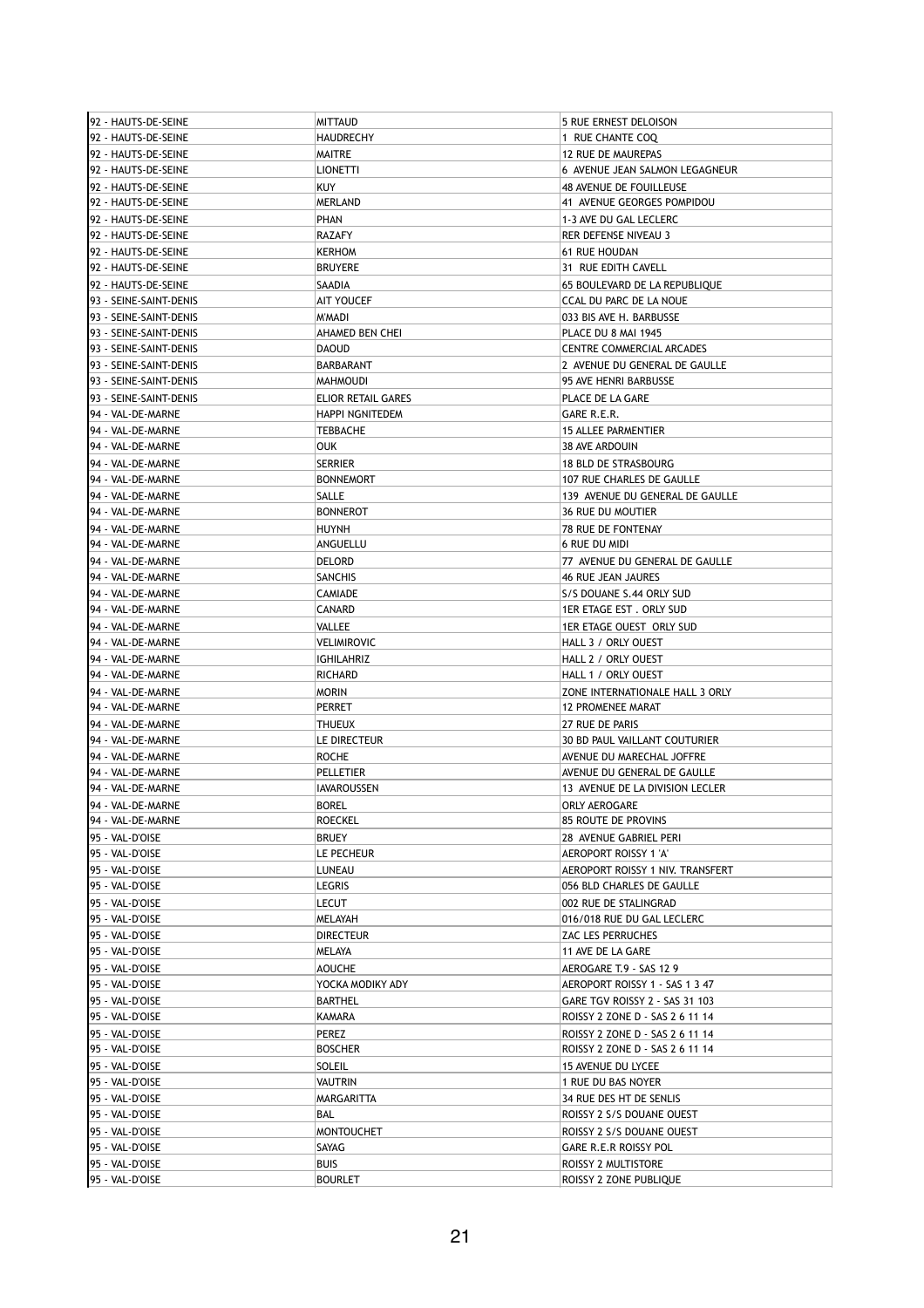| 92 - HAUTS-DE-SEINE                            | MITTAUD                | 5 RUE ERNEST DELOISON            |
|------------------------------------------------|------------------------|----------------------------------|
| 92 - HAUTS-DE-SEINE                            | <b>HAUDRECHY</b>       | 1 RUE CHANTE COQ                 |
| 92 - HAUTS-DE-SEINE                            | MAITRE                 | 12 RUE DE MAUREPAS               |
| 92 - HAUTS-DE-SEINE                            | <b>LIONETTI</b>        | 6 AVENUE JEAN SALMON LEGAGNEUR   |
| 92 - HAUTS-DE-SEINE                            | <b>KUY</b>             | 48 AVENUE DE FOUILLEUSE          |
| 92 - HAUTS-DE-SEINE                            | <b>MERLAND</b>         | 41 AVENUE GEORGES POMPIDOU       |
| 192 - HAUTS-DE-SEINE                           | PHAN                   | 1-3 AVE DU GAL LECLERC           |
| 192 - HAUTS-DE-SEINE                           | <b>RAZAFY</b>          | <b>RER DEFENSE NIVEAU 3</b>      |
| 92 - HAUTS-DE-SEINE                            | <b>KERHOM</b>          | <b>61 RUE HOUDAN</b>             |
| 92 - HAUTS-DE-SEINE                            | <b>BRUYERE</b>         | 31 RUE EDITH CAVELL              |
|                                                | SAADIA                 |                                  |
| 192 - HAUTS-DE-SEINE<br>93 - SEINE-SAINT-DENIS |                        | 65 BOULEVARD DE LA REPUBLIQUE    |
|                                                | AIT YOUCEF             | CCAL DU PARC DE LA NOUE          |
| 93 - SEINE-SAINT-DENIS                         | M'MADI                 | 033 BIS AVE H. BARBUSSE          |
| 93 - SEINE-SAINT-DENIS                         | AHAMED BEN CHEI        | PLACE DU 8 MAI 1945              |
| 93 - SEINE-SAINT-DENIS                         | <b>DAOUD</b>           | CENTRE COMMERCIAL ARCADES        |
| 93 - SEINE-SAINT-DENIS                         | BARBARANT              | 2 AVENUE DU GENERAL DE GAULLE    |
| 93 - SEINE-SAINT-DENIS                         | <b>MAHMOUDI</b>        | 95 AVE HENRI BARBUSSE            |
| 93 - SEINE-SAINT-DENIS                         | ELIOR RETAIL GARES     | PLACE DE LA GARE                 |
| 94 - VAL-DE-MARNE                              | <b>HAPPI NGNITEDEM</b> | GARE R.E.R.                      |
| 94 - VAL-DE-MARNE                              | TEBBACHE               | <b>15 ALLEE PARMENTIER</b>       |
| 94 - VAL-DE-MARNE                              | OUK                    | 38 AVE ARDOUIN                   |
| 94 - VAL-DE-MARNE                              | <b>SERRIER</b>         | <b>18 BLD DE STRASBOURG</b>      |
| 94 - VAL-DE-MARNE                              | <b>BONNEMORT</b>       | 107 RUE CHARLES DE GAULLE        |
| 94 - VAL-DE-MARNE                              | SALLE                  | 139 AVENUE DU GENERAL DE GAULLE  |
| 94 - VAL-DE-MARNE                              | <b>BONNEROT</b>        | <b>36 RUE DU MOUTIER</b>         |
| 94 - VAL-DE-MARNE                              | <b>HUYNH</b>           | 78 RUE DE FONTENAY               |
| 94 - VAL-DE-MARNE                              | ANGUELLU               | <b>6 RUE DU MIDI</b>             |
| 94 - VAL-DE-MARNE                              | DELORD                 | 77 AVENUE DU GENERAL DE GAULLE   |
| 94 - VAL-DE-MARNE                              | SANCHIS                | 46 RUE JEAN JAURES               |
| 94 - VAL-DE-MARNE                              | <b>CAMIADE</b>         | S/S DOUANE S.44 ORLY SUD         |
| 94 - VAL-DE-MARNE                              | CANARD                 | 1ER ETAGE EST. ORLY SUD          |
| 94 - VAL-DE-MARNE                              | VALLEE                 | 1ER ETAGE OUEST ORLY SUD         |
| 94 - VAL-DE-MARNE                              | VELIMIROVIC            | HALL 3 / ORLY OUEST              |
| 94 - VAL-DE-MARNE                              | IGHILAHRIZ             | HALL 2 / ORLY OUEST              |
| 94 - VAL-DE-MARNE                              | RICHARD                | HALL 1 / ORLY OUEST              |
| 94 - VAL-DE-MARNE                              | MORIN                  | ZONE INTERNATIONALE HALL 3 ORLY  |
| 94 - VAL-DE-MARNE                              | PERRET                 | <b>12 PROMENEE MARAT</b>         |
| 94 - VAL-DE-MARNE                              | THUEUX                 | 27 RUE DE PARIS                  |
| 94 - VAL-DE-MARNE                              | LE DIRECTEUR           | 30 BD PAUL VAILLANT COUTURIER    |
| 94 - VAL-DE-MARNE                              | ROCHE                  | AVENUE DU MARECHAL JOFFRE        |
| 94 - VAL-DE-MARNE                              | PELLETIER              | AVENUE DU GENERAL DE GAULLE      |
| 94 - VAL-DE-MARNE                              | IAVAROUSSEN            | 13 AVENUE DE LA DIVISION LECLER  |
| 94 - VAL-DE-MARNE                              | <b>BOREL</b>           | <b>ORLY AEROGARE</b>             |
| 94 - VAL-DE-MARNE                              | ROECKEL                | 85 ROUTE DE PROVINS              |
| 95 - VAL-D'OISE                                | BRUEY                  | 28 AVENUE GABRIEL PERI           |
| 95 - VAL-D'OISE                                | LE PECHEUR             | AEROPORT ROISSY 1 'A'            |
| 95 - VAL-D'OISE                                | LUNEAU                 | AEROPORT ROISSY 1 NIV. TRANSFERT |
| 95 - VAL-D'OISE                                | LEGRIS                 | 056 BLD CHARLES DE GAULLE        |
| 95 - VAL-D'OISE                                | LECUT                  | 002 RUE DE STALINGRAD            |
| 95 - VAL-D'OISE                                | MELAYAH                | 016/018 RUE DU GAL LECLERC       |
| 95 - VAL-D'OISE                                | <b>DIRECTEUR</b>       | ZAC LES PERRUCHES                |
| 95 - VAL-D'OISE                                | MELAYA                 | 11 AVE DE LA GARE                |
| 95 - VAL-D'OISE                                | <b>AOUCHE</b>          | AEROGARE T.9 - SAS 12 9          |
| 95 - VAL-D'OISE                                | YOCKA MODIKY ADY       | AEROPORT ROISSY 1 - SAS 1 3 47   |
| 95 - VAL-D'OISE                                | <b>BARTHEL</b>         | GARE TGV ROISSY 2 - SAS 31 103   |
| 95 - VAL-D'OISE                                | KAMARA                 | ROISSY 2 ZONE D - SAS 2 6 11 14  |
| 95 - VAL-D'OISE                                | PEREZ                  | ROISSY 2 ZONE D - SAS 2 6 11 14  |
| 95 - VAL-D'OISE                                | <b>BOSCHER</b>         | ROISSY 2 ZONE D - SAS 2 6 11 14  |
| 95 - VAL-D'OISE                                | SOLEIL                 | 15 AVENUE DU LYCEE               |
| 95 - VAL-D'OISE                                | VAUTRIN                | 1 RUE DU BAS NOYER               |
| 95 - VAL-D'OISE                                | MARGARITTA             | 34 RUE DES HT DE SENLIS          |
| 95 - VAL-D'OISE                                | BAL                    | ROISSY 2 S/S DOUANE OUEST        |
| 95 - VAL-D'OISE                                | MONTOUCHET             | ROISSY 2 S/S DOUANE OUEST        |
|                                                |                        |                                  |
| 95 - VAL-D'OISE                                | SAYAG                  | GARE R.E.R ROISSY POL            |
| 95 - VAL-D'OISE                                | <b>BUIS</b>            | ROISSY 2 MULTISTORE              |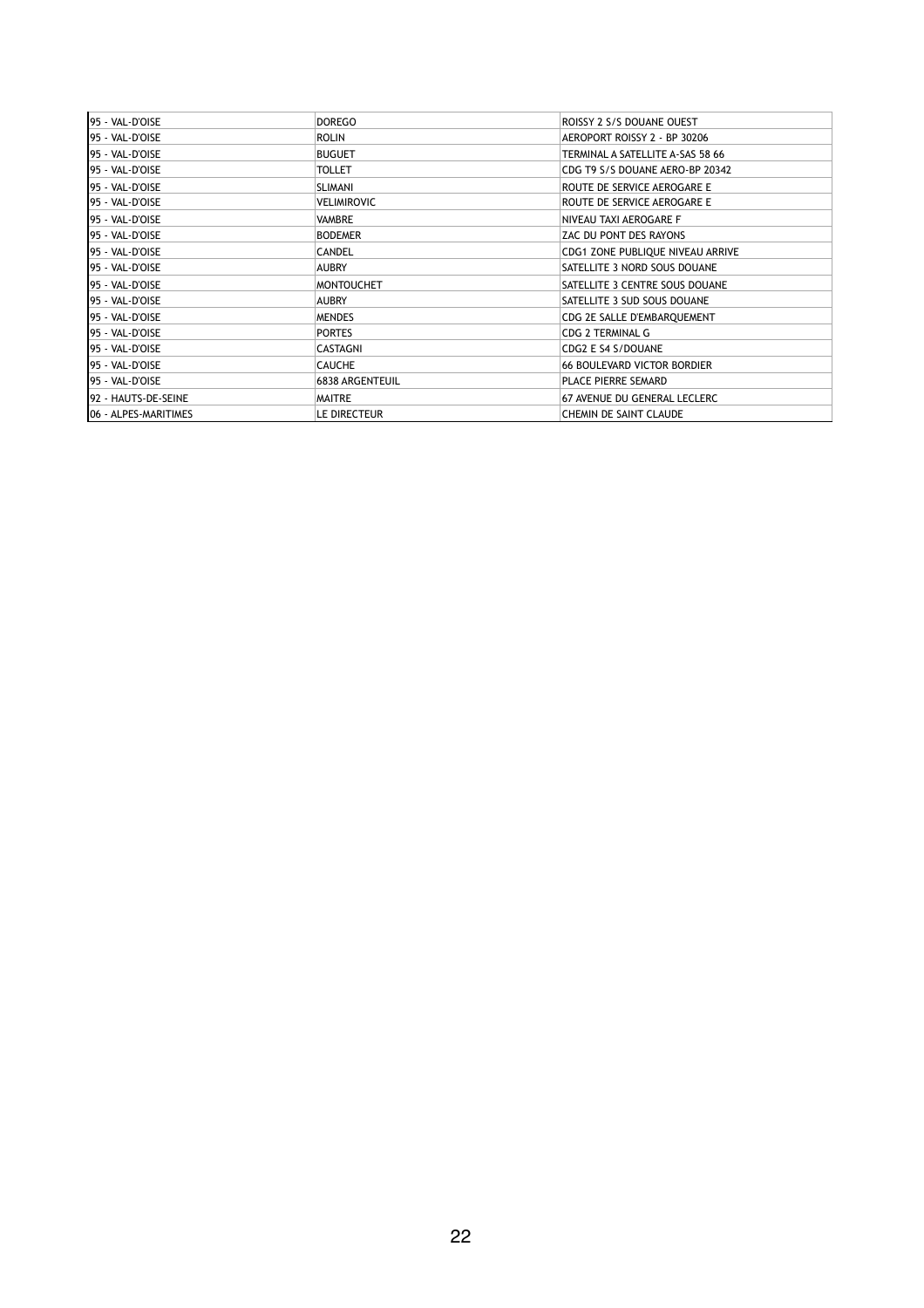| 195 - VAL-D'OISE      | <b>DOREGO</b>     | ROISSY 2 S/S DOUANE OUEST          |
|-----------------------|-------------------|------------------------------------|
| 195 - VAL-D'OISE      | <b>ROLIN</b>      | AEROPORT ROISSY 2 - BP 30206       |
| 95 - VAL-D'OISE       | <b>BUGUET</b>     | TERMINAL A SATELLITE A-SAS 58 66   |
| 95 - VAL-D'OISE       | <b>TOLLET</b>     | CDG T9 S/S DOUANE AERO-BP 20342    |
| 95 - VAL-D'OISE       | <b>SLIMANI</b>    | ROUTE DE SERVICE AEROGARE E        |
| 195 - VAL-D'OISE      | VELIMIROVIC       | ROUTE DE SERVICE AEROGARE E        |
| 95 - VAL-D'OISE       | VAMBRE            | NIVEAU TAXI AEROGARE F             |
| 195 - VAL-D'OISE      | <b>BODEMER</b>    | ZAC DU PONT DES RAYONS             |
| 195 - VAL-D'OISE      | <b>CANDEL</b>     | CDG1 ZONE PUBLIQUE NIVEAU ARRIVE   |
| 195 - VAL-D'OISE      | <b>AUBRY</b>      | SATELLITE 3 NORD SOUS DOUANE       |
| 195 - VAL-D'OISE      | <b>MONTOUCHET</b> | SATELLITE 3 CENTRE SOUS DOUANE     |
| 195 - VAL-D'OISE      | <b>AUBRY</b>      | SATELLITE 3 SUD SOUS DOUANE        |
| 195 - VAL-D'OISE      | <b>MENDES</b>     | CDG 2E SALLE D'EMBARQUEMENT        |
| 195 - VAL-D'OISE      | <b>PORTES</b>     | <b>CDG 2 TERMINAL G</b>            |
| 95 - VAL-D'OISE       | CASTAGNI          | CDG2 E S4 S/DOUANE                 |
| 95 - VAL-D'OISE       | <b>CAUCHE</b>     | <b>66 BOULEVARD VICTOR BORDIER</b> |
| 195 - VAL-D'OISE      | 6838 ARGENTEUIL   | PLACE PIERRE SEMARD                |
| 92 - HAUTS-DE-SEINE   | MAITRE            | 67 AVENUE DU GENERAL LECLERC       |
| 106 - ALPES-MARITIMES | LE DIRECTEUR      | CHEMIN DE SAINT CLAUDE             |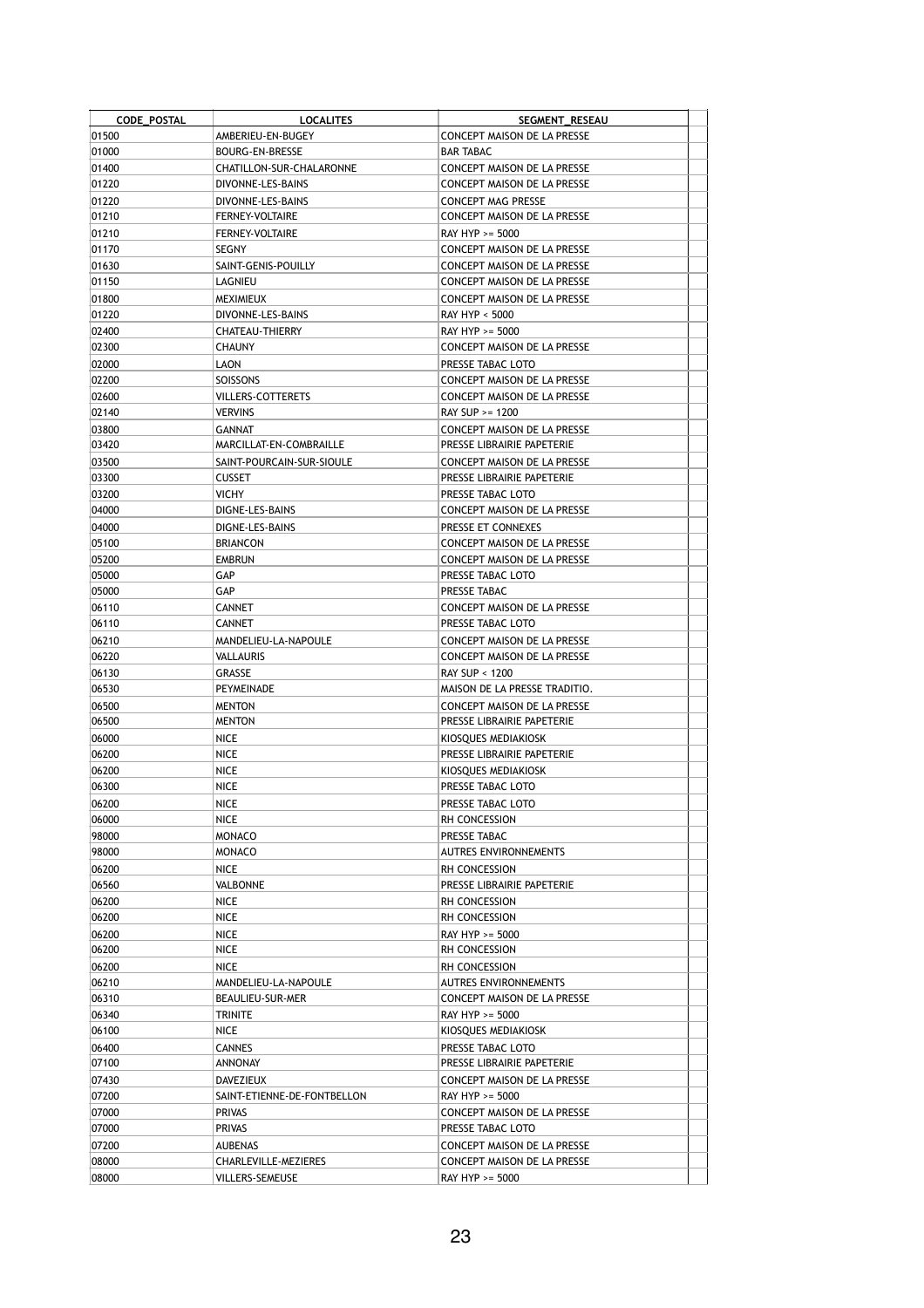| CODE_POSTAL    | <b>LOCALITES</b>                           | SEGMENT_RESEAU                                            |  |
|----------------|--------------------------------------------|-----------------------------------------------------------|--|
| 01500          | AMBERIEU-EN-BUGEY                          | CONCEPT MAISON DE LA PRESSE                               |  |
| 01000          | BOURG-EN-BRESSE                            | <b>BAR TABAC</b>                                          |  |
| 01400          | CHATILLON-SUR-CHALARONNE                   | CONCEPT MAISON DE LA PRESSE                               |  |
| 01220          | DIVONNE-LES-BAINS                          | CONCEPT MAISON DE LA PRESSE                               |  |
| 01220          | DIVONNE-LES-BAINS                          | CONCEPT MAG PRESSE                                        |  |
| 01210          | <b>FERNEY-VOLTAIRE</b>                     | CONCEPT MAISON DE LA PRESSE                               |  |
| 01210          | <b>FERNEY-VOLTAIRE</b>                     | RAY HYP >= 5000                                           |  |
| 01170          | SEGNY                                      | CONCEPT MAISON DE LA PRESSE                               |  |
| 01630          | SAINT-GENIS-POUILLY                        | CONCEPT MAISON DE LA PRESSE                               |  |
| 01150          | LAGNIEU                                    | CONCEPT MAISON DE LA PRESSE                               |  |
| 01800          | <b>MEXIMIEUX</b>                           | CONCEPT MAISON DE LA PRESSE                               |  |
| 01220          | DIVONNE-LES-BAINS                          | RAY HYP < 5000                                            |  |
| 02400          | CHATEAU-THIERRY                            | RAY HYP >= 5000                                           |  |
| 02300          | <b>CHAUNY</b>                              | CONCEPT MAISON DE LA PRESSE                               |  |
| 02000          | LAON                                       | PRESSE TABAC LOTO                                         |  |
| 02200          | SOISSONS                                   | CONCEPT MAISON DE LA PRESSE                               |  |
| 02600          | VILLERS-COTTERETS                          | CONCEPT MAISON DE LA PRESSE                               |  |
| 02140          | <b>VERVINS</b>                             | RAY SUP >= 1200                                           |  |
| 03800<br>03420 | GANNAT                                     | CONCEPT MAISON DE LA PRESSE<br>PRESSE LIBRAIRIE PAPETERIE |  |
|                | MARCILLAT-EN-COMBRAILLE                    |                                                           |  |
| 03500<br>03300 | SAINT-POURCAIN-SUR-SIOULE<br><b>CUSSET</b> | CONCEPT MAISON DE LA PRESSE<br>PRESSE LIBRAIRIE PAPETERIE |  |
| 03200          | <b>VICHY</b>                               | PRESSE TABAC LOTO                                         |  |
| 04000          | DIGNE-LES-BAINS                            | CONCEPT MAISON DE LA PRESSE                               |  |
| 04000          | DIGNE-LES-BAINS                            | PRESSE ET CONNEXES                                        |  |
| 05100          | <b>BRIANCON</b>                            | <b>CONCEPT MAISON DE LA PRESSE</b>                        |  |
| 05200          | <b>EMBRUN</b>                              | CONCEPT MAISON DE LA PRESSE                               |  |
| 05000          | GAP                                        | PRESSE TABAC LOTO                                         |  |
| 05000          | GAP                                        | PRESSE TABAC                                              |  |
| 06110          | <b>CANNET</b>                              | CONCEPT MAISON DE LA PRESSE                               |  |
| 06110          | <b>CANNET</b>                              | PRESSE TABAC LOTO                                         |  |
| 06210          | MANDELIEU-LA-NAPOULE                       | CONCEPT MAISON DE LA PRESSE                               |  |
| 06220          | VALLAURIS                                  | CONCEPT MAISON DE LA PRESSE                               |  |
| 06130          | GRASSE                                     | RAY SUP < 1200                                            |  |
| 06530          | PEYMEINADE                                 | MAISON DE LA PRESSE TRADITIO.                             |  |
| 06500          | <b>MENTON</b>                              | CONCEPT MAISON DE LA PRESSE                               |  |
| 06500          | <b>MENTON</b>                              | PRESSE LIBRAIRIE PAPETERIE                                |  |
| 06000          | <b>NICE</b>                                | KIOSQUES MEDIAKIOSK                                       |  |
| 06200          | <b>NICE</b>                                | PRESSE LIBRAIRIE PAPETERIE                                |  |
| 06200          | <b>NICE</b>                                | KIOSOUES MEDIAKIOSK                                       |  |
| 06300          | <b>NICE</b>                                | PRESSE TABAC LOTO                                         |  |
| 06200          | <b>NICE</b>                                | PRESSE TABAC LOTO                                         |  |
| 06000          | <b>NICE</b>                                | RH CONCESSION                                             |  |
| 98000          | <b>MONACO</b>                              | PRESSE TABAC                                              |  |
| 98000          | <b>MONACO</b>                              | <b>AUTRES ENVIRONNEMENTS</b>                              |  |
| 06200          | NICE                                       | RH CONCESSION                                             |  |
| 06560          | VALBONNE                                   | PRESSE LIBRAIRIE PAPETERIE                                |  |
| 06200          | NICE                                       | RH CONCESSION                                             |  |
| 06200          | <b>NICE</b>                                | RH CONCESSION                                             |  |
| 06200<br>06200 | <b>NICE</b><br><b>NICE</b>                 | RAY HYP >= 5000<br>RH CONCESSION                          |  |
| 06200          | <b>NICE</b>                                | <b>RH CONCESSION</b>                                      |  |
| 06210          | MANDELIEU-LA-NAPOULE                       | <b>AUTRES ENVIRONNEMENTS</b>                              |  |
| 06310          | BEAULIEU-SUR-MER                           | CONCEPT MAISON DE LA PRESSE                               |  |
| 06340          | TRINITE                                    | RAY HYP >= 5000                                           |  |
| 06100          | NICE                                       | KIOSQUES MEDIAKIOSK                                       |  |
| 06400          | CANNES                                     | PRESSE TABAC LOTO                                         |  |
| 07100          | ANNONAY                                    | PRESSE LIBRAIRIE PAPETERIE                                |  |
| 07430          | DAVEZIEUX                                  | CONCEPT MAISON DE LA PRESSE                               |  |
| 07200          | SAINT-ETIENNE-DE-FONTBELLON                | RAY HYP >= 5000                                           |  |
| 07000          | <b>PRIVAS</b>                              | CONCEPT MAISON DE LA PRESSE                               |  |
| 07000          | PRIVAS                                     | PRESSE TABAC LOTO                                         |  |
| 07200          | AUBENAS                                    | CONCEPT MAISON DE LA PRESSE                               |  |
| 08000          | CHARLEVILLE-MEZIERES                       | CONCEPT MAISON DE LA PRESSE                               |  |
| 08000          | VILLERS-SEMEUSE                            | RAY HYP >= 5000                                           |  |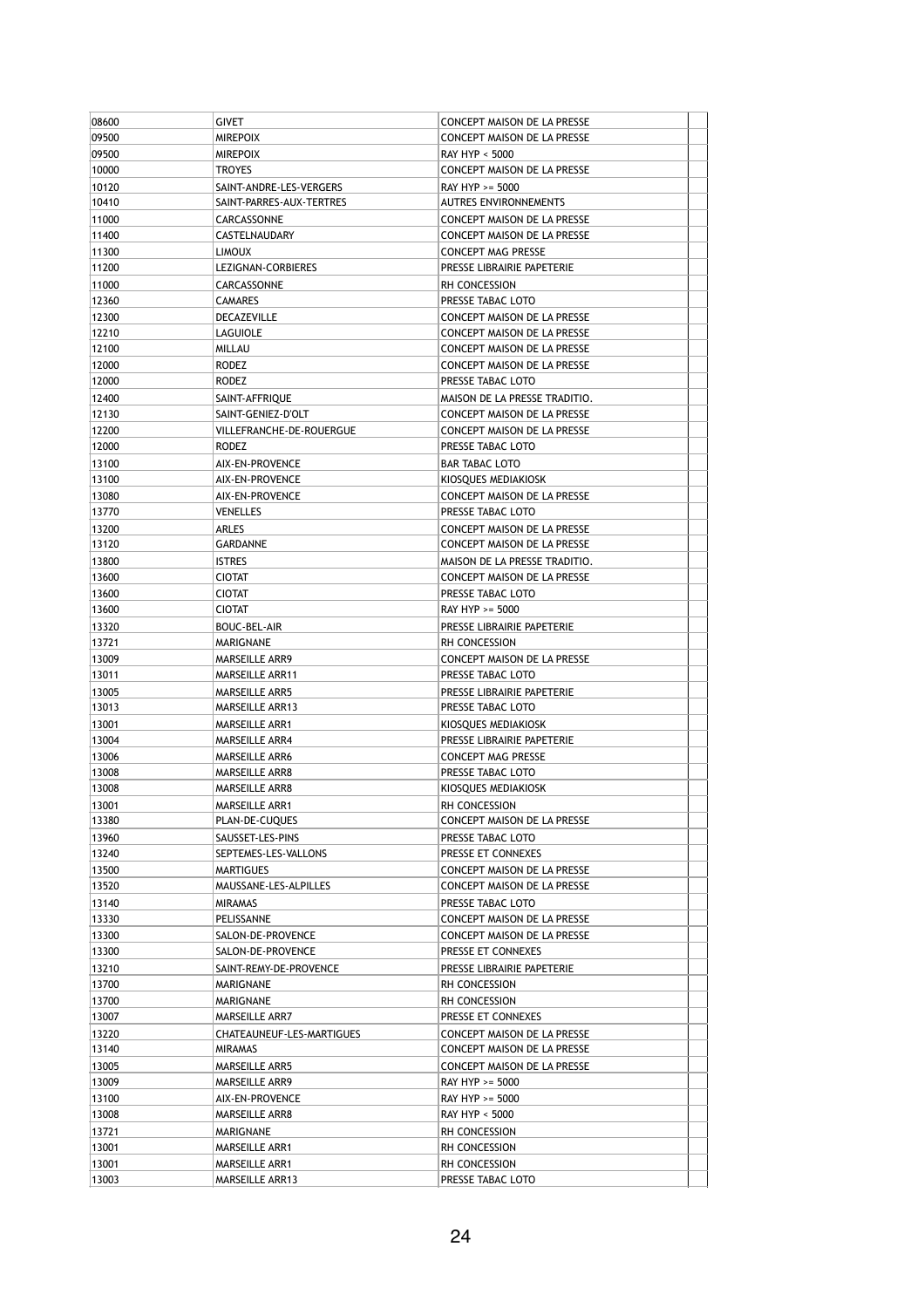| 08600 |                           |                                    |  |
|-------|---------------------------|------------------------------------|--|
|       | GIVET                     | CONCEPT MAISON DE LA PRESSE        |  |
| 09500 | <b>MIREPOIX</b>           | CONCEPT MAISON DE LA PRESSE        |  |
| 09500 | <b>MIREPOIX</b>           | RAY HYP < 5000                     |  |
| 10000 | <b>TROYES</b>             | CONCEPT MAISON DE LA PRESSE        |  |
| 10120 | SAINT-ANDRE-LES-VERGERS   | RAY HYP >= 5000                    |  |
| 10410 | SAINT-PARRES-AUX-TERTRES  | <b>AUTRES ENVIRONNEMENTS</b>       |  |
| 11000 | CARCASSONNE               | CONCEPT MAISON DE LA PRESSE        |  |
| 11400 | CASTELNAUDARY             | CONCEPT MAISON DE LA PRESSE        |  |
| 11300 | <b>LIMOUX</b>             | CONCEPT MAG PRESSE                 |  |
| 11200 |                           | PRESSE LIBRAIRIE PAPETERIE         |  |
|       | LEZIGNAN-CORBIERES        |                                    |  |
| 11000 | CARCASSONNE               | RH CONCESSION                      |  |
| 12360 | CAMARES                   | PRESSE TABAC LOTO                  |  |
| 12300 | DECAZEVILLE               | <b>CONCEPT MAISON DE LA PRESSE</b> |  |
| 12210 | LAGUIOLE                  | CONCEPT MAISON DE LA PRESSE        |  |
| 12100 | MILLAU                    | CONCEPT MAISON DE LA PRESSE        |  |
| 12000 | RODEZ                     | CONCEPT MAISON DE LA PRESSE        |  |
| 12000 | RODEZ                     | PRESSE TABAC LOTO                  |  |
| 12400 | SAINT-AFFRIQUE            | MAISON DE LA PRESSE TRADITIO.      |  |
| 12130 | SAINT-GENIEZ-D'OLT        | CONCEPT MAISON DE LA PRESSE        |  |
| 12200 | VILLEFRANCHE-DE-ROUERGUE  | CONCEPT MAISON DE LA PRESSE        |  |
| 12000 | RODEZ                     | PRESSE TABAC LOTO                  |  |
| 13100 | AIX-EN-PROVENCE           | <b>BAR TABAC LOTO</b>              |  |
| 13100 | AIX-EN-PROVENCE           | KIOSQUES MEDIAKIOSK                |  |
| 13080 | AIX-EN-PROVENCE           | CONCEPT MAISON DE LA PRESSE        |  |
| 13770 | <b>VENELLES</b>           | PRESSE TABAC LOTO                  |  |
|       |                           |                                    |  |
| 13200 | ARLES                     | CONCEPT MAISON DE LA PRESSE        |  |
| 13120 | GARDANNE                  | CONCEPT MAISON DE LA PRESSE        |  |
| 13800 | <b>ISTRES</b>             | MAISON DE LA PRESSE TRADITIO.      |  |
| 13600 | <b>CIOTAT</b>             | CONCEPT MAISON DE LA PRESSE        |  |
| 13600 | <b>CIOTAT</b>             | PRESSE TABAC LOTO                  |  |
| 13600 | <b>CIOTAT</b>             | RAY HYP >= 5000                    |  |
| 13320 | BOUC-BEL-AIR              | PRESSE LIBRAIRIE PAPETERIE         |  |
| 13721 | MARIGNANE                 | RH CONCESSION                      |  |
| 13009 | MARSEILLE ARR9            | CONCEPT MAISON DE LA PRESSE        |  |
| 13011 | <b>MARSEILLE ARR11</b>    | PRESSE TABAC LOTO                  |  |
| 13005 | MARSEILLE ARR5            | PRESSE LIBRAIRIE PAPETERIE         |  |
| 13013 | MARSEILLE ARR13           | PRESSE TABAC LOTO                  |  |
| 13001 | <b>MARSEILLE ARR1</b>     | KIOSQUES MEDIAKIOSK                |  |
|       | MARSEILLE ARR4            | PRESSE LIBRAIRIE PAPETERIE         |  |
|       |                           |                                    |  |
| 13004 |                           |                                    |  |
| 13006 | MARSEILLE ARR6            | CONCEPT MAG PRESSE                 |  |
| 13008 | MARSEILLE ARR8            | PRESSE TABAC LOTO                  |  |
| 13008 | MARSEILLE ARR8            | KIOSQUES MEDIAKIOSK                |  |
| 13001 | MARSEILLE ARR1            | RH CONCESSION                      |  |
| 13380 | PLAN-DE-CUQUES            | CONCEPT MAISON DE LA PRESSE        |  |
| 13960 | SAUSSET-LES-PINS          | PRESSE TABAC LOTO                  |  |
| 13240 | SEPTEMES-LES-VALLONS      | PRESSE ET CONNEXES                 |  |
| 13500 | MARTIGUES                 | CONCEPT MAISON DE LA PRESSE        |  |
| 13520 | MAUSSANE-LES-ALPILLES     | CONCEPT MAISON DE LA PRESSE        |  |
| 13140 | <b>MIRAMAS</b>            | PRESSE TABAC LOTO                  |  |
| 13330 | PELISSANNE                | <b>CONCEPT MAISON DE LA PRESSE</b> |  |
| 13300 | SALON-DE-PROVENCE         | CONCEPT MAISON DE LA PRESSE        |  |
| 13300 | SALON-DE-PROVENCE         | PRESSE ET CONNEXES                 |  |
|       |                           | PRESSE LIBRAIRIE PAPETERIE         |  |
| 13210 | SAINT-REMY-DE-PROVENCE    |                                    |  |
| 13700 | MARIGNANE                 | RH CONCESSION                      |  |
| 13700 | MARIGNANE                 | RH CONCESSION                      |  |
| 13007 | MARSEILLE ARR7            | PRESSE ET CONNEXES                 |  |
| 13220 | CHATEAUNEUF-LES-MARTIGUES | CONCEPT MAISON DE LA PRESSE        |  |
| 13140 | MIRAMAS                   | CONCEPT MAISON DE LA PRESSE        |  |
| 13005 | MARSEILLE ARR5            | CONCEPT MAISON DE LA PRESSE        |  |
| 13009 | MARSEILLE ARR9            | RAY HYP >= 5000                    |  |
| 13100 | AIX-EN-PROVENCE           | RAY HYP >= 5000                    |  |
| 13008 | MARSEILLE ARR8            | RAY HYP < 5000                     |  |
| 13721 | MARIGNANE                 | RH CONCESSION                      |  |
| 13001 | MARSEILLE ARR1            | RH CONCESSION                      |  |
| 13001 | MARSEILLE ARR1            | RH CONCESSION                      |  |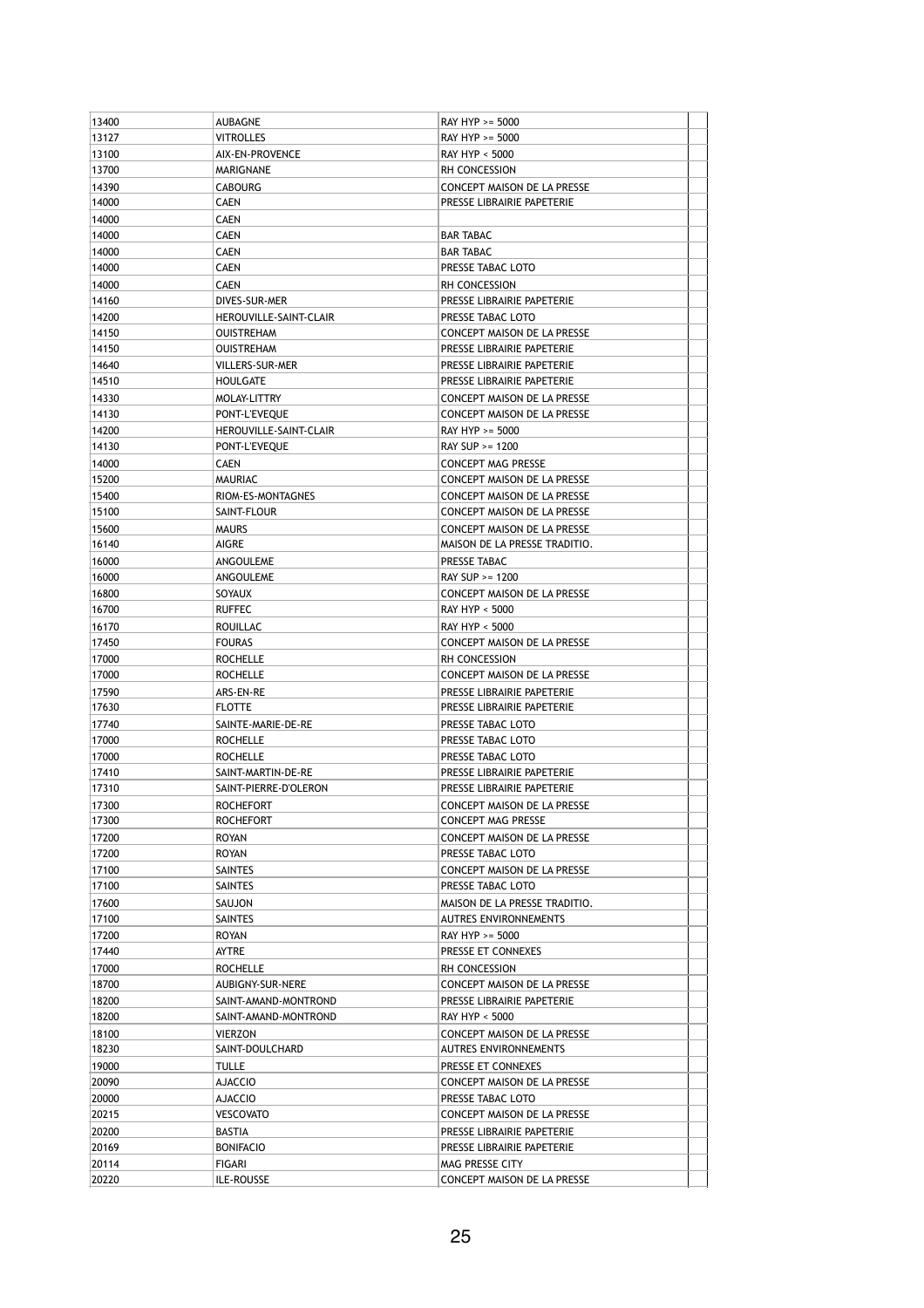| 13400 | AUBAGNE                | RAY HYP >= 5000                    |  |
|-------|------------------------|------------------------------------|--|
| 13127 | <b>VITROLLES</b>       | RAY HYP >= 5000                    |  |
| 13100 | AIX-EN-PROVENCE        | RAY HYP < 5000                     |  |
| 13700 | MARIGNANE              | RH CONCESSION                      |  |
| 14390 | <b>CABOURG</b>         | CONCEPT MAISON DE LA PRESSE        |  |
| 14000 | <b>CAEN</b>            | PRESSE LIBRAIRIE PAPETERIE         |  |
| 14000 | <b>CAEN</b>            |                                    |  |
| 14000 | CAEN                   | <b>BAR TABAC</b>                   |  |
| 14000 | <b>CAEN</b>            | <b>BAR TABAC</b>                   |  |
| 14000 | <b>CAEN</b>            | PRESSE TABAC LOTO                  |  |
| 14000 | <b>CAEN</b>            | RH CONCESSION                      |  |
| 14160 | DIVES-SUR-MER          | PRESSE LIBRAIRIE PAPETERIE         |  |
| 14200 | HEROUVILLE-SAINT-CLAIR | PRESSE TABAC LOTO                  |  |
| 14150 | <b>OUISTREHAM</b>      | CONCEPT MAISON DE LA PRESSE        |  |
| 14150 | <b>OUISTREHAM</b>      | PRESSE LIBRAIRIE PAPETERIE         |  |
| 14640 | VILLERS-SUR-MER        | PRESSE LIBRAIRIE PAPETERIE         |  |
| 14510 | <b>HOULGATE</b>        | PRESSE LIBRAIRIE PAPETERIE         |  |
| 14330 | MOLAY-LITTRY           | CONCEPT MAISON DE LA PRESSE        |  |
| 14130 | PONT-L'EVEQUE          | CONCEPT MAISON DE LA PRESSE        |  |
| 14200 | HEROUVILLE-SAINT-CLAIR | RAY HYP >= 5000                    |  |
| 14130 | PONT-L'EVEQUE          | RAY SUP >= 1200                    |  |
| 14000 | CAEN                   | <b>CONCEPT MAG PRESSE</b>          |  |
| 15200 | MAURIAC                | CONCEPT MAISON DE LA PRESSE        |  |
| 15400 | RIOM-ES-MONTAGNES      | CONCEPT MAISON DE LA PRESSE        |  |
| 15100 | SAINT-FLOUR            | <b>CONCEPT MAISON DE LA PRESSE</b> |  |
| 15600 | <b>MAURS</b>           | CONCEPT MAISON DE LA PRESSE        |  |
| 16140 | AIGRE                  | MAISON DE LA PRESSE TRADITIO.      |  |
| 16000 | ANGOULEME              | PRESSE TABAC                       |  |
| 16000 | ANGOULEME              | RAY SUP >= 1200                    |  |
| 16800 | SOYAUX                 | CONCEPT MAISON DE LA PRESSE        |  |
| 16700 | <b>RUFFEC</b>          | RAY HYP < 5000                     |  |
| 16170 | ROUILLAC               | RAY HYP < 5000                     |  |
| 17450 | <b>FOURAS</b>          | CONCEPT MAISON DE LA PRESSE        |  |
| 17000 | <b>ROCHELLE</b>        | RH CONCESSION                      |  |
| 17000 | <b>ROCHELLE</b>        | CONCEPT MAISON DE LA PRESSE        |  |
| 17590 | ARS-EN-RE              | PRESSE LIBRAIRIE PAPETERIE         |  |
| 17630 | <b>FLOTTE</b>          | PRESSE LIBRAIRIE PAPETERIE         |  |
| 17740 | SAINTE-MARIE-DE-RE     | PRESSE TABAC LOTO                  |  |
| 17000 | <b>ROCHELLE</b>        | PRESSE TABAC LOTO                  |  |
| 17000 | <b>ROCHELLE</b>        | PRESSE TABAC LOTO                  |  |
| 17410 | SAINT-MARTIN-DE-RE     | PRESSE LIBRAIRIE PAPETERIE         |  |
| 17310 | SAINT-PIERRE-D'OLERON  | PRESSE LIBRAIRIE PAPETERIE         |  |
| 17300 | <b>ROCHEFORT</b>       | CONCEPT MAISON DE LA PRESSE        |  |
| 17300 | <b>ROCHEFORT</b>       | CONCEPT MAG PRESSE                 |  |
| 17200 | <b>ROYAN</b>           | <b>CONCEPT MAISON DE LA PRESSE</b> |  |
| 17200 | ROYAN                  | PRESSE TABAC LOTO                  |  |
| 17100 | SAINTES                | CONCEPT MAISON DE LA PRESSE        |  |
| 17100 | SAINTES                | PRESSE TABAC LOTO                  |  |
| 17600 | SAUJON                 | MAISON DE LA PRESSE TRADITIO.      |  |
| 17100 | SAINTES                | <b>AUTRES ENVIRONNEMENTS</b>       |  |
| 17200 | ROYAN                  | RAY HYP >= 5000                    |  |
| 17440 | AYTRE                  | PRESSE ET CONNEXES                 |  |
| 17000 | <b>ROCHELLE</b>        | RH CONCESSION                      |  |
| 18700 | AUBIGNY-SUR-NERE       | CONCEPT MAISON DE LA PRESSE        |  |
| 18200 | SAINT-AMAND-MONTROND   | PRESSE LIBRAIRIE PAPETERIE         |  |
| 18200 | SAINT-AMAND-MONTROND   | RAY HYP < 5000                     |  |
| 18100 | <b>VIERZON</b>         | CONCEPT MAISON DE LA PRESSE        |  |
| 18230 | SAINT-DOULCHARD        | AUTRES ENVIRONNEMENTS              |  |
| 19000 | TULLE                  | PRESSE ET CONNEXES                 |  |
| 20090 | <b>AJACCIO</b>         | CONCEPT MAISON DE LA PRESSE        |  |
| 20000 | AJACCIO                | PRESSE TABAC LOTO                  |  |
| 20215 | <b>VESCOVATO</b>       | CONCEPT MAISON DE LA PRESSE        |  |
| 20200 | BASTIA                 | PRESSE LIBRAIRIE PAPETERIE         |  |
| 20169 | <b>BONIFACIO</b>       | PRESSE LIBRAIRIE PAPETERIE         |  |
| 20114 | FIGARI                 | MAG PRESSE CITY                    |  |
| 20220 | ILE-ROUSSE             | CONCEPT MAISON DE LA PRESSE        |  |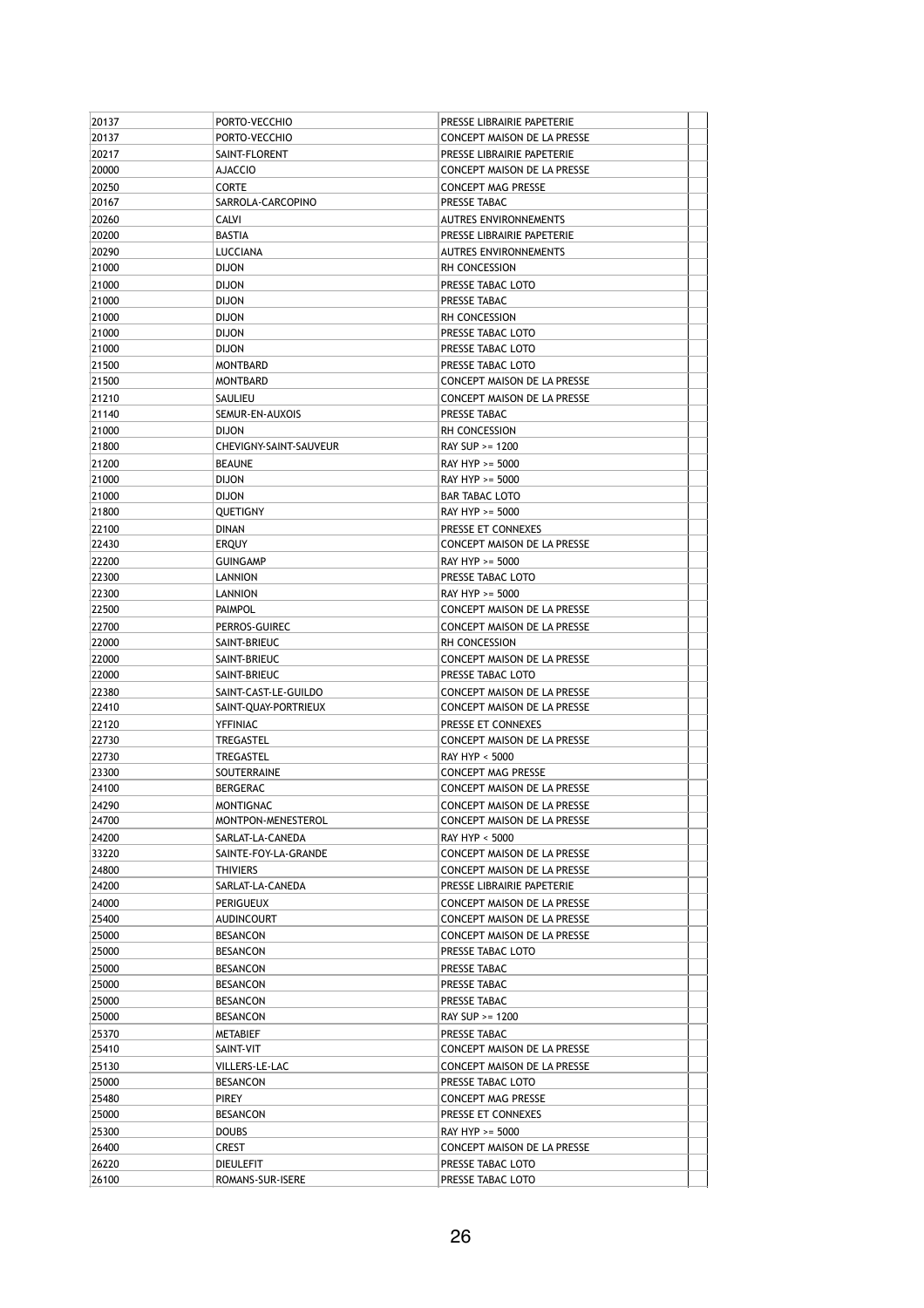| 20137 | PORTO-VECCHIO                      | PRESSE LIBRAIRIE PAPETERIE         |  |
|-------|------------------------------------|------------------------------------|--|
| 20137 | PORTO-VECCHIO                      | CONCEPT MAISON DE LA PRESSE        |  |
| 20217 | SAINT-FLORENT                      | PRESSE LIBRAIRIE PAPETERIE         |  |
| 20000 | AJACCIO                            | CONCEPT MAISON DE LA PRESSE        |  |
| 20250 | CORTE                              | <b>CONCEPT MAG PRESSE</b>          |  |
| 20167 | SARROLA-CARCOPINO                  | PRESSE TABAC                       |  |
| 20260 | <b>CALVI</b>                       | <b>AUTRES ENVIRONNEMENTS</b>       |  |
| 20200 | <b>BASTIA</b>                      | PRESSE LIBRAIRIE PAPETERIE         |  |
| 20290 | LUCCIANA                           | AUTRES ENVIRONNEMENTS              |  |
| 21000 | <b>DIJON</b>                       | RH CONCESSION                      |  |
| 21000 | <b>DIJON</b>                       | PRESSE TABAC LOTO                  |  |
| 21000 | <b>DIJON</b>                       | PRESSE TABAC                       |  |
| 21000 | <b>DIJON</b>                       | RH CONCESSION                      |  |
| 21000 | <b>DIJON</b>                       | PRESSE TABAC LOTO                  |  |
| 21000 | <b>DIJON</b>                       | PRESSE TABAC LOTO                  |  |
| 21500 | <b>MONTBARD</b>                    | PRESSE TABAC LOTO                  |  |
| 21500 | <b>MONTBARD</b>                    | CONCEPT MAISON DE LA PRESSE        |  |
| 21210 | SAULIEU                            | CONCEPT MAISON DE LA PRESSE        |  |
| 21140 | SEMUR-EN-AUXOIS                    | PRESSE TABAC                       |  |
| 21000 | <b>DIJON</b>                       | <b>RH CONCESSION</b>               |  |
| 21800 | CHEVIGNY-SAINT-SAUVEUR             | RAY SUP >= 1200                    |  |
| 21200 | <b>BEAUNE</b>                      | RAY HYP >= 5000                    |  |
| 21000 | <b>DIJON</b>                       | RAY HYP >= 5000                    |  |
| 21000 | <b>DIJON</b>                       | <b>BAR TABAC LOTO</b>              |  |
| 21800 | QUETIGNY                           | RAY HYP >= 5000                    |  |
| 22100 | <b>DINAN</b>                       | PRESSE ET CONNEXES                 |  |
| 22430 | ERQUY                              | CONCEPT MAISON DE LA PRESSE        |  |
| 22200 | <b>GUINGAMP</b>                    | RAY HYP >= 5000                    |  |
| 22300 | LANNION                            | PRESSE TABAC LOTO                  |  |
| 22300 | LANNION                            | RAY HYP >= 5000                    |  |
| 22500 | <b>PAIMPOL</b>                     | CONCEPT MAISON DE LA PRESSE        |  |
| 22700 | PERROS-GUIREC                      | CONCEPT MAISON DE LA PRESSE        |  |
| 22000 | SAINT-BRIEUC                       | RH CONCESSION                      |  |
| 22000 | SAINT-BRIEUC                       | CONCEPT MAISON DE LA PRESSE        |  |
| 22000 | SAINT-BRIEUC                       | PRESSE TABAC LOTO                  |  |
| 22380 | SAINT-CAST-LE-GUILDO               | CONCEPT MAISON DE LA PRESSE        |  |
| 22410 | SAINT-QUAY-PORTRIEUX               | CONCEPT MAISON DE LA PRESSE        |  |
| 22120 | <b>YFFINIAC</b>                    | PRESSE ET CONNEXES                 |  |
| 22730 | TREGASTEL                          | CONCEPT MAISON DE LA PRESSE        |  |
| 22730 | TREGASTEL                          | RAY HYP < 5000                     |  |
| 23300 | SOUTERRAINE                        | <b>CONCEPT MAG PRESSE</b>          |  |
| 24100 | <b>BERGERAC</b>                    | CONCEPT MAISON DE LA PRESSE        |  |
| 24290 | <b>MONTIGNAC</b>                   | CONCEPT MAISON DE LA PRESSE        |  |
| 24700 | MONTPON-MENESTEROL                 | CONCEPT MAISON DE LA PRESSE        |  |
| 24200 | SARLAT-LA-CANEDA                   | RAY HYP < 5000                     |  |
| 33220 | SAINTE-FOY-LA-GRANDE               | CONCEPT MAISON DE LA PRESSE        |  |
| 24800 | <b>THIVIERS</b>                    | <b>CONCEPT MAISON DE LA PRESSE</b> |  |
| 24200 | SARLAT-LA-CANEDA                   | PRESSE LIBRAIRIE PAPETERIE         |  |
| 24000 | <b>PERIGUEUX</b>                   | CONCEPT MAISON DE LA PRESSE        |  |
| 25400 | <b>AUDINCOURT</b>                  | CONCEPT MAISON DE LA PRESSE        |  |
| 25000 | <b>BESANCON</b>                    | CONCEPT MAISON DE LA PRESSE        |  |
| 25000 | <b>BESANCON</b>                    | PRESSE TABAC LOTO                  |  |
| 25000 |                                    | PRESSE TABAC                       |  |
| 25000 | <b>BESANCON</b><br><b>BESANCON</b> | PRESSE TABAC                       |  |
|       |                                    |                                    |  |
| 25000 | <b>BESANCON</b>                    | PRESSE TABAC                       |  |
| 25000 | <b>BESANCON</b>                    | RAY SUP >= 1200                    |  |
| 25370 | METABIEF                           | PRESSE TABAC                       |  |
| 25410 | SAINT-VIT                          | CONCEPT MAISON DE LA PRESSE        |  |
| 25130 | VILLERS-LE-LAC                     | CONCEPT MAISON DE LA PRESSE        |  |
| 25000 | <b>BESANCON</b>                    | PRESSE TABAC LOTO                  |  |
| 25480 | PIREY                              | CONCEPT MAG PRESSE                 |  |
| 25000 | <b>BESANCON</b>                    | PRESSE ET CONNEXES                 |  |
| 25300 | <b>DOUBS</b>                       | RAY HYP >= 5000                    |  |
| 26400 | CREST                              | CONCEPT MAISON DE LA PRESSE        |  |
| 26220 | <b>DIEULEFIT</b>                   | PRESSE TABAC LOTO                  |  |
| 26100 | ROMANS-SUR-ISERE                   | PRESSE TABAC LOTO                  |  |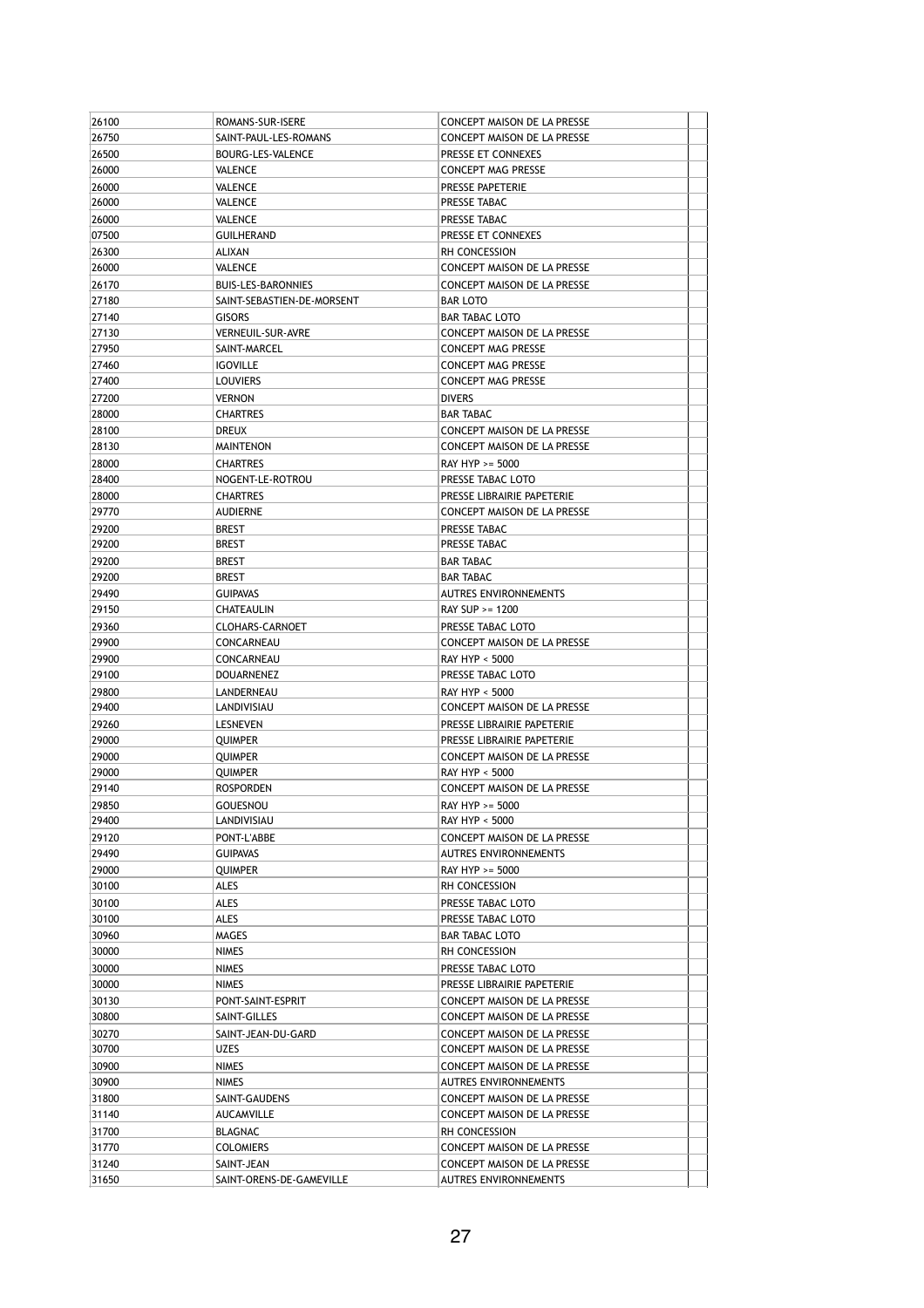| 26100          | ROMANS-SUR-ISERE                   | CONCEPT MAISON DE LA PRESSE                                |  |
|----------------|------------------------------------|------------------------------------------------------------|--|
| 26750          | SAINT-PAUL-LES-ROMANS              | <b>CONCEPT MAISON DE LA PRESSE</b>                         |  |
| 26500          | BOURG-LES-VALENCE                  | PRESSE ET CONNEXES                                         |  |
| 26000          | VALENCE                            | <b>CONCEPT MAG PRESSE</b>                                  |  |
| 26000          | VALENCE                            | PRESSE PAPETERIE                                           |  |
| 26000          | VALENCE                            | PRESSE TABAC                                               |  |
| 26000          | <b>VALENCE</b>                     | PRESSE TABAC                                               |  |
| 07500          | <b>GUILHERAND</b>                  | PRESSE ET CONNEXES                                         |  |
| 26300          | ALIXAN                             | RH CONCESSION                                              |  |
| 26000          | <b>VALENCE</b>                     | CONCEPT MAISON DE LA PRESSE                                |  |
| 26170          | BUIS-LES-BARONNIES                 | CONCEPT MAISON DE LA PRESSE                                |  |
| 27180          | SAINT-SEBASTIEN-DE-MORSENT         | <b>BAR LOTO</b>                                            |  |
| 27140          | <b>GISORS</b>                      | <b>BAR TABAC LOTO</b>                                      |  |
| 27130          | <b>VERNEUIL-SUR-AVRE</b>           | CONCEPT MAISON DE LA PRESSE                                |  |
| 27950          | SAINT-MARCEL                       | <b>CONCEPT MAG PRESSE</b>                                  |  |
| 27460          | <b>IGOVILLE</b>                    | CONCEPT MAG PRESSE                                         |  |
| 27400          | <b>LOUVIERS</b>                    | <b>CONCEPT MAG PRESSE</b>                                  |  |
| 27200          | <b>VERNON</b>                      | <b>DIVERS</b>                                              |  |
| 28000          | <b>CHARTRES</b>                    | <b>BAR TABAC</b>                                           |  |
| 28100          | DREUX                              | CONCEPT MAISON DE LA PRESSE                                |  |
| 28130          | <b>MAINTENON</b>                   | CONCEPT MAISON DE LA PRESSE                                |  |
| 28000          | <b>CHARTRES</b>                    | RAY HYP >= 5000                                            |  |
| 28400          | NOGENT-LE-ROTROU                   | PRESSE TABAC LOTO                                          |  |
| 28000          | <b>CHARTRES</b>                    | PRESSE LIBRAIRIE PAPETERIE                                 |  |
| 29770          | <b>AUDIERNE</b>                    | <b>CONCEPT MAISON DE LA PRESSE</b>                         |  |
| 29200          | <b>BREST</b>                       | PRESSE TABAC                                               |  |
| 29200          | <b>BREST</b>                       | PRESSE TABAC                                               |  |
| 29200          | <b>BREST</b>                       | <b>BAR TABAC</b>                                           |  |
| 29200          | BREST                              | <b>BAR TABAC</b>                                           |  |
| 29490          | <b>GUIPAVAS</b>                    | <b>AUTRES ENVIRONNEMENTS</b>                               |  |
| 29150          | CHATEAULIN                         | RAY SUP >= 1200                                            |  |
| 29360          | <b>CLOHARS-CARNOET</b>             | PRESSE TABAC LOTO                                          |  |
| 29900          | CONCARNEAU                         | CONCEPT MAISON DE LA PRESSE                                |  |
| 29900          | CONCARNEAU                         | RAY HYP < 5000                                             |  |
| 29100          | <b>DOUARNENEZ</b>                  | PRESSE TABAC LOTO                                          |  |
| 29800          | LANDERNEAU                         | RAY HYP < 5000                                             |  |
| 29400          | LANDIVISIAU                        | CONCEPT MAISON DE LA PRESSE                                |  |
| 29260          | <b>LESNEVEN</b>                    | PRESSE LIBRAIRIE PAPETERIE                                 |  |
| 29000          | QUIMPER                            | PRESSE LIBRAIRIE PAPETERIE                                 |  |
| 29000          | QUIMPER                            | CONCEPT MAISON DE LA PRESSE                                |  |
| 29000          | QUIMPER                            | RAY HYP < 5000                                             |  |
| 29140          | <b>ROSPORDEN</b>                   | <b>CONCEPT MAISON DE LA PRESSE</b>                         |  |
| 29850          | GOUESNOU                           | RAY HYP >= 5000                                            |  |
| 29400          | LANDIVISIAU                        | RAY HYP < 5000                                             |  |
| 29120          | PONT-L'ABBE                        | <b>CONCEPT MAISON DE LA PRESSE</b>                         |  |
| 29490          | <b>GUIPAVAS</b>                    | AUTRES ENVIRONNEMENTS                                      |  |
| 29000          | QUIMPER                            | RAY HYP >= 5000                                            |  |
| 30100          | ALES                               | RH CONCESSION                                              |  |
| 30100          | ALES                               | PRESSE TABAC LOTO                                          |  |
| 30100          | ALES                               | PRESSE TABAC LOTO                                          |  |
| 30960          | MAGES                              | BAR TABAC LOTO                                             |  |
| 30000          | <b>NIMES</b>                       | RH CONCESSION                                              |  |
| 30000          | <b>NIMES</b>                       | PRESSE TABAC LOTO                                          |  |
| 30000          | <b>NIMES</b>                       | PRESSE LIBRAIRIE PAPETERIE                                 |  |
| 30130          | PONT-SAINT-ESPRIT                  | CONCEPT MAISON DE LA PRESSE                                |  |
| 30800          |                                    | CONCEPT MAISON DE LA PRESSE                                |  |
| 30270          | SAINT-GILLES<br>SAINT-JEAN-DU-GARD | CONCEPT MAISON DE LA PRESSE                                |  |
| 30700          | UZES                               | CONCEPT MAISON DE LA PRESSE                                |  |
|                |                                    |                                                            |  |
| 30900<br>30900 | <b>NIMES</b><br><b>NIMES</b>       | CONCEPT MAISON DE LA PRESSE<br>AUTRES ENVIRONNEMENTS       |  |
|                |                                    |                                                            |  |
| 31800<br>31140 | SAINT-GAUDENS                      | CONCEPT MAISON DE LA PRESSE<br>CONCEPT MAISON DE LA PRESSE |  |
|                | AUCAMVILLE                         |                                                            |  |
| 31700          | BLAGNAC                            | RH CONCESSION                                              |  |
| 31770          | <b>COLOMIERS</b>                   | CONCEPT MAISON DE LA PRESSE                                |  |
| 31240          | SAINT-JEAN                         | CONCEPT MAISON DE LA PRESSE                                |  |
| 31650          | SAINT-ORENS-DE-GAMEVILLE           | AUTRES ENVIRONNEMENTS                                      |  |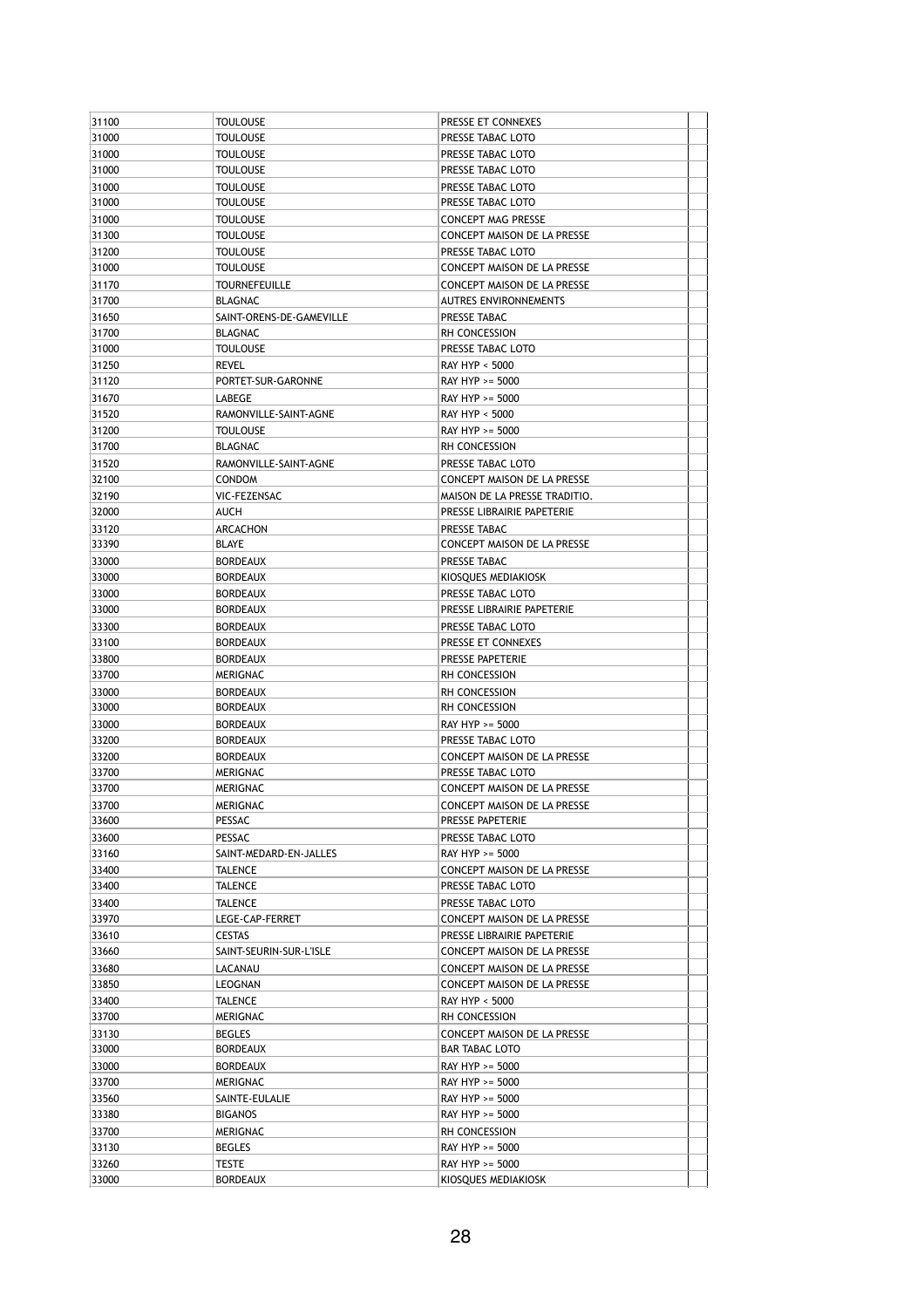| 31100 | <b>TOULOUSE</b>          | PRESSE ET CONNEXES                                          |  |
|-------|--------------------------|-------------------------------------------------------------|--|
| 31000 | TOULOUSE                 | PRESSE TABAC LOTO                                           |  |
| 31000 | TOULOUSE                 | PRESSE TABAC LOTO                                           |  |
| 31000 | Toulouse                 | PRESSE TABAC LOTO                                           |  |
| 31000 | <b>TOULOUSE</b>          | PRESSE TABAC LOTO                                           |  |
| 31000 | Toulouse                 | PRESSE TABAC LOTO                                           |  |
| 31000 | <b>TOULOUSE</b>          | CONCEPT MAG PRESSE                                          |  |
| 31300 | Toulouse                 | CONCEPT MAISON DE LA PRESSE                                 |  |
| 31200 | <b>TOULOUSE</b>          | PRESSE TABAC LOTO                                           |  |
| 31000 | TOULOUSE                 | CONCEPT MAISON DE LA PRESSE                                 |  |
| 31170 | TOURNEFEUILLE            | CONCEPT MAISON DE LA PRESSE                                 |  |
| 31700 | BLAGNAC                  | <b>AUTRES ENVIRONNEMENTS</b>                                |  |
| 31650 | SAINT-ORENS-DE-GAMEVILLE | PRESSE TABAC                                                |  |
| 31700 | <b>BLAGNAC</b>           | <b>RH CONCESSION</b>                                        |  |
| 31000 | <b>TOULOUSE</b>          | PRESSE TABAC LOTO                                           |  |
| 31250 | revel                    | RAY HYP < 5000                                              |  |
| 31120 | PORTET-SUR-GARONNE       | RAY HYP >= 5000                                             |  |
| 31670 | LABEGE                   | RAY HYP >= 5000                                             |  |
| 31520 | RAMONVILLE-SAINT-AGNE    | <b>RAY HYP &lt; 5000</b>                                    |  |
| 31200 | TOULOUSE                 | RAY HYP >= 5000                                             |  |
| 31700 | <b>BLAGNAC</b>           | <b>RH CONCESSION</b>                                        |  |
| 31520 | RAMONVILLE-SAINT-AGNE    | PRESSE TABAC LOTO                                           |  |
| 32100 | <b>CONDOM</b>            | CONCEPT MAISON DE LA PRESSE                                 |  |
| 32190 | VIC-FEZENSAC             |                                                             |  |
| 32000 | AUCH                     | MAISON DE LA PRESSE TRADITIO.<br>PRESSE LIBRAIRIE PAPETERIE |  |
|       |                          |                                                             |  |
| 33120 | ARCACHON<br><b>BLAYE</b> | PRESSE TABAC                                                |  |
| 33390 |                          | CONCEPT MAISON DE LA PRESSE                                 |  |
| 33000 | <b>BORDEAUX</b>          | PRESSE TABAC                                                |  |
| 33000 | BORDEAUX                 | KIOSQUES MEDIAKIOSK                                         |  |
| 33000 | BORDEAUX                 | PRESSE TABAC LOTO                                           |  |
| 33000 | <b>BORDEAUX</b>          | PRESSE LIBRAIRIE PAPETERIE                                  |  |
| 33300 | BORDEAUX                 | PRESSE TABAC LOTO                                           |  |
| 33100 | BORDEAUX                 | PRESSE ET CONNEXES                                          |  |
| 33800 | BORDEAUX                 | PRESSE PAPETERIE                                            |  |
| 33700 | MERIGNAC                 | RH CONCESSION                                               |  |
| 33000 | <b>BORDEAUX</b>          | RH CONCESSION                                               |  |
| 33000 | <b>BORDEAUX</b>          | RH CONCESSION                                               |  |
| 33000 | BORDEAUX                 | RAY HYP >= 5000                                             |  |
| 33200 | BORDEAUX                 | PRESSE TABAC LOTO                                           |  |
| 33200 | <b>BORDEAUX</b>          | CONCEPT MAISON DE LA PRESSE                                 |  |
| 33700 | MERIGNAC                 | PRESSE TABAC LOTO                                           |  |
| 33700 | MERIGNAC                 | CONCEPT MAISON DE LA PRESSE                                 |  |
| 33700 | MERIGNAC                 | CONCEPT MAISON DE LA PRESSE                                 |  |
| 33600 | PESSAC                   | PRESSE PAPETERIE                                            |  |
| 33600 | PESSAC                   | PRESSE TABAC LOTO                                           |  |
| 33160 | SAINT-MEDARD-EN-JALLES   | RAY HYP >= 5000                                             |  |
| 33400 | TALENCE                  | <b>CONCEPT MAISON DE LA PRESSE</b>                          |  |
| 33400 | TALENCE                  | PRESSE TABAC LOTO                                           |  |
| 33400 | TALENCE                  | PRESSE TABAC LOTO                                           |  |
| 33970 | LEGE-CAP-FERRET          | CONCEPT MAISON DE LA PRESSE                                 |  |
| 33610 | CESTAS                   | PRESSE LIBRAIRIE PAPETERIE                                  |  |
| 33660 | SAINT-SEURIN-SUR-L'ISLE  | CONCEPT MAISON DE LA PRESSE                                 |  |
| 33680 | LACANAU                  | <b>CONCEPT MAISON DE LA PRESSE</b>                          |  |
| 33850 | LEOGNAN                  | <b>CONCEPT MAISON DE LA PRESSE</b>                          |  |
| 33400 | TALENCE                  | RAY HYP < 5000                                              |  |
| 33700 | MERIGNAC                 | RH CONCESSION                                               |  |
| 33130 | BEGLES                   | CONCEPT MAISON DE LA PRESSE                                 |  |
| 33000 | <b>BORDEAUX</b>          | BAR TABAC LOTO                                              |  |
| 33000 | BORDEAUX                 | RAY HYP >= 5000                                             |  |
| 33700 | MERIGNAC                 | RAY HYP >= 5000                                             |  |
| 33560 | SAINTE-EULALIE           | RAY HYP >= 5000                                             |  |
| 33380 | <b>BIGANOS</b>           | RAY HYP >= 5000                                             |  |
| 33700 | MERIGNAC                 | RH CONCESSION                                               |  |
| 33130 | <b>BEGLES</b>            | RAY HYP >= 5000                                             |  |
| 33260 | TESTE                    | RAY HYP >= 5000                                             |  |
| 33000 | <b>BORDEAUX</b>          | KIOSQUES MEDIAKIOSK                                         |  |
|       |                          |                                                             |  |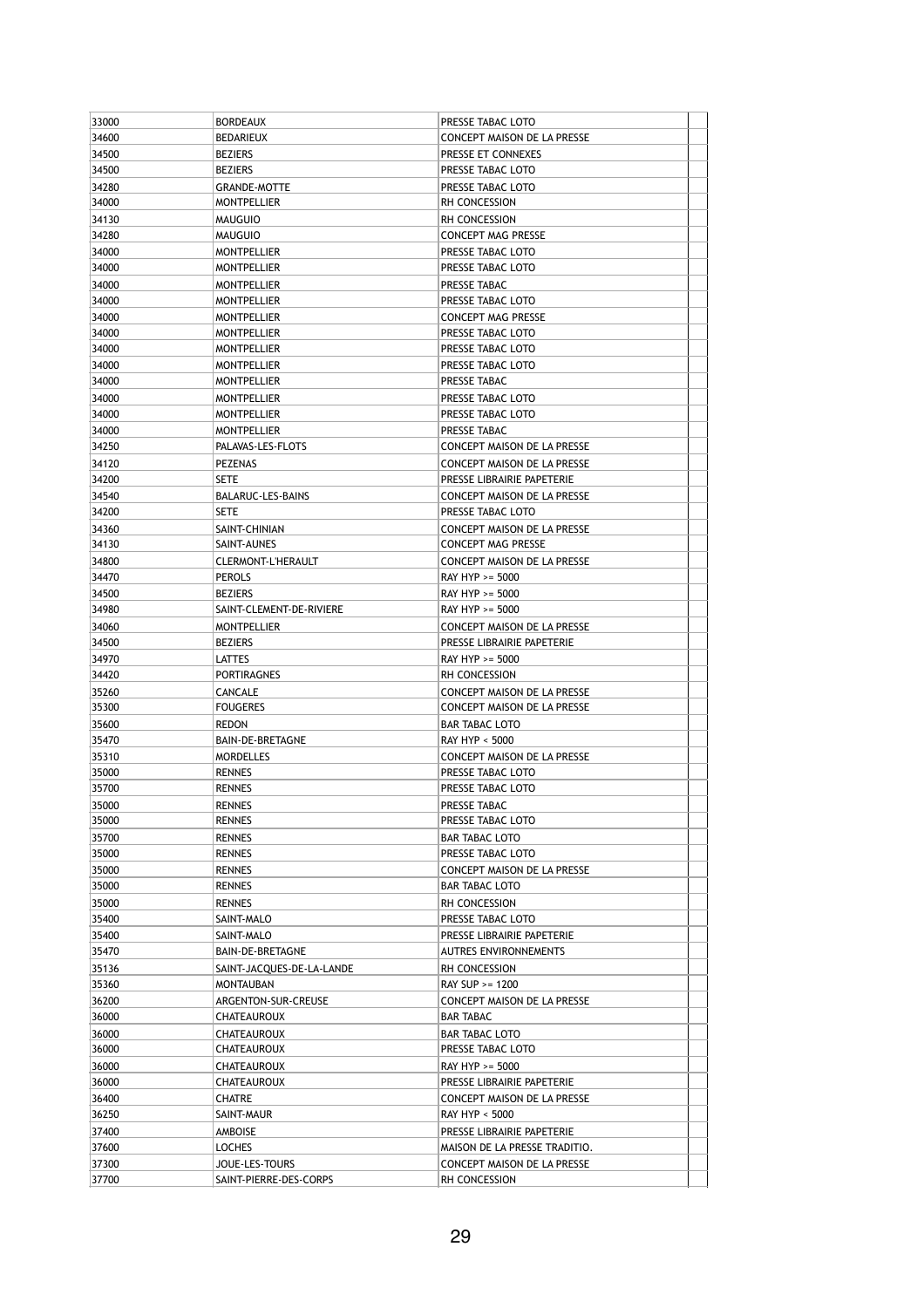| 33000          | <b>BORDEAUX</b>                         | PRESSE TABAC LOTO                                          |  |
|----------------|-----------------------------------------|------------------------------------------------------------|--|
| 34600          | BEDARIEUX                               | <b>CONCEPT MAISON DE LA PRESSE</b>                         |  |
| 34500          | <b>BEZIERS</b>                          | PRESSE ET CONNEXES                                         |  |
| 34500          | <b>BEZIERS</b>                          | PRESSE TABAC LOTO                                          |  |
| 34280          | <b>GRANDE-MOTTE</b>                     | PRESSE TABAC LOTO                                          |  |
| 34000          | <b>MONTPELLIER</b>                      | RH CONCESSION                                              |  |
| 34130          | MAUGUIO                                 | RH CONCESSION                                              |  |
| 34280          | <b>MAUGUIO</b>                          | CONCEPT MAG PRESSE                                         |  |
| 34000          | <b>MONTPELLIER</b>                      | PRESSE TABAC LOTO                                          |  |
| 34000          | <b>MONTPELLIER</b>                      | PRESSE TABAC LOTO                                          |  |
| 34000          | <b>MONTPELLIER</b>                      | PRESSE TABAC                                               |  |
| 34000          | <b>MONTPELLIER</b>                      | PRESSE TABAC LOTO                                          |  |
| 34000          | <b>MONTPELLIER</b>                      | CONCEPT MAG PRESSE                                         |  |
| 34000          | <b>MONTPELLIER</b>                      | PRESSE TABAC LOTO                                          |  |
| 34000          | <b>MONTPELLIER</b>                      | PRESSE TABAC LOTO                                          |  |
| 34000          | <b>MONTPELLIER</b>                      | PRESSE TABAC LOTO                                          |  |
| 34000          | <b>MONTPELLIER</b>                      | PRESSE TABAC                                               |  |
| 34000          | <b>MONTPELLIER</b>                      | PRESSE TABAC LOTO                                          |  |
| 34000          | <b>MONTPELLIER</b>                      | PRESSE TABAC LOTO                                          |  |
| 34000<br>34250 | <b>MONTPELLIER</b><br>PALAVAS-LES-FLOTS | PRESSE TABAC<br><b>CONCEPT MAISON DE LA PRESSE</b>         |  |
|                |                                         |                                                            |  |
| 34120<br>34200 | PEZENAS<br>SETE                         | CONCEPT MAISON DE LA PRESSE<br>PRESSE LIBRAIRIE PAPETERIE  |  |
| 34540          | BALARUC-LES-BAINS                       | CONCEPT MAISON DE LA PRESSE                                |  |
| 34200          | SETE                                    | PRESSE TABAC LOTO                                          |  |
| 34360          | SAINT-CHINIAN                           | <b>CONCEPT MAISON DE LA PRESSE</b>                         |  |
| 34130          | SAINT-AUNES                             | CONCEPT MAG PRESSE                                         |  |
| 34800          | CLERMONT-L'HERAULT                      | CONCEPT MAISON DE LA PRESSE                                |  |
| 34470          | <b>PEROLS</b>                           | RAY HYP >= 5000                                            |  |
| 34500          | <b>BEZIERS</b>                          | RAY HYP >= 5000                                            |  |
| 34980          | SAINT-CLEMENT-DE-RIVIERE                | RAY HYP >= 5000                                            |  |
| 34060          | <b>MONTPELLIER</b>                      | CONCEPT MAISON DE LA PRESSE                                |  |
| 34500          | <b>BEZIERS</b>                          | PRESSE LIBRAIRIE PAPETERIE                                 |  |
| 34970          | LATTES                                  | RAY HYP >= 5000                                            |  |
| 34420          | PORTIRAGNES                             | RH CONCESSION                                              |  |
| 35260          | CANCALE                                 | CONCEPT MAISON DE LA PRESSE                                |  |
| 35300          | <b>FOUGERES</b>                         | CONCEPT MAISON DE LA PRESSE                                |  |
| 35600          | redon                                   | <b>BAR TABAC LOTO</b>                                      |  |
| 35470          | BAIN-DE-BRETAGNE                        | RAY HYP < 5000                                             |  |
| 35310          | <b>MORDELLES</b>                        | CONCEPT MAISON DE LA PRESSE                                |  |
| 35000          | RENNES                                  | PRESSE TABAC LOTO                                          |  |
| 35700          | <b>RENNES</b>                           | PRESSE TABAC LOTO                                          |  |
| 35000          | <b>RENNES</b>                           | PRESSE TABAC                                               |  |
| 35000          | <b>RENNES</b>                           | PRESSE TABAC LOTO                                          |  |
| 35700          | RENNES                                  | <b>BAR TABAC LOTO</b>                                      |  |
| 35000          | RENNES                                  | PRESSE TABAC LOTO                                          |  |
| 35000          | RENNES                                  | CONCEPT MAISON DE LA PRESSE                                |  |
| 35000          | RENNES                                  | <b>BAR TABAC LOTO</b>                                      |  |
| 35000<br>35400 | RENNES<br>SAINT-MALO                    | RH CONCESSION<br>PRESSE TABAC LOTO                         |  |
|                |                                         |                                                            |  |
| 35400<br>35470 | SAINT-MALO<br>BAIN-DE-BRETAGNE          | PRESSE LIBRAIRIE PAPETERIE<br><b>AUTRES ENVIRONNEMENTS</b> |  |
| 35136          | SAINT-JACQUES-DE-LA-LANDE               | <b>RH CONCESSION</b>                                       |  |
| 35360          | MONTAUBAN                               | RAY SUP >= 1200                                            |  |
| 36200          | ARGENTON-SUR-CREUSE                     | CONCEPT MAISON DE LA PRESSE                                |  |
| 36000          | CHATEAUROUX                             | <b>BAR TABAC</b>                                           |  |
| 36000          | CHATEAUROUX                             | <b>BAR TABAC LOTO</b>                                      |  |
| 36000          | CHATEAUROUX                             | PRESSE TABAC LOTO                                          |  |
| 36000          | CHATEAUROUX                             | RAY HYP >= 5000                                            |  |
| 36000          | CHATEAUROUX                             | PRESSE LIBRAIRIE PAPETERIE                                 |  |
| 36400          | CHATRE                                  | CONCEPT MAISON DE LA PRESSE                                |  |
| 36250          | SAINT-MAUR                              | RAY HYP < 5000                                             |  |
| 37400          | AMBOISE                                 | PRESSE LIBRAIRIE PAPETERIE                                 |  |
| 37600          | LOCHES                                  | MAISON DE LA PRESSE TRADITIO.                              |  |
| 37300          | JOUE-LES-TOURS                          | CONCEPT MAISON DE LA PRESSE                                |  |
| 37700          | SAINT-PIERRE-DES-CORPS                  | RH CONCESSION                                              |  |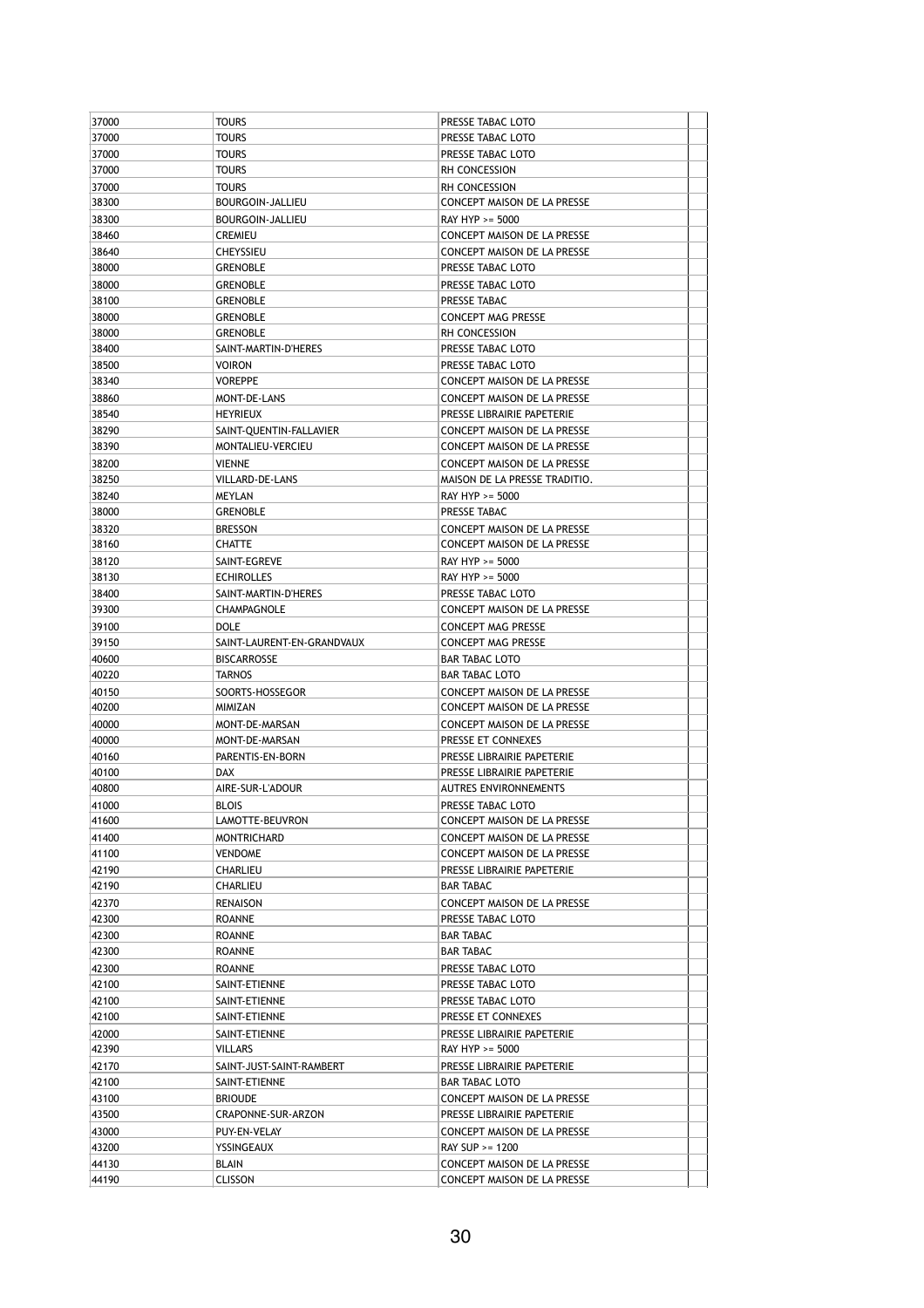| 37000          | <b>TOURS</b>               | PRESSE TABAC LOTO                                          |
|----------------|----------------------------|------------------------------------------------------------|
| 37000          | <b>TOURS</b>               | PRESSE TABAC LOTO                                          |
| 37000          | <b>TOURS</b>               | PRESSE TABAC LOTO                                          |
| 37000          | <b>TOURS</b>               | <b>RH CONCESSION</b>                                       |
| 37000          | <b>TOURS</b>               | RH CONCESSION                                              |
| 38300          | BOURGOIN-JALLIEU           | CONCEPT MAISON DE LA PRESSE                                |
| 38300          | BOURGOIN-JALLIEU           | RAY HYP >= 5000                                            |
| 38460          | <b>CREMIEU</b>             | CONCEPT MAISON DE LA PRESSE                                |
| 38640          | <b>CHEYSSIEU</b>           | CONCEPT MAISON DE LA PRESSE                                |
| 38000          | <b>GRENOBLE</b>            | PRESSE TABAC LOTO                                          |
| 38000          | <b>GRENOBLE</b>            | PRESSE TABAC LOTO                                          |
| 38100          | <b>GRENOBLE</b>            | PRESSE TABAC                                               |
|                |                            |                                                            |
| 38000<br>38000 | <b>GRENOBLE</b>            | <b>CONCEPT MAG PRESSE</b>                                  |
|                | <b>GRENOBLE</b>            | RH CONCESSION                                              |
| 38400          | SAINT-MARTIN-D'HERES       | PRESSE TABAC LOTO                                          |
| 38500          | <b>VOIRON</b>              | PRESSE TABAC LOTO                                          |
| 38340          | <b>VOREPPE</b>             | CONCEPT MAISON DE LA PRESSE                                |
| 38860          | MONT-DE-LANS               | CONCEPT MAISON DE LA PRESSE                                |
| 38540          | <b>HEYRIEUX</b>            | PRESSE LIBRAIRIE PAPETERIE                                 |
| 38290          | SAINT-QUENTIN-FALLAVIER    | CONCEPT MAISON DE LA PRESSE                                |
| 38390          | MONTALIEU-VERCIEU          | CONCEPT MAISON DE LA PRESSE                                |
| 38200          | <b>VIENNE</b>              | CONCEPT MAISON DE LA PRESSE                                |
| 38250          | VILLARD-DE-LANS            | MAISON DE LA PRESSE TRADITIO.                              |
| 38240          | MEYLAN                     | RAY HYP >= 5000                                            |
| 38000          | <b>GRENOBLE</b>            | PRESSE TABAC                                               |
| 38320          | <b>BRESSON</b>             | CONCEPT MAISON DE LA PRESSE                                |
| 38160          | <b>CHATTE</b>              | CONCEPT MAISON DE LA PRESSE                                |
| 38120          | SAINT-EGREVE               | RAY HYP >= 5000                                            |
| 38130          | <b>ECHIROLLES</b>          | RAY HYP >= 5000                                            |
| 38400          | SAINT-MARTIN-D'HERES       | PRESSE TABAC LOTO                                          |
| 39300          | CHAMPAGNOLE                | CONCEPT MAISON DE LA PRESSE                                |
| 39100          |                            |                                                            |
|                | DOLE                       | <b>CONCEPT MAG PRESSE</b>                                  |
| 39150          | SAINT-LAURENT-EN-GRANDVAUX | <b>CONCEPT MAG PRESSE</b>                                  |
| 40600          | <b>BISCARROSSE</b>         | <b>BAR TABAC LOTO</b>                                      |
| 40220          | <b>TARNOS</b>              | <b>BAR TABAC LOTO</b>                                      |
| 40150          | SOORTS-HOSSEGOR            | CONCEPT MAISON DE LA PRESSE                                |
|                |                            |                                                            |
| 40200          | MIMIZAN                    | CONCEPT MAISON DE LA PRESSE                                |
| 40000          | MONT-DE-MARSAN             | CONCEPT MAISON DE LA PRESSE                                |
| 40000          | MONT-DE-MARSAN             | PRESSE ET CONNEXES                                         |
| 40160          | PARENTIS-EN-BORN           | PRESSE LIBRAIRIE PAPETERIE                                 |
| 40100          | <b>DAX</b>                 | PRESSE LIBRAIRIE PAPETERIE                                 |
| 40800          | AIRE-SUR-L'ADOUR           | AUTRES ENVIRONNEMENTS                                      |
| 41000          | <b>BLOIS</b>               | PRESSE TABAC LOTO                                          |
| 41600          | LAMOTTE-BEUVRON            | CONCEPT MAISON DE LA PRESSE                                |
| 41400          | <b>MONTRICHARD</b>         | CONCEPT MAISON DE LA PRESSE                                |
| 41100          | <b>VENDOME</b>             | CONCEPT MAISON DE LA PRESSE                                |
| 42190          | CHARLIEU                   | PRESSE LIBRAIRIE PAPETERIE                                 |
| 42190          | CHARLIEU                   | <b>BAR TABAC</b>                                           |
| 42370          | RENAISON                   | CONCEPT MAISON DE LA PRESSE                                |
| 42300          | ROANNE                     | PRESSE TABAC LOTO                                          |
|                |                            |                                                            |
| 42300          | ROANNE                     | BAR TABAC                                                  |
| 42300          | ROANNE                     | BAR TABAC                                                  |
| 42300          | ROANNE                     | PRESSE TABAC LOTO                                          |
| 42100          | SAINT-ETIENNE              | PRESSE TABAC LOTO                                          |
| 42100          | SAINT-ETIENNE              | PRESSE TABAC LOTO                                          |
| 42100          | SAINT-ETIENNE              | PRESSE ET CONNEXES                                         |
| 42000          | SAINT-ETIENNE              | PRESSE LIBRAIRIE PAPETERIE                                 |
| 42390          | VILLARS                    | RAY HYP >= 5000                                            |
| 42170          | SAINT-JUST-SAINT-RAMBERT   | PRESSE LIBRAIRIE PAPETERIE                                 |
| 42100          | SAINT-ETIENNE              | BAR TABAC LOTO                                             |
| 43100          | <b>BRIOUDE</b>             | CONCEPT MAISON DE LA PRESSE                                |
| 43500          | CRAPONNE-SUR-ARZON         | PRESSE LIBRAIRIE PAPETERIE                                 |
| 43000          | PUY-EN-VELAY               | CONCEPT MAISON DE LA PRESSE                                |
| 43200          | YSSINGEAUX                 | RAY SUP >= 1200                                            |
| 44130<br>44190 | BLAIN<br><b>CLISSON</b>    | CONCEPT MAISON DE LA PRESSE<br>CONCEPT MAISON DE LA PRESSE |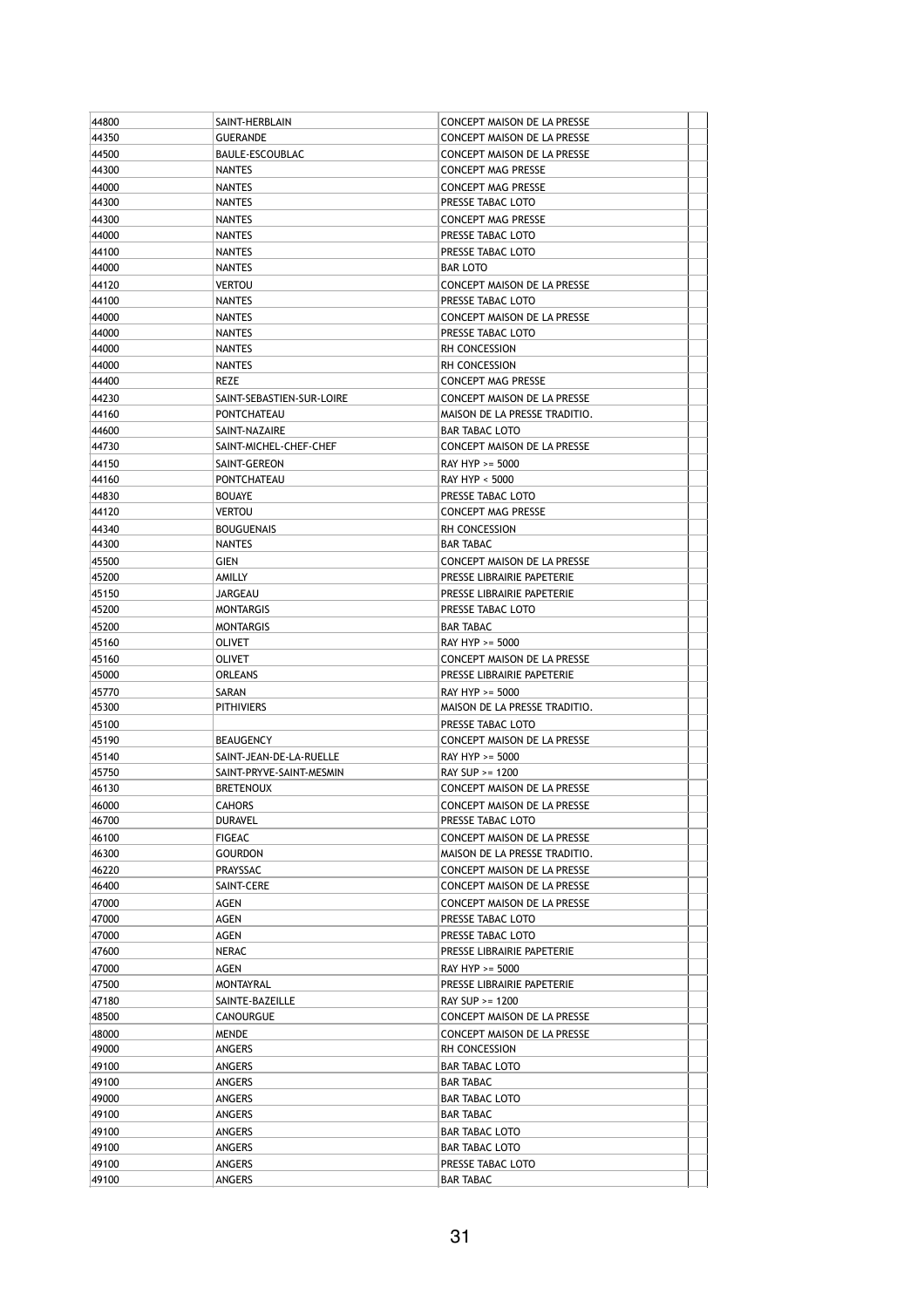| 44800 | SAINT-HERBLAIN            | <b>CONCEPT MAISON DE LA PRESSE</b>               |  |
|-------|---------------------------|--------------------------------------------------|--|
| 44350 | <b>GUERANDE</b>           | CONCEPT MAISON DE LA PRESSE                      |  |
| 44500 | BAULE-ESCOUBLAC           | CONCEPT MAISON DE LA PRESSE                      |  |
| 44300 | <b>NANTES</b>             | <b>CONCEPT MAG PRESSE</b>                        |  |
| 44000 | <b>NANTES</b>             | <b>CONCEPT MAG PRESSE</b>                        |  |
| 44300 | <b>NANTES</b>             | PRESSE TABAC LOTO                                |  |
| 44300 | <b>NANTES</b>             | CONCEPT MAG PRESSE                               |  |
| 44000 | NANTES                    | PRESSE TABAC LOTO                                |  |
| 44100 | <b>NANTES</b>             | PRESSE TABAC LOTO                                |  |
| 44000 | <b>NANTES</b>             | <b>BAR LOTO</b>                                  |  |
| 44120 | <b>VERTOU</b>             | CONCEPT MAISON DE LA PRESSE                      |  |
| 44100 | NANTES                    | PRESSE TABAC LOTO                                |  |
|       | <b>NANTES</b>             |                                                  |  |
| 44000 |                           | CONCEPT MAISON DE LA PRESSE<br>PRESSE TABAC LOTO |  |
| 44000 | <b>NANTES</b>             |                                                  |  |
| 44000 | <b>NANTES</b>             | RH CONCESSION                                    |  |
| 44000 | <b>NANTES</b>             | RH CONCESSION                                    |  |
| 44400 | REZE                      | <b>CONCEPT MAG PRESSE</b>                        |  |
| 44230 | SAINT-SEBASTIEN-SUR-LOIRE | CONCEPT MAISON DE LA PRESSE                      |  |
| 44160 | PONTCHATEAU               | MAISON DE LA PRESSE TRADITIO.                    |  |
| 44600 | SAINT-NAZAIRE             | <b>BAR TABAC LOTO</b>                            |  |
| 44730 | SAINT-MICHEL-CHEF-CHEF    | CONCEPT MAISON DE LA PRESSE                      |  |
| 44150 | SAINT-GEREON              | RAY HYP >= 5000                                  |  |
| 44160 | PONTCHATEAU               | RAY HYP < 5000                                   |  |
| 44830 | <b>BOUAYE</b>             | PRESSE TABAC LOTO                                |  |
| 44120 | <b>VERTOU</b>             | <b>CONCEPT MAG PRESSE</b>                        |  |
| 44340 | <b>BOUGUENAIS</b>         | RH CONCESSION                                    |  |
| 44300 | <b>NANTES</b>             | <b>BAR TABAC</b>                                 |  |
| 45500 | GIEN                      | CONCEPT MAISON DE LA PRESSE                      |  |
| 45200 | AMILLY                    | PRESSE LIBRAIRIE PAPETERIE                       |  |
| 45150 | JARGEAU                   | PRESSE LIBRAIRIE PAPETERIE                       |  |
| 45200 | <b>MONTARGIS</b>          | PRESSE TABAC LOTO                                |  |
|       |                           |                                                  |  |
| 45200 | <b>MONTARGIS</b>          | <b>BAR TABAC</b>                                 |  |
| 45160 | OLIVET                    | RAY HYP >= 5000                                  |  |
| 45160 | OLIVET                    | CONCEPT MAISON DE LA PRESSE                      |  |
| 45000 | <b>ORLEANS</b>            | PRESSE LIBRAIRIE PAPETERIE                       |  |
| 45770 | SARAN                     | RAY HYP >= 5000                                  |  |
| 45300 | PITHIVIERS                | MAISON DE LA PRESSE TRADITIO.                    |  |
| 45100 |                           | PRESSE TABAC LOTO                                |  |
| 45190 | BEAUGENCY                 | CONCEPT MAISON DE LA PRESSE                      |  |
| 45140 | SAINT-JEAN-DE-LA-RUELLE   | RAY HYP >= 5000                                  |  |
| 45750 | SAINT-PRYVE-SAINT-MESMIN  | RAY SUP >= 1200                                  |  |
| 46130 | <b>BRETENOUX</b>          | CONCEPT MAISON DE LA PRESSE                      |  |
| 46000 | <b>CAHORS</b>             | CONCEPT MAISON DE LA PRESSE                      |  |
| 46700 | <b>DURAVEL</b>            | PRESSE TABAC LOTO                                |  |
| 46100 | <b>FIGEAC</b>             | CONCEPT MAISON DE LA PRESSE                      |  |
| 46300 | GOURDON                   | MAISON DE LA PRESSE TRADITIO.                    |  |
| 46220 | PRAYSSAC                  | <b>CONCEPT MAISON DE LA PRESSE</b>               |  |
| 46400 | SAINT-CERE                | CONCEPT MAISON DE LA PRESSE                      |  |
| 47000 | AGEN                      | CONCEPT MAISON DE LA PRESSE                      |  |
| 47000 | AGEN                      | PRESSE TABAC LOTO                                |  |
| 47000 | AGEN                      | PRESSE TABAC LOTO                                |  |
| 47600 | NERAC                     | PRESSE LIBRAIRIE PAPETERIE                       |  |
| 47000 | AGEN                      | $RAY$ HYP $>=$ 5000                              |  |
|       |                           |                                                  |  |
| 47500 | MONTAYRAL                 | PRESSE LIBRAIRIE PAPETERIE                       |  |
| 47180 | SAINTE-BAZEILLE           | RAY SUP >= 1200                                  |  |
| 48500 | CANOURGUE                 | CONCEPT MAISON DE LA PRESSE                      |  |
| 48000 | MENDE                     | CONCEPT MAISON DE LA PRESSE                      |  |
| 49000 | ANGERS                    | RH CONCESSION                                    |  |
| 49100 | ANGERS                    | BAR TABAC LOTO                                   |  |
| 49100 | ANGERS                    | <b>BAR TABAC</b>                                 |  |
| 49000 | ANGERS                    | BAR TABAC LOTO                                   |  |
| 49100 | ANGERS                    | <b>BAR TABAC</b>                                 |  |
| 49100 | ANGERS                    | BAR TABAC LOTO                                   |  |
| 49100 | ANGERS                    | BAR TABAC LOTO                                   |  |
| 49100 | ANGERS                    | PRESSE TABAC LOTO                                |  |
| 49100 | ANGERS                    | <b>BAR TABAC</b>                                 |  |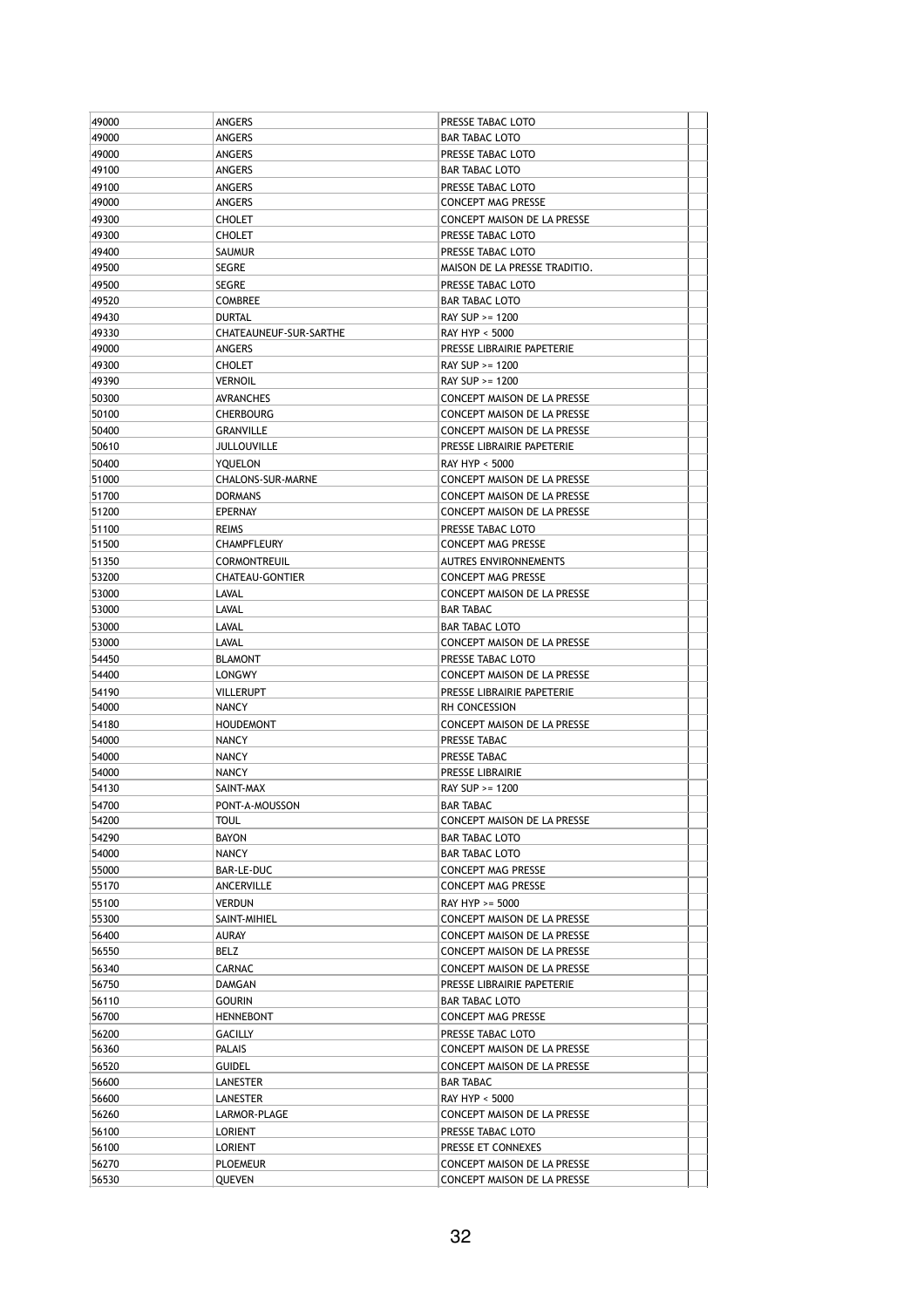| 49000          | <b>ANGERS</b>                        | PRESSE TABAC LOTO                                                 |
|----------------|--------------------------------------|-------------------------------------------------------------------|
| 49000          | ANGERS                               | <b>BAR TABAC LOTO</b>                                             |
| 49000          | ANGERS                               | PRESSE TABAC LOTO                                                 |
| 49100          | ANGERS                               | <b>BAR TABAC LOTO</b>                                             |
| 49100          | ANGERS                               | PRESSE TABAC LOTO                                                 |
| 49000          | ANGERS                               | <b>CONCEPT MAG PRESSE</b>                                         |
| 49300          | <b>CHOLET</b>                        | CONCEPT MAISON DE LA PRESSE                                       |
| 49300          | <b>CHOLET</b>                        | PRESSE TABAC LOTO                                                 |
| 49400          | SAUMUR                               | PRESSE TABAC LOTO                                                 |
| 49500          | <b>SEGRE</b>                         | MAISON DE LA PRESSE TRADITIO.                                     |
| 49500          | <b>SEGRE</b>                         | PRESSE TABAC LOTO                                                 |
| 49520          | <b>COMBREE</b>                       | <b>BAR TABAC LOTO</b>                                             |
| 49430          | <b>DURTAL</b>                        | RAY SUP >= 1200                                                   |
| 49330          | CHATEAUNEUF-SUR-SARTHE               | <b>RAY HYP &lt; 5000</b>                                          |
| 49000          | ANGERS                               | PRESSE LIBRAIRIE PAPETERIE                                        |
| 49300          | <b>CHOLET</b>                        | RAY SUP >= 1200                                                   |
| 49390<br>50300 | <b>VERNOIL</b>                       | RAY SUP >= 1200                                                   |
| 50100          | <b>AVRANCHES</b><br><b>CHERBOURG</b> | CONCEPT MAISON DE LA PRESSE<br><b>CONCEPT MAISON DE LA PRESSE</b> |
| 50400          |                                      |                                                                   |
| 50610          | <b>GRANVILLE</b><br>JULLOUVILLE      | CONCEPT MAISON DE LA PRESSE<br>PRESSE LIBRAIRIE PAPETERIE         |
| 50400          | YOUELON                              | RAY HYP < 5000                                                    |
| 51000          | CHALONS-SUR-MARNE                    | <b>CONCEPT MAISON DE LA PRESSE</b>                                |
| 51700          | <b>DORMANS</b>                       | CONCEPT MAISON DE LA PRESSE                                       |
| 51200          | EPERNAY                              | CONCEPT MAISON DE LA PRESSE                                       |
| 51100          | <b>REIMS</b>                         | PRESSE TABAC LOTO                                                 |
| 51500          | CHAMPFLEURY                          | <b>CONCEPT MAG PRESSE</b>                                         |
| 51350          | <b>CORMONTREUIL</b>                  | <b>AUTRES ENVIRONNEMENTS</b>                                      |
| 53200          | <b>CHATEAU-GONTIER</b>               | <b>CONCEPT MAG PRESSE</b>                                         |
| 53000          | <b>LAVAL</b>                         | CONCEPT MAISON DE LA PRESSE                                       |
| 53000          | LAVAL                                | <b>BAR TABAC</b>                                                  |
| 53000          | <b>LAVAL</b>                         | <b>BAR TABAC LOTO</b>                                             |
| 53000          | LAVAL                                | CONCEPT MAISON DE LA PRESSE                                       |
| 54450          | <b>BLAMONT</b>                       | PRESSE TABAC LOTO                                                 |
| 54400          | <b>LONGWY</b>                        | CONCEPT MAISON DE LA PRESSE                                       |
| 54190          | <b>VILLERUPT</b>                     | PRESSE LIBRAIRIE PAPETERIE                                        |
| 54000          | <b>NANCY</b>                         | RH CONCESSION                                                     |
| 54180          | <b>HOUDEMONT</b>                     | CONCEPT MAISON DE LA PRESSE                                       |
| 54000          | <b>NANCY</b>                         | PRESSE TABAC                                                      |
| 54000          | <b>NANCY</b>                         | PRESSE TABAC                                                      |
| 54000          | <b>NANCY</b>                         | PRESSE LIBRAIRIE                                                  |
| 54130          | SAINT-MAX                            | RAY SUP >= 1200                                                   |
| 54700          | PONT-A-MOUSSON                       | <b>BAR TABAC</b>                                                  |
| 54200          | <b>TOUL</b>                          | CONCEPT MAISON DE LA PRESSE                                       |
| 54290          | <b>BAYON</b>                         | BAR TABAC LOTO                                                    |
| 54000<br>55000 | NANCY<br><b>BAR-LE-DUC</b>           | BAR TABAC LOTO<br><b>CONCEPT MAG PRESSE</b>                       |
| 55170          | ANCERVILLE                           | <b>CONCEPT MAG PRESSE</b>                                         |
| 55100          | <b>VERDUN</b>                        | RAY HYP >= 5000                                                   |
| 55300          | SAINT-MIHIEL                         | CONCEPT MAISON DE LA PRESSE                                       |
| 56400          | AURAY                                | CONCEPT MAISON DE LA PRESSE                                       |
| 56550          | BELZ                                 | CONCEPT MAISON DE LA PRESSE                                       |
| 56340          | <b>CARNAC</b>                        | CONCEPT MAISON DE LA PRESSE                                       |
| 56750          | DAMGAN                               | PRESSE LIBRAIRIE PAPETERIE                                        |
| 56110          | <b>GOURIN</b>                        | BAR TABAC LOTO                                                    |
| 56700          | <b>HENNEBONT</b>                     | CONCEPT MAG PRESSE                                                |
| 56200          | <b>GACILLY</b>                       | PRESSE TABAC LOTO                                                 |
| 56360          | PALAIS                               | CONCEPT MAISON DE LA PRESSE                                       |
| 56520          | <b>GUIDEL</b>                        | CONCEPT MAISON DE LA PRESSE                                       |
| 56600          | LANESTER                             | BAR TABAC                                                         |
| 56600          | LANESTER                             | RAY HYP < 5000                                                    |
| 56260          | LARMOR-PLAGE                         | CONCEPT MAISON DE LA PRESSE                                       |
| 56100          | LORIENT                              | PRESSE TABAC LOTO                                                 |
| 56100          | LORIENT                              | PRESSE ET CONNEXES                                                |
| 56270          | <b>PLOEMEUR</b>                      | CONCEPT MAISON DE LA PRESSE                                       |
| 56530          | QUEVEN                               | CONCEPT MAISON DE LA PRESSE                                       |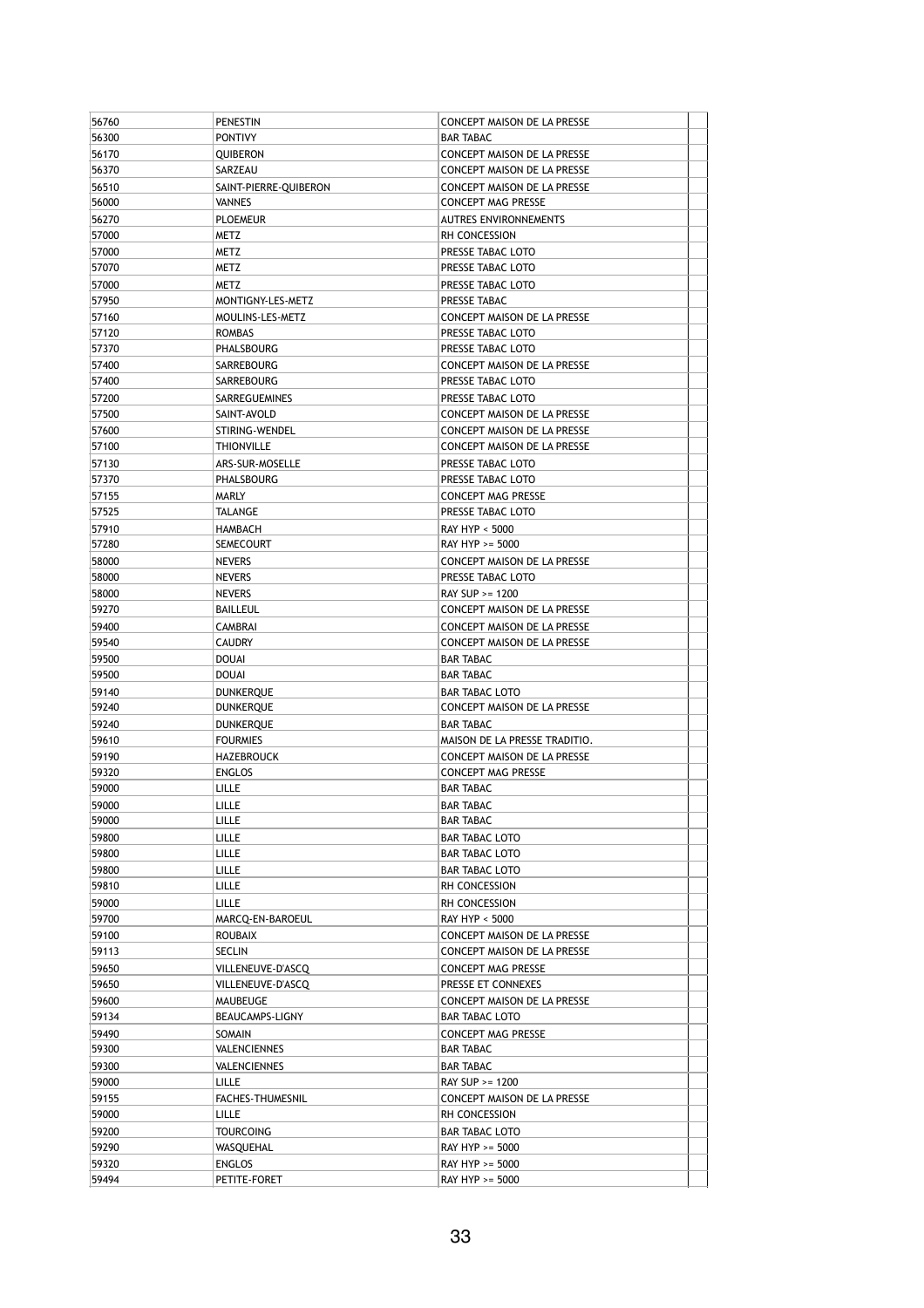| 56760 | <b>PENESTIN</b>       | CONCEPT MAISON DE LA PRESSE                   |
|-------|-----------------------|-----------------------------------------------|
| 56300 | <b>PONTIVY</b>        | <b>BAR TABAC</b>                              |
| 56170 | QUIBERON              | <b>CONCEPT MAISON DE LA PRESSE</b>            |
| 56370 | SARZEAU               | CONCEPT MAISON DE LA PRESSE                   |
| 56510 | SAINT-PIERRE-QUIBERON | CONCEPT MAISON DE LA PRESSE                   |
| 56000 | <b>VANNES</b>         | <b>CONCEPT MAG PRESSE</b>                     |
| 56270 | <b>PLOEMEUR</b>       | <b>AUTRES ENVIRONNEMENTS</b>                  |
| 57000 | METZ                  | RH CONCESSION                                 |
| 57000 | METZ                  | PRESSE TABAC LOTO                             |
| 57070 | METZ                  | PRESSE TABAC LOTO                             |
| 57000 | METZ                  | PRESSE TABAC LOTO                             |
| 57950 | MONTIGNY-LES-METZ     | PRESSE TABAC                                  |
|       | MOULINS-LES-METZ      |                                               |
| 57160 |                       | CONCEPT MAISON DE LA PRESSE                   |
| 57120 | <b>ROMBAS</b>         | PRESSE TABAC LOTO                             |
| 57370 | PHALSBOURG            | PRESSE TABAC LOTO                             |
| 57400 | SARREBOURG            | CONCEPT MAISON DE LA PRESSE                   |
| 57400 | SARREBOURG            | PRESSE TABAC LOTO                             |
| 57200 | SARREGUEMINES         | PRESSE TABAC LOTO                             |
| 57500 | SAINT-AVOLD           | CONCEPT MAISON DE LA PRESSE                   |
| 57600 | STIRING-WENDEL        | <b>CONCEPT MAISON DE LA PRESSE</b>            |
| 57100 | <b>THIONVILLE</b>     | CONCEPT MAISON DE LA PRESSE                   |
| 57130 | ARS-SUR-MOSELLE       | PRESSE TABAC LOTO                             |
| 57370 | <b>PHALSBOURG</b>     | PRESSE TABAC LOTO                             |
| 57155 | MARLY                 | <b>CONCEPT MAG PRESSE</b>                     |
| 57525 | TALANGE               | PRESSE TABAC LOTO                             |
| 57910 | <b>HAMBACH</b>        | <b>RAY HYP &lt; 5000</b>                      |
| 57280 | <b>SEMECOURT</b>      | RAY HYP >= 5000                               |
| 58000 | <b>NEVERS</b>         | CONCEPT MAISON DE LA PRESSE                   |
| 58000 | <b>NEVERS</b>         | PRESSE TABAC LOTO                             |
| 58000 | <b>NEVERS</b>         | RAY SUP >= 1200                               |
| 59270 | BAILLEUL              | CONCEPT MAISON DE LA PRESSE                   |
| 59400 | <b>CAMBRAI</b>        | CONCEPT MAISON DE LA PRESSE                   |
| 59540 |                       | CONCEPT MAISON DE LA PRESSE                   |
|       | <b>CAUDRY</b>         |                                               |
| 59500 | <b>DOUAI</b>          | <b>BAR TABAC</b>                              |
| 59500 | DOUAI                 | <b>BAR TABAC</b>                              |
| 59140 | DUNKERQUE             | <b>BAR TABAC LOTO</b>                         |
| 59240 | DUNKERQUE             | CONCEPT MAISON DE LA PRESSE                   |
| 59240 | <b>DUNKERQUE</b>      | <b>BAR TABAC</b>                              |
| 59610 | <b>FOURMIES</b>       | MAISON DE LA PRESSE TRADITIO.                 |
| 59190 | <b>HAZEBROUCK</b>     | CONCEPT MAISON DE LA PRESSE                   |
| 59320 | <b>ENGLOS</b>         | <b>CONCEPT MAG PRESSE</b>                     |
| 59000 | LILLE                 | <b>BAR TABAC</b>                              |
| 59000 | LILLE                 | <b>BAR TABAC</b>                              |
| 59000 | LILLE                 | <b>BAR TABAC</b>                              |
| 59800 | LILLE                 | BAR TABAC LOTO                                |
| 59800 | LILLE                 | <b>BAR TABAC LOTO</b>                         |
| 59800 | LILLE                 | BAR TABAC LOTO                                |
| 59810 | LILLE                 | RH CONCESSION                                 |
| 59000 | LILLE                 | RH CONCESSION                                 |
| 59700 | MARCQ-EN-BAROEUL      | RAY HYP < 5000                                |
| 59100 | <b>ROUBAIX</b>        | CONCEPT MAISON DE LA PRESSE                   |
| 59113 | SECLIN                | CONCEPT MAISON DE LA PRESSE                   |
| 59650 | VILLENEUVE-D'ASCQ     | <b>CONCEPT MAG PRESSE</b>                     |
| 59650 | VILLENEUVE-D'ASCQ     | PRESSE ET CONNEXES                            |
| 59600 | MAUBEUGE              |                                               |
| 59134 | BEAUCAMPS-LIGNY       | CONCEPT MAISON DE LA PRESSE<br>BAR TABAC LOTO |
|       |                       |                                               |
| 59490 | SOMAIN                | <b>CONCEPT MAG PRESSE</b>                     |
| 59300 | VALENCIENNES          | BAR TABAC                                     |
| 59300 | VALENCIENNES          | BAR TABAC                                     |
| 59000 | LILLE                 | RAY SUP >= 1200                               |
| 59155 | FACHES-THUMESNIL      | CONCEPT MAISON DE LA PRESSE                   |
| 59000 | LILLE                 | RH CONCESSION                                 |
| 59200 | TOURCOING             | BAR TABAC LOTO                                |
| 59290 | WASQUEHAL             | RAY HYP >= 5000                               |
| 59320 | <b>ENGLOS</b>         | RAY HYP >= 5000                               |
| 59494 | PETITE-FORET          | RAY HYP >= 5000                               |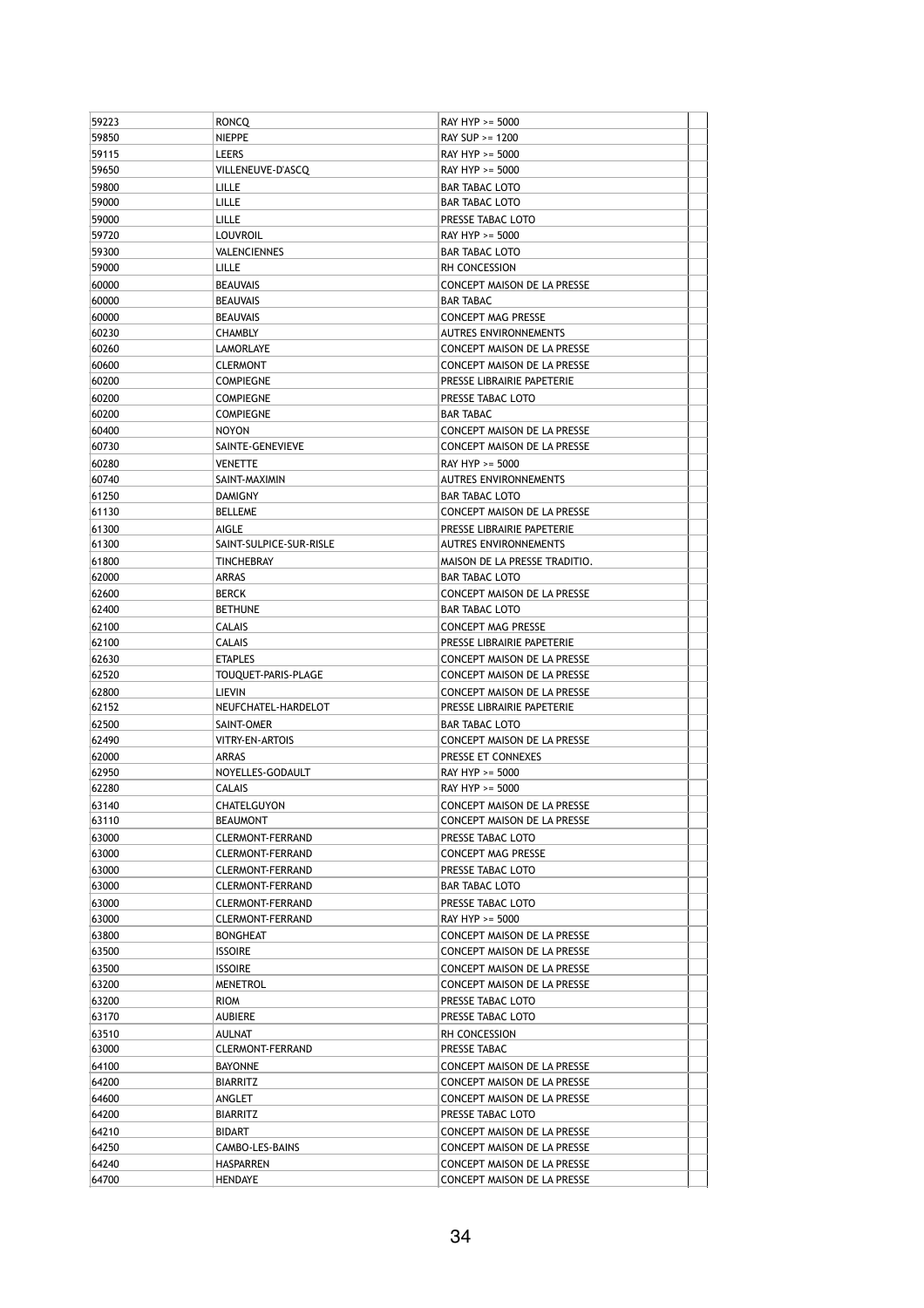| 59850<br>NIEPPE<br>RAY SUP >= 1200<br>59115<br>LEERS<br>RAY HYP >= 5000<br>59650<br>VILLENEUVE-D'ASCQ<br>RAY HYP >= 5000<br>59800<br>LILLE<br><b>BAR TABAC LOTO</b><br>59000<br>LILLE<br><b>BAR TABAC LOTO</b><br>59000<br>LILLE<br>PRESSE TABAC LOTO<br>59720<br>LOUVROIL<br>RAY HYP >= 5000<br>59300<br>VALENCIENNES<br><b>BAR TABAC LOTO</b><br>59000<br>LILLE<br>RH CONCESSION<br>60000<br>BEAUVAIS<br>CONCEPT MAISON DE LA PRESSE<br>60000<br>BEAUVAIS<br><b>BAR TABAC</b><br>60000<br><b>BEAUVAIS</b><br><b>CONCEPT MAG PRESSE</b><br>60230<br><b>AUTRES ENVIRONNEMENTS</b><br>CHAMBLY<br>60260<br>LAMORLAYE<br><b>CONCEPT MAISON DE LA PRESSE</b><br>60600<br><b>CLERMONT</b><br>CONCEPT MAISON DE LA PRESSE<br>60200<br><b>COMPIEGNE</b><br>PRESSE LIBRAIRIE PAPETERIE<br>60200<br>PRESSE TABAC LOTO<br><b>COMPIEGNE</b><br>60200<br><b>COMPIEGNE</b><br><b>BAR TABAC</b><br>60400<br><b>NOYON</b><br><b>CONCEPT MAISON DE LA PRESSE</b><br>60730<br>SAINTE-GENEVIEVE<br><b>CONCEPT MAISON DE LA PRESSE</b><br>60280<br><b>VENETTE</b><br>RAY HYP >= 5000<br>60740<br>SAINT-MAXIMIN<br><b>AUTRES ENVIRONNEMENTS</b><br>61250<br>DAMIGNY<br><b>BAR TABAC LOTO</b><br>61130<br><b>BELLEME</b><br>CONCEPT MAISON DE LA PRESSE<br>61300<br>PRESSE LIBRAIRIE PAPETERIE<br>AIGLE<br>61300<br>SAINT-SULPICE-SUR-RISLE<br><b>AUTRES ENVIRONNEMENTS</b><br>61800<br>TINCHEBRAY<br>MAISON DE LA PRESSE TRADITIO.<br>62000<br>ARRAS<br><b>BAR TABAC LOTO</b><br>62600<br>BERCK<br>CONCEPT MAISON DE LA PRESSE<br>62400<br><b>BETHUNE</b><br><b>BAR TABAC LOTO</b><br>62100<br>CALAIS<br><b>CONCEPT MAG PRESSE</b><br>62100<br><b>CALAIS</b><br>PRESSE LIBRAIRIE PAPETERIE<br>62630<br><b>ETAPLES</b><br>CONCEPT MAISON DE LA PRESSE<br>62520<br>TOUQUET-PARIS-PLAGE<br>CONCEPT MAISON DE LA PRESSE<br>62800<br>LIEVIN<br>CONCEPT MAISON DE LA PRESSE<br>62152<br>NEUFCHATEL-HARDELOT<br>PRESSE LIBRAIRIE PAPETERIE<br>62500<br>SAINT-OMER<br><b>BAR TABAC LOTO</b><br>62490<br>VITRY-EN-ARTOIS<br>CONCEPT MAISON DE LA PRESSE<br>62000<br>PRESSE ET CONNEXES<br>ARRAS<br>62950<br>NOYELLES-GODAULT<br>RAY HYP >= 5000<br>62280<br>CALAIS<br>RAY HYP >= 5000<br>63140<br><b>CHATELGUYON</b><br><b>CONCEPT MAISON DE LA PRESSE</b><br>63110<br>BEAUMONT<br>CONCEPT MAISON DE LA PRESSE<br>63000<br>CLERMONT-FERRAND<br>PRESSE TABAC LOTO<br>63000<br>CLERMONT-FERRAND<br>CONCEPT MAG PRESSE<br>63000<br>CLERMONT-FERRAND<br>PRESSE TABAC LOTO<br>63000<br>CLERMONT-FERRAND<br><b>BAR TABAC LOTO</b><br>63000<br>CLERMONT-FERRAND<br>PRESSE TABAC LOTO<br>63000<br>CLERMONT-FERRAND<br>RAY HYP >= 5000<br>63800<br>BONGHEAT<br>CONCEPT MAISON DE LA PRESSE<br>63500<br>ISSOIRE<br>CONCEPT MAISON DE LA PRESSE<br>63500<br><b>ISSOIRE</b><br>CONCEPT MAISON DE LA PRESSE<br>63200<br>MENETROL<br>CONCEPT MAISON DE LA PRESSE<br>63200<br>RIOM<br>PRESSE TABAC LOTO<br>63170<br>PRESSE TABAC LOTO<br>AUBIERE<br>63510<br>AULNAT<br>RH CONCESSION<br>63000<br>CLERMONT-FERRAND<br>PRESSE TABAC<br>64100<br><b>BAYONNE</b><br>CONCEPT MAISON DE LA PRESSE<br>64200<br>CONCEPT MAISON DE LA PRESSE<br>BIARRITZ<br>64600<br>CONCEPT MAISON DE LA PRESSE<br>ANGLET<br>64200<br>BIARRITZ<br>PRESSE TABAC LOTO<br>64210<br>BIDART<br>CONCEPT MAISON DE LA PRESSE<br>64250<br>CAMBO-LES-BAINS<br>CONCEPT MAISON DE LA PRESSE<br>64240<br>HASPARREN<br>CONCEPT MAISON DE LA PRESSE<br>64700<br>HENDAYE<br>CONCEPT MAISON DE LA PRESSE | 59223 | RONCQ | RAY HYP >= 5000 |  |
|----------------------------------------------------------------------------------------------------------------------------------------------------------------------------------------------------------------------------------------------------------------------------------------------------------------------------------------------------------------------------------------------------------------------------------------------------------------------------------------------------------------------------------------------------------------------------------------------------------------------------------------------------------------------------------------------------------------------------------------------------------------------------------------------------------------------------------------------------------------------------------------------------------------------------------------------------------------------------------------------------------------------------------------------------------------------------------------------------------------------------------------------------------------------------------------------------------------------------------------------------------------------------------------------------------------------------------------------------------------------------------------------------------------------------------------------------------------------------------------------------------------------------------------------------------------------------------------------------------------------------------------------------------------------------------------------------------------------------------------------------------------------------------------------------------------------------------------------------------------------------------------------------------------------------------------------------------------------------------------------------------------------------------------------------------------------------------------------------------------------------------------------------------------------------------------------------------------------------------------------------------------------------------------------------------------------------------------------------------------------------------------------------------------------------------------------------------------------------------------------------------------------------------------------------------------------------------------------------------------------------------------------------------------------------------------------------------------------------------------------------------------------------------------------------------------------------------------------------------------------------------------------------------------------------------------------------------------------------------------------------------------------------------------------------------------------------------------------------------------------------------------------------------------------------------------------------------------------------------------------------------------------------------------------------------------------------------------------------------------------------------------------------------------------|-------|-------|-----------------|--|
|                                                                                                                                                                                                                                                                                                                                                                                                                                                                                                                                                                                                                                                                                                                                                                                                                                                                                                                                                                                                                                                                                                                                                                                                                                                                                                                                                                                                                                                                                                                                                                                                                                                                                                                                                                                                                                                                                                                                                                                                                                                                                                                                                                                                                                                                                                                                                                                                                                                                                                                                                                                                                                                                                                                                                                                                                                                                                                                                                                                                                                                                                                                                                                                                                                                                                                                                                                                                                      |       |       |                 |  |
|                                                                                                                                                                                                                                                                                                                                                                                                                                                                                                                                                                                                                                                                                                                                                                                                                                                                                                                                                                                                                                                                                                                                                                                                                                                                                                                                                                                                                                                                                                                                                                                                                                                                                                                                                                                                                                                                                                                                                                                                                                                                                                                                                                                                                                                                                                                                                                                                                                                                                                                                                                                                                                                                                                                                                                                                                                                                                                                                                                                                                                                                                                                                                                                                                                                                                                                                                                                                                      |       |       |                 |  |
|                                                                                                                                                                                                                                                                                                                                                                                                                                                                                                                                                                                                                                                                                                                                                                                                                                                                                                                                                                                                                                                                                                                                                                                                                                                                                                                                                                                                                                                                                                                                                                                                                                                                                                                                                                                                                                                                                                                                                                                                                                                                                                                                                                                                                                                                                                                                                                                                                                                                                                                                                                                                                                                                                                                                                                                                                                                                                                                                                                                                                                                                                                                                                                                                                                                                                                                                                                                                                      |       |       |                 |  |
|                                                                                                                                                                                                                                                                                                                                                                                                                                                                                                                                                                                                                                                                                                                                                                                                                                                                                                                                                                                                                                                                                                                                                                                                                                                                                                                                                                                                                                                                                                                                                                                                                                                                                                                                                                                                                                                                                                                                                                                                                                                                                                                                                                                                                                                                                                                                                                                                                                                                                                                                                                                                                                                                                                                                                                                                                                                                                                                                                                                                                                                                                                                                                                                                                                                                                                                                                                                                                      |       |       |                 |  |
|                                                                                                                                                                                                                                                                                                                                                                                                                                                                                                                                                                                                                                                                                                                                                                                                                                                                                                                                                                                                                                                                                                                                                                                                                                                                                                                                                                                                                                                                                                                                                                                                                                                                                                                                                                                                                                                                                                                                                                                                                                                                                                                                                                                                                                                                                                                                                                                                                                                                                                                                                                                                                                                                                                                                                                                                                                                                                                                                                                                                                                                                                                                                                                                                                                                                                                                                                                                                                      |       |       |                 |  |
|                                                                                                                                                                                                                                                                                                                                                                                                                                                                                                                                                                                                                                                                                                                                                                                                                                                                                                                                                                                                                                                                                                                                                                                                                                                                                                                                                                                                                                                                                                                                                                                                                                                                                                                                                                                                                                                                                                                                                                                                                                                                                                                                                                                                                                                                                                                                                                                                                                                                                                                                                                                                                                                                                                                                                                                                                                                                                                                                                                                                                                                                                                                                                                                                                                                                                                                                                                                                                      |       |       |                 |  |
|                                                                                                                                                                                                                                                                                                                                                                                                                                                                                                                                                                                                                                                                                                                                                                                                                                                                                                                                                                                                                                                                                                                                                                                                                                                                                                                                                                                                                                                                                                                                                                                                                                                                                                                                                                                                                                                                                                                                                                                                                                                                                                                                                                                                                                                                                                                                                                                                                                                                                                                                                                                                                                                                                                                                                                                                                                                                                                                                                                                                                                                                                                                                                                                                                                                                                                                                                                                                                      |       |       |                 |  |
|                                                                                                                                                                                                                                                                                                                                                                                                                                                                                                                                                                                                                                                                                                                                                                                                                                                                                                                                                                                                                                                                                                                                                                                                                                                                                                                                                                                                                                                                                                                                                                                                                                                                                                                                                                                                                                                                                                                                                                                                                                                                                                                                                                                                                                                                                                                                                                                                                                                                                                                                                                                                                                                                                                                                                                                                                                                                                                                                                                                                                                                                                                                                                                                                                                                                                                                                                                                                                      |       |       |                 |  |
|                                                                                                                                                                                                                                                                                                                                                                                                                                                                                                                                                                                                                                                                                                                                                                                                                                                                                                                                                                                                                                                                                                                                                                                                                                                                                                                                                                                                                                                                                                                                                                                                                                                                                                                                                                                                                                                                                                                                                                                                                                                                                                                                                                                                                                                                                                                                                                                                                                                                                                                                                                                                                                                                                                                                                                                                                                                                                                                                                                                                                                                                                                                                                                                                                                                                                                                                                                                                                      |       |       |                 |  |
|                                                                                                                                                                                                                                                                                                                                                                                                                                                                                                                                                                                                                                                                                                                                                                                                                                                                                                                                                                                                                                                                                                                                                                                                                                                                                                                                                                                                                                                                                                                                                                                                                                                                                                                                                                                                                                                                                                                                                                                                                                                                                                                                                                                                                                                                                                                                                                                                                                                                                                                                                                                                                                                                                                                                                                                                                                                                                                                                                                                                                                                                                                                                                                                                                                                                                                                                                                                                                      |       |       |                 |  |
|                                                                                                                                                                                                                                                                                                                                                                                                                                                                                                                                                                                                                                                                                                                                                                                                                                                                                                                                                                                                                                                                                                                                                                                                                                                                                                                                                                                                                                                                                                                                                                                                                                                                                                                                                                                                                                                                                                                                                                                                                                                                                                                                                                                                                                                                                                                                                                                                                                                                                                                                                                                                                                                                                                                                                                                                                                                                                                                                                                                                                                                                                                                                                                                                                                                                                                                                                                                                                      |       |       |                 |  |
|                                                                                                                                                                                                                                                                                                                                                                                                                                                                                                                                                                                                                                                                                                                                                                                                                                                                                                                                                                                                                                                                                                                                                                                                                                                                                                                                                                                                                                                                                                                                                                                                                                                                                                                                                                                                                                                                                                                                                                                                                                                                                                                                                                                                                                                                                                                                                                                                                                                                                                                                                                                                                                                                                                                                                                                                                                                                                                                                                                                                                                                                                                                                                                                                                                                                                                                                                                                                                      |       |       |                 |  |
|                                                                                                                                                                                                                                                                                                                                                                                                                                                                                                                                                                                                                                                                                                                                                                                                                                                                                                                                                                                                                                                                                                                                                                                                                                                                                                                                                                                                                                                                                                                                                                                                                                                                                                                                                                                                                                                                                                                                                                                                                                                                                                                                                                                                                                                                                                                                                                                                                                                                                                                                                                                                                                                                                                                                                                                                                                                                                                                                                                                                                                                                                                                                                                                                                                                                                                                                                                                                                      |       |       |                 |  |
|                                                                                                                                                                                                                                                                                                                                                                                                                                                                                                                                                                                                                                                                                                                                                                                                                                                                                                                                                                                                                                                                                                                                                                                                                                                                                                                                                                                                                                                                                                                                                                                                                                                                                                                                                                                                                                                                                                                                                                                                                                                                                                                                                                                                                                                                                                                                                                                                                                                                                                                                                                                                                                                                                                                                                                                                                                                                                                                                                                                                                                                                                                                                                                                                                                                                                                                                                                                                                      |       |       |                 |  |
|                                                                                                                                                                                                                                                                                                                                                                                                                                                                                                                                                                                                                                                                                                                                                                                                                                                                                                                                                                                                                                                                                                                                                                                                                                                                                                                                                                                                                                                                                                                                                                                                                                                                                                                                                                                                                                                                                                                                                                                                                                                                                                                                                                                                                                                                                                                                                                                                                                                                                                                                                                                                                                                                                                                                                                                                                                                                                                                                                                                                                                                                                                                                                                                                                                                                                                                                                                                                                      |       |       |                 |  |
|                                                                                                                                                                                                                                                                                                                                                                                                                                                                                                                                                                                                                                                                                                                                                                                                                                                                                                                                                                                                                                                                                                                                                                                                                                                                                                                                                                                                                                                                                                                                                                                                                                                                                                                                                                                                                                                                                                                                                                                                                                                                                                                                                                                                                                                                                                                                                                                                                                                                                                                                                                                                                                                                                                                                                                                                                                                                                                                                                                                                                                                                                                                                                                                                                                                                                                                                                                                                                      |       |       |                 |  |
|                                                                                                                                                                                                                                                                                                                                                                                                                                                                                                                                                                                                                                                                                                                                                                                                                                                                                                                                                                                                                                                                                                                                                                                                                                                                                                                                                                                                                                                                                                                                                                                                                                                                                                                                                                                                                                                                                                                                                                                                                                                                                                                                                                                                                                                                                                                                                                                                                                                                                                                                                                                                                                                                                                                                                                                                                                                                                                                                                                                                                                                                                                                                                                                                                                                                                                                                                                                                                      |       |       |                 |  |
|                                                                                                                                                                                                                                                                                                                                                                                                                                                                                                                                                                                                                                                                                                                                                                                                                                                                                                                                                                                                                                                                                                                                                                                                                                                                                                                                                                                                                                                                                                                                                                                                                                                                                                                                                                                                                                                                                                                                                                                                                                                                                                                                                                                                                                                                                                                                                                                                                                                                                                                                                                                                                                                                                                                                                                                                                                                                                                                                                                                                                                                                                                                                                                                                                                                                                                                                                                                                                      |       |       |                 |  |
|                                                                                                                                                                                                                                                                                                                                                                                                                                                                                                                                                                                                                                                                                                                                                                                                                                                                                                                                                                                                                                                                                                                                                                                                                                                                                                                                                                                                                                                                                                                                                                                                                                                                                                                                                                                                                                                                                                                                                                                                                                                                                                                                                                                                                                                                                                                                                                                                                                                                                                                                                                                                                                                                                                                                                                                                                                                                                                                                                                                                                                                                                                                                                                                                                                                                                                                                                                                                                      |       |       |                 |  |
|                                                                                                                                                                                                                                                                                                                                                                                                                                                                                                                                                                                                                                                                                                                                                                                                                                                                                                                                                                                                                                                                                                                                                                                                                                                                                                                                                                                                                                                                                                                                                                                                                                                                                                                                                                                                                                                                                                                                                                                                                                                                                                                                                                                                                                                                                                                                                                                                                                                                                                                                                                                                                                                                                                                                                                                                                                                                                                                                                                                                                                                                                                                                                                                                                                                                                                                                                                                                                      |       |       |                 |  |
|                                                                                                                                                                                                                                                                                                                                                                                                                                                                                                                                                                                                                                                                                                                                                                                                                                                                                                                                                                                                                                                                                                                                                                                                                                                                                                                                                                                                                                                                                                                                                                                                                                                                                                                                                                                                                                                                                                                                                                                                                                                                                                                                                                                                                                                                                                                                                                                                                                                                                                                                                                                                                                                                                                                                                                                                                                                                                                                                                                                                                                                                                                                                                                                                                                                                                                                                                                                                                      |       |       |                 |  |
|                                                                                                                                                                                                                                                                                                                                                                                                                                                                                                                                                                                                                                                                                                                                                                                                                                                                                                                                                                                                                                                                                                                                                                                                                                                                                                                                                                                                                                                                                                                                                                                                                                                                                                                                                                                                                                                                                                                                                                                                                                                                                                                                                                                                                                                                                                                                                                                                                                                                                                                                                                                                                                                                                                                                                                                                                                                                                                                                                                                                                                                                                                                                                                                                                                                                                                                                                                                                                      |       |       |                 |  |
|                                                                                                                                                                                                                                                                                                                                                                                                                                                                                                                                                                                                                                                                                                                                                                                                                                                                                                                                                                                                                                                                                                                                                                                                                                                                                                                                                                                                                                                                                                                                                                                                                                                                                                                                                                                                                                                                                                                                                                                                                                                                                                                                                                                                                                                                                                                                                                                                                                                                                                                                                                                                                                                                                                                                                                                                                                                                                                                                                                                                                                                                                                                                                                                                                                                                                                                                                                                                                      |       |       |                 |  |
|                                                                                                                                                                                                                                                                                                                                                                                                                                                                                                                                                                                                                                                                                                                                                                                                                                                                                                                                                                                                                                                                                                                                                                                                                                                                                                                                                                                                                                                                                                                                                                                                                                                                                                                                                                                                                                                                                                                                                                                                                                                                                                                                                                                                                                                                                                                                                                                                                                                                                                                                                                                                                                                                                                                                                                                                                                                                                                                                                                                                                                                                                                                                                                                                                                                                                                                                                                                                                      |       |       |                 |  |
|                                                                                                                                                                                                                                                                                                                                                                                                                                                                                                                                                                                                                                                                                                                                                                                                                                                                                                                                                                                                                                                                                                                                                                                                                                                                                                                                                                                                                                                                                                                                                                                                                                                                                                                                                                                                                                                                                                                                                                                                                                                                                                                                                                                                                                                                                                                                                                                                                                                                                                                                                                                                                                                                                                                                                                                                                                                                                                                                                                                                                                                                                                                                                                                                                                                                                                                                                                                                                      |       |       |                 |  |
|                                                                                                                                                                                                                                                                                                                                                                                                                                                                                                                                                                                                                                                                                                                                                                                                                                                                                                                                                                                                                                                                                                                                                                                                                                                                                                                                                                                                                                                                                                                                                                                                                                                                                                                                                                                                                                                                                                                                                                                                                                                                                                                                                                                                                                                                                                                                                                                                                                                                                                                                                                                                                                                                                                                                                                                                                                                                                                                                                                                                                                                                                                                                                                                                                                                                                                                                                                                                                      |       |       |                 |  |
|                                                                                                                                                                                                                                                                                                                                                                                                                                                                                                                                                                                                                                                                                                                                                                                                                                                                                                                                                                                                                                                                                                                                                                                                                                                                                                                                                                                                                                                                                                                                                                                                                                                                                                                                                                                                                                                                                                                                                                                                                                                                                                                                                                                                                                                                                                                                                                                                                                                                                                                                                                                                                                                                                                                                                                                                                                                                                                                                                                                                                                                                                                                                                                                                                                                                                                                                                                                                                      |       |       |                 |  |
|                                                                                                                                                                                                                                                                                                                                                                                                                                                                                                                                                                                                                                                                                                                                                                                                                                                                                                                                                                                                                                                                                                                                                                                                                                                                                                                                                                                                                                                                                                                                                                                                                                                                                                                                                                                                                                                                                                                                                                                                                                                                                                                                                                                                                                                                                                                                                                                                                                                                                                                                                                                                                                                                                                                                                                                                                                                                                                                                                                                                                                                                                                                                                                                                                                                                                                                                                                                                                      |       |       |                 |  |
|                                                                                                                                                                                                                                                                                                                                                                                                                                                                                                                                                                                                                                                                                                                                                                                                                                                                                                                                                                                                                                                                                                                                                                                                                                                                                                                                                                                                                                                                                                                                                                                                                                                                                                                                                                                                                                                                                                                                                                                                                                                                                                                                                                                                                                                                                                                                                                                                                                                                                                                                                                                                                                                                                                                                                                                                                                                                                                                                                                                                                                                                                                                                                                                                                                                                                                                                                                                                                      |       |       |                 |  |
|                                                                                                                                                                                                                                                                                                                                                                                                                                                                                                                                                                                                                                                                                                                                                                                                                                                                                                                                                                                                                                                                                                                                                                                                                                                                                                                                                                                                                                                                                                                                                                                                                                                                                                                                                                                                                                                                                                                                                                                                                                                                                                                                                                                                                                                                                                                                                                                                                                                                                                                                                                                                                                                                                                                                                                                                                                                                                                                                                                                                                                                                                                                                                                                                                                                                                                                                                                                                                      |       |       |                 |  |
|                                                                                                                                                                                                                                                                                                                                                                                                                                                                                                                                                                                                                                                                                                                                                                                                                                                                                                                                                                                                                                                                                                                                                                                                                                                                                                                                                                                                                                                                                                                                                                                                                                                                                                                                                                                                                                                                                                                                                                                                                                                                                                                                                                                                                                                                                                                                                                                                                                                                                                                                                                                                                                                                                                                                                                                                                                                                                                                                                                                                                                                                                                                                                                                                                                                                                                                                                                                                                      |       |       |                 |  |
|                                                                                                                                                                                                                                                                                                                                                                                                                                                                                                                                                                                                                                                                                                                                                                                                                                                                                                                                                                                                                                                                                                                                                                                                                                                                                                                                                                                                                                                                                                                                                                                                                                                                                                                                                                                                                                                                                                                                                                                                                                                                                                                                                                                                                                                                                                                                                                                                                                                                                                                                                                                                                                                                                                                                                                                                                                                                                                                                                                                                                                                                                                                                                                                                                                                                                                                                                                                                                      |       |       |                 |  |
|                                                                                                                                                                                                                                                                                                                                                                                                                                                                                                                                                                                                                                                                                                                                                                                                                                                                                                                                                                                                                                                                                                                                                                                                                                                                                                                                                                                                                                                                                                                                                                                                                                                                                                                                                                                                                                                                                                                                                                                                                                                                                                                                                                                                                                                                                                                                                                                                                                                                                                                                                                                                                                                                                                                                                                                                                                                                                                                                                                                                                                                                                                                                                                                                                                                                                                                                                                                                                      |       |       |                 |  |
|                                                                                                                                                                                                                                                                                                                                                                                                                                                                                                                                                                                                                                                                                                                                                                                                                                                                                                                                                                                                                                                                                                                                                                                                                                                                                                                                                                                                                                                                                                                                                                                                                                                                                                                                                                                                                                                                                                                                                                                                                                                                                                                                                                                                                                                                                                                                                                                                                                                                                                                                                                                                                                                                                                                                                                                                                                                                                                                                                                                                                                                                                                                                                                                                                                                                                                                                                                                                                      |       |       |                 |  |
|                                                                                                                                                                                                                                                                                                                                                                                                                                                                                                                                                                                                                                                                                                                                                                                                                                                                                                                                                                                                                                                                                                                                                                                                                                                                                                                                                                                                                                                                                                                                                                                                                                                                                                                                                                                                                                                                                                                                                                                                                                                                                                                                                                                                                                                                                                                                                                                                                                                                                                                                                                                                                                                                                                                                                                                                                                                                                                                                                                                                                                                                                                                                                                                                                                                                                                                                                                                                                      |       |       |                 |  |
|                                                                                                                                                                                                                                                                                                                                                                                                                                                                                                                                                                                                                                                                                                                                                                                                                                                                                                                                                                                                                                                                                                                                                                                                                                                                                                                                                                                                                                                                                                                                                                                                                                                                                                                                                                                                                                                                                                                                                                                                                                                                                                                                                                                                                                                                                                                                                                                                                                                                                                                                                                                                                                                                                                                                                                                                                                                                                                                                                                                                                                                                                                                                                                                                                                                                                                                                                                                                                      |       |       |                 |  |
|                                                                                                                                                                                                                                                                                                                                                                                                                                                                                                                                                                                                                                                                                                                                                                                                                                                                                                                                                                                                                                                                                                                                                                                                                                                                                                                                                                                                                                                                                                                                                                                                                                                                                                                                                                                                                                                                                                                                                                                                                                                                                                                                                                                                                                                                                                                                                                                                                                                                                                                                                                                                                                                                                                                                                                                                                                                                                                                                                                                                                                                                                                                                                                                                                                                                                                                                                                                                                      |       |       |                 |  |
|                                                                                                                                                                                                                                                                                                                                                                                                                                                                                                                                                                                                                                                                                                                                                                                                                                                                                                                                                                                                                                                                                                                                                                                                                                                                                                                                                                                                                                                                                                                                                                                                                                                                                                                                                                                                                                                                                                                                                                                                                                                                                                                                                                                                                                                                                                                                                                                                                                                                                                                                                                                                                                                                                                                                                                                                                                                                                                                                                                                                                                                                                                                                                                                                                                                                                                                                                                                                                      |       |       |                 |  |
|                                                                                                                                                                                                                                                                                                                                                                                                                                                                                                                                                                                                                                                                                                                                                                                                                                                                                                                                                                                                                                                                                                                                                                                                                                                                                                                                                                                                                                                                                                                                                                                                                                                                                                                                                                                                                                                                                                                                                                                                                                                                                                                                                                                                                                                                                                                                                                                                                                                                                                                                                                                                                                                                                                                                                                                                                                                                                                                                                                                                                                                                                                                                                                                                                                                                                                                                                                                                                      |       |       |                 |  |
|                                                                                                                                                                                                                                                                                                                                                                                                                                                                                                                                                                                                                                                                                                                                                                                                                                                                                                                                                                                                                                                                                                                                                                                                                                                                                                                                                                                                                                                                                                                                                                                                                                                                                                                                                                                                                                                                                                                                                                                                                                                                                                                                                                                                                                                                                                                                                                                                                                                                                                                                                                                                                                                                                                                                                                                                                                                                                                                                                                                                                                                                                                                                                                                                                                                                                                                                                                                                                      |       |       |                 |  |
|                                                                                                                                                                                                                                                                                                                                                                                                                                                                                                                                                                                                                                                                                                                                                                                                                                                                                                                                                                                                                                                                                                                                                                                                                                                                                                                                                                                                                                                                                                                                                                                                                                                                                                                                                                                                                                                                                                                                                                                                                                                                                                                                                                                                                                                                                                                                                                                                                                                                                                                                                                                                                                                                                                                                                                                                                                                                                                                                                                                                                                                                                                                                                                                                                                                                                                                                                                                                                      |       |       |                 |  |
|                                                                                                                                                                                                                                                                                                                                                                                                                                                                                                                                                                                                                                                                                                                                                                                                                                                                                                                                                                                                                                                                                                                                                                                                                                                                                                                                                                                                                                                                                                                                                                                                                                                                                                                                                                                                                                                                                                                                                                                                                                                                                                                                                                                                                                                                                                                                                                                                                                                                                                                                                                                                                                                                                                                                                                                                                                                                                                                                                                                                                                                                                                                                                                                                                                                                                                                                                                                                                      |       |       |                 |  |
|                                                                                                                                                                                                                                                                                                                                                                                                                                                                                                                                                                                                                                                                                                                                                                                                                                                                                                                                                                                                                                                                                                                                                                                                                                                                                                                                                                                                                                                                                                                                                                                                                                                                                                                                                                                                                                                                                                                                                                                                                                                                                                                                                                                                                                                                                                                                                                                                                                                                                                                                                                                                                                                                                                                                                                                                                                                                                                                                                                                                                                                                                                                                                                                                                                                                                                                                                                                                                      |       |       |                 |  |
|                                                                                                                                                                                                                                                                                                                                                                                                                                                                                                                                                                                                                                                                                                                                                                                                                                                                                                                                                                                                                                                                                                                                                                                                                                                                                                                                                                                                                                                                                                                                                                                                                                                                                                                                                                                                                                                                                                                                                                                                                                                                                                                                                                                                                                                                                                                                                                                                                                                                                                                                                                                                                                                                                                                                                                                                                                                                                                                                                                                                                                                                                                                                                                                                                                                                                                                                                                                                                      |       |       |                 |  |
|                                                                                                                                                                                                                                                                                                                                                                                                                                                                                                                                                                                                                                                                                                                                                                                                                                                                                                                                                                                                                                                                                                                                                                                                                                                                                                                                                                                                                                                                                                                                                                                                                                                                                                                                                                                                                                                                                                                                                                                                                                                                                                                                                                                                                                                                                                                                                                                                                                                                                                                                                                                                                                                                                                                                                                                                                                                                                                                                                                                                                                                                                                                                                                                                                                                                                                                                                                                                                      |       |       |                 |  |
|                                                                                                                                                                                                                                                                                                                                                                                                                                                                                                                                                                                                                                                                                                                                                                                                                                                                                                                                                                                                                                                                                                                                                                                                                                                                                                                                                                                                                                                                                                                                                                                                                                                                                                                                                                                                                                                                                                                                                                                                                                                                                                                                                                                                                                                                                                                                                                                                                                                                                                                                                                                                                                                                                                                                                                                                                                                                                                                                                                                                                                                                                                                                                                                                                                                                                                                                                                                                                      |       |       |                 |  |
|                                                                                                                                                                                                                                                                                                                                                                                                                                                                                                                                                                                                                                                                                                                                                                                                                                                                                                                                                                                                                                                                                                                                                                                                                                                                                                                                                                                                                                                                                                                                                                                                                                                                                                                                                                                                                                                                                                                                                                                                                                                                                                                                                                                                                                                                                                                                                                                                                                                                                                                                                                                                                                                                                                                                                                                                                                                                                                                                                                                                                                                                                                                                                                                                                                                                                                                                                                                                                      |       |       |                 |  |
|                                                                                                                                                                                                                                                                                                                                                                                                                                                                                                                                                                                                                                                                                                                                                                                                                                                                                                                                                                                                                                                                                                                                                                                                                                                                                                                                                                                                                                                                                                                                                                                                                                                                                                                                                                                                                                                                                                                                                                                                                                                                                                                                                                                                                                                                                                                                                                                                                                                                                                                                                                                                                                                                                                                                                                                                                                                                                                                                                                                                                                                                                                                                                                                                                                                                                                                                                                                                                      |       |       |                 |  |
|                                                                                                                                                                                                                                                                                                                                                                                                                                                                                                                                                                                                                                                                                                                                                                                                                                                                                                                                                                                                                                                                                                                                                                                                                                                                                                                                                                                                                                                                                                                                                                                                                                                                                                                                                                                                                                                                                                                                                                                                                                                                                                                                                                                                                                                                                                                                                                                                                                                                                                                                                                                                                                                                                                                                                                                                                                                                                                                                                                                                                                                                                                                                                                                                                                                                                                                                                                                                                      |       |       |                 |  |
|                                                                                                                                                                                                                                                                                                                                                                                                                                                                                                                                                                                                                                                                                                                                                                                                                                                                                                                                                                                                                                                                                                                                                                                                                                                                                                                                                                                                                                                                                                                                                                                                                                                                                                                                                                                                                                                                                                                                                                                                                                                                                                                                                                                                                                                                                                                                                                                                                                                                                                                                                                                                                                                                                                                                                                                                                                                                                                                                                                                                                                                                                                                                                                                                                                                                                                                                                                                                                      |       |       |                 |  |
|                                                                                                                                                                                                                                                                                                                                                                                                                                                                                                                                                                                                                                                                                                                                                                                                                                                                                                                                                                                                                                                                                                                                                                                                                                                                                                                                                                                                                                                                                                                                                                                                                                                                                                                                                                                                                                                                                                                                                                                                                                                                                                                                                                                                                                                                                                                                                                                                                                                                                                                                                                                                                                                                                                                                                                                                                                                                                                                                                                                                                                                                                                                                                                                                                                                                                                                                                                                                                      |       |       |                 |  |
|                                                                                                                                                                                                                                                                                                                                                                                                                                                                                                                                                                                                                                                                                                                                                                                                                                                                                                                                                                                                                                                                                                                                                                                                                                                                                                                                                                                                                                                                                                                                                                                                                                                                                                                                                                                                                                                                                                                                                                                                                                                                                                                                                                                                                                                                                                                                                                                                                                                                                                                                                                                                                                                                                                                                                                                                                                                                                                                                                                                                                                                                                                                                                                                                                                                                                                                                                                                                                      |       |       |                 |  |
|                                                                                                                                                                                                                                                                                                                                                                                                                                                                                                                                                                                                                                                                                                                                                                                                                                                                                                                                                                                                                                                                                                                                                                                                                                                                                                                                                                                                                                                                                                                                                                                                                                                                                                                                                                                                                                                                                                                                                                                                                                                                                                                                                                                                                                                                                                                                                                                                                                                                                                                                                                                                                                                                                                                                                                                                                                                                                                                                                                                                                                                                                                                                                                                                                                                                                                                                                                                                                      |       |       |                 |  |
|                                                                                                                                                                                                                                                                                                                                                                                                                                                                                                                                                                                                                                                                                                                                                                                                                                                                                                                                                                                                                                                                                                                                                                                                                                                                                                                                                                                                                                                                                                                                                                                                                                                                                                                                                                                                                                                                                                                                                                                                                                                                                                                                                                                                                                                                                                                                                                                                                                                                                                                                                                                                                                                                                                                                                                                                                                                                                                                                                                                                                                                                                                                                                                                                                                                                                                                                                                                                                      |       |       |                 |  |
|                                                                                                                                                                                                                                                                                                                                                                                                                                                                                                                                                                                                                                                                                                                                                                                                                                                                                                                                                                                                                                                                                                                                                                                                                                                                                                                                                                                                                                                                                                                                                                                                                                                                                                                                                                                                                                                                                                                                                                                                                                                                                                                                                                                                                                                                                                                                                                                                                                                                                                                                                                                                                                                                                                                                                                                                                                                                                                                                                                                                                                                                                                                                                                                                                                                                                                                                                                                                                      |       |       |                 |  |
|                                                                                                                                                                                                                                                                                                                                                                                                                                                                                                                                                                                                                                                                                                                                                                                                                                                                                                                                                                                                                                                                                                                                                                                                                                                                                                                                                                                                                                                                                                                                                                                                                                                                                                                                                                                                                                                                                                                                                                                                                                                                                                                                                                                                                                                                                                                                                                                                                                                                                                                                                                                                                                                                                                                                                                                                                                                                                                                                                                                                                                                                                                                                                                                                                                                                                                                                                                                                                      |       |       |                 |  |
|                                                                                                                                                                                                                                                                                                                                                                                                                                                                                                                                                                                                                                                                                                                                                                                                                                                                                                                                                                                                                                                                                                                                                                                                                                                                                                                                                                                                                                                                                                                                                                                                                                                                                                                                                                                                                                                                                                                                                                                                                                                                                                                                                                                                                                                                                                                                                                                                                                                                                                                                                                                                                                                                                                                                                                                                                                                                                                                                                                                                                                                                                                                                                                                                                                                                                                                                                                                                                      |       |       |                 |  |
|                                                                                                                                                                                                                                                                                                                                                                                                                                                                                                                                                                                                                                                                                                                                                                                                                                                                                                                                                                                                                                                                                                                                                                                                                                                                                                                                                                                                                                                                                                                                                                                                                                                                                                                                                                                                                                                                                                                                                                                                                                                                                                                                                                                                                                                                                                                                                                                                                                                                                                                                                                                                                                                                                                                                                                                                                                                                                                                                                                                                                                                                                                                                                                                                                                                                                                                                                                                                                      |       |       |                 |  |
|                                                                                                                                                                                                                                                                                                                                                                                                                                                                                                                                                                                                                                                                                                                                                                                                                                                                                                                                                                                                                                                                                                                                                                                                                                                                                                                                                                                                                                                                                                                                                                                                                                                                                                                                                                                                                                                                                                                                                                                                                                                                                                                                                                                                                                                                                                                                                                                                                                                                                                                                                                                                                                                                                                                                                                                                                                                                                                                                                                                                                                                                                                                                                                                                                                                                                                                                                                                                                      |       |       |                 |  |
|                                                                                                                                                                                                                                                                                                                                                                                                                                                                                                                                                                                                                                                                                                                                                                                                                                                                                                                                                                                                                                                                                                                                                                                                                                                                                                                                                                                                                                                                                                                                                                                                                                                                                                                                                                                                                                                                                                                                                                                                                                                                                                                                                                                                                                                                                                                                                                                                                                                                                                                                                                                                                                                                                                                                                                                                                                                                                                                                                                                                                                                                                                                                                                                                                                                                                                                                                                                                                      |       |       |                 |  |
|                                                                                                                                                                                                                                                                                                                                                                                                                                                                                                                                                                                                                                                                                                                                                                                                                                                                                                                                                                                                                                                                                                                                                                                                                                                                                                                                                                                                                                                                                                                                                                                                                                                                                                                                                                                                                                                                                                                                                                                                                                                                                                                                                                                                                                                                                                                                                                                                                                                                                                                                                                                                                                                                                                                                                                                                                                                                                                                                                                                                                                                                                                                                                                                                                                                                                                                                                                                                                      |       |       |                 |  |
|                                                                                                                                                                                                                                                                                                                                                                                                                                                                                                                                                                                                                                                                                                                                                                                                                                                                                                                                                                                                                                                                                                                                                                                                                                                                                                                                                                                                                                                                                                                                                                                                                                                                                                                                                                                                                                                                                                                                                                                                                                                                                                                                                                                                                                                                                                                                                                                                                                                                                                                                                                                                                                                                                                                                                                                                                                                                                                                                                                                                                                                                                                                                                                                                                                                                                                                                                                                                                      |       |       |                 |  |
|                                                                                                                                                                                                                                                                                                                                                                                                                                                                                                                                                                                                                                                                                                                                                                                                                                                                                                                                                                                                                                                                                                                                                                                                                                                                                                                                                                                                                                                                                                                                                                                                                                                                                                                                                                                                                                                                                                                                                                                                                                                                                                                                                                                                                                                                                                                                                                                                                                                                                                                                                                                                                                                                                                                                                                                                                                                                                                                                                                                                                                                                                                                                                                                                                                                                                                                                                                                                                      |       |       |                 |  |
|                                                                                                                                                                                                                                                                                                                                                                                                                                                                                                                                                                                                                                                                                                                                                                                                                                                                                                                                                                                                                                                                                                                                                                                                                                                                                                                                                                                                                                                                                                                                                                                                                                                                                                                                                                                                                                                                                                                                                                                                                                                                                                                                                                                                                                                                                                                                                                                                                                                                                                                                                                                                                                                                                                                                                                                                                                                                                                                                                                                                                                                                                                                                                                                                                                                                                                                                                                                                                      |       |       |                 |  |
|                                                                                                                                                                                                                                                                                                                                                                                                                                                                                                                                                                                                                                                                                                                                                                                                                                                                                                                                                                                                                                                                                                                                                                                                                                                                                                                                                                                                                                                                                                                                                                                                                                                                                                                                                                                                                                                                                                                                                                                                                                                                                                                                                                                                                                                                                                                                                                                                                                                                                                                                                                                                                                                                                                                                                                                                                                                                                                                                                                                                                                                                                                                                                                                                                                                                                                                                                                                                                      |       |       |                 |  |
|                                                                                                                                                                                                                                                                                                                                                                                                                                                                                                                                                                                                                                                                                                                                                                                                                                                                                                                                                                                                                                                                                                                                                                                                                                                                                                                                                                                                                                                                                                                                                                                                                                                                                                                                                                                                                                                                                                                                                                                                                                                                                                                                                                                                                                                                                                                                                                                                                                                                                                                                                                                                                                                                                                                                                                                                                                                                                                                                                                                                                                                                                                                                                                                                                                                                                                                                                                                                                      |       |       |                 |  |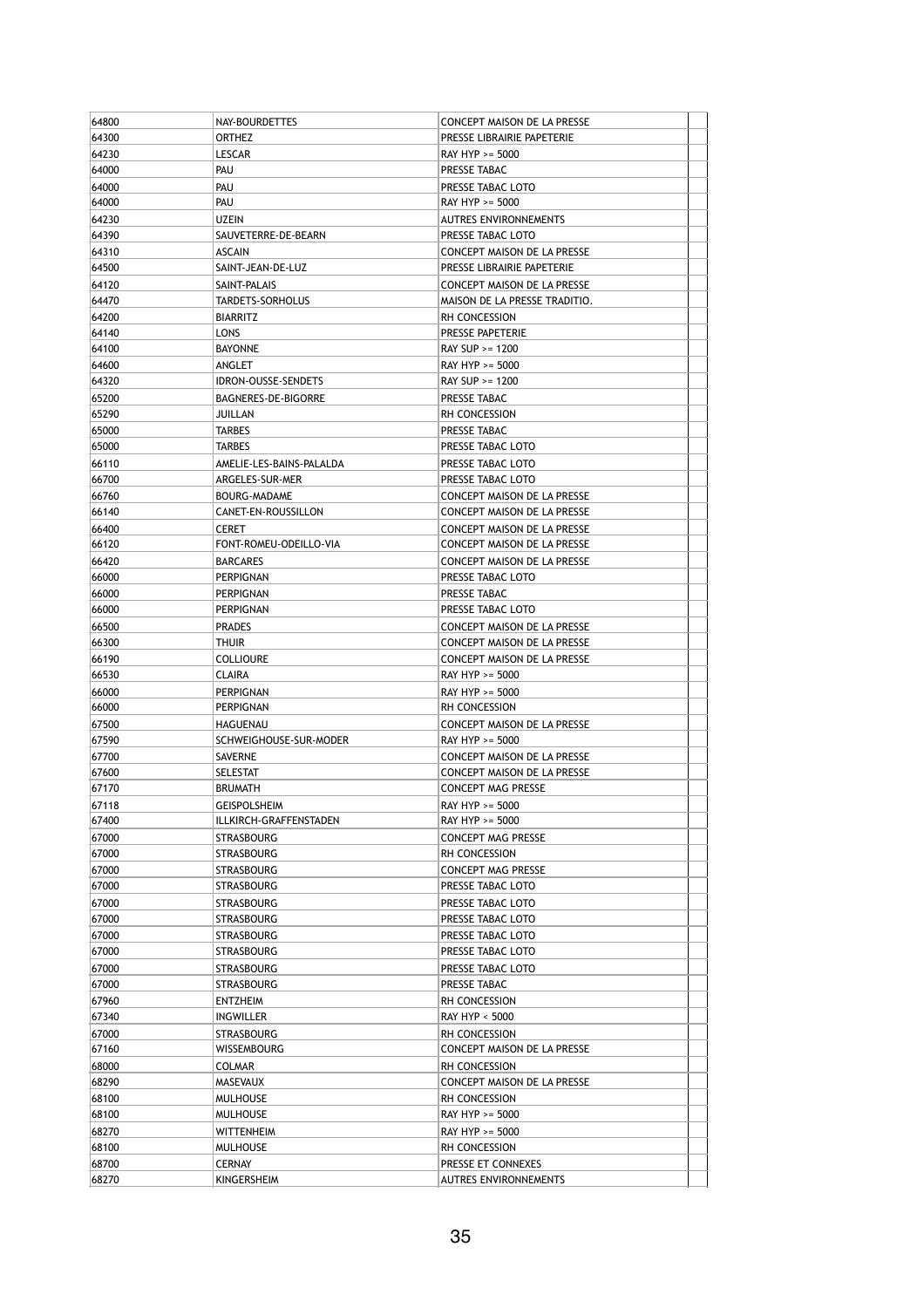| 64800 | NAY-BOURDETTES             | CONCEPT MAISON DE LA PRESSE        |  |
|-------|----------------------------|------------------------------------|--|
| 64300 | <b>ORTHEZ</b>              | PRESSE LIBRAIRIE PAPETERIE         |  |
| 64230 | <b>LESCAR</b>              | RAY HYP >= 5000                    |  |
| 64000 | PAU                        | PRESSE TABAC                       |  |
| 64000 | PAU                        | PRESSE TABAC LOTO                  |  |
| 64000 | Pau                        | RAY HYP >= 5000                    |  |
| 64230 | <b>UZEIN</b>               | <b>AUTRES ENVIRONNEMENTS</b>       |  |
| 64390 | SAUVETERRE-DE-BEARN        | PRESSE TABAC LOTO                  |  |
| 64310 | ASCAIN                     | CONCEPT MAISON DE LA PRESSE        |  |
| 64500 | SAINT-JEAN-DE-LUZ          | PRESSE LIBRAIRIE PAPETERIE         |  |
| 64120 | SAINT-PALAIS               | CONCEPT MAISON DE LA PRESSE        |  |
| 64470 | <b>TARDETS-SORHOLUS</b>    | MAISON DE LA PRESSE TRADITIO.      |  |
|       |                            | <b>RH CONCESSION</b>               |  |
| 64200 | <b>BIARRITZ</b>            |                                    |  |
| 64140 | LONS                       | <b>PRESSE PAPETERIE</b>            |  |
| 64100 | <b>BAYONNE</b>             | RAY SUP >= 1200                    |  |
| 64600 | ANGLET                     | RAY HYP >= 5000                    |  |
| 64320 | <b>IDRON-OUSSE-SENDETS</b> | RAY SUP >= 1200                    |  |
| 65200 | BAGNERES-DE-BIGORRE        | PRESSE TABAC                       |  |
| 65290 | JUILLAN                    | <b>RH CONCESSION</b>               |  |
| 65000 | TARBES                     | PRESSE TABAC                       |  |
| 65000 | <b>TARBES</b>              | PRESSE TABAC LOTO                  |  |
| 66110 | AMELIE-LES-BAINS-PALALDA   | PRESSE TABAC LOTO                  |  |
| 66700 | ARGELES-SUR-MER            | PRESSE TABAC LOTO                  |  |
| 66760 | BOURG-MADAME               | CONCEPT MAISON DE LA PRESSE        |  |
| 66140 | CANET-EN-ROUSSILLON        | CONCEPT MAISON DE LA PRESSE        |  |
| 66400 | <b>CERET</b>               | <b>CONCEPT MAISON DE LA PRESSE</b> |  |
| 66120 | FONT-ROMEU-ODEILLO-VIA     | CONCEPT MAISON DE LA PRESSE        |  |
| 66420 | <b>BARCARES</b>            | CONCEPT MAISON DE LA PRESSE        |  |
| 66000 | PERPIGNAN                  | PRESSE TABAC LOTO                  |  |
|       |                            |                                    |  |
| 66000 | PERPIGNAN                  | PRESSE TABAC                       |  |
| 66000 | PERPIGNAN                  | PRESSE TABAC LOTO                  |  |
| 66500 | <b>PRADES</b>              | CONCEPT MAISON DE LA PRESSE        |  |
| 66300 | thuir                      | CONCEPT MAISON DE LA PRESSE        |  |
| 66190 | <b>COLLIOURE</b>           | CONCEPT MAISON DE LA PRESSE        |  |
| 66530 | CLAIRA                     | RAY HYP >= 5000                    |  |
| 66000 | PERPIGNAN                  | RAY HYP >= 5000                    |  |
| 66000 | PERPIGNAN                  | RH CONCESSION                      |  |
| 67500 | HAGUENAU                   | <b>CONCEPT MAISON DE LA PRESSE</b> |  |
| 67590 | SCHWEIGHOUSE-SUR-MODER     | RAY HYP >= 5000                    |  |
| 67700 | SAVERNE                    | CONCEPT MAISON DE LA PRESSE        |  |
| 67600 | <b>SELESTAT</b>            | CONCEPT MAISON DE LA PRESSE        |  |
| 67170 | <b>BRUMATH</b>             | <b>CONCEPT MAG PRESSE</b>          |  |
| 67118 | <b>GEISPOLSHEIM</b>        | RAY HYP >= 5000                    |  |
| 67400 | ILLKIRCH-GRAFFENSTADEN     | RAY HYP >= 5000                    |  |
| 67000 | STRASBOURG                 | <b>CONCEPT MAG PRESSE</b>          |  |
| 67000 | STRASBOURG                 | RH CONCESSION                      |  |
| 67000 | STRASBOURG                 | CONCEPT MAG PRESSE                 |  |
| 67000 |                            | PRESSE TABAC LOTO                  |  |
|       | STRASBOURG                 |                                    |  |
| 67000 | STRASBOURG                 | PRESSE TABAC LOTO                  |  |
| 67000 | STRASBOURG                 | PRESSE TABAC LOTO                  |  |
| 67000 | STRASBOURG                 | PRESSE TABAC LOTO                  |  |
| 67000 | STRASBOURG                 | PRESSE TABAC LOTO                  |  |
| 67000 | STRASBOURG                 | PRESSE TABAC LOTO                  |  |
| 67000 | STRASBOURG                 | PRESSE TABAC                       |  |
| 67960 | ENTZHEIM                   | RH CONCESSION                      |  |
| 67340 | INGWILLER                  | RAY HYP < 5000                     |  |
| 67000 | STRASBOURG                 | RH CONCESSION                      |  |
| 67160 | WISSEMBOURG                | CONCEPT MAISON DE LA PRESSE        |  |
| 68000 | COLMAR                     | RH CONCESSION                      |  |
| 68290 | MASEVAUX                   | CONCEPT MAISON DE LA PRESSE        |  |
| 68100 | <b>MULHOUSE</b>            | RH CONCESSION                      |  |
| 68100 | <b>MULHOUSE</b>            | RAY HYP >= 5000                    |  |
| 68270 | WITTENHEIM                 | RAY HYP >= 5000                    |  |
| 68100 | <b>MULHOUSE</b>            | RH CONCESSION                      |  |
|       |                            |                                    |  |
| 68700 | CERNAY                     | PRESSE ET CONNEXES                 |  |
| 68270 | KINGERSHEIM                | <b>AUTRES ENVIRONNEMENTS</b>       |  |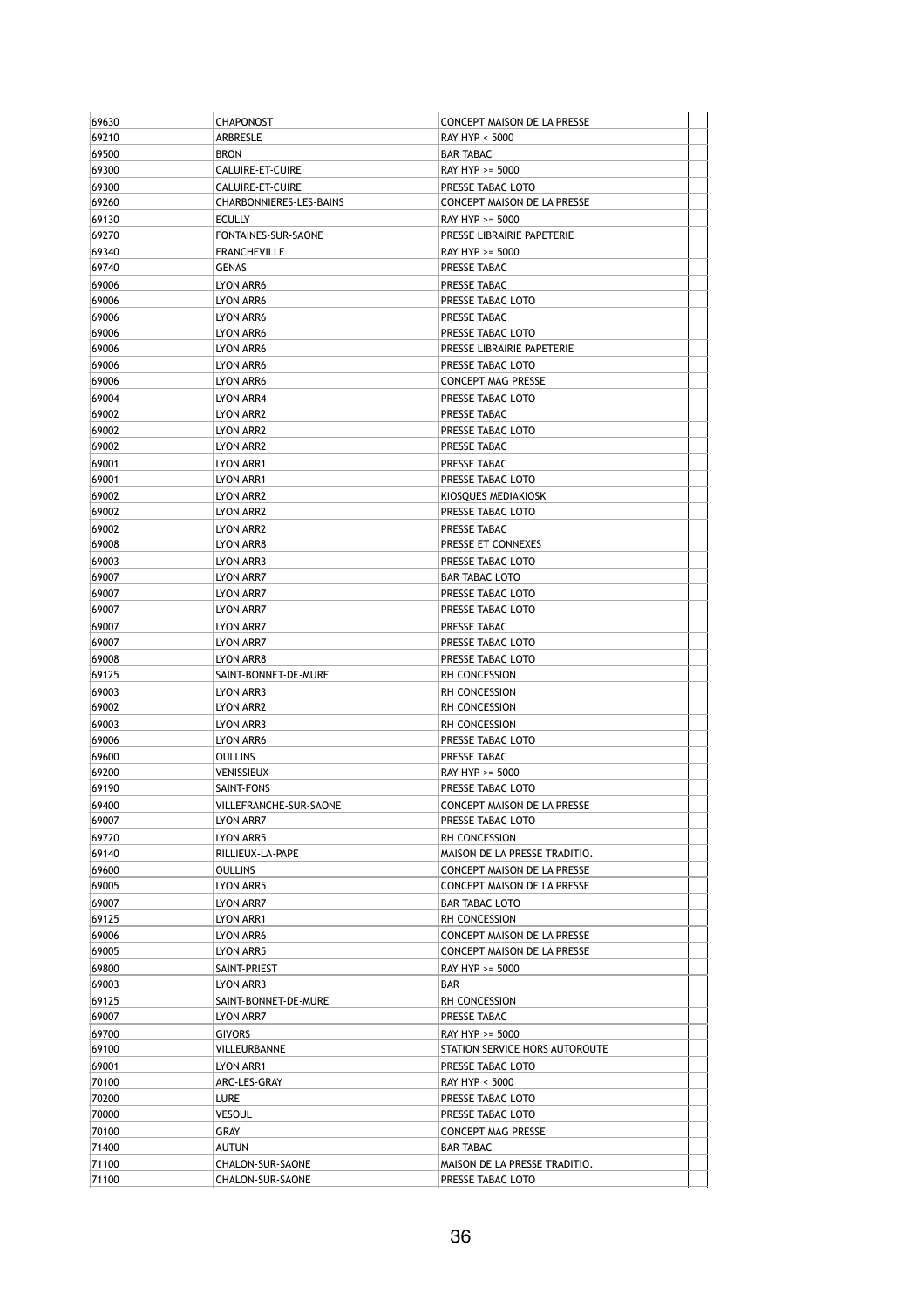| 69210<br>ARBRESLE<br>RAY HYP < 5000<br>69500<br><b>BRON</b><br><b>BAR TABAC</b><br>69300<br>CALUIRE-ET-CUIRE<br>RAY HYP >= 5000<br>69300<br>CALUIRE-ET-CUIRE<br>PRESSE TABAC LOTO<br>69260<br>CHARBONNIERES-LES-BAINS<br>CONCEPT MAISON DE LA PRESSE<br>69130<br><b>ECULLY</b><br>RAY HYP >= 5000<br>69270<br>FONTAINES-SUR-SAONE<br>PRESSE LIBRAIRIE PAPETERIE<br>69340<br>RAY HYP >= 5000<br><b>FRANCHEVILLE</b><br>69740<br><b>GENAS</b><br>PRESSE TABAC<br>69006<br>PRESSE TABAC<br>LYON ARR6<br>69006<br>PRESSE TABAC LOTO<br>LYON ARR6<br>69006<br>PRESSE TABAC<br>LYON ARR6<br>69006<br>PRESSE TABAC LOTO<br>LYON ARR6<br>69006<br>LYON ARR6<br>PRESSE LIBRAIRIE PAPETERIE<br>69006<br>PRESSE TABAC LOTO<br>LYON ARR6<br>69006<br>LYON ARR6<br><b>CONCEPT MAG PRESSE</b><br>69004<br>PRESSE TABAC LOTO<br>LYON ARR4<br>69002<br>LYON ARR2<br>PRESSE TABAC<br>69002<br>PRESSE TABAC LOTO<br>LYON ARR2<br>69002<br>PRESSE TABAC<br>LYON ARR2<br>69001<br>PRESSE TABAC<br>LYON ARR1<br>69001<br>LYON ARR1<br>PRESSE TABAC LOTO<br>69002<br>LYON ARR2<br>KIOSQUES MEDIAKIOSK |  |
|---------------------------------------------------------------------------------------------------------------------------------------------------------------------------------------------------------------------------------------------------------------------------------------------------------------------------------------------------------------------------------------------------------------------------------------------------------------------------------------------------------------------------------------------------------------------------------------------------------------------------------------------------------------------------------------------------------------------------------------------------------------------------------------------------------------------------------------------------------------------------------------------------------------------------------------------------------------------------------------------------------------------------------------------------------------------------------|--|
|                                                                                                                                                                                                                                                                                                                                                                                                                                                                                                                                                                                                                                                                                                                                                                                                                                                                                                                                                                                                                                                                                 |  |
|                                                                                                                                                                                                                                                                                                                                                                                                                                                                                                                                                                                                                                                                                                                                                                                                                                                                                                                                                                                                                                                                                 |  |
|                                                                                                                                                                                                                                                                                                                                                                                                                                                                                                                                                                                                                                                                                                                                                                                                                                                                                                                                                                                                                                                                                 |  |
|                                                                                                                                                                                                                                                                                                                                                                                                                                                                                                                                                                                                                                                                                                                                                                                                                                                                                                                                                                                                                                                                                 |  |
|                                                                                                                                                                                                                                                                                                                                                                                                                                                                                                                                                                                                                                                                                                                                                                                                                                                                                                                                                                                                                                                                                 |  |
|                                                                                                                                                                                                                                                                                                                                                                                                                                                                                                                                                                                                                                                                                                                                                                                                                                                                                                                                                                                                                                                                                 |  |
|                                                                                                                                                                                                                                                                                                                                                                                                                                                                                                                                                                                                                                                                                                                                                                                                                                                                                                                                                                                                                                                                                 |  |
|                                                                                                                                                                                                                                                                                                                                                                                                                                                                                                                                                                                                                                                                                                                                                                                                                                                                                                                                                                                                                                                                                 |  |
|                                                                                                                                                                                                                                                                                                                                                                                                                                                                                                                                                                                                                                                                                                                                                                                                                                                                                                                                                                                                                                                                                 |  |
|                                                                                                                                                                                                                                                                                                                                                                                                                                                                                                                                                                                                                                                                                                                                                                                                                                                                                                                                                                                                                                                                                 |  |
|                                                                                                                                                                                                                                                                                                                                                                                                                                                                                                                                                                                                                                                                                                                                                                                                                                                                                                                                                                                                                                                                                 |  |
|                                                                                                                                                                                                                                                                                                                                                                                                                                                                                                                                                                                                                                                                                                                                                                                                                                                                                                                                                                                                                                                                                 |  |
|                                                                                                                                                                                                                                                                                                                                                                                                                                                                                                                                                                                                                                                                                                                                                                                                                                                                                                                                                                                                                                                                                 |  |
|                                                                                                                                                                                                                                                                                                                                                                                                                                                                                                                                                                                                                                                                                                                                                                                                                                                                                                                                                                                                                                                                                 |  |
|                                                                                                                                                                                                                                                                                                                                                                                                                                                                                                                                                                                                                                                                                                                                                                                                                                                                                                                                                                                                                                                                                 |  |
|                                                                                                                                                                                                                                                                                                                                                                                                                                                                                                                                                                                                                                                                                                                                                                                                                                                                                                                                                                                                                                                                                 |  |
|                                                                                                                                                                                                                                                                                                                                                                                                                                                                                                                                                                                                                                                                                                                                                                                                                                                                                                                                                                                                                                                                                 |  |
|                                                                                                                                                                                                                                                                                                                                                                                                                                                                                                                                                                                                                                                                                                                                                                                                                                                                                                                                                                                                                                                                                 |  |
|                                                                                                                                                                                                                                                                                                                                                                                                                                                                                                                                                                                                                                                                                                                                                                                                                                                                                                                                                                                                                                                                                 |  |
|                                                                                                                                                                                                                                                                                                                                                                                                                                                                                                                                                                                                                                                                                                                                                                                                                                                                                                                                                                                                                                                                                 |  |
|                                                                                                                                                                                                                                                                                                                                                                                                                                                                                                                                                                                                                                                                                                                                                                                                                                                                                                                                                                                                                                                                                 |  |
|                                                                                                                                                                                                                                                                                                                                                                                                                                                                                                                                                                                                                                                                                                                                                                                                                                                                                                                                                                                                                                                                                 |  |
|                                                                                                                                                                                                                                                                                                                                                                                                                                                                                                                                                                                                                                                                                                                                                                                                                                                                                                                                                                                                                                                                                 |  |
| PRESSE TABAC LOTO                                                                                                                                                                                                                                                                                                                                                                                                                                                                                                                                                                                                                                                                                                                                                                                                                                                                                                                                                                                                                                                               |  |
| 69002<br>LYON ARR2                                                                                                                                                                                                                                                                                                                                                                                                                                                                                                                                                                                                                                                                                                                                                                                                                                                                                                                                                                                                                                                              |  |
| 69002<br>PRESSE TABAC<br>LYON ARR2                                                                                                                                                                                                                                                                                                                                                                                                                                                                                                                                                                                                                                                                                                                                                                                                                                                                                                                                                                                                                                              |  |
| 69008<br>LYON ARR8<br>PRESSE ET CONNEXES                                                                                                                                                                                                                                                                                                                                                                                                                                                                                                                                                                                                                                                                                                                                                                                                                                                                                                                                                                                                                                        |  |
| 69003<br>LYON ARR3<br>PRESSE TABAC LOTO                                                                                                                                                                                                                                                                                                                                                                                                                                                                                                                                                                                                                                                                                                                                                                                                                                                                                                                                                                                                                                         |  |
| 69007<br>LYON ARR7<br>BAR TABAC LOTO                                                                                                                                                                                                                                                                                                                                                                                                                                                                                                                                                                                                                                                                                                                                                                                                                                                                                                                                                                                                                                            |  |
| 69007<br>PRESSE TABAC LOTO<br>LYON ARR7                                                                                                                                                                                                                                                                                                                                                                                                                                                                                                                                                                                                                                                                                                                                                                                                                                                                                                                                                                                                                                         |  |
| 69007<br>LYON ARR7<br>PRESSE TABAC LOTO                                                                                                                                                                                                                                                                                                                                                                                                                                                                                                                                                                                                                                                                                                                                                                                                                                                                                                                                                                                                                                         |  |
| 69007<br>PRESSE TABAC<br>LYON ARR7                                                                                                                                                                                                                                                                                                                                                                                                                                                                                                                                                                                                                                                                                                                                                                                                                                                                                                                                                                                                                                              |  |
| 69007<br>PRESSE TABAC LOTO<br>LYON ARR7                                                                                                                                                                                                                                                                                                                                                                                                                                                                                                                                                                                                                                                                                                                                                                                                                                                                                                                                                                                                                                         |  |
| 69008<br>PRESSE TABAC LOTO<br>LYON ARR8                                                                                                                                                                                                                                                                                                                                                                                                                                                                                                                                                                                                                                                                                                                                                                                                                                                                                                                                                                                                                                         |  |
| 69125<br>SAINT-BONNET-DE-MURE<br>RH CONCESSION                                                                                                                                                                                                                                                                                                                                                                                                                                                                                                                                                                                                                                                                                                                                                                                                                                                                                                                                                                                                                                  |  |
| 69003<br>LYON ARR3<br>RH CONCESSION                                                                                                                                                                                                                                                                                                                                                                                                                                                                                                                                                                                                                                                                                                                                                                                                                                                                                                                                                                                                                                             |  |
| 69002<br>LYON ARR2<br>RH CONCESSION                                                                                                                                                                                                                                                                                                                                                                                                                                                                                                                                                                                                                                                                                                                                                                                                                                                                                                                                                                                                                                             |  |
| 69003<br>RH CONCESSION<br>LYON ARR3                                                                                                                                                                                                                                                                                                                                                                                                                                                                                                                                                                                                                                                                                                                                                                                                                                                                                                                                                                                                                                             |  |
| 69006<br>PRESSE TABAC LOTO<br>LYON ARR6                                                                                                                                                                                                                                                                                                                                                                                                                                                                                                                                                                                                                                                                                                                                                                                                                                                                                                                                                                                                                                         |  |
| 69600<br>PRESSE TABAC<br><b>OULLINS</b>                                                                                                                                                                                                                                                                                                                                                                                                                                                                                                                                                                                                                                                                                                                                                                                                                                                                                                                                                                                                                                         |  |
| 69200<br>RAY HYP >= 5000<br>VENISSIEUX                                                                                                                                                                                                                                                                                                                                                                                                                                                                                                                                                                                                                                                                                                                                                                                                                                                                                                                                                                                                                                          |  |
| 69190<br>PRESSE TABAC LOTO<br>SAINT-FONS                                                                                                                                                                                                                                                                                                                                                                                                                                                                                                                                                                                                                                                                                                                                                                                                                                                                                                                                                                                                                                        |  |
| 69400<br>CONCEPT MAISON DE LA PRESSE<br>VILLEFRANCHE-SUR-SAONE                                                                                                                                                                                                                                                                                                                                                                                                                                                                                                                                                                                                                                                                                                                                                                                                                                                                                                                                                                                                                  |  |
| 69007<br>PRESSE TABAC LOTO<br>LYON ARR7                                                                                                                                                                                                                                                                                                                                                                                                                                                                                                                                                                                                                                                                                                                                                                                                                                                                                                                                                                                                                                         |  |
|                                                                                                                                                                                                                                                                                                                                                                                                                                                                                                                                                                                                                                                                                                                                                                                                                                                                                                                                                                                                                                                                                 |  |
| 69720<br>LYON ARR5<br>RH CONCESSION                                                                                                                                                                                                                                                                                                                                                                                                                                                                                                                                                                                                                                                                                                                                                                                                                                                                                                                                                                                                                                             |  |
| 69140<br>RILLIEUX-LA-PAPE<br>MAISON DE LA PRESSE TRADITIO.                                                                                                                                                                                                                                                                                                                                                                                                                                                                                                                                                                                                                                                                                                                                                                                                                                                                                                                                                                                                                      |  |
| 69600<br><b>OULLINS</b><br>CONCEPT MAISON DE LA PRESSE                                                                                                                                                                                                                                                                                                                                                                                                                                                                                                                                                                                                                                                                                                                                                                                                                                                                                                                                                                                                                          |  |
| 69005<br>LYON ARR5<br>CONCEPT MAISON DE LA PRESSE                                                                                                                                                                                                                                                                                                                                                                                                                                                                                                                                                                                                                                                                                                                                                                                                                                                                                                                                                                                                                               |  |
| 69007<br>LYON ARR7<br>BAR TABAC LOTO                                                                                                                                                                                                                                                                                                                                                                                                                                                                                                                                                                                                                                                                                                                                                                                                                                                                                                                                                                                                                                            |  |
| 69125<br>LYON ARR1<br>RH CONCESSION                                                                                                                                                                                                                                                                                                                                                                                                                                                                                                                                                                                                                                                                                                                                                                                                                                                                                                                                                                                                                                             |  |
| 69006<br>LYON ARR6<br>CONCEPT MAISON DE LA PRESSE                                                                                                                                                                                                                                                                                                                                                                                                                                                                                                                                                                                                                                                                                                                                                                                                                                                                                                                                                                                                                               |  |
| 69005<br>CONCEPT MAISON DE LA PRESSE<br>LYON ARR5                                                                                                                                                                                                                                                                                                                                                                                                                                                                                                                                                                                                                                                                                                                                                                                                                                                                                                                                                                                                                               |  |
| 69800<br>SAINT-PRIEST<br>RAY HYP >= 5000                                                                                                                                                                                                                                                                                                                                                                                                                                                                                                                                                                                                                                                                                                                                                                                                                                                                                                                                                                                                                                        |  |
| 69003<br>BAR<br>LYON ARR3                                                                                                                                                                                                                                                                                                                                                                                                                                                                                                                                                                                                                                                                                                                                                                                                                                                                                                                                                                                                                                                       |  |
| 69125<br>SAINT-BONNET-DE-MURE<br>RH CONCESSION                                                                                                                                                                                                                                                                                                                                                                                                                                                                                                                                                                                                                                                                                                                                                                                                                                                                                                                                                                                                                                  |  |
| 69007<br>PRESSE TABAC<br>LYON ARR7                                                                                                                                                                                                                                                                                                                                                                                                                                                                                                                                                                                                                                                                                                                                                                                                                                                                                                                                                                                                                                              |  |
| 69700<br><b>GIVORS</b><br>RAY HYP >= 5000                                                                                                                                                                                                                                                                                                                                                                                                                                                                                                                                                                                                                                                                                                                                                                                                                                                                                                                                                                                                                                       |  |
| 69100<br>VILLEURBANNE<br>STATION SERVICE HORS AUTOROUTE                                                                                                                                                                                                                                                                                                                                                                                                                                                                                                                                                                                                                                                                                                                                                                                                                                                                                                                                                                                                                         |  |
| 69001<br>LYON ARR1<br>PRESSE TABAC LOTO                                                                                                                                                                                                                                                                                                                                                                                                                                                                                                                                                                                                                                                                                                                                                                                                                                                                                                                                                                                                                                         |  |
| 70100<br>ARC-LES-GRAY<br>RAY HYP < 5000                                                                                                                                                                                                                                                                                                                                                                                                                                                                                                                                                                                                                                                                                                                                                                                                                                                                                                                                                                                                                                         |  |
| 70200<br>LURE<br>PRESSE TABAC LOTO                                                                                                                                                                                                                                                                                                                                                                                                                                                                                                                                                                                                                                                                                                                                                                                                                                                                                                                                                                                                                                              |  |
| 70000<br><b>VESOUL</b><br>PRESSE TABAC LOTO                                                                                                                                                                                                                                                                                                                                                                                                                                                                                                                                                                                                                                                                                                                                                                                                                                                                                                                                                                                                                                     |  |
| GRAY                                                                                                                                                                                                                                                                                                                                                                                                                                                                                                                                                                                                                                                                                                                                                                                                                                                                                                                                                                                                                                                                            |  |
| 70100<br><b>CONCEPT MAG PRESSE</b>                                                                                                                                                                                                                                                                                                                                                                                                                                                                                                                                                                                                                                                                                                                                                                                                                                                                                                                                                                                                                                              |  |
| 71400<br>AUTUN<br>BAR TABAC<br>71100<br>MAISON DE LA PRESSE TRADITIO.<br>CHALON-SUR-SAONE                                                                                                                                                                                                                                                                                                                                                                                                                                                                                                                                                                                                                                                                                                                                                                                                                                                                                                                                                                                       |  |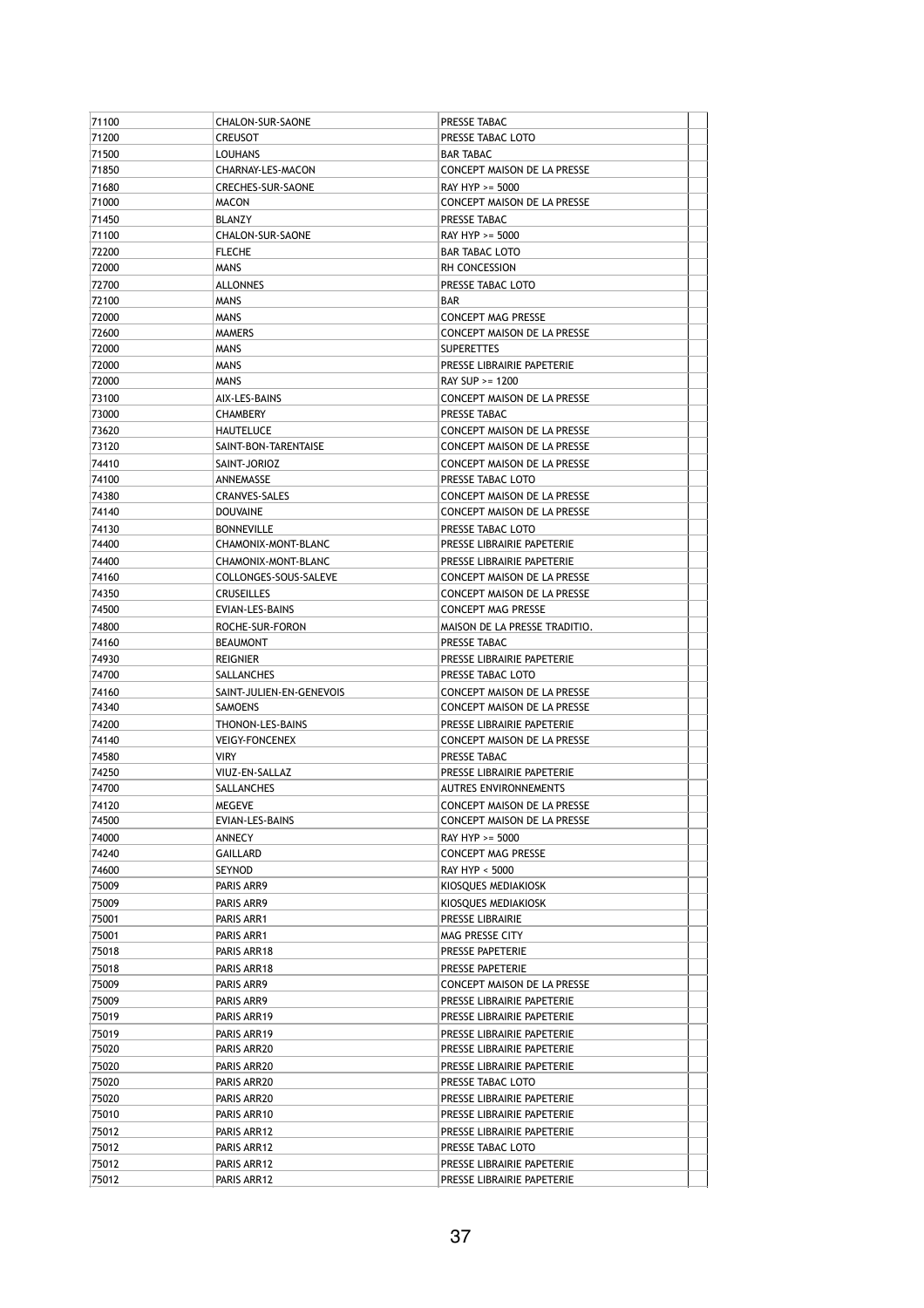| 71100          | CHALON-SUR-SAONE           | PRESSE TABAC                                             |  |
|----------------|----------------------------|----------------------------------------------------------|--|
| 71200          | <b>CREUSOT</b>             | PRESSE TABAC LOTO                                        |  |
| 71500          | <b>LOUHANS</b>             | <b>BAR TABAC</b>                                         |  |
| 71850          | CHARNAY-LES-MACON          | CONCEPT MAISON DE LA PRESSE                              |  |
| 71680          | CRECHES-SUR-SAONE          | RAY HYP >= 5000                                          |  |
| 71000          | <b>MACON</b>               | CONCEPT MAISON DE LA PRESSE                              |  |
| 71450          | BLANZY                     | PRESSE TABAC                                             |  |
| 71100          | CHALON-SUR-SAONE           | RAY HYP >= 5000                                          |  |
| 72200          | <b>FLECHE</b>              | <b>BAR TABAC LOTO</b>                                    |  |
| 72000          | <b>MANS</b>                | RH CONCESSION                                            |  |
| 72700          | <b>ALLONNES</b>            | PRESSE TABAC LOTO                                        |  |
| 72100          | <b>MANS</b>                | BAR                                                      |  |
| 72000          | <b>MANS</b>                | <b>CONCEPT MAG PRESSE</b>                                |  |
| 72600          | <b>MAMERS</b>              | <b>CONCEPT MAISON DE LA PRESSE</b>                       |  |
| 72000          | <b>MANS</b>                | <b>SUPERETTES</b>                                        |  |
| 72000          | <b>MANS</b>                | PRESSE LIBRAIRIE PAPETERIE                               |  |
| 72000          | <b>MANS</b>                | RAY SUP >= 1200                                          |  |
| 73100          | AIX-LES-BAINS              | CONCEPT MAISON DE LA PRESSE                              |  |
| 73000          | <b>CHAMBERY</b>            | PRESSE TABAC                                             |  |
| 73620          | HAUTELUCE                  | CONCEPT MAISON DE LA PRESSE                              |  |
| 73120          | SAINT-BON-TARENTAISE       | CONCEPT MAISON DE LA PRESSE                              |  |
| 74410          | SAINT-JORIOZ               | CONCEPT MAISON DE LA PRESSE                              |  |
| 74100          | ANNEMASSE                  | PRESSE TABAC LOTO                                        |  |
| 74380          | CRANVES-SALES              | CONCEPT MAISON DE LA PRESSE                              |  |
| 74140          | <b>DOUVAINE</b>            | <b>CONCEPT MAISON DE LA PRESSE</b>                       |  |
| 74130          | <b>BONNEVILLE</b>          | PRESSE TABAC LOTO                                        |  |
| 74400          | CHAMONIX-MONT-BLANC        | PRESSE LIBRAIRIE PAPETERIE                               |  |
| 74400          | CHAMONIX-MONT-BLANC        | PRESSE LIBRAIRIE PAPETERIE                               |  |
| 74160          | COLLONGES-SOUS-SALEVE      | CONCEPT MAISON DE LA PRESSE                              |  |
| 74350          | <b>CRUSEILLES</b>          | CONCEPT MAISON DE LA PRESSE                              |  |
| 74500          | EVIAN-LES-BAINS            | <b>CONCEPT MAG PRESSE</b>                                |  |
| 74800          | ROCHE-SUR-FORON            | MAISON DE LA PRESSE TRADITIO.                            |  |
| 74160          | <b>BEAUMONT</b>            | PRESSE TABAC                                             |  |
|                |                            |                                                          |  |
|                |                            |                                                          |  |
| 74930          | <b>REIGNIER</b>            | PRESSE LIBRAIRIE PAPETERIE                               |  |
| 74700          | SALLANCHES                 | PRESSE TABAC LOTO                                        |  |
| 74160          | SAINT-JULIEN-EN-GENEVOIS   | CONCEPT MAISON DE LA PRESSE                              |  |
| 74340          | <b>SAMOENS</b>             | CONCEPT MAISON DE LA PRESSE                              |  |
| 74200          | THONON-LES-BAINS           | PRESSE LIBRAIRIE PAPETERIE                               |  |
| 74140          | <b>VEIGY-FONCENEX</b>      | CONCEPT MAISON DE LA PRESSE                              |  |
| 74580          | <b>VIRY</b>                | PRESSE TABAC                                             |  |
| 74250          | VIUZ-EN-SALLAZ             | PRESSE LIBRAIRIE PAPETERIE                               |  |
| 74700          | SALLANCHES                 | AUTRES ENVIRONNEMENTS                                    |  |
| 74120          | MEGEVE                     | CONCEPT MAISON DE LA PRESSE                              |  |
| 74500          | EVIAN-LES-BAINS            | CONCEPT MAISON DE LA PRESSE                              |  |
| 74000          | ANNECY                     | RAY HYP >= 5000                                          |  |
| 74240          | GAILLARD                   | CONCEPT MAG PRESSE                                       |  |
| 74600          | SEYNOD                     | <b>RAY HYP &lt; 5000</b><br>KIOSQUES MEDIAKIOSK          |  |
| 75009          | PARIS ARR9                 |                                                          |  |
| 75009          | PARIS ARR9                 | KIOSQUES MEDIAKIOSK                                      |  |
| 75001          | PARIS ARR1                 | PRESSE LIBRAIRIE                                         |  |
| 75001          | PARIS ARR1                 | MAG PRESSE CITY                                          |  |
| 75018          | PARIS ARR18                | PRESSE PAPETERIE                                         |  |
| 75018          | PARIS ARR18                | PRESSE PAPETERIE                                         |  |
| 75009          | PARIS ARR9                 | CONCEPT MAISON DE LA PRESSE                              |  |
| 75009          | PARIS ARR9                 | PRESSE LIBRAIRIE PAPETERIE                               |  |
| 75019          | PARIS ARR19                | PRESSE LIBRAIRIE PAPETERIE                               |  |
| 75019          | PARIS ARR19                | PRESSE LIBRAIRIE PAPETERIE                               |  |
| 75020          | PARIS ARR20                | PRESSE LIBRAIRIE PAPETERIE                               |  |
| 75020          | PARIS ARR20                | PRESSE LIBRAIRIE PAPETERIE                               |  |
| 75020          | PARIS ARR20                | PRESSE TABAC LOTO                                        |  |
| 75020          | PARIS ARR20                | PRESSE LIBRAIRIE PAPETERIE                               |  |
| 75010          | PARIS ARR10                | PRESSE LIBRAIRIE PAPETERIE                               |  |
| 75012          | PARIS ARR12                | PRESSE LIBRAIRIE PAPETERIE                               |  |
| 75012          | PARIS ARR12                | PRESSE TABAC LOTO                                        |  |
| 75012<br>75012 | PARIS ARR12<br>PARIS ARR12 | PRESSE LIBRAIRIE PAPETERIE<br>PRESSE LIBRAIRIE PAPETERIE |  |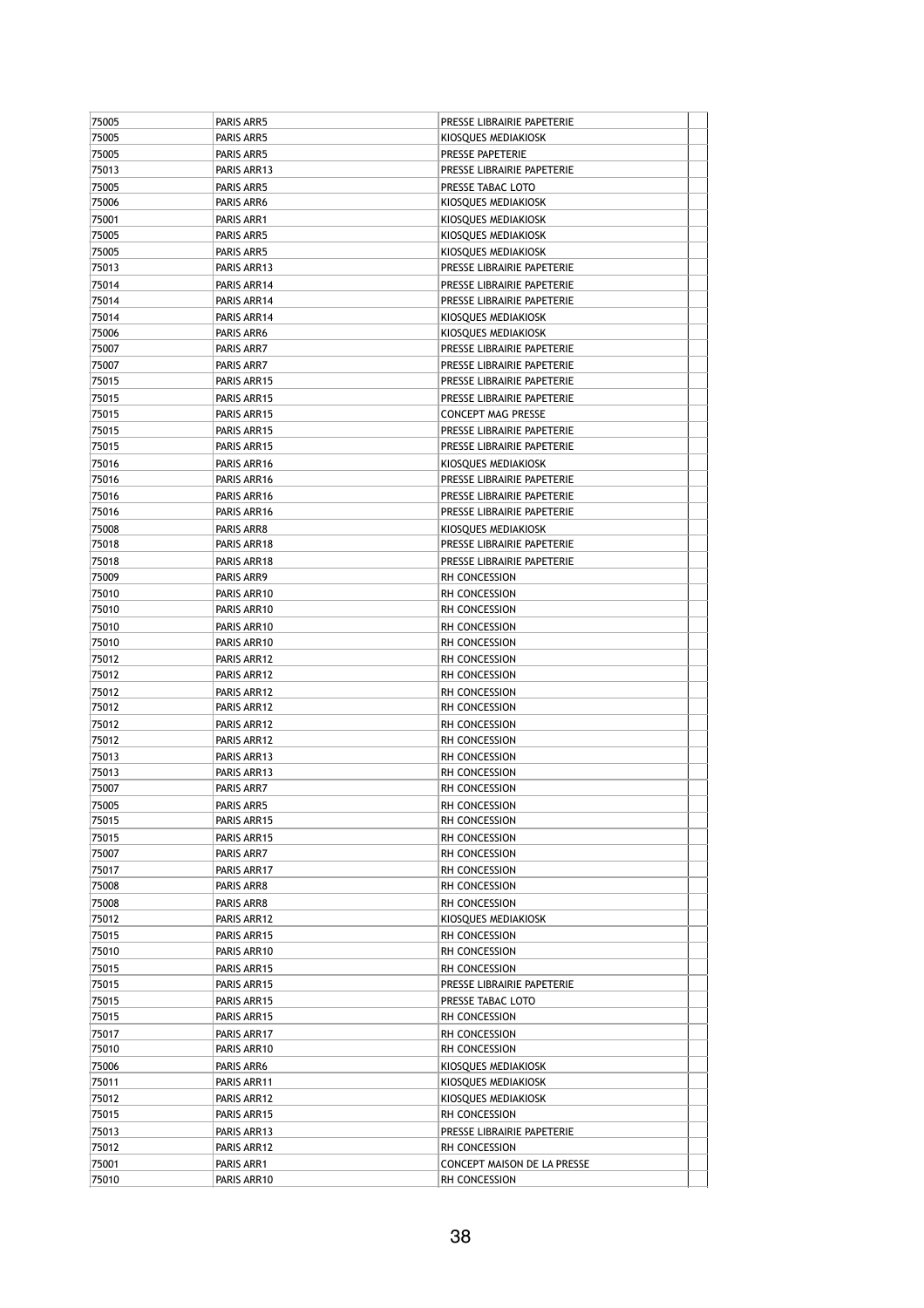| 75005          | PARIS ARR5                 | PRESSE LIBRAIRIE PAPETERIE                        |  |
|----------------|----------------------------|---------------------------------------------------|--|
| 75005          | PARIS ARR5                 | KIOSQUES MEDIAKIOSK                               |  |
| 75005          | PARIS ARR5                 | PRESSE PAPETERIE                                  |  |
| 75013          | PARIS ARR13                | PRESSE LIBRAIRIE PAPETERIE                        |  |
| 75005          | PARIS ARR5                 | PRESSE TABAC LOTO                                 |  |
| 75006          | PARIS ARR6                 | KIOSQUES MEDIAKIOSK                               |  |
| 75001          | PARIS ARR1                 | KIOSQUES MEDIAKIOSK                               |  |
| 75005          | PARIS ARR5                 | KIOSQUES MEDIAKIOSK                               |  |
| 75005          | PARIS ARR5                 | KIOSQUES MEDIAKIOSK                               |  |
| 75013          | PARIS ARR13                | PRESSE LIBRAIRIE PAPETERIE                        |  |
| 75014          | PARIS ARR14                | PRESSE LIBRAIRIE PAPETERIE                        |  |
| 75014          | PARIS ARR14                | PRESSE LIBRAIRIE PAPETERIE                        |  |
| 75014          | PARIS ARR14                | KIOSQUES MEDIAKIOSK                               |  |
| 75006<br>75007 | PARIS ARR6<br>PARIS ARR7   | KIOSQUES MEDIAKIOSK<br>PRESSE LIBRAIRIE PAPETERIE |  |
| 75007          | PARIS ARR7                 | PRESSE LIBRAIRIE PAPETERIE                        |  |
| 75015          | PARIS ARR15                | PRESSE LIBRAIRIE PAPETERIE                        |  |
| 75015          | PARIS ARR15                | PRESSE LIBRAIRIE PAPETERIE                        |  |
| 75015          | PARIS ARR15                | <b>CONCEPT MAG PRESSE</b>                         |  |
| 75015          | PARIS ARR15                | PRESSE LIBRAIRIE PAPETERIE                        |  |
| 75015          | PARIS ARR15                | PRESSE LIBRAIRIE PAPETERIE                        |  |
| 75016          | PARIS ARR16                | KIOSQUES MEDIAKIOSK                               |  |
| 75016          | PARIS ARR16                | PRESSE LIBRAIRIE PAPETERIE                        |  |
| 75016          | PARIS ARR16                | PRESSE LIBRAIRIE PAPETERIE                        |  |
| 75016          | PARIS ARR16                | PRESSE LIBRAIRIE PAPETERIE                        |  |
| 75008          | PARIS ARR8                 | KIOSQUES MEDIAKIOSK                               |  |
| 75018          | PARIS ARR18                | PRESSE LIBRAIRIE PAPETERIE                        |  |
| 75018          | PARIS ARR18                | PRESSE LIBRAIRIE PAPETERIE                        |  |
| 75009          | PARIS ARR9                 | RH CONCESSION                                     |  |
| 75010          | PARIS ARR10                | RH CONCESSION                                     |  |
| 75010          | PARIS ARR10                | RH CONCESSION                                     |  |
| 75010          | PARIS ARR10                | RH CONCESSION                                     |  |
| 75010          | PARIS ARR10                | RH CONCESSION                                     |  |
| 75012          | PARIS ARR12                | RH CONCESSION                                     |  |
| 75012          | PARIS ARR12                | RH CONCESSION                                     |  |
| 75012          | PARIS ARR12                | RH CONCESSION                                     |  |
| 75012          | PARIS ARR12                | RH CONCESSION                                     |  |
| 75012          | PARIS ARR12                | RH CONCESSION                                     |  |
| 75012          | PARIS ARR12                | RH CONCESSION                                     |  |
| 75013<br>75013 | PARIS ARR13<br>PARIS ARR13 | RH CONCESSION<br>RH CONCESSION                    |  |
| 75007          | PARIS ARR7                 | RH CONCESSION                                     |  |
| 75005          | PARIS ARR5                 | RH CONCESSION                                     |  |
| 75015          | PARIS ARR15                | RH CONCESSION                                     |  |
| 75015          | PARIS ARR15                | RH CONCESSION                                     |  |
| 75007          | PARIS ARR7                 | RH CONCESSION                                     |  |
| 75017          | PARIS ARR17                | RH CONCESSION                                     |  |
| 75008          | PARIS ARR8                 | RH CONCESSION                                     |  |
| 75008          | PARIS ARR8                 | RH CONCESSION                                     |  |
| 75012          | PARIS ARR12                | KIOSQUES MEDIAKIOSK                               |  |
| 75015          | PARIS ARR15                | RH CONCESSION                                     |  |
| 75010          | PARIS ARR10                | RH CONCESSION                                     |  |
| 75015          | PARIS ARR15                | RH CONCESSION                                     |  |
| 75015          | PARIS ARR15                | PRESSE LIBRAIRIE PAPETERIE                        |  |
| 75015          | PARIS ARR15                | PRESSE TABAC LOTO                                 |  |
| 75015          | PARIS ARR15                | RH CONCESSION                                     |  |
| 75017          | PARIS ARR17                | RH CONCESSION                                     |  |
| 75010          | PARIS ARR10                | RH CONCESSION                                     |  |
| 75006          | PARIS ARR6                 | KIOSQUES MEDIAKIOSK                               |  |
| 75011          | PARIS ARR11                | KIOSQUES MEDIAKIOSK                               |  |
| 75012          | PARIS ARR12                | KIOSQUES MEDIAKIOSK                               |  |
| 75015          | PARIS ARR15                | RH CONCESSION                                     |  |
| 75013<br>75012 | PARIS ARR13<br>PARIS ARR12 | PRESSE LIBRAIRIE PAPETERIE<br>RH CONCESSION       |  |
| 75001          | PARIS ARR1                 | CONCEPT MAISON DE LA PRESSE                       |  |
| 75010          | PARIS ARR10                | RH CONCESSION                                     |  |
|                |                            |                                                   |  |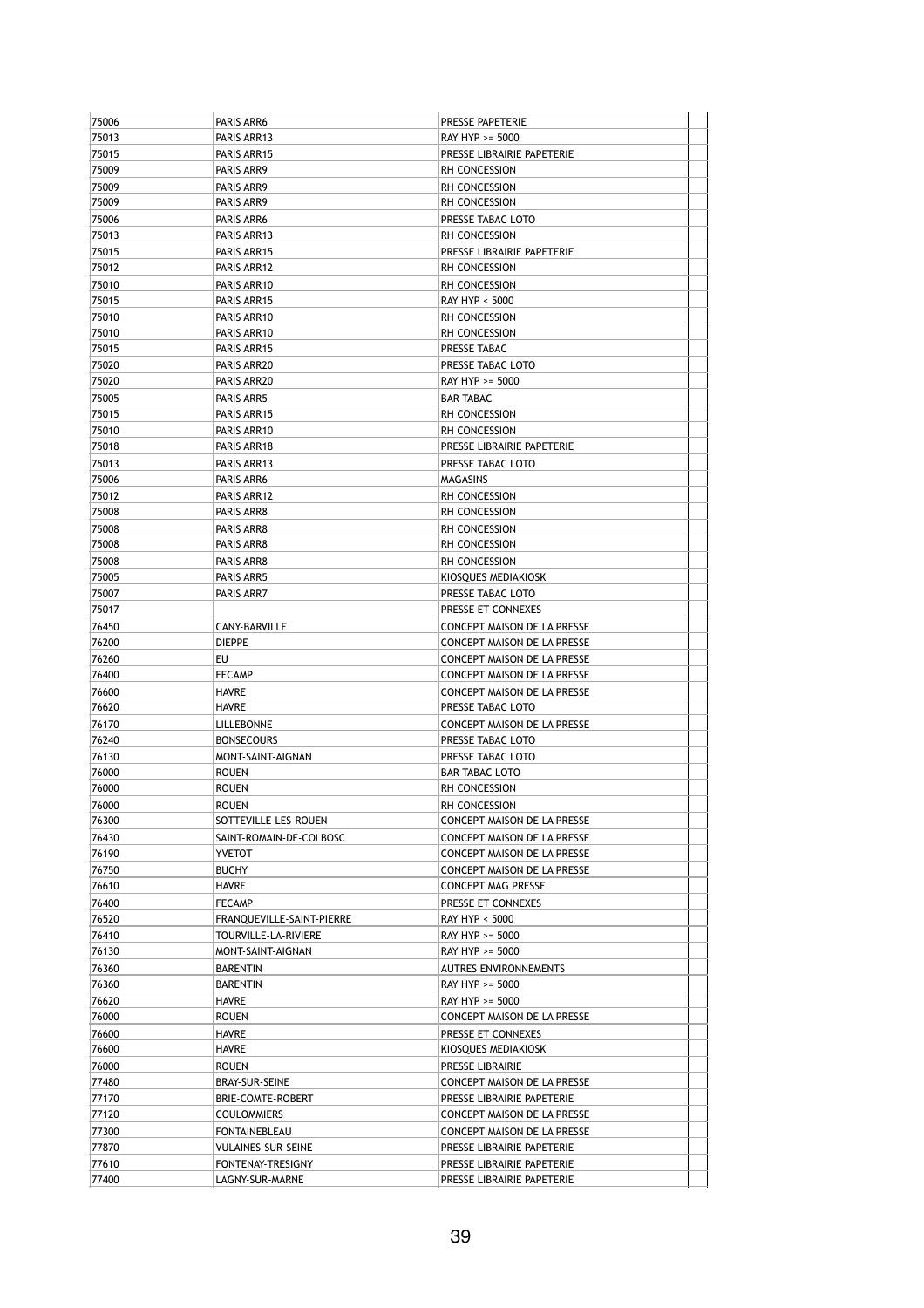| 75006          | PARIS ARR6                           | PRESSE PAPETERIE                                         |  |
|----------------|--------------------------------------|----------------------------------------------------------|--|
| 75013          | PARIS ARR13                          | RAY HYP >= 5000                                          |  |
| 75015          | PARIS ARR15                          | PRESSE LIBRAIRIE PAPETERIE                               |  |
| 75009          | PARIS ARR9                           | RH CONCESSION                                            |  |
| 75009          | PARIS ARR9                           | RH CONCESSION                                            |  |
| 75009          | PARIS ARR9                           | RH CONCESSION                                            |  |
| 75006          | PARIS ARR6                           | PRESSE TABAC LOTO                                        |  |
| 75013          | PARIS ARR13                          | RH CONCESSION                                            |  |
| 75015          | PARIS ARR15                          | PRESSE LIBRAIRIE PAPETERIE                               |  |
| 75012          | PARIS ARR12                          | <b>RH CONCESSION</b>                                     |  |
| 75010          | PARIS ARR10                          | RH CONCESSION                                            |  |
| 75015          | PARIS ARR15                          | RAY HYP < 5000                                           |  |
| 75010          | PARIS ARR10                          | RH CONCESSION                                            |  |
| 75010          | PARIS ARR10                          | <b>RH CONCESSION</b>                                     |  |
| 75015          | PARIS ARR15                          | PRESSE TABAC                                             |  |
| 75020          | PARIS ARR20                          | PRESSE TABAC LOTO                                        |  |
| 75020          | PARIS ARR20                          | RAY HYP >= 5000                                          |  |
| 75005          | PARIS ARR5                           | <b>BAR TABAC</b>                                         |  |
| 75015          | PARIS ARR15                          | <b>RH CONCESSION</b>                                     |  |
| 75010          | PARIS ARR10                          | RH CONCESSION                                            |  |
| 75018          | PARIS ARR18                          | PRESSE LIBRAIRIE PAPETERIE                               |  |
| 75013          | PARIS ARR13                          | PRESSE TABAC LOTO                                        |  |
| 75006          | PARIS ARR6                           | <b>MAGASINS</b>                                          |  |
| 75012          | PARIS ARR12                          | RH CONCESSION                                            |  |
| 75008          | PARIS ARR8                           | RH CONCESSION                                            |  |
| 75008          | PARIS ARR8                           | <b>RH CONCESSION</b>                                     |  |
| 75008          | PARIS ARR8                           | RH CONCESSION                                            |  |
| 75008          | PARIS ARR8                           | RH CONCESSION                                            |  |
| 75005          | PARIS ARR5                           | KIOSQUES MEDIAKIOSK                                      |  |
| 75007          | PARIS ARR7                           | PRESSE TABAC LOTO                                        |  |
| 75017          |                                      | PRESSE ET CONNEXES                                       |  |
| 76450          | CANY-BARVILLE                        | CONCEPT MAISON DE LA PRESSE                              |  |
| 76200          | <b>DIEPPE</b>                        | CONCEPT MAISON DE LA PRESSE                              |  |
| 76260          | EU                                   | CONCEPT MAISON DE LA PRESSE                              |  |
| 76400          | <b>FECAMP</b>                        | CONCEPT MAISON DE LA PRESSE                              |  |
| 76600          | HAVRE                                | CONCEPT MAISON DE LA PRESSE                              |  |
| 76620          | <b>HAVRE</b>                         | PRESSE TABAC LOTO                                        |  |
| 76170          | <b>LILLEBONNE</b>                    | CONCEPT MAISON DE LA PRESSE                              |  |
| 76240          | <b>BONSECOURS</b>                    | PRESSE TABAC LOTO                                        |  |
| 76130          | MONT-SAINT-AIGNAN                    | PRESSE TABAC LOTO                                        |  |
| 76000          | <b>ROUEN</b>                         | <b>BAR TABAC LOTO</b>                                    |  |
| 76000          | <b>ROUEN</b>                         | <b>RH CONCESSION</b>                                     |  |
| 76000          | <b>ROUEN</b>                         | RH CONCESSION                                            |  |
| 76300          | SOTTEVILLE-LES-ROUEN                 | CONCEPT MAISON DE LA PRESSE                              |  |
| 76430          | SAINT-ROMAIN-DE-COLBOSC              | <b>CONCEPT MAISON DE LA PRESSE</b>                       |  |
| 76190          |                                      |                                                          |  |
|                |                                      |                                                          |  |
|                | <b>YVETOT</b>                        | CONCEPT MAISON DE LA PRESSE                              |  |
| 76750          | <b>BUCHY</b>                         | CONCEPT MAISON DE LA PRESSE                              |  |
| 76610          | HAVRE                                | CONCEPT MAG PRESSE                                       |  |
| 76400          | <b>FECAMP</b>                        | PRESSE ET CONNEXES                                       |  |
| 76520          | FRANQUEVILLE-SAINT-PIERRE            | RAY HYP < 5000                                           |  |
| 76410          | TOURVILLE-LA-RIVIERE                 | RAY HYP >= 5000                                          |  |
| 76130          | MONT-SAINT-AIGNAN                    | RAY HYP >= 5000                                          |  |
| 76360          | <b>BARENTIN</b>                      | <b>AUTRES ENVIRONNEMENTS</b>                             |  |
| 76360          | BARENTIN                             | RAY HYP >= 5000                                          |  |
| 76620          | HAVRE                                | RAY HYP >= 5000                                          |  |
| 76000          | ROUEN                                | CONCEPT MAISON DE LA PRESSE                              |  |
| 76600          | <b>HAVRE</b>                         | PRESSE ET CONNEXES                                       |  |
| 76600          | HAVRE                                | KIOSQUES MEDIAKIOSK                                      |  |
| 76000          | ROUEN                                | PRESSE LIBRAIRIE                                         |  |
| 77480          | BRAY-SUR-SEINE                       | CONCEPT MAISON DE LA PRESSE                              |  |
| 77170          | <b>BRIE-COMTE-ROBERT</b>             | PRESSE LIBRAIRIE PAPETERIE                               |  |
| 77120          | <b>COULOMMIERS</b>                   | CONCEPT MAISON DE LA PRESSE                              |  |
| 77300          | FONTAINEBLEAU                        | CONCEPT MAISON DE LA PRESSE                              |  |
| 77870          | <b>VULAINES-SUR-SEINE</b>            | PRESSE LIBRAIRIE PAPETERIE                               |  |
| 77610<br>77400 | FONTENAY-TRESIGNY<br>LAGNY-SUR-MARNE | PRESSE LIBRAIRIE PAPETERIE<br>PRESSE LIBRAIRIE PAPETERIE |  |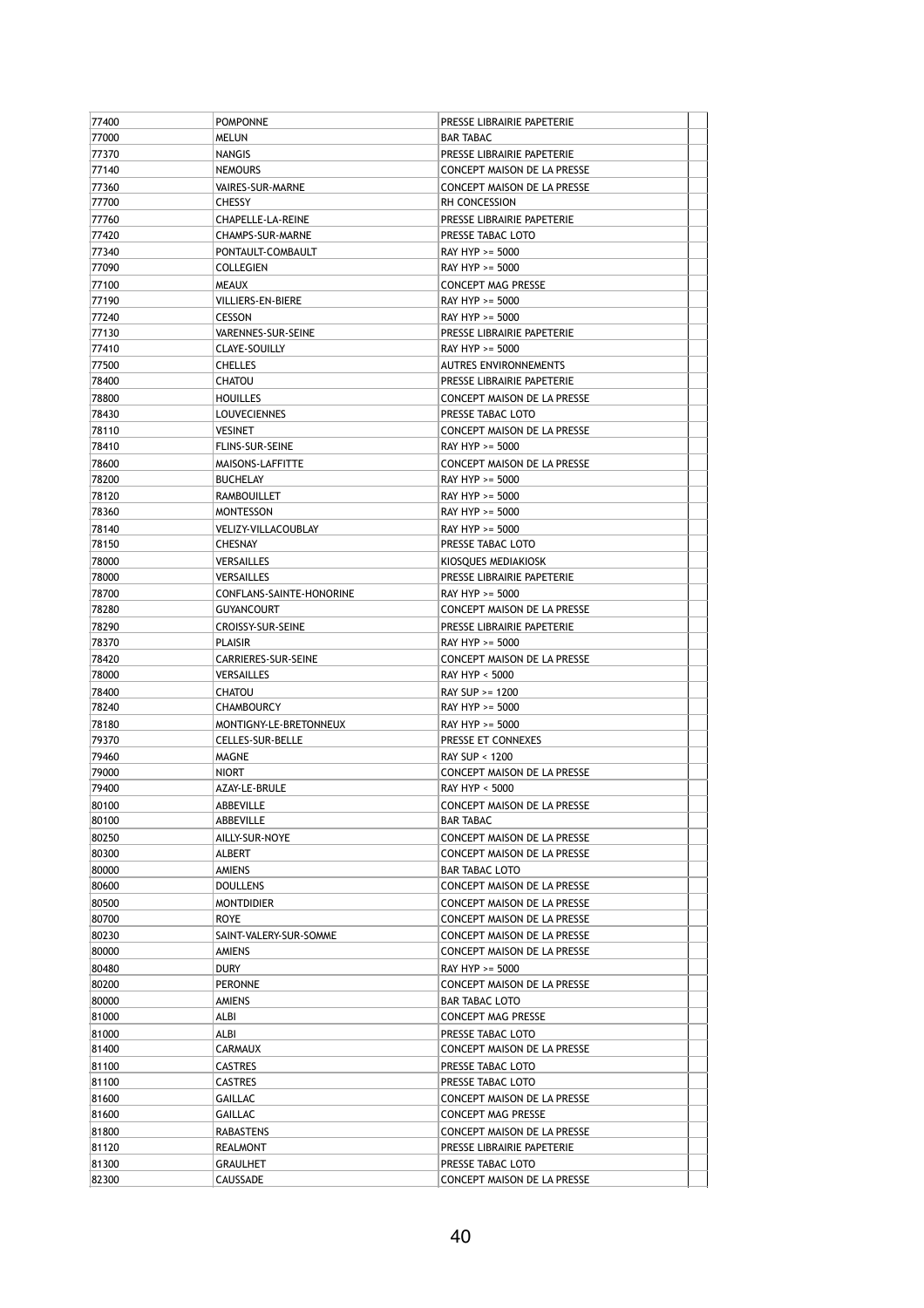| 77400 | <b>POMPONNE</b>            | PRESSE LIBRAIRIE PAPETERIE                       |  |
|-------|----------------------------|--------------------------------------------------|--|
| 77000 | <b>MELUN</b>               | <b>BAR TABAC</b>                                 |  |
| 77370 | <b>NANGIS</b>              | PRESSE LIBRAIRIE PAPETERIE                       |  |
| 77140 | <b>NEMOURS</b>             | CONCEPT MAISON DE LA PRESSE                      |  |
| 77360 | VAIRES-SUR-MARNE           | CONCEPT MAISON DE LA PRESSE                      |  |
| 77700 | <b>CHESSY</b>              | RH CONCESSION                                    |  |
| 77760 | CHAPELLE-LA-REINE          | PRESSE LIBRAIRIE PAPETERIE                       |  |
| 77420 | CHAMPS-SUR-MARNE           | PRESSE TABAC LOTO                                |  |
| 77340 | PONTAULT-COMBAULT          | RAY HYP >= 5000                                  |  |
| 77090 | COLLEGIEN                  | RAY HYP >= 5000                                  |  |
| 77100 | <b>MEAUX</b>               | <b>CONCEPT MAG PRESSE</b>                        |  |
| 77190 | <b>VILLIERS-EN-BIERE</b>   | RAY HYP >= 5000                                  |  |
| 77240 | <b>CESSON</b>              | RAY HYP >= 5000                                  |  |
| 77130 | VARENNES-SUR-SEINE         | PRESSE LIBRAIRIE PAPETERIE                       |  |
| 77410 | CLAYE-SOUILLY              | RAY HYP >= 5000                                  |  |
| 77500 | <b>CHELLES</b>             | AUTRES ENVIRONNEMENTS                            |  |
| 78400 | CHATOU                     | PRESSE LIBRAIRIE PAPETERIE                       |  |
| 78800 | <b>HOUILLES</b>            | CONCEPT MAISON DE LA PRESSE                      |  |
| 78430 | <b>LOUVECIENNES</b>        | PRESSE TABAC LOTO                                |  |
| 78110 | <b>VESINET</b>             | CONCEPT MAISON DE LA PRESSE                      |  |
| 78410 | <b>FLINS-SUR-SEINE</b>     | RAY HYP >= 5000                                  |  |
| 78600 | MAISONS-LAFFITTE           | CONCEPT MAISON DE LA PRESSE                      |  |
| 78200 | <b>BUCHELAY</b>            | RAY HYP >= 5000                                  |  |
| 78120 | RAMBOUILLET                | RAY HYP >= 5000                                  |  |
| 78360 | <b>MONTESSON</b>           | RAY HYP >= 5000                                  |  |
| 78140 | <b>VELIZY-VILLACOUBLAY</b> | RAY HYP >= 5000                                  |  |
| 78150 | <b>CHESNAY</b>             | PRESSE TABAC LOTO                                |  |
| 78000 | VERSAILLES                 | KIOSOUES MEDIAKIOSK                              |  |
| 78000 | VERSAILLES                 | PRESSE LIBRAIRIE PAPETERIE                       |  |
| 78700 | CONFLANS-SAINTE-HONORINE   | RAY HYP >= 5000                                  |  |
| 78280 | <b>GUYANCOURT</b>          | CONCEPT MAISON DE LA PRESSE                      |  |
| 78290 | <b>CROISSY-SUR-SEINE</b>   | PRESSE LIBRAIRIE PAPETERIE                       |  |
| 78370 | <b>PLAISIR</b>             | RAY HYP >= 5000                                  |  |
| 78420 | CARRIERES-SUR-SEINE        | CONCEPT MAISON DE LA PRESSE                      |  |
| 78000 | VERSAILLES                 | RAY HYP < 5000                                   |  |
| 78400 | <b>CHATOU</b>              | RAY SUP >= 1200                                  |  |
| 78240 | CHAMBOURCY                 | RAY HYP >= 5000                                  |  |
| 78180 | MONTIGNY-LE-BRETONNEUX     | RAY HYP >= 5000                                  |  |
| 79370 | CELLES-SUR-BELLE           | PRESSE ET CONNEXES                               |  |
| 79460 | MAGNE                      | RAY SUP < 1200                                   |  |
| 79000 | NIORT                      | <b>CONCEPT MAISON DE LA PRESSE</b>               |  |
| 79400 | AZAY-LE-BRULE              | RAY HYP < 5000                                   |  |
| 80100 | ABBEVILLE                  | CONCEPT MAISON DE LA PRESSE                      |  |
| 80100 | ABBEVILLE                  | <b>BAR TABAC</b>                                 |  |
| 80250 | AILLY-SUR-NOYE             | CONCEPT MAISON DE LA PRESSE                      |  |
| 80300 | ALBERT                     | CONCEPT MAISON DE LA PRESSE                      |  |
| 80000 | AMIENS                     | <b>BAR TABAC LOTO</b>                            |  |
| 80600 | <b>DOULLENS</b>            | CONCEPT MAISON DE LA PRESSE                      |  |
| 80500 | MONTDIDIER                 | CONCEPT MAISON DE LA PRESSE                      |  |
| 80700 | <b>ROYE</b>                | CONCEPT MAISON DE LA PRESSE                      |  |
| 80230 | SAINT-VALERY-SUR-SOMME     | CONCEPT MAISON DE LA PRESSE                      |  |
| 80000 | AMIENS                     | CONCEPT MAISON DE LA PRESSE                      |  |
| 80480 | dury                       | RAY HYP >= 5000                                  |  |
| 80200 | <b>PERONNE</b>             | CONCEPT MAISON DE LA PRESSE                      |  |
| 80000 | AMIENS                     | BAR TABAC LOTO                                   |  |
| 81000 | ALBI                       | CONCEPT MAG PRESSE                               |  |
| 81000 | ALBI                       | PRESSE TABAC LOTO                                |  |
| 81400 | CARMAUX                    | CONCEPT MAISON DE LA PRESSE                      |  |
| 81100 | <b>CASTRES</b>             | PRESSE TABAC LOTO                                |  |
| 81100 | <b>CASTRES</b>             | PRESSE TABAC LOTO                                |  |
| 81600 | GAILLAC                    | CONCEPT MAISON DE LA PRESSE                      |  |
| 81600 | GAILLAC                    | CONCEPT MAG PRESSE                               |  |
| 81800 | RABASTENS                  | CONCEPT MAISON DE LA PRESSE                      |  |
| 81120 | REALMONT                   | PRESSE LIBRAIRIE PAPETERIE                       |  |
| 81300 |                            |                                                  |  |
| 82300 | GRAULHET<br>CAUSSADE       | PRESSE TABAC LOTO<br>CONCEPT MAISON DE LA PRESSE |  |
|       |                            |                                                  |  |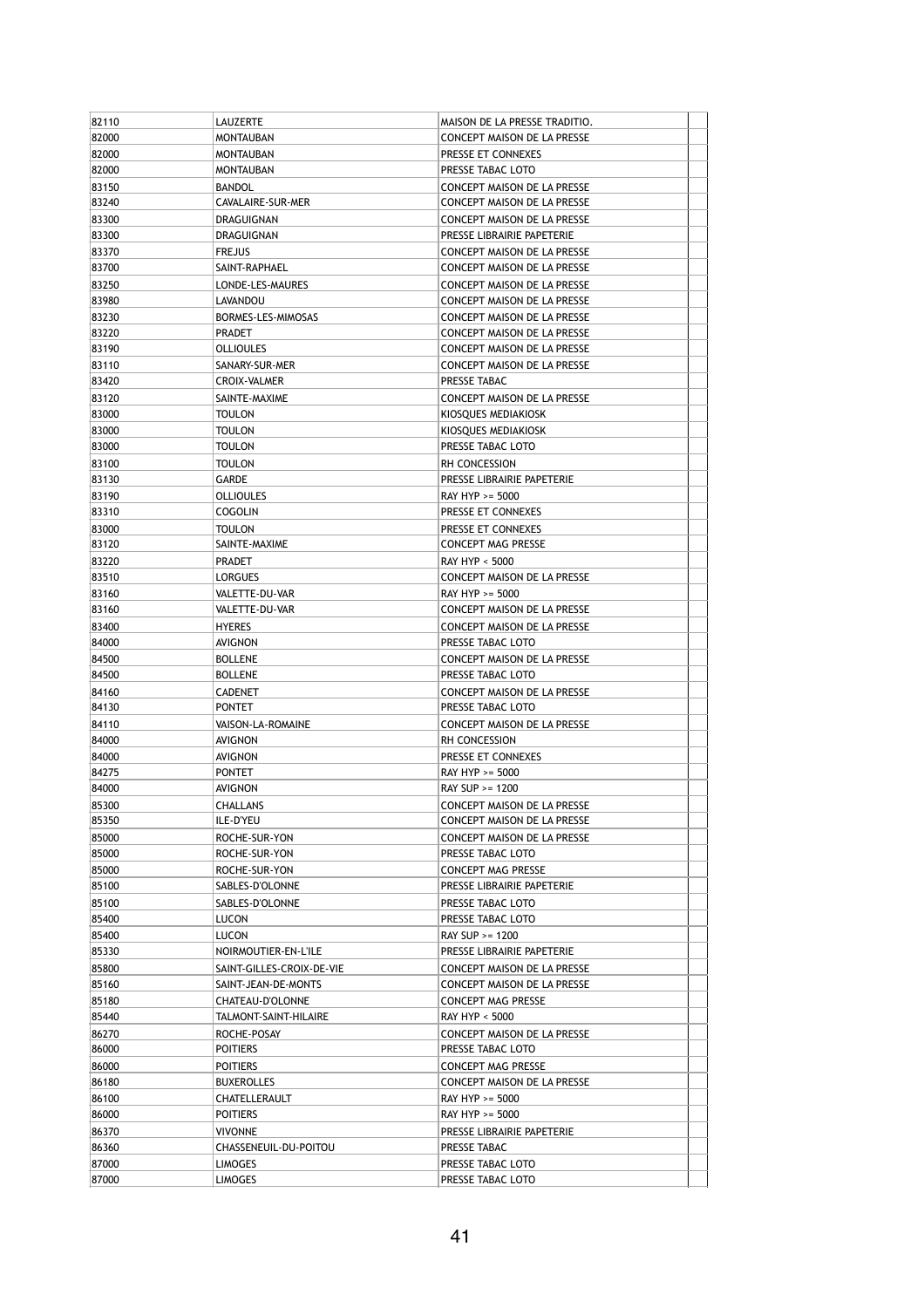| 82110 | LAUZERTE                            | MAISON DE LA PRESSE TRADITIO.      |  |
|-------|-------------------------------------|------------------------------------|--|
| 82000 | <b>MONTAUBAN</b>                    | CONCEPT MAISON DE LA PRESSE        |  |
| 82000 | MONTAUBAN                           | PRESSE ET CONNEXES                 |  |
| 82000 | <b>MONTAUBAN</b>                    | PRESSE TABAC LOTO                  |  |
| 83150 | <b>BANDOL</b>                       | CONCEPT MAISON DE LA PRESSE        |  |
| 83240 | CAVALAIRE-SUR-MER                   | CONCEPT MAISON DE LA PRESSE        |  |
| 83300 | DRAGUIGNAN                          | CONCEPT MAISON DE LA PRESSE        |  |
| 83300 | DRAGUIGNAN                          | PRESSE LIBRAIRIE PAPETERIE         |  |
| 83370 | <b>FREJUS</b>                       | CONCEPT MAISON DE LA PRESSE        |  |
| 83700 | SAINT-RAPHAEL                       | <b>CONCEPT MAISON DE LA PRESSE</b> |  |
| 83250 | LONDE-LES-MAURES                    | CONCEPT MAISON DE LA PRESSE        |  |
| 83980 | LAVANDOU                            | CONCEPT MAISON DE LA PRESSE        |  |
|       |                                     | <b>CONCEPT MAISON DE LA PRESSE</b> |  |
| 83230 | BORMES-LES-MIMOSAS<br><b>PRADET</b> |                                    |  |
| 83220 |                                     | CONCEPT MAISON DE LA PRESSE        |  |
| 83190 | <b>OLLIOULES</b>                    | CONCEPT MAISON DE LA PRESSE        |  |
| 83110 | SANARY-SUR-MER                      | CONCEPT MAISON DE LA PRESSE        |  |
| 83420 | CROIX-VALMER                        | PRESSE TABAC                       |  |
| 83120 | SAINTE-MAXIME                       | CONCEPT MAISON DE LA PRESSE        |  |
| 83000 | <b>TOULON</b>                       | KIOSQUES MEDIAKIOSK                |  |
| 83000 | TOULON                              | KIOSQUES MEDIAKIOSK                |  |
| 83000 | TOULON                              | PRESSE TABAC LOTO                  |  |
| 83100 | TOULON                              | RH CONCESSION                      |  |
| 83130 | GARDE                               | PRESSE LIBRAIRIE PAPETERIE         |  |
| 83190 | <b>OLLIOULES</b>                    | RAY HYP >= 5000                    |  |
| 83310 | COGOLIN                             | PRESSE ET CONNEXES                 |  |
| 83000 | TOULON                              | PRESSE ET CONNEXES                 |  |
| 83120 | SAINTE-MAXIME                       | <b>CONCEPT MAG PRESSE</b>          |  |
| 83220 | PRADET                              | <b>RAY HYP &lt; 5000</b>           |  |
| 83510 | LORGUES                             | CONCEPT MAISON DE LA PRESSE        |  |
| 83160 | VALETTE-DU-VAR                      | RAY HYP >= 5000                    |  |
| 83160 | VALETTE-DU-VAR                      | CONCEPT MAISON DE LA PRESSE        |  |
| 83400 | HYERES                              | CONCEPT MAISON DE LA PRESSE        |  |
|       |                                     |                                    |  |
| 84000 | AVIGNON                             | PRESSE TABAC LOTO                  |  |
| 84500 | BOLLENE                             | CONCEPT MAISON DE LA PRESSE        |  |
| 84500 | <b>BOLLENE</b>                      | PRESSE TABAC LOTO                  |  |
| 84160 | <b>CADENET</b>                      | CONCEPT MAISON DE LA PRESSE        |  |
| 84130 | PONTET                              | PRESSE TABAC LOTO                  |  |
| 84110 | VAISON-LA-ROMAINE                   | CONCEPT MAISON DE LA PRESSE        |  |
| 84000 | AVIGNON                             | RH CONCESSION                      |  |
| 84000 | AVIGNON                             | PRESSE ET CONNEXES                 |  |
| 84275 | <b>PONTET</b>                       | RAY HYP >= 5000                    |  |
| 84000 | AVIGNON                             | RAY SUP >= 1200                    |  |
| 85300 | CHALLANS                            | CONCEPT MAISON DE LA PRESSE        |  |
| 85350 | ILE-D'YEU                           | CONCEPT MAISON DE LA PRESSE        |  |
| 85000 | ROCHE-SUR-YON                       | CONCEPT MAISON DE LA PRESSE        |  |
| 85000 | ROCHE-SUR-YON                       | PRESSE TABAC LOTO                  |  |
| 85000 | ROCHE-SUR-YON                       | CONCEPT MAG PRESSE                 |  |
| 85100 | SABLES-D'OLONNE                     | PRESSE LIBRAIRIE PAPETERIE         |  |
| 85100 | SABLES-D'OLONNE                     | PRESSE TABAC LOTO                  |  |
| 85400 | <b>LUCON</b>                        | PRESSE TABAC LOTO                  |  |
| 85400 | LUCON                               | $RAY$ SUP $>= 1200$                |  |
| 85330 | NOIRMOUTIER-EN-L'ILE                | PRESSE LIBRAIRIE PAPETERIE         |  |
| 85800 | SAINT-GILLES-CROIX-DE-VIE           | CONCEPT MAISON DE LA PRESSE        |  |
| 85160 | SAINT-JEAN-DE-MONTS                 | <b>CONCEPT MAISON DE LA PRESSE</b> |  |
|       |                                     |                                    |  |
| 85180 | CHATEAU-D'OLONNE                    | CONCEPT MAG PRESSE                 |  |
| 85440 | TALMONT-SAINT-HILAIRE               | RAY HYP < 5000                     |  |
| 86270 | ROCHE-POSAY                         | CONCEPT MAISON DE LA PRESSE        |  |
| 86000 | <b>POITIERS</b>                     | PRESSE TABAC LOTO                  |  |
| 86000 | POITIERS                            | CONCEPT MAG PRESSE                 |  |
| 86180 | BUXEROLLES                          | CONCEPT MAISON DE LA PRESSE        |  |
| 86100 | CHATELLERAULT                       | RAY HYP >= 5000                    |  |
| 86000 | POITIERS                            | RAY HYP >= 5000                    |  |
| 86370 | VIVONNE                             | PRESSE LIBRAIRIE PAPETERIE         |  |
| 86360 | CHASSENEUIL-DU-POITOU               | PRESSE TABAC                       |  |
| 87000 | LIMOGES                             | PRESSE TABAC LOTO                  |  |
| 87000 | <b>LIMOGES</b>                      | PRESSE TABAC LOTO                  |  |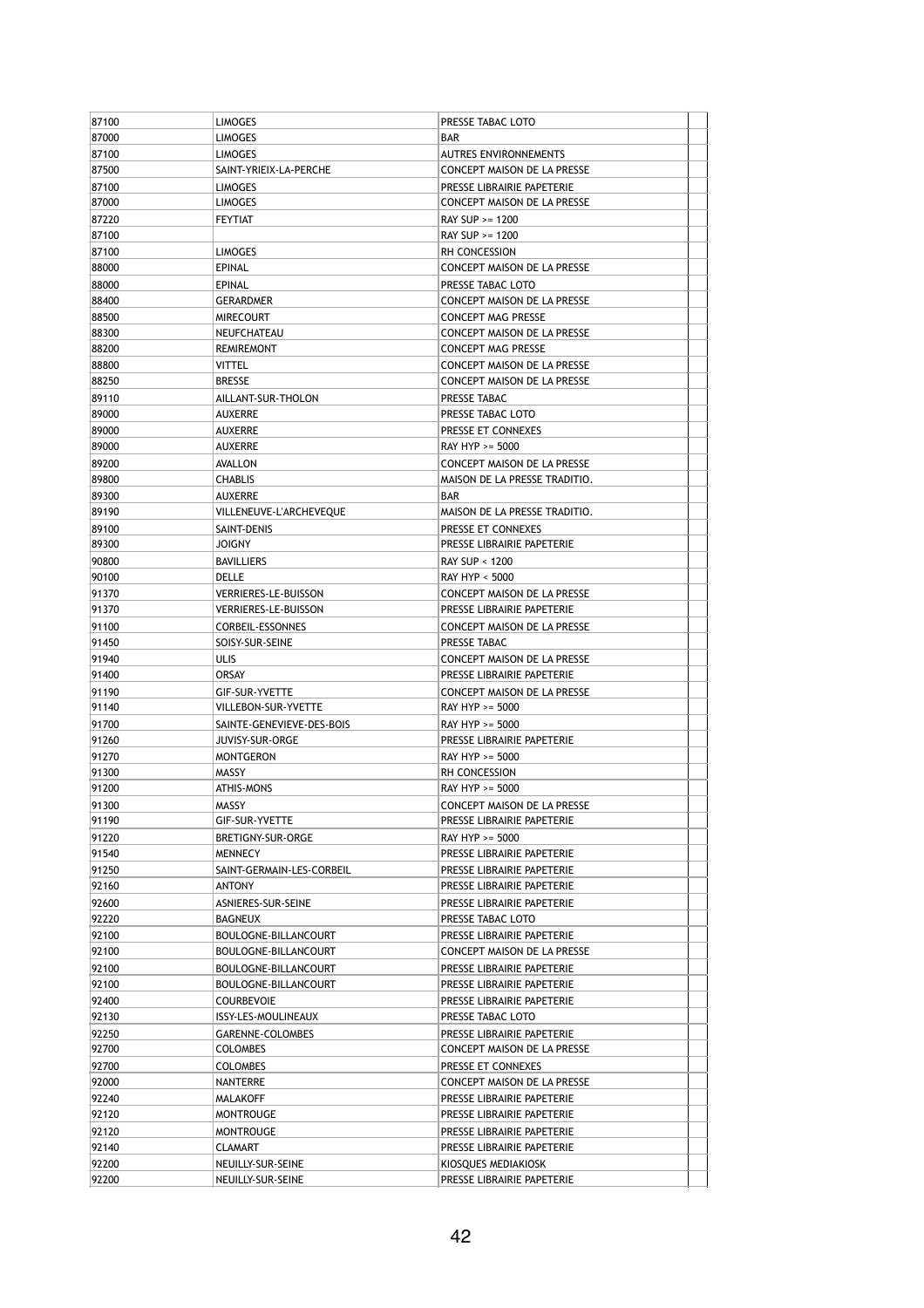| 87100 | <b>LIMOGES</b>              | PRESSE TABAC LOTO             |  |
|-------|-----------------------------|-------------------------------|--|
| 87000 | <b>LIMOGES</b>              | <b>BAR</b>                    |  |
| 87100 | <b>LIMOGES</b>              | AUTRES ENVIRONNEMENTS         |  |
| 87500 | SAINT-YRIEIX-LA-PERCHE      | CONCEPT MAISON DE LA PRESSE   |  |
| 87100 | <b>LIMOGES</b>              | PRESSE LIBRAIRIE PAPETERIE    |  |
| 87000 | <b>LIMOGES</b>              | CONCEPT MAISON DE LA PRESSE   |  |
| 87220 | <b>FEYTIAT</b>              | RAY SUP >= 1200               |  |
| 87100 |                             | RAY SUP >= 1200               |  |
| 87100 | <b>LIMOGES</b>              | RH CONCESSION                 |  |
| 88000 | <b>EPINAL</b>               | CONCEPT MAISON DE LA PRESSE   |  |
| 88000 | EPINAL                      | PRESSE TABAC LOTO             |  |
| 88400 | <b>GERARDMER</b>            | CONCEPT MAISON DE LA PRESSE   |  |
|       |                             |                               |  |
| 88500 | <b>MIRECOURT</b>            | <b>CONCEPT MAG PRESSE</b>     |  |
| 88300 | NEUFCHATEAU                 | CONCEPT MAISON DE LA PRESSE   |  |
| 88200 | <b>REMIREMONT</b>           | <b>CONCEPT MAG PRESSE</b>     |  |
| 88800 | VITTEL                      | CONCEPT MAISON DE LA PRESSE   |  |
| 88250 | <b>BRESSE</b>               | CONCEPT MAISON DE LA PRESSE   |  |
| 89110 | AILLANT-SUR-THOLON          | PRESSE TABAC                  |  |
| 89000 | <b>AUXERRE</b>              | PRESSE TABAC LOTO             |  |
| 89000 | <b>AUXERRE</b>              | PRESSE ET CONNEXES            |  |
| 89000 | <b>AUXERRE</b>              | RAY HYP >= 5000               |  |
| 89200 | AVALLON                     | CONCEPT MAISON DE LA PRESSE   |  |
| 89800 | <b>CHABLIS</b>              | MAISON DE LA PRESSE TRADITIO. |  |
| 89300 | AUXERRE                     | <b>BAR</b>                    |  |
| 89190 | VILLENEUVE-L'ARCHEVEQUE     | MAISON DE LA PRESSE TRADITIO. |  |
| 89100 | SAINT-DENIS                 | PRESSE ET CONNEXES            |  |
| 89300 | <b>JOIGNY</b>               | PRESSE LIBRAIRIE PAPETERIE    |  |
| 90800 | <b>BAVILLIERS</b>           | RAY SUP < 1200                |  |
| 90100 | DELLE                       | RAY HYP < 5000                |  |
|       |                             |                               |  |
| 91370 | <b>VERRIERES-LE-BUISSON</b> | CONCEPT MAISON DE LA PRESSE   |  |
| 91370 | <b>VERRIERES-LE-BUISSON</b> | PRESSE LIBRAIRIE PAPETERIE    |  |
| 91100 | CORBEIL-ESSONNES            | CONCEPT MAISON DE LA PRESSE   |  |
| 91450 | SOISY-SUR-SEINE             | PRESSE TABAC                  |  |
| 91940 | <b>ULIS</b>                 | CONCEPT MAISON DE LA PRESSE   |  |
| 91400 | ORSAY                       | PRESSE LIBRAIRIE PAPETERIE    |  |
| 91190 | GIF-SUR-YVETTE              | CONCEPT MAISON DE LA PRESSE   |  |
| 91140 | VILLEBON-SUR-YVETTE         | RAY HYP >= 5000               |  |
| 91700 | SAINTE-GENEVIEVE-DES-BOIS   | RAY HYP >= 5000               |  |
| 91260 | JUVISY-SUR-ORGE             | PRESSE LIBRAIRIE PAPETERIE    |  |
| 91270 | <b>MONTGERON</b>            | RAY HYP >= 5000               |  |
| 91300 | MASSY                       | RH CONCESSION                 |  |
| 91200 | ATHIS-MONS                  | RAY HYP >= 5000               |  |
| 91300 | MASSY                       | CONCEPT MAISON DE LA PRESSE   |  |
| 91190 | GIF-SUR-YVETTE              | PRESSE LIBRAIRIE PAPETERIE    |  |
| 91220 | BRETIGNY-SUR-ORGE           | RAY HYP >= 5000               |  |
| 91540 | <b>MENNECY</b>              | PRESSE LIBRAIRIE PAPETERIE    |  |
| 91250 |                             |                               |  |
|       | SAINT-GERMAIN-LES-CORBEIL   | PRESSE LIBRAIRIE PAPETERIE    |  |
| 92160 | ANTONY                      | PRESSE LIBRAIRIE PAPETERIE    |  |
| 92600 | ASNIERES-SUR-SEINE          | PRESSE LIBRAIRIE PAPETERIE    |  |
| 92220 | BAGNEUX                     | PRESSE TABAC LOTO             |  |
| 92100 | BOULOGNE-BILLANCOURT        | PRESSE LIBRAIRIE PAPETERIE    |  |
| 92100 | BOULOGNE-BILLANCOURT        | CONCEPT MAISON DE LA PRESSE   |  |
| 92100 | BOULOGNE-BILLANCOURT        | PRESSE LIBRAIRIE PAPETERIE    |  |
| 92100 | BOULOGNE-BILLANCOURT        | PRESSE LIBRAIRIE PAPETERIE    |  |
| 92400 | <b>COURBEVOIE</b>           | PRESSE LIBRAIRIE PAPETERIE    |  |
| 92130 | ISSY-LES-MOULINEAUX         | PRESSE TABAC LOTO             |  |
| 92250 | GARENNE-COLOMBES            | PRESSE LIBRAIRIE PAPETERIE    |  |
| 92700 | <b>COLOMBES</b>             | CONCEPT MAISON DE LA PRESSE   |  |
| 92700 | <b>COLOMBES</b>             | PRESSE ET CONNEXES            |  |
| 92000 | NANTERRE                    | CONCEPT MAISON DE LA PRESSE   |  |
| 92240 | MALAKOFF                    | PRESSE LIBRAIRIE PAPETERIE    |  |
| 92120 | MONTROUGE                   | PRESSE LIBRAIRIE PAPETERIE    |  |
| 92120 | <b>MONTROUGE</b>            | PRESSE LIBRAIRIE PAPETERIE    |  |
|       |                             |                               |  |
| 92140 | CLAMART                     | PRESSE LIBRAIRIE PAPETERIE    |  |
| 92200 | NEUILLY-SUR-SEINE           | KIOSQUES MEDIAKIOSK           |  |
| 92200 | NEUILLY-SUR-SEINE           | PRESSE LIBRAIRIE PAPETERIE    |  |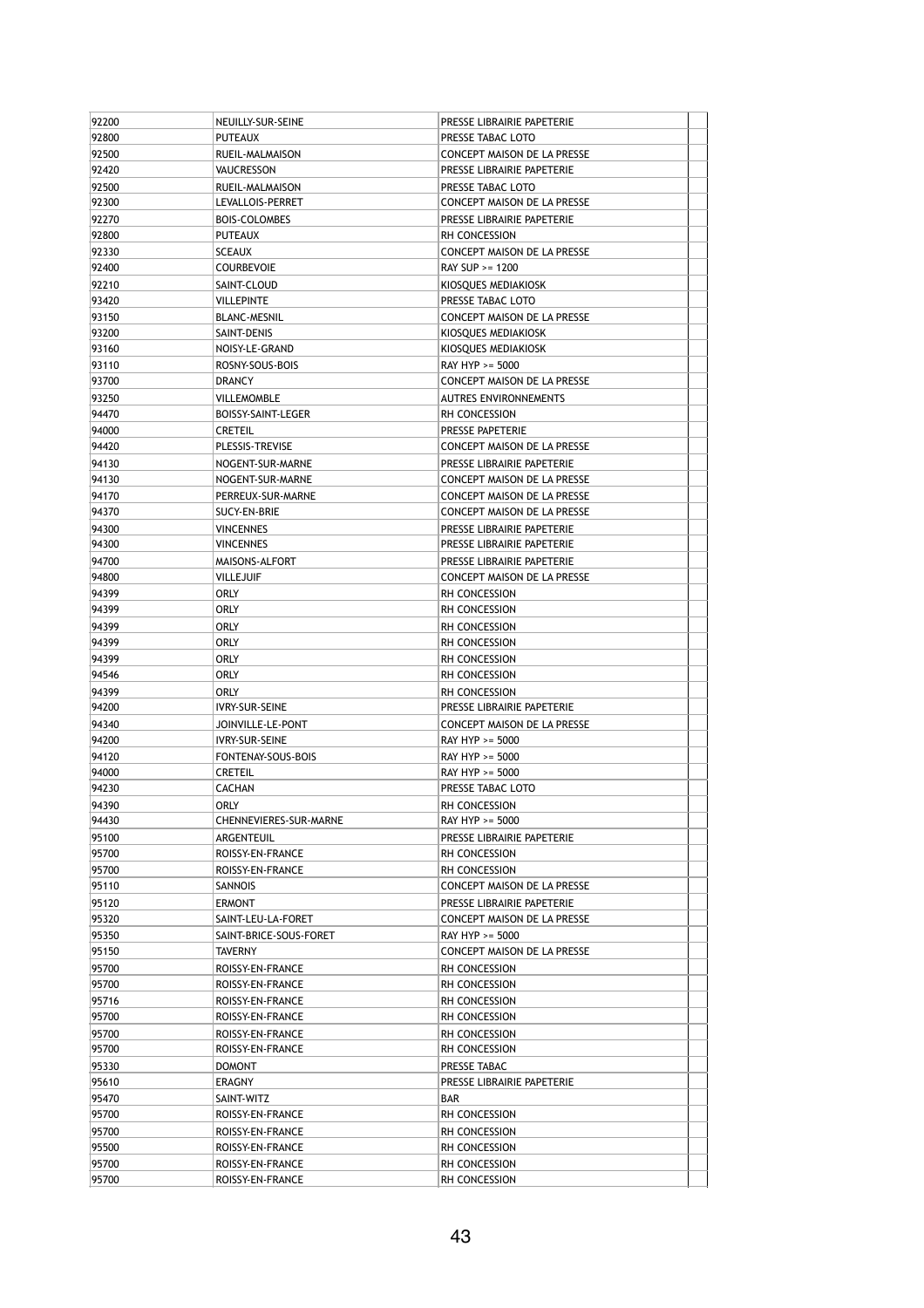| 92200          | NEUILLY-SUR-SEINE                    | PRESSE LIBRAIRIE PAPETERIE         |  |
|----------------|--------------------------------------|------------------------------------|--|
| 92800          | <b>PUTEAUX</b>                       | PRESSE TABAC LOTO                  |  |
| 92500          | RUEIL-MALMAISON                      | <b>CONCEPT MAISON DE LA PRESSE</b> |  |
| 92420          | VAUCRESSON                           | PRESSE LIBRAIRIE PAPETERIE         |  |
| 92500          | RUEIL-MALMAISON                      | PRESSE TABAC LOTO                  |  |
| 92300          | LEVALLOIS-PERRET                     | CONCEPT MAISON DE LA PRESSE        |  |
| 92270          | <b>BOIS-COLOMBES</b>                 | PRESSE LIBRAIRIE PAPETERIE         |  |
| 92800          | <b>PUTEAUX</b>                       | RH CONCESSION                      |  |
| 92330          | <b>SCEAUX</b>                        | CONCEPT MAISON DE LA PRESSE        |  |
| 92400          | <b>COURBEVOIE</b>                    | $RAY$ SUP $>= 1200$                |  |
| 92210          | SAINT-CLOUD                          | KIOSQUES MEDIAKIOSK                |  |
| 93420          | <b>VILLEPINTE</b>                    | PRESSE TABAC LOTO                  |  |
| 93150          | <b>BLANC-MESNIL</b>                  | CONCEPT MAISON DE LA PRESSE        |  |
| 93200          | SAINT-DENIS                          | KIOSQUES MEDIAKIOSK                |  |
| 93160          | NOISY-LE-GRAND                       | KIOSQUES MEDIAKIOSK                |  |
| 93110          | ROSNY-SOUS-BOIS                      | RAY HYP >= 5000                    |  |
| 93700          | <b>DRANCY</b>                        | CONCEPT MAISON DE LA PRESSE        |  |
| 93250          | <b>VILLEMOMBLE</b>                   | AUTRES ENVIRONNEMENTS              |  |
| 94470          | BOISSY-SAINT-LEGER                   | RH CONCESSION                      |  |
| 94000          | <b>CRETEIL</b>                       | PRESSE PAPETERIE                   |  |
| 94420          | PLESSIS-TREVISE                      | CONCEPT MAISON DE LA PRESSE        |  |
| 94130          | NOGENT-SUR-MARNE                     | PRESSE LIBRAIRIE PAPETERIE         |  |
| 94130          | NOGENT-SUR-MARNE                     | CONCEPT MAISON DE LA PRESSE        |  |
| 94170          | PERREUX-SUR-MARNE                    | CONCEPT MAISON DE LA PRESSE        |  |
| 94370          | SUCY-EN-BRIE                         | CONCEPT MAISON DE LA PRESSE        |  |
| 94300          | <b>VINCENNES</b>                     | PRESSE LIBRAIRIE PAPETERIE         |  |
| 94300          | <b>VINCENNES</b>                     | PRESSE LIBRAIRIE PAPETERIE         |  |
| 94700          | MAISONS-ALFORT                       | PRESSE LIBRAIRIE PAPETERIE         |  |
| 94800          | <b>VILLEJUIF</b>                     | CONCEPT MAISON DE LA PRESSE        |  |
| 94399          | ORLY                                 | RH CONCESSION                      |  |
| 94399          | orly                                 | RH CONCESSION                      |  |
| 94399          | ORLY                                 | RH CONCESSION                      |  |
| 94399          | ORLY                                 | RH CONCESSION                      |  |
| 94399          | <b>ORLY</b>                          | RH CONCESSION                      |  |
| 94546          | orly                                 | RH CONCESSION                      |  |
| 94399          | orly                                 | RH CONCESSION                      |  |
| 94200          | <b>IVRY-SUR-SEINE</b>                | PRESSE LIBRAIRIE PAPETERIE         |  |
| 94340          | JOINVILLE-LE-PONT                    | CONCEPT MAISON DE LA PRESSE        |  |
| 94200          | <b>IVRY-SUR-SEINE</b>                | RAY HYP >= 5000                    |  |
| 94120          | FONTENAY-SOUS-BOIS                   | RAY HYP >= 5000                    |  |
| 94000          | <b>CRETEIL</b>                       | RAY HYP >= 5000                    |  |
| 94230          | <b>CACHAN</b>                        | PRESSE TABAC LOTO                  |  |
| 94390          | ORLY                                 | RH CONCESSION                      |  |
| 94430          | CHENNEVIERES-SUR-MARNE               | RAY HYP >= 5000                    |  |
| 95100          | ARGENTEUIL                           | PRESSE LIBRAIRIE PAPETERIE         |  |
| 95700          | ROISSY-EN-FRANCE                     | RH CONCESSION                      |  |
| 95700          | ROISSY-EN-FRANCE                     | RH CONCESSION                      |  |
| 95110          | SANNOIS                              | CONCEPT MAISON DE LA PRESSE        |  |
| 95120          | <b>ERMONT</b>                        | PRESSE LIBRAIRIE PAPETERIE         |  |
| 95320          | SAINT-LEU-LA-FORET                   | CONCEPT MAISON DE LA PRESSE        |  |
| 95350          | SAINT-BRICE-SOUS-FORET               | RAY HYP >= 5000                    |  |
| 95150          | TAVERNY                              | CONCEPT MAISON DE LA PRESSE        |  |
| 95700          | ROISSY-EN-FRANCE                     | <b>RH CONCESSION</b>               |  |
| 95700          | ROISSY-EN-FRANCE                     | RH CONCESSION                      |  |
| 95716          | ROISSY-EN-FRANCE                     | <b>RH CONCESSION</b>               |  |
| 95700          | ROISSY-EN-FRANCE                     | RH CONCESSION                      |  |
| 95700          | ROISSY-EN-FRANCE                     | RH CONCESSION                      |  |
| 95700          | ROISSY-EN-FRANCE                     | RH CONCESSION                      |  |
| 95330          | <b>DOMONT</b>                        | PRESSE TABAC                       |  |
| 95610          | ERAGNY                               | PRESSE LIBRAIRIE PAPETERIE         |  |
| 95470          |                                      | BAR                                |  |
| 95700          | SAINT-WITZ<br>ROISSY-EN-FRANCE       | RH CONCESSION                      |  |
| 95700          |                                      |                                    |  |
|                |                                      |                                    |  |
|                | ROISSY-EN-FRANCE                     | RH CONCESSION                      |  |
| 95500          | ROISSY-EN-FRANCE                     | RH CONCESSION                      |  |
| 95700<br>95700 | ROISSY-EN-FRANCE<br>ROISSY-EN-FRANCE | RH CONCESSION<br>RH CONCESSION     |  |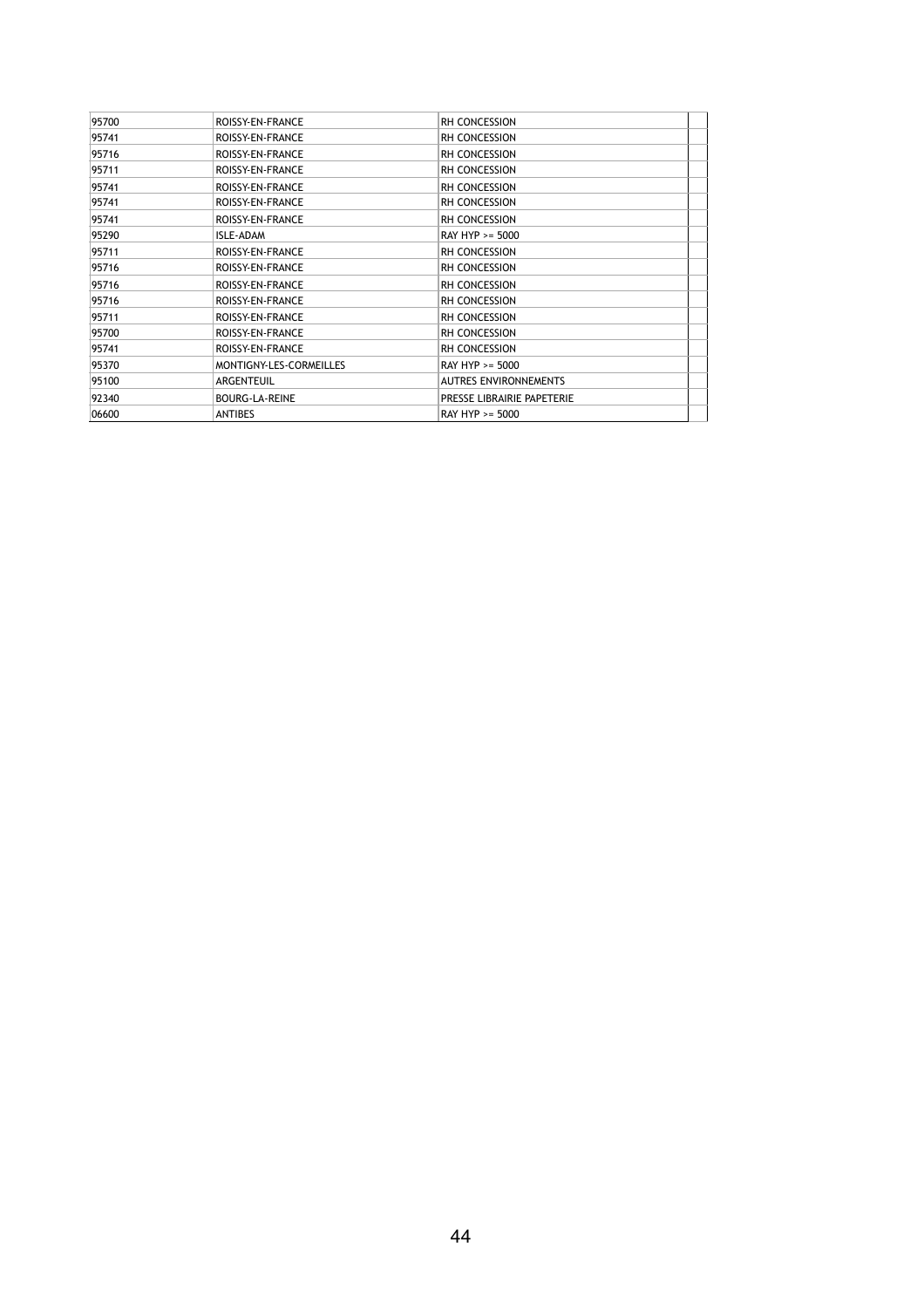| 95700 | ROISSY-EN-FRANCE        | <b>RH CONCESSION</b>         |  |
|-------|-------------------------|------------------------------|--|
| 95741 | ROISSY-EN-FRANCE        | <b>RH CONCESSION</b>         |  |
| 95716 | ROISSY-EN-FRANCE        | <b>RH CONCESSION</b>         |  |
| 95711 | ROISSY-EN-FRANCE        | <b>RH CONCESSION</b>         |  |
| 95741 | ROISSY-EN-FRANCE        | <b>RH CONCESSION</b>         |  |
| 95741 | ROISSY-EN-FRANCE        | <b>RH CONCESSION</b>         |  |
| 95741 | ROISSY-EN-FRANCE        | <b>RH CONCESSION</b>         |  |
| 95290 | ISLE-ADAM               | RAY HYP >= 5000              |  |
| 95711 | ROISSY-EN-FRANCE        | <b>RH CONCESSION</b>         |  |
| 95716 | ROISSY-EN-FRANCE        | RH CONCESSION                |  |
| 95716 | ROISSY-EN-FRANCE        | <b>RH CONCESSION</b>         |  |
| 95716 | ROISSY-EN-FRANCE        | <b>RH CONCESSION</b>         |  |
| 95711 | ROISSY-EN-FRANCE        | RH CONCESSION                |  |
| 95700 | ROISSY-EN-FRANCE        | <b>RH CONCESSION</b>         |  |
| 95741 | ROISSY-EN-FRANCE        | RH CONCESSION                |  |
| 95370 | MONTIGNY-LES-CORMEILLES | RAY HYP >= 5000              |  |
| 95100 | ARGENTEUIL              | <b>AUTRES ENVIRONNEMENTS</b> |  |
| 92340 | <b>BOURG-LA-REINE</b>   | PRESSE LIBRAIRIE PAPETERIE   |  |
| 06600 | <b>ANTIBES</b>          | RAY HYP >= 5000              |  |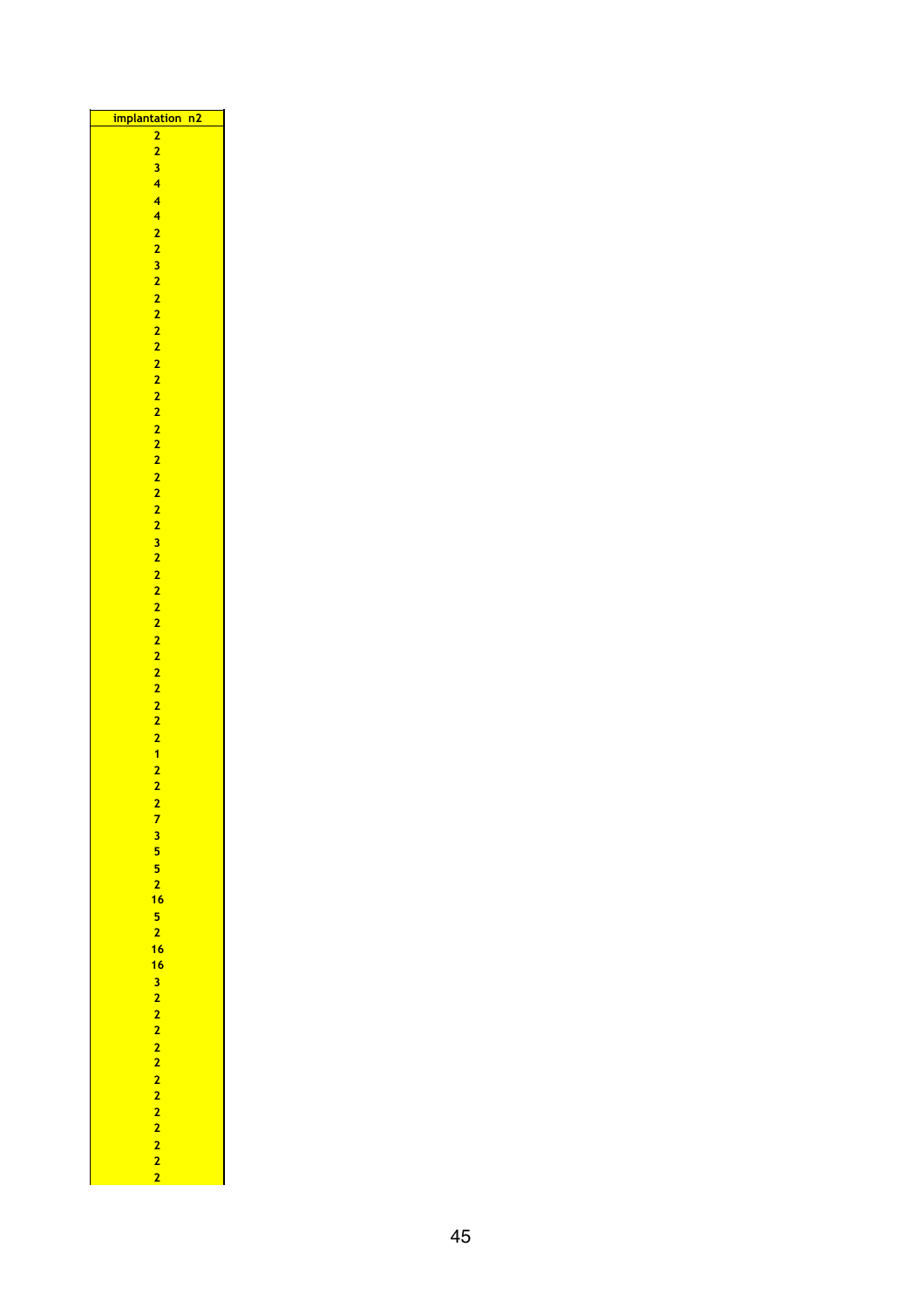| <mark>implantation</mark>   | n2 |
|-----------------------------|----|
| 2                           |    |
|                             |    |
|                             |    |
|                             |    |
|                             |    |
|                             |    |
|                             |    |
|                             |    |
|                             |    |
|                             |    |
|                             |    |
|                             |    |
|                             |    |
|                             |    |
|                             |    |
|                             |    |
|                             |    |
|                             |    |
|                             |    |
|                             |    |
|                             |    |
|                             |    |
|                             |    |
|                             |    |
|                             |    |
|                             |    |
|                             |    |
|                             |    |
|                             |    |
|                             |    |
|                             |    |
|                             |    |
|                             |    |
|                             |    |
|                             |    |
|                             |    |
|                             |    |
|                             |    |
|                             |    |
|                             |    |
|                             |    |
|                             |    |
|                             |    |
|                             |    |
|                             |    |
|                             |    |
|                             |    |
|                             |    |
|                             |    |
|                             |    |
|                             |    |
|                             |    |
|                             |    |
|                             |    |
|                             |    |
|                             |    |
|                             |    |
|                             |    |
|                             |    |
|                             |    |
|                             |    |
|                             |    |
|                             |    |
|                             |    |
|                             |    |
|                             |    |
|                             |    |
|                             |    |
|                             |    |
| 735521652 1616 322222222222 |    |
|                             |    |
|                             |    |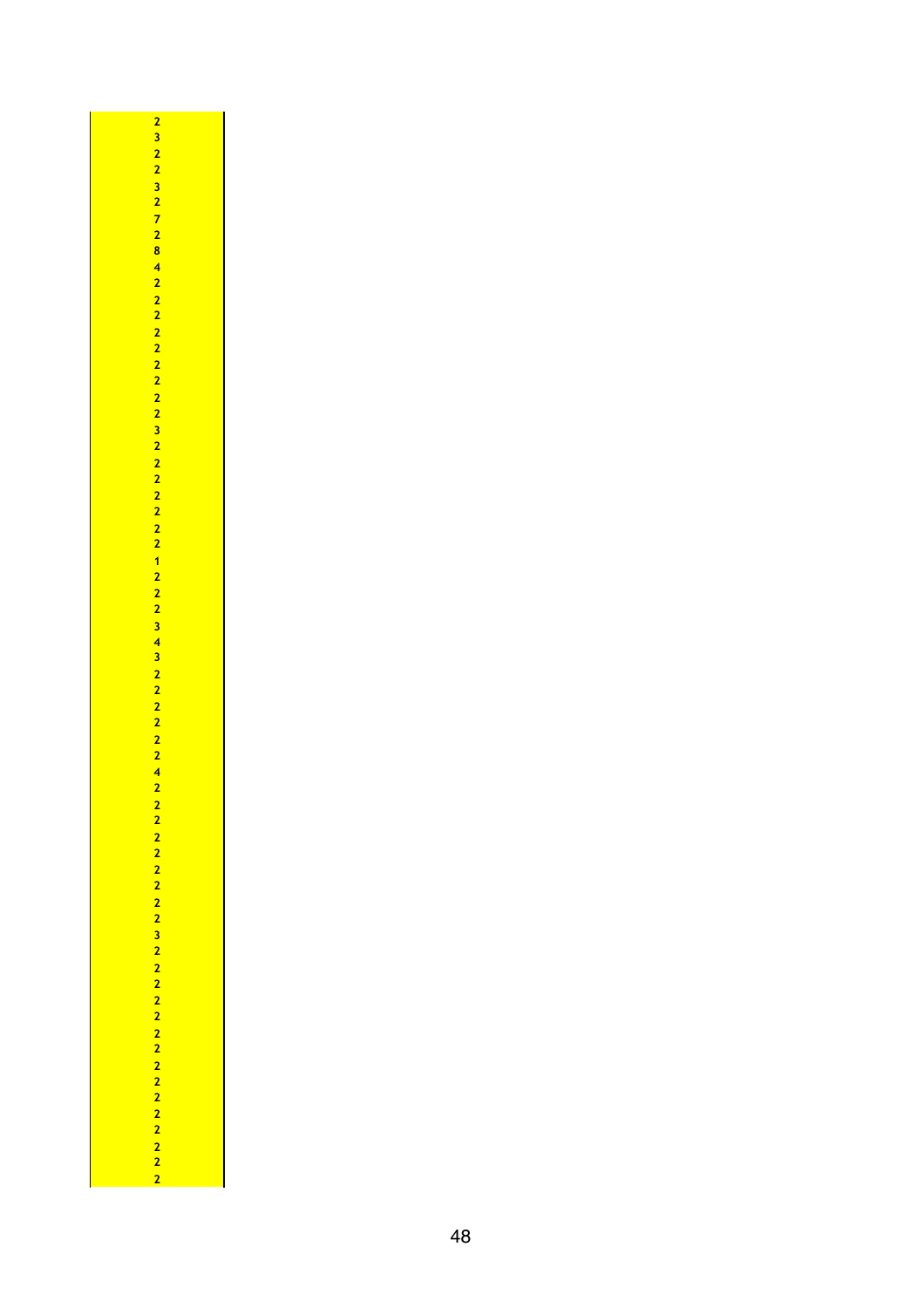$\overline{\phantom{0}}$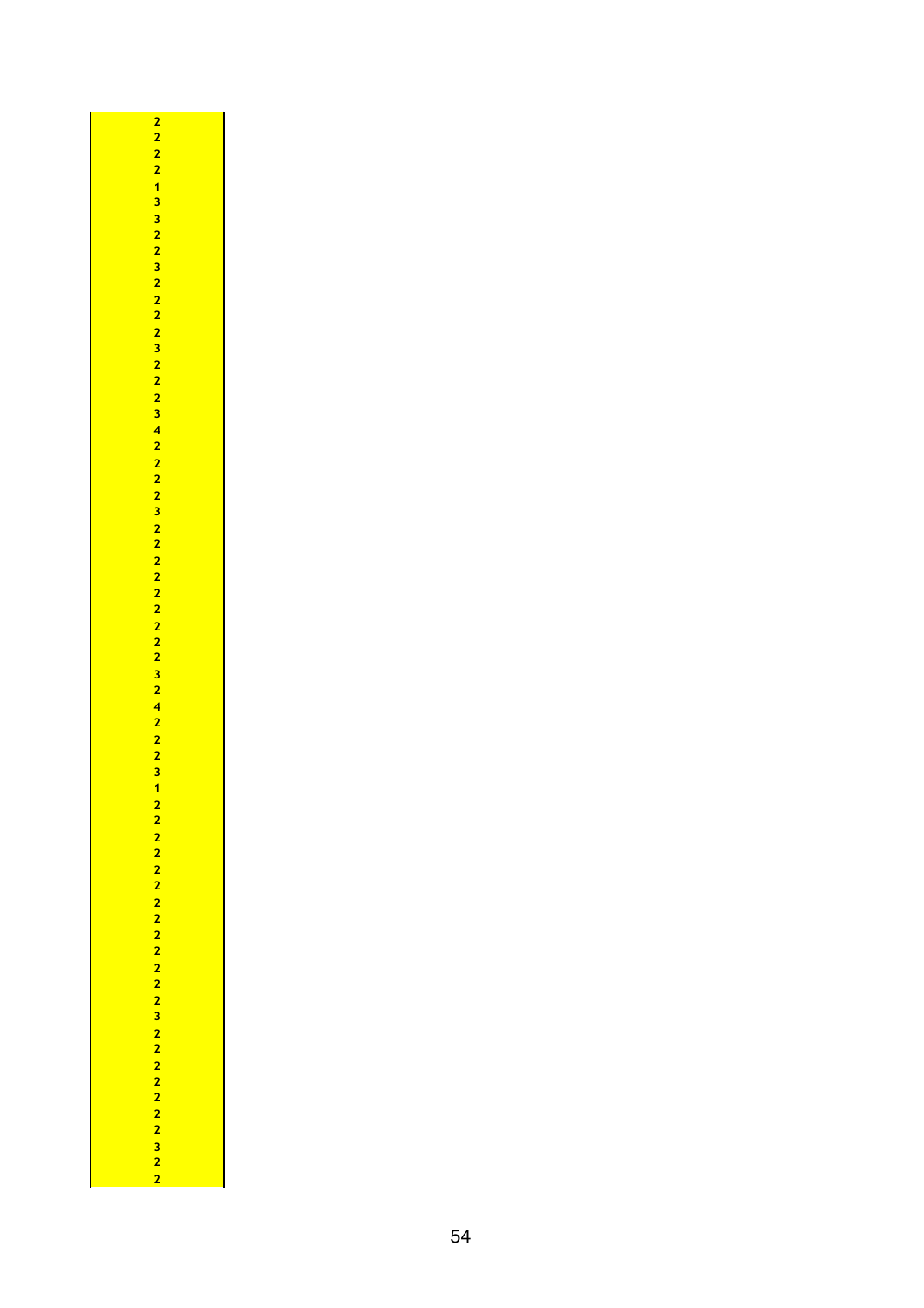$\overline{\mathbf{a}}$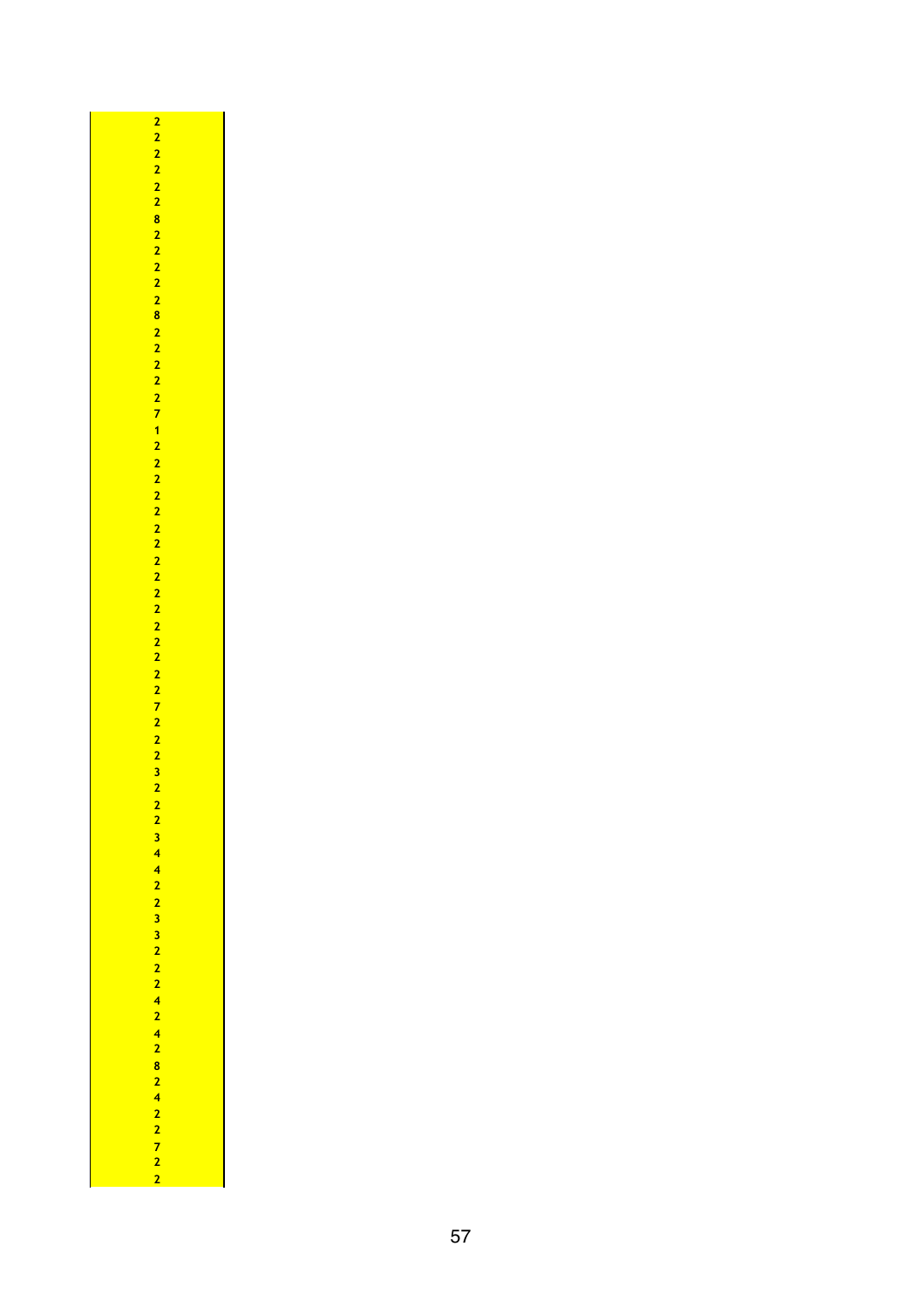| 34 42 23 32 22 42 42 824 22 72 2 |
|----------------------------------|
|                                  |
|                                  |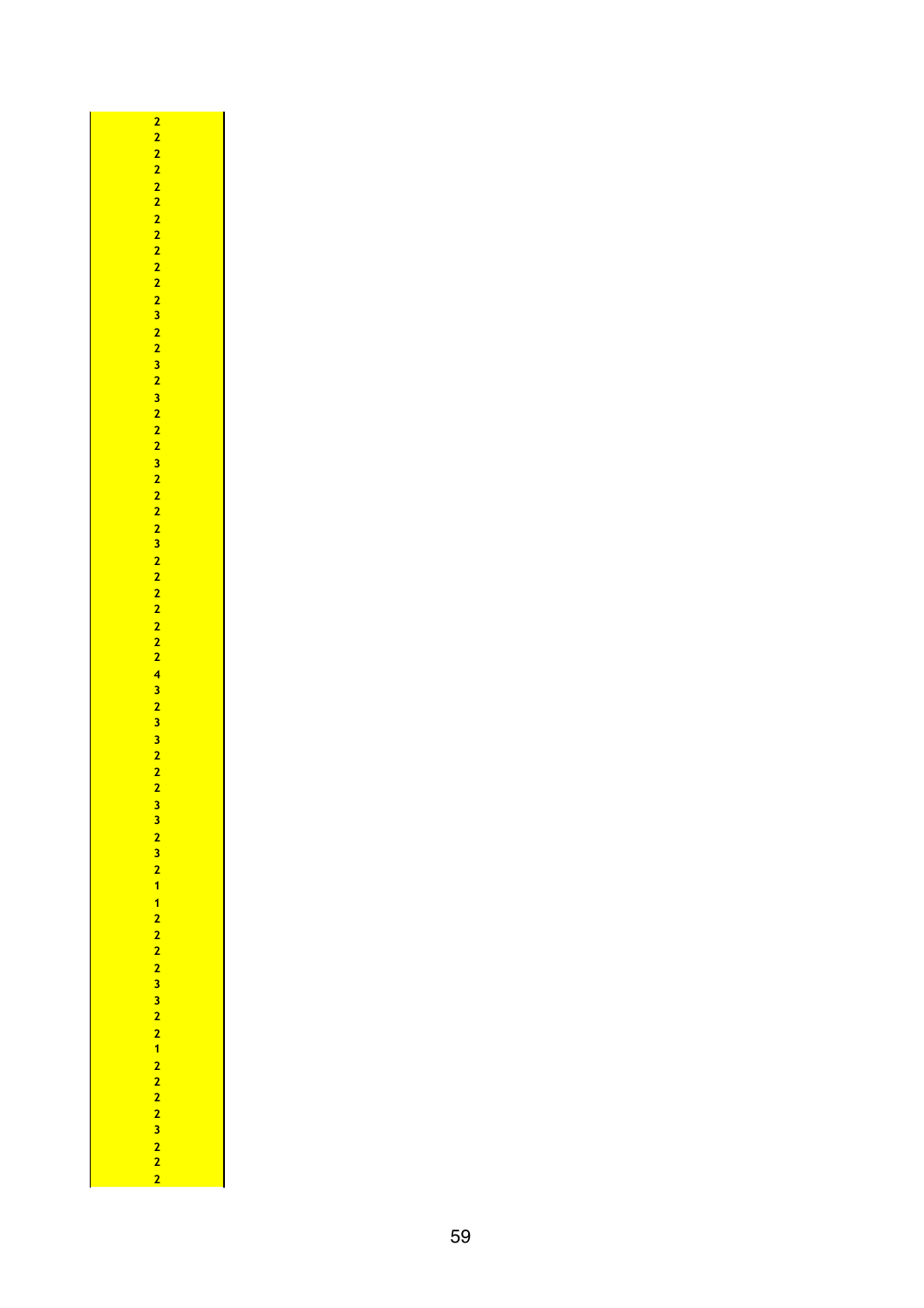| 2 2 2 2 2 2 2 2 2 2 2 3 2 2 3 2 2 2 3 2 2 2 2 2 2 2 2 2 3 3 2 2 2 3 3 2 2 3 3 3 2 2 2 2 2 2 2 2 2 2 2 2 2 2 2 2 |
|-----------------------------------------------------------------------------------------------------------------|
|                                                                                                                 |
|                                                                                                                 |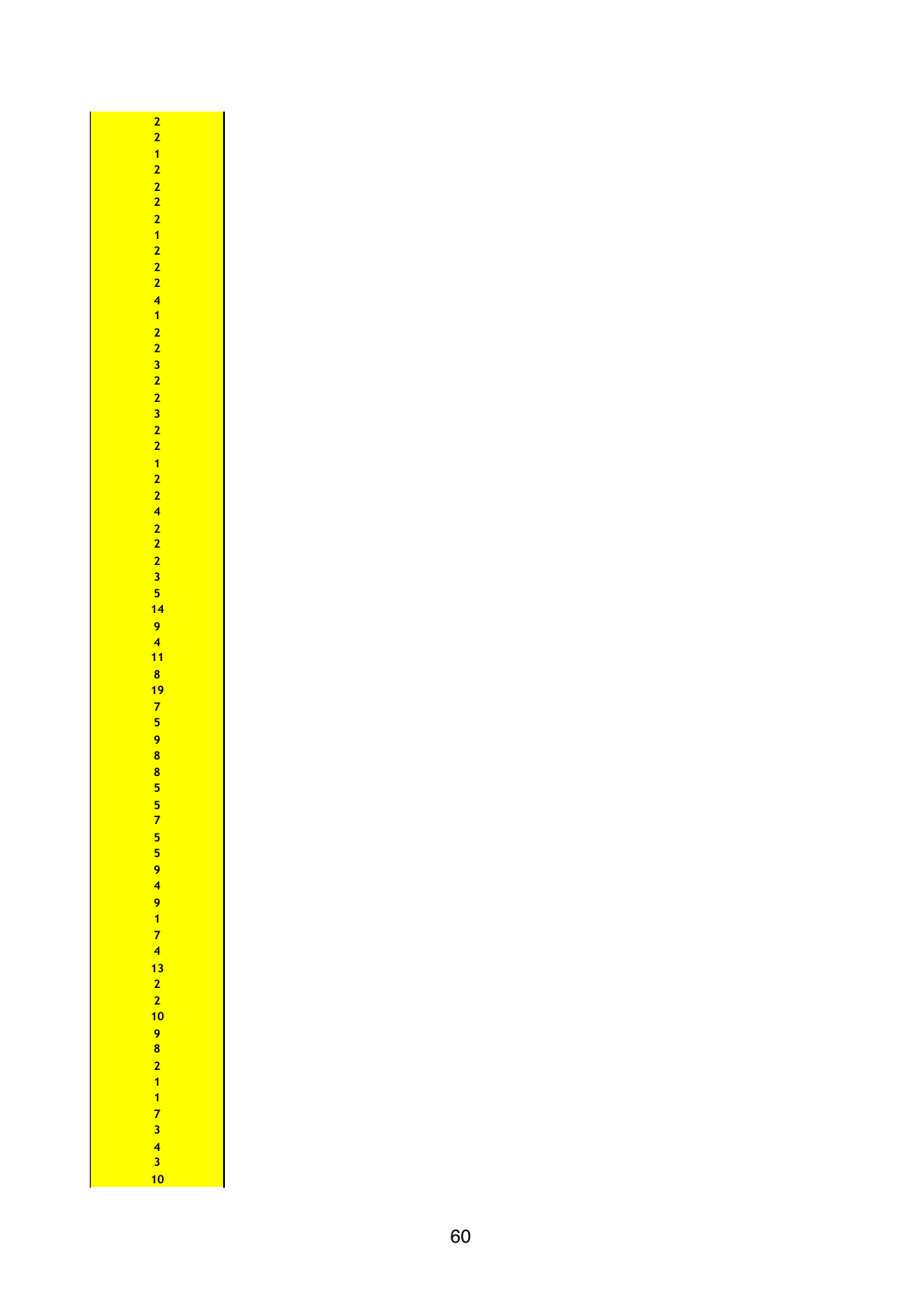| 22122221222412232232212242223519418175988557 |
|----------------------------------------------|
|                                              |
|                                              |
|                                              |
|                                              |
|                                              |
|                                              |
|                                              |
|                                              |
|                                              |
|                                              |
|                                              |
|                                              |
|                                              |
|                                              |
|                                              |
|                                              |
|                                              |
|                                              |
|                                              |
|                                              |
|                                              |
|                                              |
|                                              |
|                                              |
|                                              |
|                                              |
|                                              |
|                                              |
|                                              |
|                                              |
|                                              |
|                                              |
|                                              |
|                                              |
|                                              |
|                                              |
|                                              |
|                                              |
|                                              |
|                                              |
|                                              |
|                                              |
|                                              |
|                                              |
| 55949174132210982117343                      |
|                                              |
|                                              |
|                                              |
|                                              |
|                                              |
|                                              |
| 10                                           |
|                                              |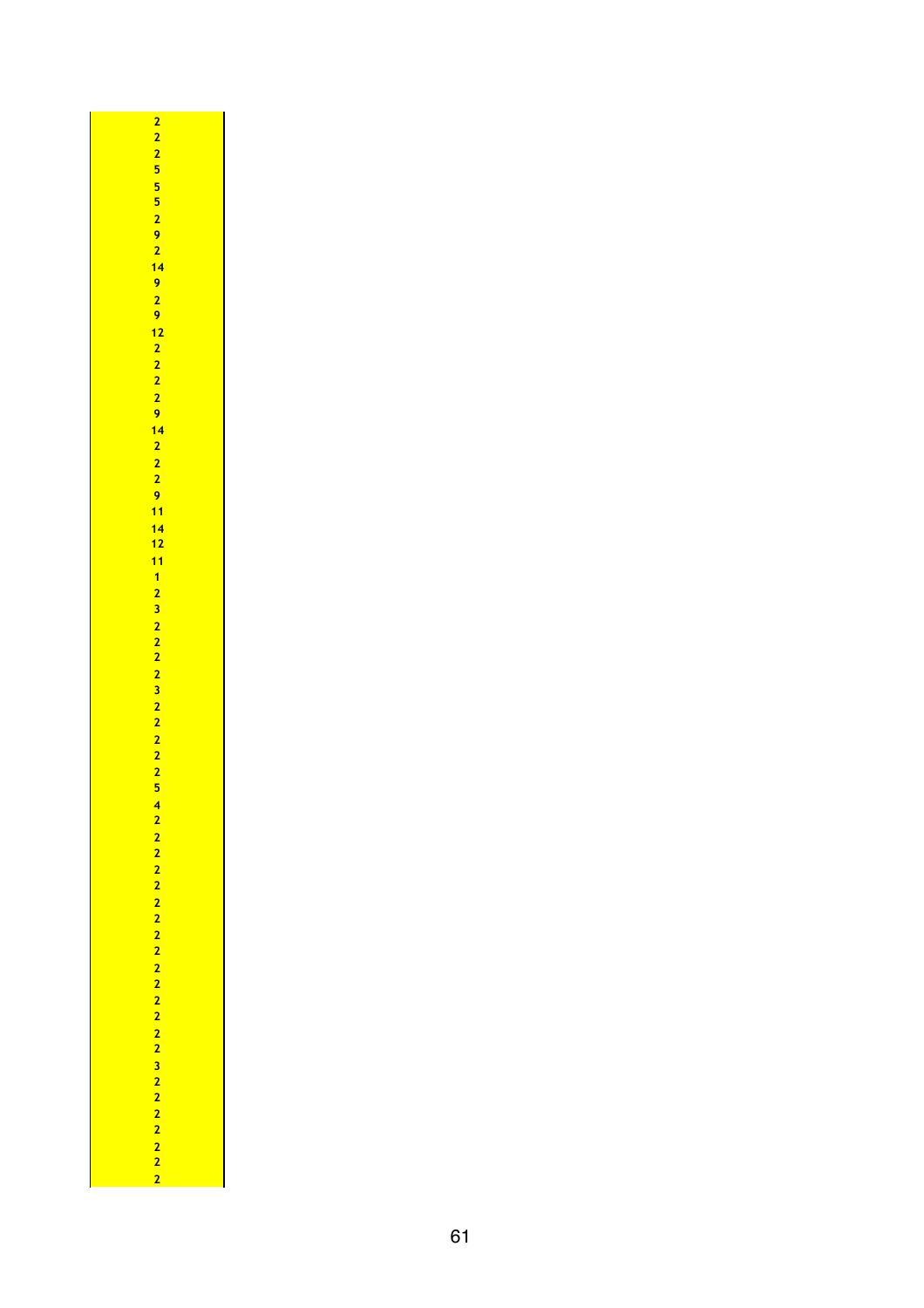| 22255529214929 122229 142229 11 14 12 11 12322222222254 |  |
|---------------------------------------------------------|--|
|                                                         |  |
|                                                         |  |
|                                                         |  |
|                                                         |  |
|                                                         |  |
|                                                         |  |
|                                                         |  |
|                                                         |  |
|                                                         |  |
|                                                         |  |
|                                                         |  |
|                                                         |  |
|                                                         |  |
|                                                         |  |
|                                                         |  |
|                                                         |  |
|                                                         |  |
|                                                         |  |
|                                                         |  |
|                                                         |  |
|                                                         |  |
|                                                         |  |
|                                                         |  |
|                                                         |  |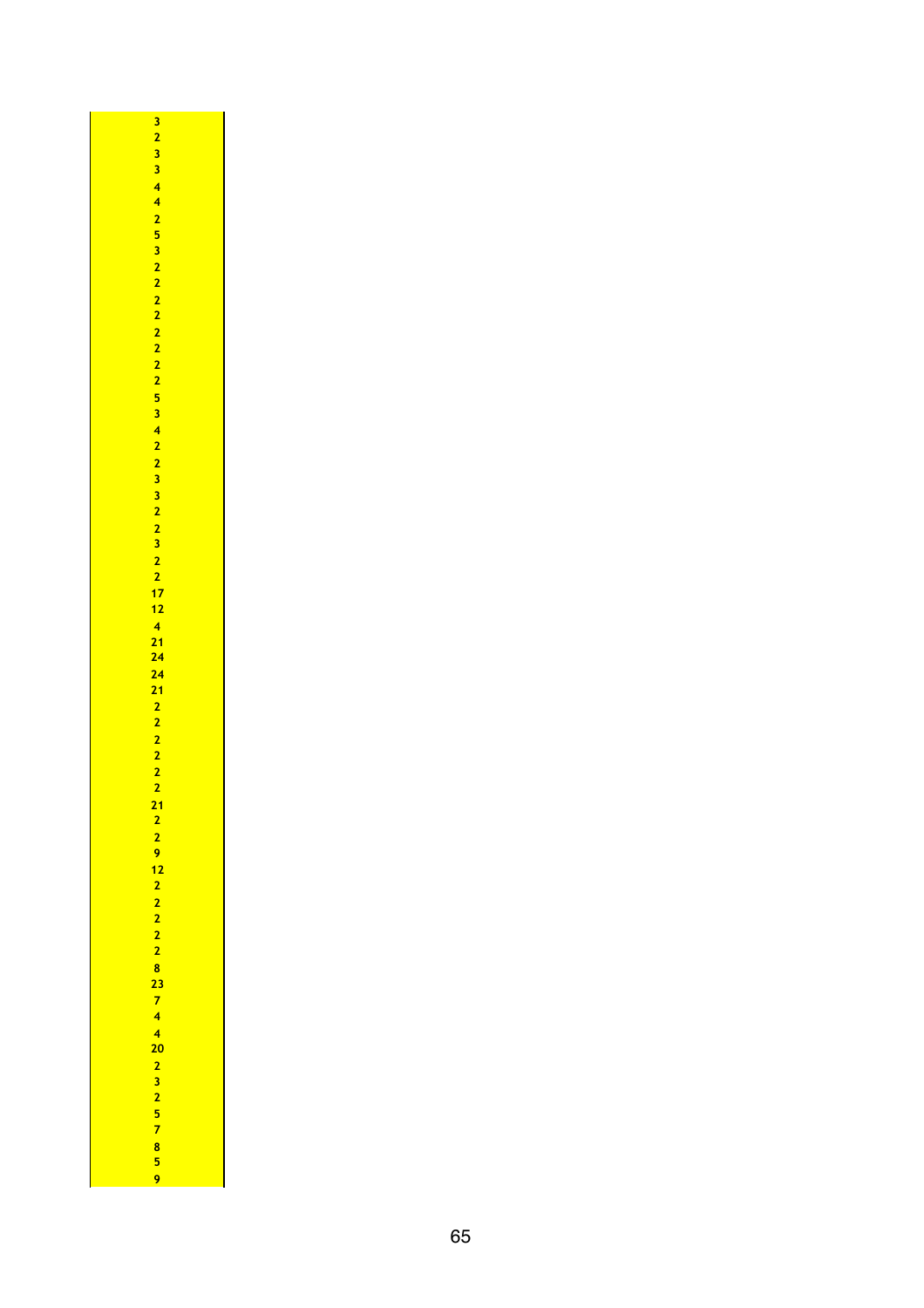| <b>29 12 22 22 8 23 74 4 20 2 32 57 85 9</b> |  |
|----------------------------------------------|--|
|                                              |  |
|                                              |  |